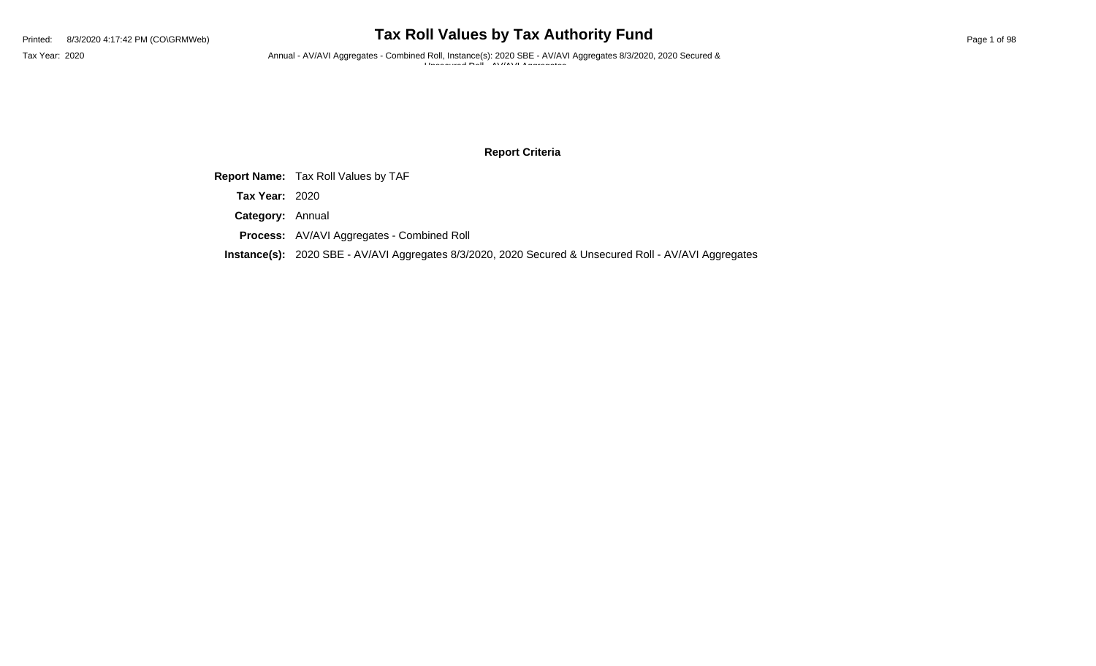Tax Year: 2020 **Annual - AV/AVI Aggregates - Combined Roll, Instance(s): 2020 SBE - AV/AVI Aggregates 8/3/2020, 2020 Secured &** Unisecured  $R_n$ <sup>1</sup> AV//AV/LA government

### **Report Criteria**

**Report Name:** Tax Roll Values by TAF

**Tax Year:** 2020

**Category:** Annual

**Process:** AV/AVI Aggregates - Combined Roll

**Instance(s):** 2020 SBE - AV/AVI Aggregates 8/3/2020, 2020 Secured & Unsecured Roll - AV/AVI Aggregates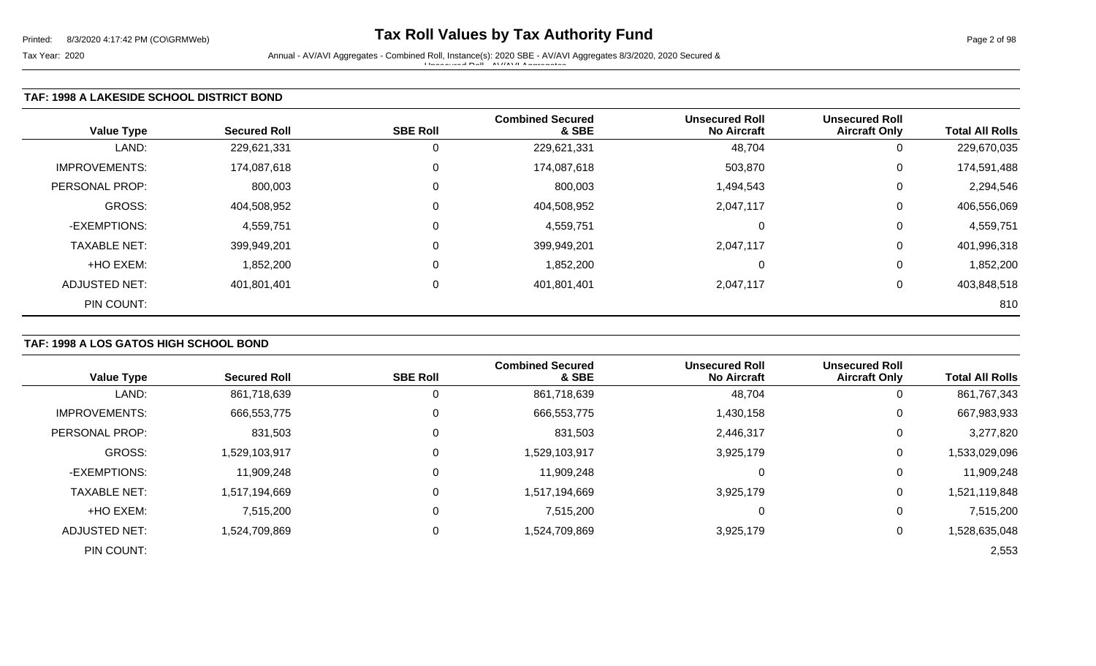Tax Year: 2020 Annual - AV/AVI Aggregates - Combined Roll, Instance(s): 2020 SBE - AV/AVI Aggregates 8/3/2020, 2020 Secured & Unsecured Roll - AV/AVI Aggregates

## **TAF: 1998 A LAKESIDE SCHOOL DISTRICT BOND**

| <b>Value Type</b>    | <b>Secured Roll</b> | <b>SBE Roll</b> | <b>Combined Secured</b><br>& SBE | <b>Unsecured Roll</b><br><b>No Aircraft</b> | <b>Unsecured Roll</b><br><b>Aircraft Only</b> | <b>Total All Rolls</b> |
|----------------------|---------------------|-----------------|----------------------------------|---------------------------------------------|-----------------------------------------------|------------------------|
| LAND:                | 229,621,331         |                 | 229,621,331                      | 48,704                                      | 0                                             | 229,670,035            |
| <b>IMPROVEMENTS:</b> | 174,087,618         | $\Omega$        | 174,087,618                      | 503,870                                     | 0                                             | 174,591,488            |
| PERSONAL PROP:       | 800,003             | $\Omega$        | 800,003                          | 1,494,543                                   | $\overline{0}$                                | 2,294,546              |
| GROSS:               | 404,508,952         | $\Omega$        | 404,508,952                      | 2,047,117                                   | 0                                             | 406,556,069            |
| -EXEMPTIONS:         | 4,559,751           | $\Omega$        | 4,559,751                        | 0                                           | 0                                             | 4,559,751              |
| <b>TAXABLE NET:</b>  | 399,949,201         | $\Omega$        | 399,949,201                      | 2,047,117                                   | 0                                             | 401,996,318            |
| +HO EXEM:            | 1,852,200           | $\Omega$        | 1,852,200                        | 0                                           | 0                                             | 1,852,200              |
| <b>ADJUSTED NET:</b> | 401,801,401         | $\Omega$        | 401,801,401                      | 2,047,117                                   | 0                                             | 403,848,518            |
| PIN COUNT:           |                     |                 |                                  |                                             |                                               | 810                    |

## **TAF: 1998 A LOS GATOS HIGH SCHOOL BOND**

| <b>Value Type</b>    | <b>Secured Roll</b> | <b>SBE Roll</b> | <b>Combined Secured</b><br>& SBE | <b>Unsecured Roll</b><br><b>No Aircraft</b> | <b>Unsecured Roll</b><br><b>Aircraft Only</b> | <b>Total All Rolls</b> |
|----------------------|---------------------|-----------------|----------------------------------|---------------------------------------------|-----------------------------------------------|------------------------|
| LAND:                | 861,718,639         | 0               | 861,718,639                      | 48,704                                      | 0                                             | 861,767,343            |
| <b>IMPROVEMENTS:</b> | 666,553,775         | 0               | 666,553,775                      | 1,430,158                                   | 0                                             | 667,983,933            |
| PERSONAL PROP:       | 831,503             | 0               | 831,503                          | 2,446,317                                   | 0                                             | 3,277,820              |
| <b>GROSS:</b>        | 1,529,103,917       | 0               | 1,529,103,917                    | 3,925,179                                   | 0                                             | 1,533,029,096          |
| -EXEMPTIONS:         | 11,909,248          | 0               | 11,909,248                       |                                             | 0                                             | 11,909,248             |
| <b>TAXABLE NET:</b>  | 1,517,194,669       | 0               | 1,517,194,669                    | 3,925,179                                   | $\overline{0}$                                | 1,521,119,848          |
| +HO EXEM:            | 7,515,200           | 0               | 7,515,200                        |                                             | 0                                             | 7,515,200              |
| <b>ADJUSTED NET:</b> | 1,524,709,869       | 0               | 1,524,709,869                    | 3,925,179                                   | 0                                             | 1,528,635,048          |
| PIN COUNT:           |                     |                 |                                  |                                             |                                               | 2,553                  |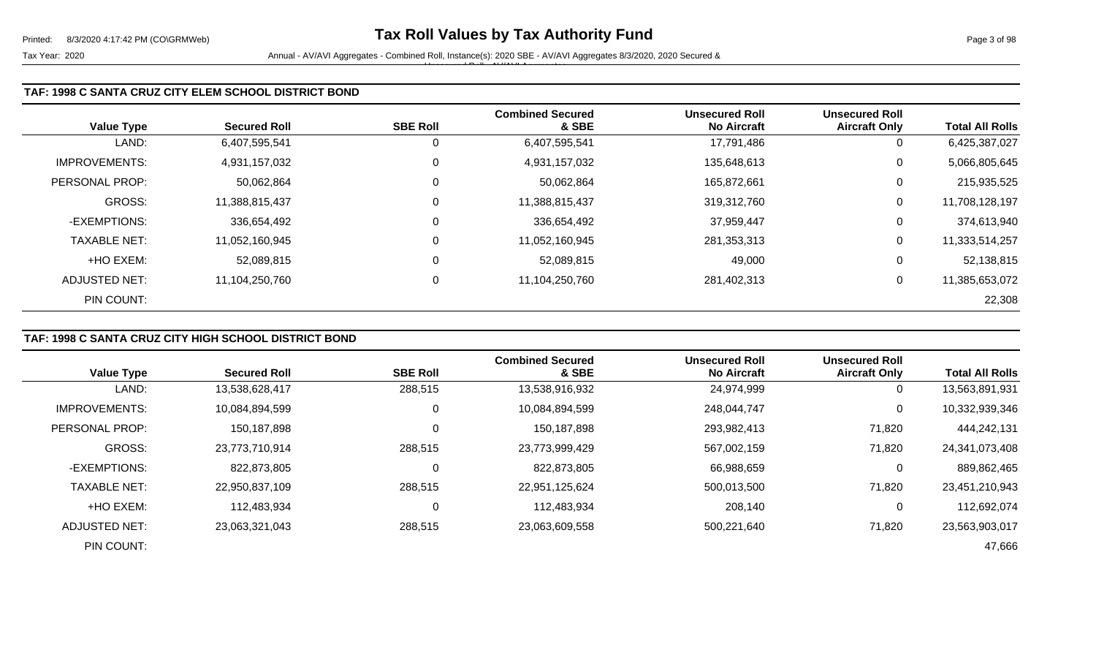| <b>Value Type</b>     | <b>Secured Roll</b> | <b>SBE Roll</b> | <b>Combined Secured</b><br>& SBE | <b>Unsecured Roll</b><br><b>No Aircraft</b> | <b>Unsecured Roll</b><br><b>Aircraft Only</b> | <b>Total All Rolls</b> |
|-----------------------|---------------------|-----------------|----------------------------------|---------------------------------------------|-----------------------------------------------|------------------------|
| LAND:                 | 6,407,595,541       | 0               | 6,407,595,541                    | 17,791,486                                  | 0                                             | 6,425,387,027          |
| <b>IMPROVEMENTS:</b>  | 4,931,157,032       | $\overline{0}$  | 4,931,157,032                    | 135,648,613                                 | 0                                             | 5,066,805,645          |
| <b>PERSONAL PROP:</b> | 50,062,864          | 0               | 50,062,864                       | 165,872,661                                 | 0                                             | 215,935,525            |
| GROSS:                | 11,388,815,437      | $\overline{0}$  | 11,388,815,437                   | 319,312,760                                 | 0                                             | 11,708,128,197         |
| -EXEMPTIONS:          | 336,654,492         | 0               | 336,654,492                      | 37,959,447                                  | 0                                             | 374,613,940            |
| <b>TAXABLE NET:</b>   | 11,052,160,945      | $\overline{0}$  | 11,052,160,945                   | 281,353,313                                 | 0                                             | 11,333,514,257         |
| +HO EXEM:             | 52,089,815          | 0               | 52,089,815                       | 49,000                                      | 0                                             | 52,138,815             |
| ADJUSTED NET:         | 11,104,250,760      | 0               | 11,104,250,760                   | 281,402,313                                 | 0                                             | 11,385,653,072         |
| PIN COUNT:            |                     |                 |                                  |                                             |                                               | 22,308                 |

## **TAF: 1998 C SANTA CRUZ CITY HIGH SCHOOL DISTRICT BOND**

|                       |                     |                 | <b>Combined Secured</b> | <b>Unsecured Roll</b> | <b>Unsecured Roll</b> |                        |
|-----------------------|---------------------|-----------------|-------------------------|-----------------------|-----------------------|------------------------|
| <b>Value Type</b>     | <b>Secured Roll</b> | <b>SBE Roll</b> | & SBE                   | <b>No Aircraft</b>    | <b>Aircraft Only</b>  | <b>Total All Rolls</b> |
| LAND:                 | 13,538,628,417      | 288,515         | 13,538,916,932          | 24,974,999            | 0                     | 13,563,891,931         |
| <b>IMPROVEMENTS:</b>  | 10,084,894,599      |                 | 10,084,894,599          | 248,044,747           | 0                     | 10,332,939,346         |
| <b>PERSONAL PROP:</b> | 150,187,898         |                 | 150,187,898             | 293,982,413           | 71,820                | 444,242,131            |
| <b>GROSS:</b>         | 23.773.710.914      | 288,515         | 23,773,999,429          | 567,002,159           | 71,820                | 24,341,073,408         |
| -EXEMPTIONS:          | 822,873,805         |                 | 822,873,805             | 66,988,659            | 0                     | 889,862,465            |
| <b>TAXABLE NET:</b>   | 22,950,837,109      | 288,515         | 22,951,125,624          | 500,013,500           | 71,820                | 23,451,210,943         |
| +HO EXEM:             | 112,483,934         |                 | 112,483,934             | 208,140               | $\mathbf 0$           | 112,692,074            |
| ADJUSTED NET:         | 23,063,321,043      | 288,515         | 23,063,609,558          | 500,221,640           | 71,820                | 23,563,903,017         |
| PIN COUNT:            |                     |                 |                         |                       |                       | 47,666                 |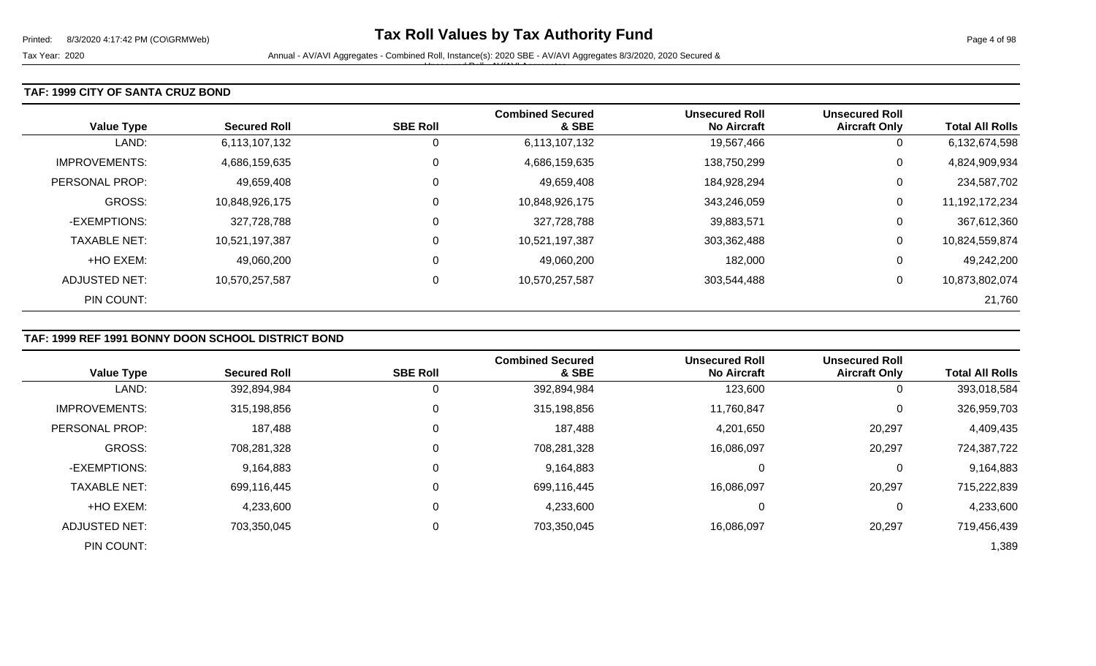### **TAF: 1999 CITY OF SANTA CRUZ BOND**

| <b>Value Type</b>     | <b>Secured Roll</b> | <b>SBE Roll</b> | <b>Combined Secured</b><br>& SBE | <b>Unsecured Roll</b><br><b>No Aircraft</b> | <b>Unsecured Roll</b><br><b>Aircraft Only</b> | <b>Total All Rolls</b> |
|-----------------------|---------------------|-----------------|----------------------------------|---------------------------------------------|-----------------------------------------------|------------------------|
| LAND:                 | 6,113,107,132       | 0               | 6,113,107,132                    | 19,567,466                                  | U                                             | 6,132,674,598          |
| <b>IMPROVEMENTS:</b>  | 4,686,159,635       | $\mathbf 0$     | 4,686,159,635                    | 138,750,299                                 | 0                                             | 4,824,909,934          |
| <b>PERSONAL PROP:</b> | 49,659,408          | 0               | 49,659,408                       | 184,928,294                                 | U                                             | 234,587,702            |
| <b>GROSS:</b>         | 10,848,926,175      | 0               | 10,848,926,175                   | 343,246,059                                 | 0                                             | 11,192,172,234         |
| -EXEMPTIONS:          | 327,728,788         | 0               | 327,728,788                      | 39,883,571                                  | U                                             | 367,612,360            |
| <b>TAXABLE NET:</b>   | 10,521,197,387      | 0               | 10,521,197,387                   | 303,362,488                                 | 0                                             | 10,824,559,874         |
| +HO EXEM:             | 49,060,200          | 0               | 49,060,200                       | 182,000                                     | 0                                             | 49,242,200             |
| ADJUSTED NET:         | 10,570,257,587      | 0               | 10,570,257,587                   | 303,544,488                                 | 0                                             | 10,873,802,074         |
| PIN COUNT:            |                     |                 |                                  |                                             |                                               | 21,760                 |

## **TAF: 1999 REF 1991 BONNY DOON SCHOOL DISTRICT BOND**

|                      |                     |                 | <b>Combined Secured</b> | <b>Unsecured Roll</b> | <b>Unsecured Roll</b> |                        |
|----------------------|---------------------|-----------------|-------------------------|-----------------------|-----------------------|------------------------|
| <b>Value Type</b>    | <b>Secured Roll</b> | <b>SBE Roll</b> | & SBE                   | <b>No Aircraft</b>    | <b>Aircraft Only</b>  | <b>Total All Rolls</b> |
| LAND:                | 392,894,984         |                 | 392,894,984             | 123,600               | 0                     | 393,018,584            |
| <b>IMPROVEMENTS:</b> | 315,198,856         | 0               | 315,198,856             | 11,760,847            | 0                     | 326,959,703            |
| PERSONAL PROP:       | 187,488             |                 | 187,488                 | 4,201,650             | 20,297                | 4,409,435              |
| <b>GROSS:</b>        | 708.281.328         |                 | 708,281,328             | 16,086,097            | 20,297                | 724,387,722            |
| -EXEMPTIONS:         | 9,164,883           |                 | 9,164,883               | 0                     | 0                     | 9,164,883              |
| <b>TAXABLE NET:</b>  | 699,116,445         |                 | 699,116,445             | 16,086,097            | 20,297                | 715,222,839            |
| +HO EXEM:            | 4,233,600           |                 | 4,233,600               | 0                     | 0                     | 4,233,600              |
| ADJUSTED NET:        | 703,350,045         |                 | 703,350,045             | 16,086,097            | 20,297                | 719,456,439            |
| PIN COUNT:           |                     |                 |                         |                       |                       | 1,389                  |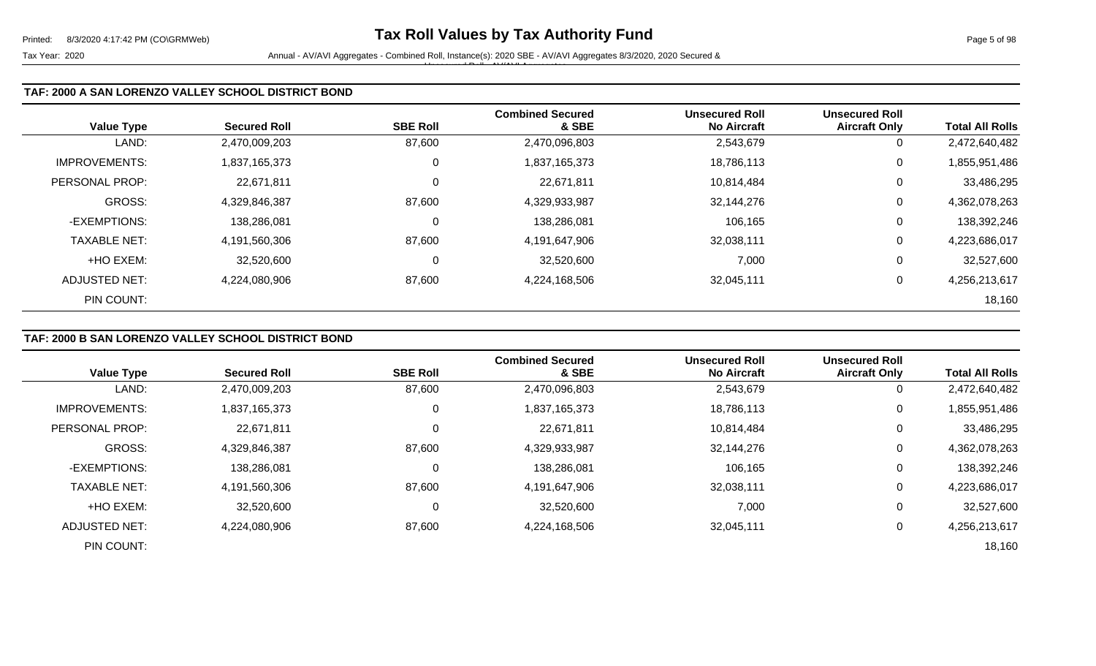| <b>Value Type</b>     | <b>Secured Roll</b> | <b>SBE Roll</b> | <b>Combined Secured</b><br>& SBE | <b>Unsecured Roll</b><br><b>No Aircraft</b> | <b>Unsecured Roll</b><br><b>Aircraft Only</b> | <b>Total All Rolls</b> |
|-----------------------|---------------------|-----------------|----------------------------------|---------------------------------------------|-----------------------------------------------|------------------------|
| LAND:                 | 2,470,009,203       | 87,600          | 2,470,096,803                    | 2,543,679                                   |                                               | 2,472,640,482          |
| <b>IMPROVEMENTS:</b>  | 1,837,165,373       | $\overline{0}$  | 1,837,165,373                    | 18,786,113                                  | 0                                             | 1,855,951,486          |
| <b>PERSONAL PROP:</b> | 22,671,811          | $\overline{0}$  | 22,671,811                       | 10,814,484                                  | 0                                             | 33,486,295             |
| GROSS:                | 4,329,846,387       | 87,600          | 4,329,933,987                    | 32,144,276                                  | 0                                             | 4,362,078,263          |
| -EXEMPTIONS:          | 138,286,081         | 0               | 138,286,081                      | 106,165                                     | 0                                             | 138,392,246            |
| <b>TAXABLE NET:</b>   | 4,191,560,306       | 87,600          | 4,191,647,906                    | 32,038,111                                  | 0                                             | 4,223,686,017          |
| +HO EXEM:             | 32,520,600          | $\mathbf 0$     | 32,520,600                       | 7,000                                       | 0                                             | 32,527,600             |
| ADJUSTED NET:         | 4,224,080,906       | 87,600          | 4,224,168,506                    | 32,045,111                                  | 0                                             | 4,256,213,617          |
| PIN COUNT:            |                     |                 |                                  |                                             |                                               | 18,160                 |

# **TAF: 2000 B SAN LORENZO VALLEY SCHOOL DISTRICT BOND**

|                      |                     |                 | <b>Combined Secured</b> | <b>Unsecured Roll</b> | <b>Unsecured Roll</b> |                        |
|----------------------|---------------------|-----------------|-------------------------|-----------------------|-----------------------|------------------------|
| <b>Value Type</b>    | <b>Secured Roll</b> | <b>SBE Roll</b> | & SBE                   | <b>No Aircraft</b>    | <b>Aircraft Only</b>  | <b>Total All Rolls</b> |
| LAND:                | 2,470,009,203       | 87,600          | 2,470,096,803           | 2,543,679             | 0                     | 2,472,640,482          |
| <b>IMPROVEMENTS:</b> | 1,837,165,373       | 0               | 1,837,165,373           | 18,786,113            | 0                     | 1,855,951,486          |
| PERSONAL PROP:       | 22,671,811          | 0               | 22,671,811              | 10,814,484            | 0                     | 33,486,295             |
| <b>GROSS:</b>        | 4,329,846,387       | 87,600          | 4,329,933,987           | 32,144,276            | 0                     | 4,362,078,263          |
| -EXEMPTIONS:         | 138,286,081         | $\Omega$        | 138,286,081             | 106,165               | 0                     | 138,392,246            |
| <b>TAXABLE NET:</b>  | 4,191,560,306       | 87,600          | 4,191,647,906           | 32,038,111            | 0                     | 4,223,686,017          |
| +HO EXEM:            | 32,520,600          | 0               | 32,520,600              | 7,000                 | 0                     | 32,527,600             |
| <b>ADJUSTED NET:</b> | 4,224,080,906       | 87,600          | 4,224,168,506           | 32,045,111            | 0                     | 4,256,213,617          |
| PIN COUNT:           |                     |                 |                         |                       |                       | 18,160                 |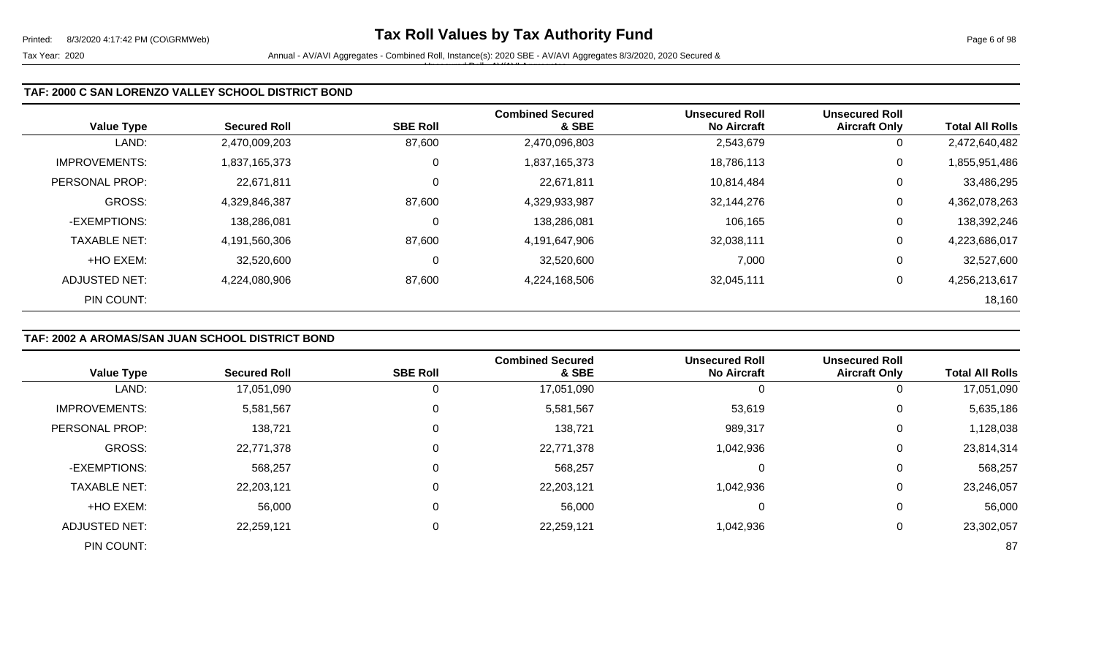| <b>Value Type</b>     | <b>Secured Roll</b> | <b>SBE Roll</b> | <b>Combined Secured</b><br>& SBE | <b>Unsecured Roll</b><br><b>No Aircraft</b> | <b>Unsecured Roll</b><br><b>Aircraft Only</b> | <b>Total All Rolls</b> |
|-----------------------|---------------------|-----------------|----------------------------------|---------------------------------------------|-----------------------------------------------|------------------------|
| LAND:                 | 2,470,009,203       | 87,600          | 2,470,096,803                    | 2,543,679                                   |                                               | 2,472,640,482          |
| <b>IMPROVEMENTS:</b>  | 1,837,165,373       | $\overline{0}$  | 1,837,165,373                    | 18,786,113                                  | 0                                             | 1,855,951,486          |
| <b>PERSONAL PROP:</b> | 22,671,811          | $\overline{0}$  | 22,671,811                       | 10,814,484                                  | 0                                             | 33,486,295             |
| GROSS:                | 4,329,846,387       | 87,600          | 4,329,933,987                    | 32,144,276                                  | 0                                             | 4,362,078,263          |
| -EXEMPTIONS:          | 138,286,081         | 0               | 138,286,081                      | 106,165                                     | 0                                             | 138,392,246            |
| <b>TAXABLE NET:</b>   | 4,191,560,306       | 87,600          | 4,191,647,906                    | 32,038,111                                  | 0                                             | 4,223,686,017          |
| +HO EXEM:             | 32,520,600          | $\mathbf 0$     | 32,520,600                       | 7,000                                       | 0                                             | 32,527,600             |
| ADJUSTED NET:         | 4,224,080,906       | 87,600          | 4,224,168,506                    | 32,045,111                                  | 0                                             | 4,256,213,617          |
| PIN COUNT:            |                     |                 |                                  |                                             |                                               | 18,160                 |

# **TAF: 2002 A AROMAS/SAN JUAN SCHOOL DISTRICT BOND**

| <b>Value Type</b>    | <b>Secured Roll</b> | <b>SBE Roll</b> | <b>Combined Secured</b><br>& SBE | <b>Unsecured Roll</b><br><b>No Aircraft</b> | <b>Unsecured Roll</b><br><b>Aircraft Only</b> | <b>Total All Rolls</b> |
|----------------------|---------------------|-----------------|----------------------------------|---------------------------------------------|-----------------------------------------------|------------------------|
| LAND:                | 17,051,090          |                 | 17,051,090                       |                                             | 0                                             | 17,051,090             |
| <b>IMPROVEMENTS:</b> | 5,581,567           |                 | 5,581,567                        | 53,619                                      | 0                                             | 5,635,186              |
| PERSONAL PROP:       | 138,721             |                 | 138,721                          | 989,317                                     | 0                                             | 1,128,038              |
| <b>GROSS:</b>        | 22,771,378          |                 | 22,771,378                       | 1,042,936                                   | 0                                             | 23,814,314             |
| -EXEMPTIONS:         | 568,257             |                 | 568,257                          |                                             | 0                                             | 568,257                |
| <b>TAXABLE NET:</b>  | 22,203,121          |                 | 22,203,121                       | 1,042,936                                   | 0                                             | 23,246,057             |
| +HO EXEM:            | 56,000              |                 | 56,000                           |                                             | 0                                             | 56,000                 |
| <b>ADJUSTED NET:</b> | 22,259,121          |                 | 22,259,121                       | 1,042,936                                   | 0                                             | 23,302,057             |
| PIN COUNT:           |                     |                 |                                  |                                             |                                               | 87                     |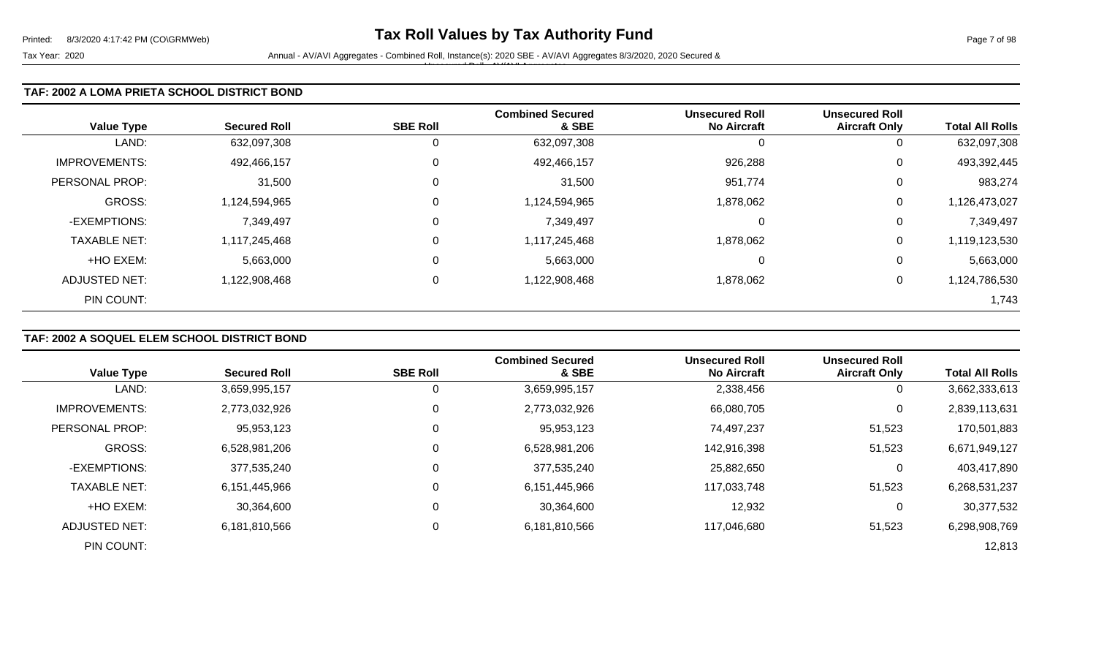### **TAF: 2002 A LOMA PRIETA SCHOOL DISTRICT BOND**

| <b>Value Type</b>    | <b>Secured Roll</b> | <b>SBE Roll</b> | <b>Combined Secured</b><br>& SBE | <b>Unsecured Roll</b><br><b>No Aircraft</b> | <b>Unsecured Roll</b><br><b>Aircraft Only</b> | <b>Total All Rolls</b> |
|----------------------|---------------------|-----------------|----------------------------------|---------------------------------------------|-----------------------------------------------|------------------------|
| LAND:                | 632,097,308         | 0               | 632,097,308                      |                                             | 0                                             | 632,097,308            |
| <b>IMPROVEMENTS:</b> | 492,466,157         | $\mathbf 0$     | 492,466,157                      | 926,288                                     | 0                                             | 493,392,445            |
| PERSONAL PROP:       | 31,500              | $\overline{0}$  | 31,500                           | 951,774                                     | 0                                             | 983,274                |
| <b>GROSS:</b>        | 1,124,594,965       | $\overline{0}$  | 1,124,594,965                    | 1,878,062                                   | 0                                             | 1,126,473,027          |
| -EXEMPTIONS:         | 7,349,497           | $\overline{0}$  | 7,349,497                        | 0                                           | 0                                             | 7,349,497              |
| <b>TAXABLE NET:</b>  | 1,117,245,468       | $\mathbf 0$     | 1,117,245,468                    | 1,878,062                                   | 0                                             | 1,119,123,530          |
| +HO EXEM:            | 5,663,000           | $\mathbf 0$     | 5,663,000                        | 0                                           | 0                                             | 5,663,000              |
| ADJUSTED NET:        | 1,122,908,468       | 0               | 1,122,908,468                    | 1,878,062                                   | 0                                             | 1,124,786,530          |
| PIN COUNT:           |                     |                 |                                  |                                             |                                               | 1,743                  |

## **TAF: 2002 A SOQUEL ELEM SCHOOL DISTRICT BOND**

|                      |                     |                 | <b>Combined Secured</b> | <b>Unsecured Roll</b> | <b>Unsecured Roll</b> |                        |
|----------------------|---------------------|-----------------|-------------------------|-----------------------|-----------------------|------------------------|
| <b>Value Type</b>    | <b>Secured Roll</b> | <b>SBE Roll</b> | & SBE                   | <b>No Aircraft</b>    | <b>Aircraft Only</b>  | <b>Total All Rolls</b> |
| LAND:                | 3,659,995,157       | O               | 3,659,995,157           | 2,338,456             | 0                     | 3,662,333,613          |
| <b>IMPROVEMENTS:</b> | 2,773,032,926       | 0               | 2,773,032,926           | 66,080,705            | 0                     | 2,839,113,631          |
| PERSONAL PROP:       | 95,953,123          | 0               | 95,953,123              | 74,497,237            | 51,523                | 170,501,883            |
| <b>GROSS:</b>        | 6,528,981,206       | $\Omega$        | 6,528,981,206           | 142,916,398           | 51,523                | 6,671,949,127          |
| -EXEMPTIONS:         | 377,535,240         | 0               | 377,535,240             | 25,882,650            | 0                     | 403,417,890            |
| <b>TAXABLE NET:</b>  | 6,151,445,966       | $\Omega$        | 6,151,445,966           | 117,033,748           | 51,523                | 6,268,531,237          |
| +HO EXEM:            | 30,364,600          | $\mathbf 0$     | 30,364,600              | 12,932                | 0                     | 30,377,532             |
| <b>ADJUSTED NET:</b> | 6,181,810,566       | 0               | 6,181,810,566           | 117,046,680           | 51,523                | 6,298,908,769          |
| PIN COUNT:           |                     |                 |                         |                       |                       | 12,813                 |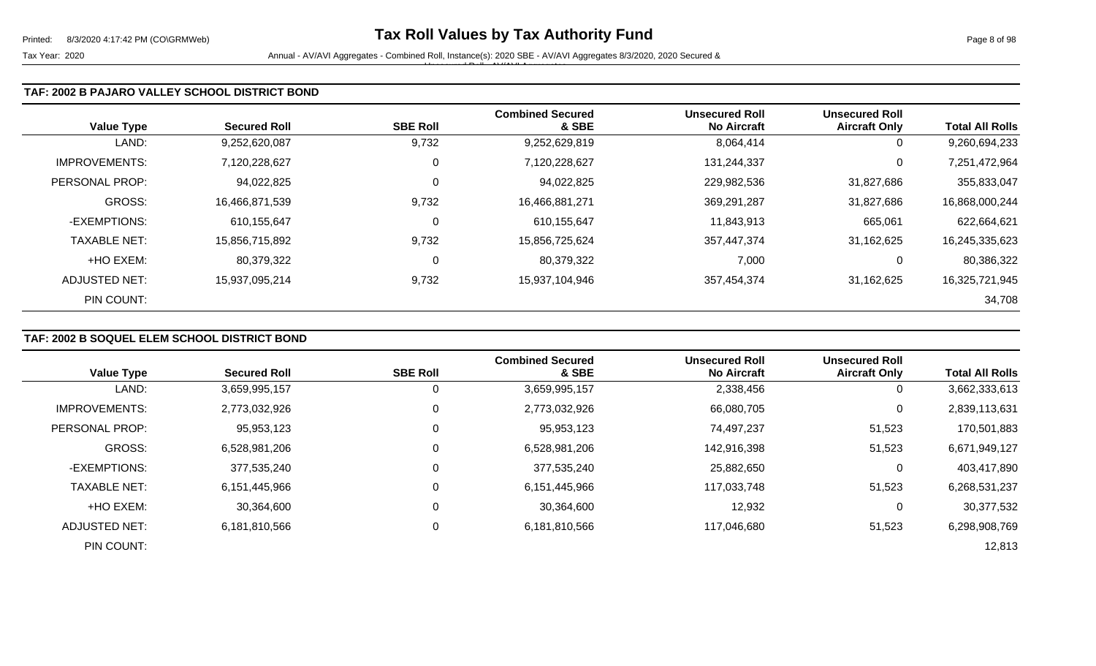Tax Year: 2020 **Annual - AV/AVI Aggregates - Combined Roll**, Instance(s): 2020 SBE - AV/AVI Aggregates 8/3/2020, 2020 Secured & Unsecured Roll - AV/AVI Aggregates

### **TAF: 2002 B PAJARO VALLEY SCHOOL DISTRICT BOND**

| <b>Value Type</b>    | <b>Secured Roll</b> | <b>SBE Roll</b> | <b>Combined Secured</b><br>& SBE | <b>Unsecured Roll</b><br><b>No Aircraft</b> | <b>Unsecured Roll</b><br><b>Aircraft Only</b> | <b>Total All Rolls</b> |
|----------------------|---------------------|-----------------|----------------------------------|---------------------------------------------|-----------------------------------------------|------------------------|
| LAND:                | 9,252,620,087       | 9,732           | 9,252,629,819                    | 8,064,414                                   | 0                                             | 9,260,694,233          |
| <b>IMPROVEMENTS:</b> | 7,120,228,627       | 0               | 7,120,228,627                    | 131,244,337                                 | 0                                             | 7,251,472,964          |
| PERSONAL PROP:       | 94,022,825          | 0               | 94,022,825                       | 229,982,536                                 | 31,827,686                                    | 355,833,047            |
| <b>GROSS:</b>        | 16,466,871,539      | 9,732           | 16,466,881,271                   | 369,291,287                                 | 31,827,686                                    | 16,868,000,244         |
| -EXEMPTIONS:         | 610,155,647         | 0               | 610,155,647                      | 11,843,913                                  | 665,061                                       | 622,664,621            |
| <b>TAXABLE NET:</b>  | 15,856,715,892      | 9,732           | 15,856,725,624                   | 357,447,374                                 | 31,162,625                                    | 16,245,335,623         |
| +HO EXEM:            | 80,379,322          | 0               | 80,379,322                       | 7,000                                       | 0                                             | 80,386,322             |
| ADJUSTED NET:        | 15,937,095,214      | 9,732           | 15,937,104,946                   | 357,454,374                                 | 31,162,625                                    | 16,325,721,945         |
| PIN COUNT:           |                     |                 |                                  |                                             |                                               | 34,708                 |

## **TAF: 2002 B SOQUEL ELEM SCHOOL DISTRICT BOND**

|                      |                     |                 | <b>Combined Secured</b> | <b>Unsecured Roll</b> | <b>Unsecured Roll</b> |                        |
|----------------------|---------------------|-----------------|-------------------------|-----------------------|-----------------------|------------------------|
| <b>Value Type</b>    | <b>Secured Roll</b> | <b>SBE Roll</b> | & SBE                   | <b>No Aircraft</b>    | <b>Aircraft Only</b>  | <b>Total All Rolls</b> |
| LAND:                | 3,659,995,157       | 0               | 3,659,995,157           | 2,338,456             | 0                     | 3,662,333,613          |
| <b>IMPROVEMENTS:</b> | 2,773,032,926       | 0               | 2,773,032,926           | 66,080,705            | 0                     | 2,839,113,631          |
| PERSONAL PROP:       | 95,953,123          | 0               | 95,953,123              | 74,497,237            | 51,523                | 170,501,883            |
| <b>GROSS:</b>        | 6,528,981,206       | $\Omega$        | 6,528,981,206           | 142,916,398           | 51,523                | 6,671,949,127          |
| -EXEMPTIONS:         | 377,535,240         | 0               | 377,535,240             | 25,882,650            | 0                     | 403,417,890            |
| <b>TAXABLE NET:</b>  | 6,151,445,966       | $\Omega$        | 6,151,445,966           | 117,033,748           | 51,523                | 6,268,531,237          |
| +HO EXEM:            | 30,364,600          | 0               | 30,364,600              | 12,932                | 0                     | 30,377,532             |
| ADJUSTED NET:        | 6,181,810,566       | 0               | 6,181,810,566           | 117,046,680           | 51,523                | 6,298,908,769          |
| PIN COUNT:           |                     |                 |                         |                       |                       | 12,813                 |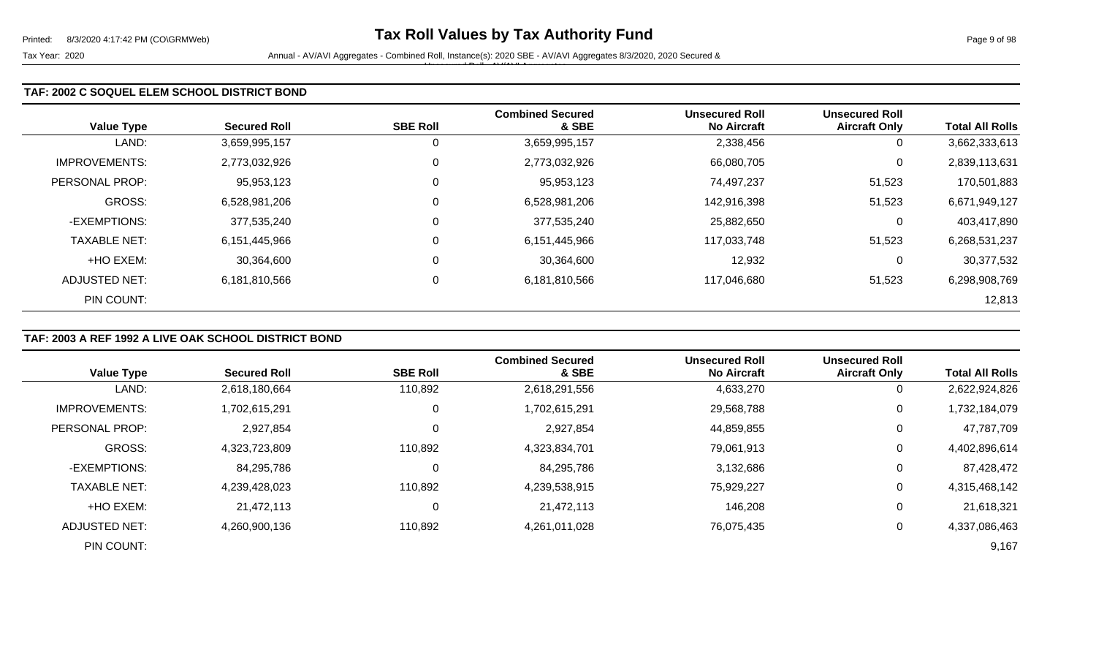Tax Year: 2020 **Annual - AV/AVI Aggregates - Combined Roll**, Instance(s): 2020 SBE - AV/AVI Aggregates 8/3/2020, 2020 Secured & Unsecured Roll - AV/AVI Aggregates

### **TAF: 2002 C SOQUEL ELEM SCHOOL DISTRICT BOND**

| <b>Value Type</b>    | <b>Secured Roll</b> | <b>SBE Roll</b> | <b>Combined Secured</b><br>& SBE | <b>Unsecured Roll</b><br><b>No Aircraft</b> | <b>Unsecured Roll</b><br><b>Aircraft Only</b> | <b>Total All Rolls</b> |
|----------------------|---------------------|-----------------|----------------------------------|---------------------------------------------|-----------------------------------------------|------------------------|
| LAND:                | 3,659,995,157       | 0               | 3,659,995,157                    | 2,338,456                                   | 0                                             | 3,662,333,613          |
| <b>IMPROVEMENTS:</b> | 2,773,032,926       | 0               | 2,773,032,926                    | 66,080,705                                  | 0                                             | 2,839,113,631          |
| PERSONAL PROP:       | 95,953,123          | 0               | 95,953,123                       | 74,497,237                                  | 51,523                                        | 170,501,883            |
| <b>GROSS:</b>        | 6,528,981,206       | 0               | 6,528,981,206                    | 142,916,398                                 | 51,523                                        | 6,671,949,127          |
| -EXEMPTIONS:         | 377,535,240         | 0               | 377,535,240                      | 25,882,650                                  | 0                                             | 403,417,890            |
| <b>TAXABLE NET:</b>  | 6,151,445,966       | 0               | 6,151,445,966                    | 117,033,748                                 | 51,523                                        | 6,268,531,237          |
| +HO EXEM:            | 30,364,600          | 0               | 30,364,600                       | 12,932                                      | 0                                             | 30,377,532             |
| ADJUSTED NET:        | 6,181,810,566       | 0               | 6,181,810,566                    | 117,046,680                                 | 51,523                                        | 6,298,908,769          |
| PIN COUNT:           |                     |                 |                                  |                                             |                                               | 12,813                 |

## **TAF: 2003 A REF 1992 A LIVE OAK SCHOOL DISTRICT BOND**

|                      |                     |                 | <b>Combined Secured</b> | <b>Unsecured Roll</b> | <b>Unsecured Roll</b> |                        |
|----------------------|---------------------|-----------------|-------------------------|-----------------------|-----------------------|------------------------|
| <b>Value Type</b>    | <b>Secured Roll</b> | <b>SBE Roll</b> | & SBE                   | <b>No Aircraft</b>    | <b>Aircraft Only</b>  | <b>Total All Rolls</b> |
| LAND:                | 2,618,180,664       | 110,892         | 2,618,291,556           | 4,633,270             | 0                     | 2,622,924,826          |
| <b>IMPROVEMENTS:</b> | 1,702,615,291       | 0               | 1,702,615,291           | 29,568,788            | 0                     | 1,732,184,079          |
| PERSONAL PROP:       | 2,927,854           | 0               | 2,927,854               | 44,859,855            | 0                     | 47,787,709             |
| <b>GROSS:</b>        | 4,323,723,809       | 110,892         | 4,323,834,701           | 79,061,913            | $\mathbf 0$           | 4,402,896,614          |
| -EXEMPTIONS:         | 84,295,786          | 0               | 84,295,786              | 3,132,686             | 0                     | 87,428,472             |
| <b>TAXABLE NET:</b>  | 4,239,428,023       | 110,892         | 4,239,538,915           | 75,929,227            | $\overline{0}$        | 4,315,468,142          |
| +HO EXEM:            | 21,472,113          | 0               | 21,472,113              | 146,208               | 0                     | 21,618,321             |
| ADJUSTED NET:        | 4,260,900,136       | 110,892         | 4,261,011,028           | 76,075,435            | 0                     | 4,337,086,463          |
| PIN COUNT:           |                     |                 |                         |                       |                       | 9,167                  |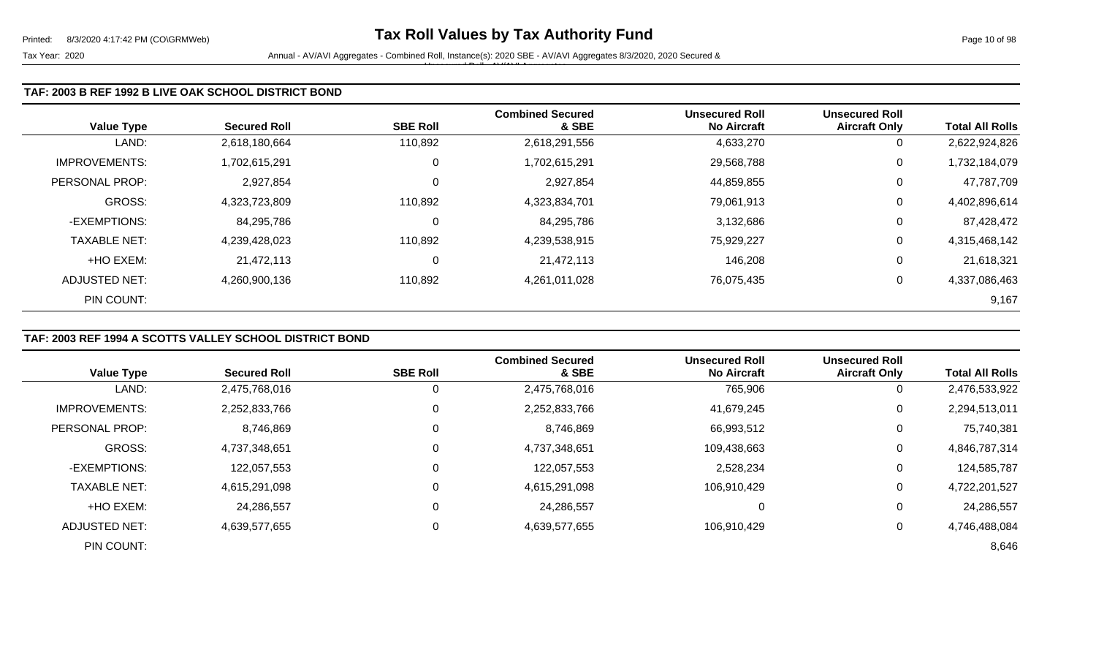| <b>Value Type</b>    | <b>Secured Roll</b> | <b>SBE Roll</b> | <b>Combined Secured</b><br>& SBE | <b>Unsecured Roll</b><br><b>No Aircraft</b> | <b>Unsecured Roll</b><br><b>Aircraft Only</b> | <b>Total All Rolls</b> |
|----------------------|---------------------|-----------------|----------------------------------|---------------------------------------------|-----------------------------------------------|------------------------|
| LAND:                | 2,618,180,664       | 110,892         | 2,618,291,556                    | 4,633,270                                   | 0                                             | 2,622,924,826          |
| <b>IMPROVEMENTS:</b> | 1,702,615,291       | 0               | 1,702,615,291                    | 29,568,788                                  | 0                                             | 1,732,184,079          |
| PERSONAL PROP:       | 2,927,854           | $\mathbf 0$     | 2,927,854                        | 44,859,855                                  | 0                                             | 47,787,709             |
| <b>GROSS:</b>        | 4,323,723,809       | 110,892         | 4,323,834,701                    | 79,061,913                                  | 0                                             | 4,402,896,614          |
| -EXEMPTIONS:         | 84,295,786          | $\mathbf 0$     | 84,295,786                       | 3,132,686                                   | 0                                             | 87,428,472             |
| <b>TAXABLE NET:</b>  | 4,239,428,023       | 110,892         | 4,239,538,915                    | 75,929,227                                  | 0                                             | 4,315,468,142          |
| +HO EXEM:            | 21,472,113          | 0               | 21,472,113                       | 146,208                                     | 0                                             | 21,618,321             |
| <b>ADJUSTED NET:</b> | 4,260,900,136       | 110,892         | 4,261,011,028                    | 76,075,435                                  | 0                                             | 4,337,086,463          |
| PIN COUNT:           |                     |                 |                                  |                                             |                                               | 9,167                  |

# **TAF: 2003 REF 1994 A SCOTTS VALLEY SCHOOL DISTRICT BOND**

|                      |                     |                 | <b>Combined Secured</b> | <b>Unsecured Roll</b> | <b>Unsecured Roll</b> |                        |
|----------------------|---------------------|-----------------|-------------------------|-----------------------|-----------------------|------------------------|
| <b>Value Type</b>    | <b>Secured Roll</b> | <b>SBE Roll</b> | & SBE                   | <b>No Aircraft</b>    | <b>Aircraft Only</b>  | <b>Total All Rolls</b> |
| LAND:                | 2,475,768,016       | 0               | 2,475,768,016           | 765,906               | 0                     | 2,476,533,922          |
| <b>IMPROVEMENTS:</b> | 2,252,833,766       | 0               | 2,252,833,766           | 41,679,245            | 0                     | 2,294,513,011          |
| PERSONAL PROP:       | 8,746,869           | 0               | 8,746,869               | 66,993,512            | 0                     | 75,740,381             |
| <b>GROSS:</b>        | 4,737,348,651       | 0               | 4,737,348,651           | 109,438,663           | 0                     | 4,846,787,314          |
| -EXEMPTIONS:         | 122,057,553         | 0               | 122,057,553             | 2,528,234             | 0                     | 124,585,787            |
| <b>TAXABLE NET:</b>  | 4,615,291,098       | $\Omega$        | 4,615,291,098           | 106,910,429           | $\mathbf 0$           | 4,722,201,527          |
| +HO EXEM:            | 24,286,557          | 0               | 24,286,557              | 0                     | 0                     | 24,286,557             |
| <b>ADJUSTED NET:</b> | 4,639,577,655       | 0               | 4,639,577,655           | 106,910,429           | 0                     | 4,746,488,084          |
| PIN COUNT:           |                     |                 |                         |                       |                       | 8,646                  |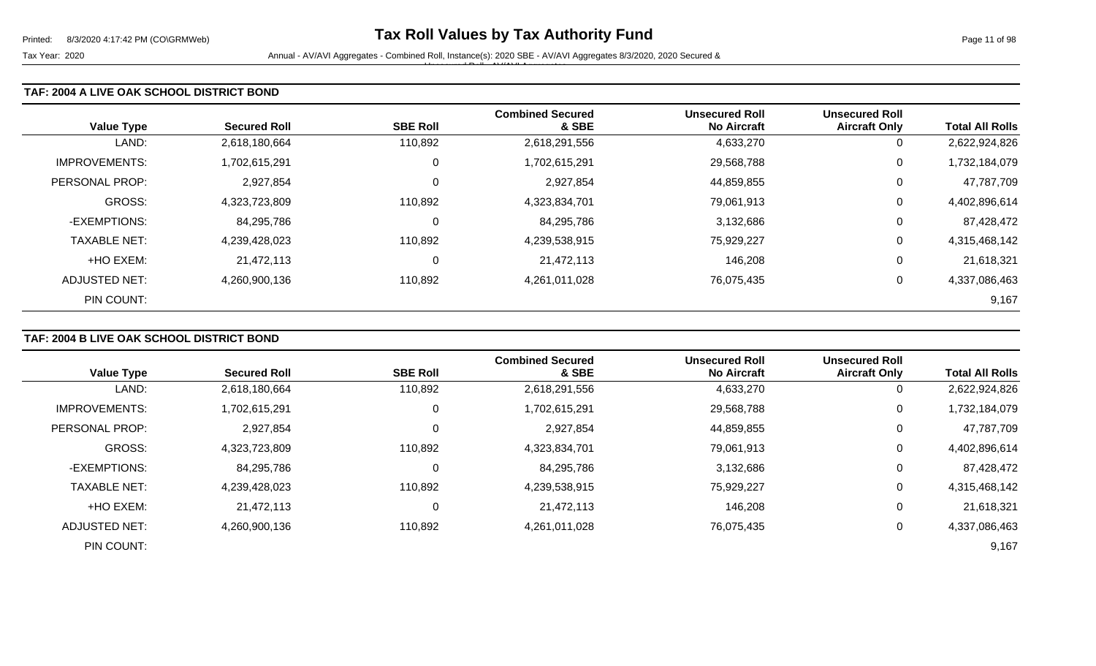### **TAF: 2004 A LIVE OAK SCHOOL DISTRICT BOND**

| <b>Value Type</b>    | <b>Secured Roll</b> | <b>SBE Roll</b> | <b>Combined Secured</b><br>& SBE | <b>Unsecured Roll</b><br><b>No Aircraft</b> | <b>Unsecured Roll</b><br><b>Aircraft Only</b> | <b>Total All Rolls</b> |
|----------------------|---------------------|-----------------|----------------------------------|---------------------------------------------|-----------------------------------------------|------------------------|
| LAND:                | 2,618,180,664       | 110,892         | 2,618,291,556                    | 4,633,270                                   | 0                                             | 2,622,924,826          |
| <b>IMPROVEMENTS:</b> | 1,702,615,291       | 0               | 1,702,615,291                    | 29,568,788                                  | 0                                             | 1,732,184,079          |
| PERSONAL PROP:       | 2,927,854           | 0               | 2,927,854                        | 44,859,855                                  | 0                                             | 47,787,709             |
| <b>GROSS:</b>        | 4,323,723,809       | 110,892         | 4,323,834,701                    | 79,061,913                                  | 0                                             | 4,402,896,614          |
| -EXEMPTIONS:         | 84,295,786          | 0               | 84,295,786                       | 3,132,686                                   | 0                                             | 87,428,472             |
| <b>TAXABLE NET:</b>  | 4,239,428,023       | 110,892         | 4,239,538,915                    | 75,929,227                                  | 0                                             | 4,315,468,142          |
| +HO EXEM:            | 21,472,113          | 0               | 21,472,113                       | 146,208                                     | 0                                             | 21,618,321             |
| ADJUSTED NET:        | 4,260,900,136       | 110,892         | 4,261,011,028                    | 76,075,435                                  | 0                                             | 4,337,086,463          |
| PIN COUNT:           |                     |                 |                                  |                                             |                                               | 9,167                  |

## **TAF: 2004 B LIVE OAK SCHOOL DISTRICT BOND**

|                       |                     |                 | <b>Combined Secured</b> | <b>Unsecured Roll</b> | <b>Unsecured Roll</b> |                        |
|-----------------------|---------------------|-----------------|-------------------------|-----------------------|-----------------------|------------------------|
| <b>Value Type</b>     | <b>Secured Roll</b> | <b>SBE Roll</b> | & SBE                   | <b>No Aircraft</b>    | <b>Aircraft Only</b>  | <b>Total All Rolls</b> |
| LAND:                 | 2,618,180,664       | 110,892         | 2,618,291,556           | 4,633,270             | $\overline{0}$        | 2,622,924,826          |
| <b>IMPROVEMENTS:</b>  | 1,702,615,291       |                 | 1,702,615,291           | 29,568,788            | 0                     | 1,732,184,079          |
| <b>PERSONAL PROP:</b> | 2,927,854           |                 | 2,927,854               | 44,859,855            | 0                     | 47,787,709             |
| <b>GROSS:</b>         | 4,323,723,809       | 110,892         | 4,323,834,701           | 79,061,913            | 0                     | 4,402,896,614          |
| -EXEMPTIONS:          | 84,295,786          |                 | 84,295,786              | 3,132,686             | 0                     | 87,428,472             |
| <b>TAXABLE NET:</b>   | 4,239,428,023       | 110,892         | 4,239,538,915           | 75,929,227            | 0                     | 4,315,468,142          |
| +HO EXEM:             | 21.472.113          |                 | 21,472,113              | 146,208               | 0                     | 21,618,321             |
| ADJUSTED NET:         | 4,260,900,136       | 110,892         | 4,261,011,028           | 76,075,435            | 0                     | 4,337,086,463          |
| PIN COUNT:            |                     |                 |                         |                       |                       | 9,167                  |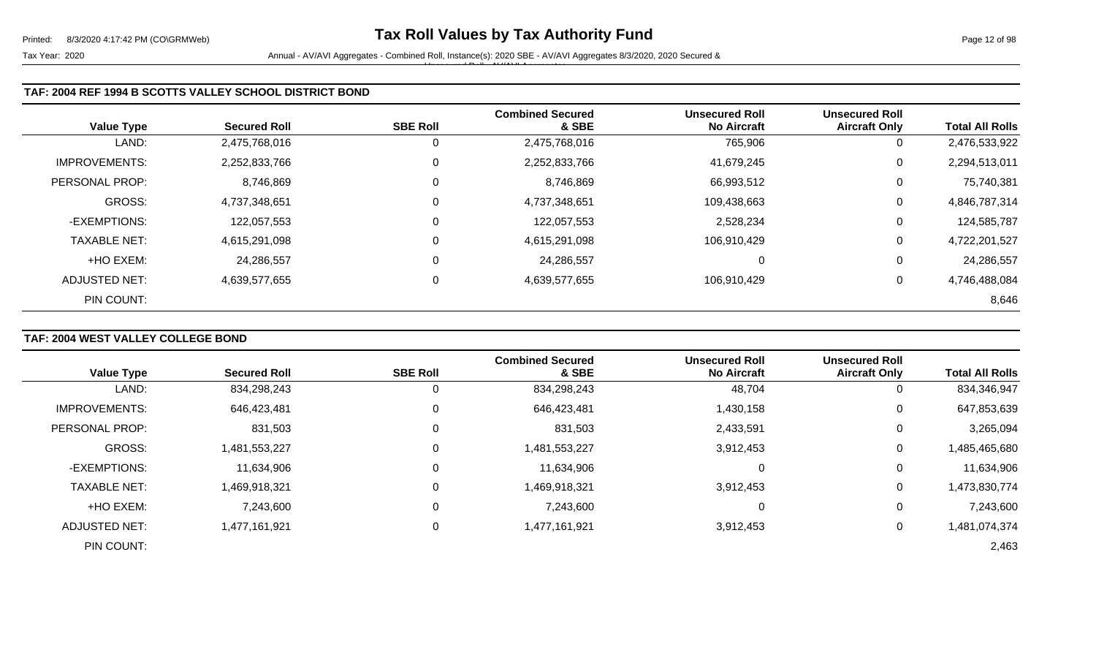| <b>Value Type</b>    | <b>Secured Roll</b> | <b>SBE Roll</b> | <b>Combined Secured</b><br>& SBE | <b>Unsecured Roll</b><br><b>No Aircraft</b> | <b>Unsecured Roll</b><br><b>Aircraft Only</b> | <b>Total All Rolls</b> |
|----------------------|---------------------|-----------------|----------------------------------|---------------------------------------------|-----------------------------------------------|------------------------|
| LAND:                | 2,475,768,016       | 0               | 2,475,768,016                    | 765,906                                     | 0                                             | 2,476,533,922          |
| <b>IMPROVEMENTS:</b> | 2,252,833,766       | 0               | 2,252,833,766                    | 41,679,245                                  | 0                                             | 2,294,513,011          |
| PERSONAL PROP:       | 8,746,869           | 0               | 8,746,869                        | 66,993,512                                  | 0                                             | 75,740,381             |
| GROSS:               | 4,737,348,651       | 0               | 4,737,348,651                    | 109,438,663                                 | 0                                             | 4,846,787,314          |
| -EXEMPTIONS:         | 122,057,553         | 0               | 122,057,553                      | 2,528,234                                   | 0                                             | 124,585,787            |
| <b>TAXABLE NET:</b>  | 4,615,291,098       | 0               | 4,615,291,098                    | 106,910,429                                 | 0                                             | 4,722,201,527          |
| +HO EXEM:            | 24,286,557          | 0               | 24,286,557                       | 0                                           | 0                                             | 24,286,557             |
| ADJUSTED NET:        | 4,639,577,655       | 0               | 4,639,577,655                    | 106,910,429                                 | 0                                             | 4,746,488,084          |
| PIN COUNT:           |                     |                 |                                  |                                             |                                               | 8,646                  |

# **TAF: 2004 WEST VALLEY COLLEGE BOND**

| <b>Value Type</b>     | <b>Secured Roll</b> | <b>SBE Roll</b> | <b>Combined Secured</b><br>& SBE | <b>Unsecured Roll</b><br><b>No Aircraft</b> | <b>Unsecured Roll</b><br><b>Aircraft Only</b> | <b>Total All Rolls</b> |
|-----------------------|---------------------|-----------------|----------------------------------|---------------------------------------------|-----------------------------------------------|------------------------|
|                       |                     |                 |                                  |                                             |                                               |                        |
| LAND:                 | 834,298,243         | O               | 834,298,243                      | 48,704                                      | 0                                             | 834,346,947            |
| <b>IMPROVEMENTS:</b>  | 646,423,481         | 0               | 646,423,481                      | 1,430,158                                   | 0                                             | 647,853,639            |
| <b>PERSONAL PROP:</b> | 831,503             | 0               | 831,503                          | 2,433,591                                   | 0                                             | 3,265,094              |
| <b>GROSS:</b>         | 1,481,553,227       | 0               | 1,481,553,227                    | 3,912,453                                   | 0                                             | 1,485,465,680          |
| -EXEMPTIONS:          | 11,634,906          | 0               | 11,634,906                       |                                             | 0                                             | 11,634,906             |
| <b>TAXABLE NET:</b>   | 1,469,918,321       | $\Omega$        | 1,469,918,321                    | 3,912,453                                   | 0                                             | 1,473,830,774          |
| +HO EXEM:             | 7,243,600           | $\mathbf 0$     | 7,243,600                        | 0                                           | 0                                             | 7,243,600              |
| ADJUSTED NET:         | 1,477,161,921       | 0               | 1,477,161,921                    | 3,912,453                                   | 0                                             | 1,481,074,374          |
| PIN COUNT:            |                     |                 |                                  |                                             |                                               | 2,463                  |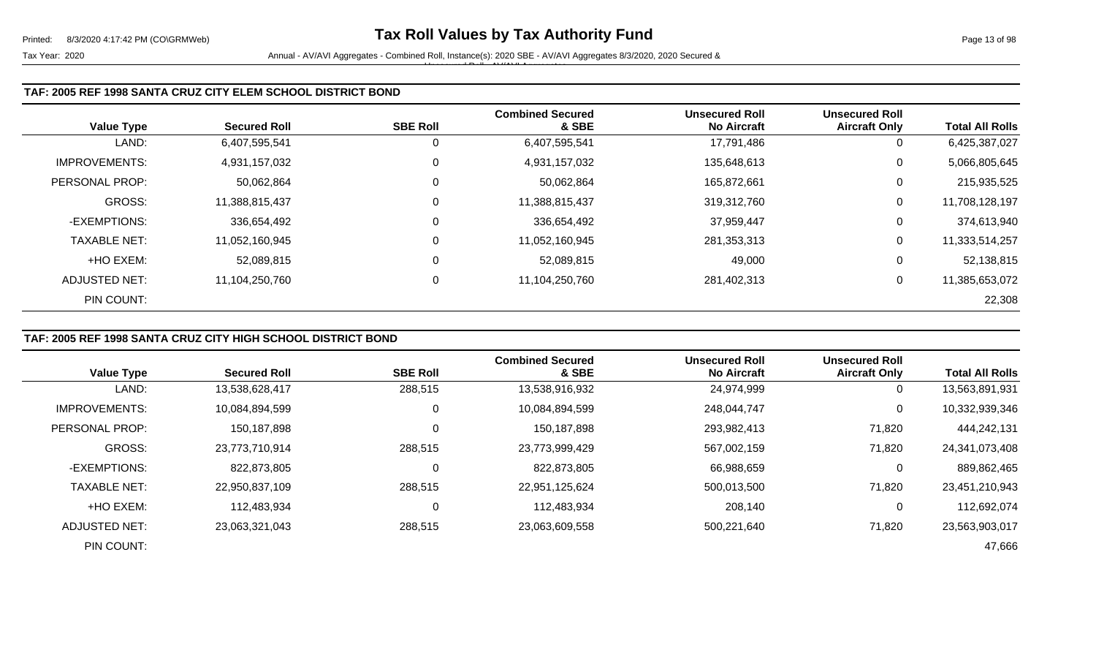### **TAF: 2005 REF 1998 SANTA CRUZ CITY ELEM SCHOOL DISTRICT BOND**

| <b>Value Type</b>    | <b>Secured Roll</b> | <b>SBE Roll</b> | <b>Combined Secured</b><br>& SBE | <b>Unsecured Roll</b><br><b>No Aircraft</b> | <b>Unsecured Roll</b><br><b>Aircraft Only</b> | <b>Total All Rolls</b> |
|----------------------|---------------------|-----------------|----------------------------------|---------------------------------------------|-----------------------------------------------|------------------------|
| LAND:                | 6,407,595,541       |                 | 6,407,595,541                    | 17,791,486                                  | 0                                             | 6,425,387,027          |
| <b>IMPROVEMENTS:</b> | 4,931,157,032       | 0               | 4,931,157,032                    | 135,648,613                                 | 0                                             | 5,066,805,645          |
| PERSONAL PROP:       | 50,062,864          | 0               | 50,062,864                       | 165,872,661                                 | 0                                             | 215,935,525            |
| GROSS:               | 11,388,815,437      | 0               | 11,388,815,437                   | 319,312,760                                 | 0                                             | 11,708,128,197         |
| -EXEMPTIONS:         | 336,654,492         | 0               | 336,654,492                      | 37,959,447                                  | 0                                             | 374,613,940            |
| <b>TAXABLE NET:</b>  | 11,052,160,945      | 0               | 11,052,160,945                   | 281,353,313                                 | 0                                             | 11,333,514,257         |
| +HO EXEM:            | 52,089,815          | 0               | 52,089,815                       | 49,000                                      | 0                                             | 52,138,815             |
| ADJUSTED NET:        | 11,104,250,760      | 0               | 11,104,250,760                   | 281,402,313                                 | 0                                             | 11,385,653,072         |
| PIN COUNT:           |                     |                 |                                  |                                             |                                               | 22,308                 |

# **TAF: 2005 REF 1998 SANTA CRUZ CITY HIGH SCHOOL DISTRICT BOND**

|                      |                     |                 | <b>Combined Secured</b> | <b>Unsecured Roll</b> | <b>Unsecured Roll</b> |                        |
|----------------------|---------------------|-----------------|-------------------------|-----------------------|-----------------------|------------------------|
| <b>Value Type</b>    | <b>Secured Roll</b> | <b>SBE Roll</b> | & SBE                   | <b>No Aircraft</b>    | <b>Aircraft Only</b>  | <b>Total All Rolls</b> |
| LAND:                | 13,538,628,417      | 288,515         | 13,538,916,932          | 24,974,999            |                       | 13,563,891,931         |
| <b>IMPROVEMENTS:</b> | 10,084,894,599      | $\Omega$        | 10,084,894,599          | 248,044,747           | 0                     | 10,332,939,346         |
| PERSONAL PROP:       | 150,187,898         |                 | 150,187,898             | 293,982,413           | 71,820                | 444,242,131            |
| <b>GROSS:</b>        | 23,773,710,914      | 288,515         | 23,773,999,429          | 567,002,159           | 71,820                | 24,341,073,408         |
| -EXEMPTIONS:         | 822,873,805         |                 | 822,873,805             | 66,988,659            |                       | 889,862,465            |
| <b>TAXABLE NET:</b>  | 22,950,837,109      | 288,515         | 22,951,125,624          | 500.013.500           | 71,820                | 23,451,210,943         |
| +HO EXEM:            | 112,483,934         |                 | 112,483,934             | 208,140               | 0                     | 112,692,074            |
| ADJUSTED NET:        | 23,063,321,043      | 288,515         | 23,063,609,558          | 500,221,640           | 71,820                | 23,563,903,017         |
| PIN COUNT:           |                     |                 |                         |                       |                       | 47,666                 |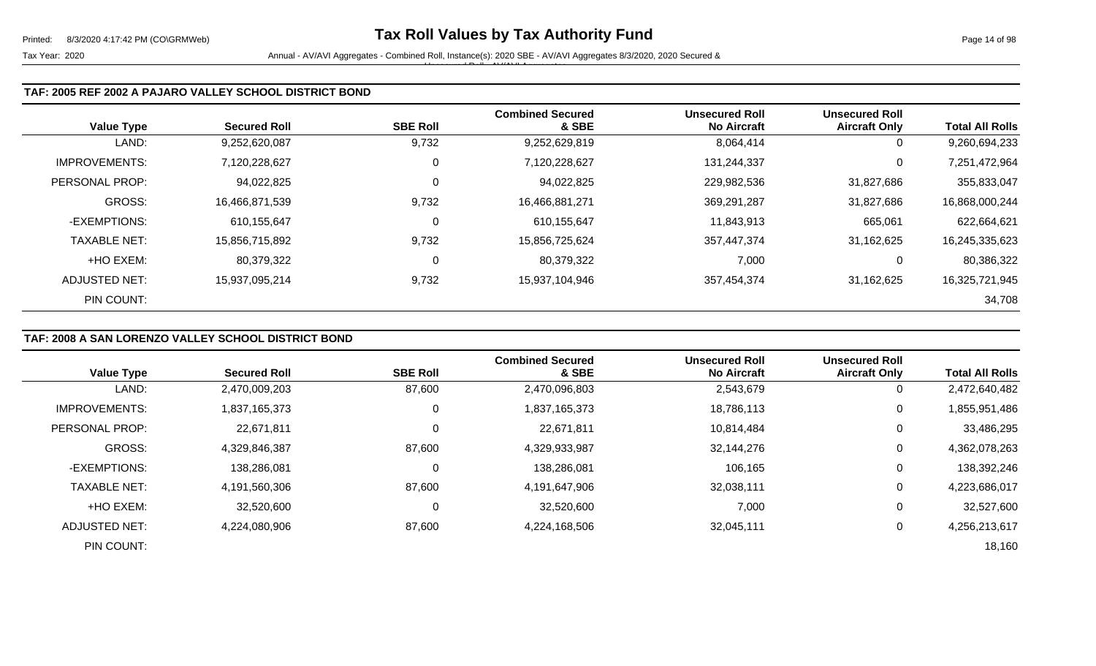### **TAF: 2005 REF 2002 A PAJARO VALLEY SCHOOL DISTRICT BOND**

|                      |                     |                 | <b>Combined Secured</b> | <b>Unsecured Roll</b> | <b>Unsecured Roll</b> |                        |
|----------------------|---------------------|-----------------|-------------------------|-----------------------|-----------------------|------------------------|
| <b>Value Type</b>    | <b>Secured Roll</b> | <b>SBE Roll</b> | & SBE                   | <b>No Aircraft</b>    | <b>Aircraft Only</b>  | <b>Total All Rolls</b> |
| LAND:                | 9,252,620,087       | 9,732           | 9,252,629,819           | 8,064,414             | 0                     | 9,260,694,233          |
| <b>IMPROVEMENTS:</b> | 7,120,228,627       | 0               | 7,120,228,627           | 131,244,337           | 0                     | 7,251,472,964          |
| PERSONAL PROP:       | 94,022,825          | $\mathbf 0$     | 94,022,825              | 229,982,536           | 31,827,686            | 355,833,047            |
| GROSS:               | 16,466,871,539      | 9,732           | 16,466,881,271          | 369,291,287           | 31,827,686            | 16,868,000,244         |
| -EXEMPTIONS:         | 610,155,647         | 0               | 610,155,647             | 11,843,913            | 665,061               | 622,664,621            |
| <b>TAXABLE NET:</b>  | 15,856,715,892      | 9,732           | 15,856,725,624          | 357,447,374           | 31,162,625            | 16,245,335,623         |
| +HO EXEM:            | 80,379,322          | 0               | 80,379,322              | 7,000                 |                       | 80,386,322             |
| ADJUSTED NET:        | 15,937,095,214      | 9,732           | 15,937,104,946          | 357,454,374           | 31,162,625            | 16,325,721,945         |
| PIN COUNT:           |                     |                 |                         |                       |                       | 34,708                 |

## **TAF: 2008 A SAN LORENZO VALLEY SCHOOL DISTRICT BOND**

|                      |                     |                 | <b>Combined Secured</b> | <b>Unsecured Roll</b> | <b>Unsecured Roll</b> |                        |
|----------------------|---------------------|-----------------|-------------------------|-----------------------|-----------------------|------------------------|
| <b>Value Type</b>    | <b>Secured Roll</b> | <b>SBE Roll</b> | & SBE                   | <b>No Aircraft</b>    | <b>Aircraft Only</b>  | <b>Total All Rolls</b> |
| LAND:                | 2,470,009,203       | 87,600          | 2,470,096,803           | 2,543,679             | $\mathbf{0}$          | 2,472,640,482          |
| <b>IMPROVEMENTS:</b> | 1,837,165,373       | 0               | 1,837,165,373           | 18,786,113            | 0                     | 1,855,951,486          |
| PERSONAL PROP:       | 22,671,811          |                 | 22,671,811              | 10,814,484            | 0                     | 33,486,295             |
| <b>GROSS:</b>        | 4,329,846,387       | 87,600          | 4,329,933,987           | 32,144,276            | 0                     | 4,362,078,263          |
| -EXEMPTIONS:         | 138,286,081         |                 | 138,286,081             | 106,165               | $\mathbf 0$           | 138,392,246            |
| <b>TAXABLE NET:</b>  | 4,191,560,306       | 87,600          | 4,191,647,906           | 32,038,111            | 0                     | 4,223,686,017          |
| +HO EXEM:            | 32,520,600          |                 | 32,520,600              | 7,000                 | 0                     | 32,527,600             |
| ADJUSTED NET:        | 4,224,080,906       | 87,600          | 4,224,168,506           | 32,045,111            | 0                     | 4,256,213,617          |
| PIN COUNT:           |                     |                 |                         |                       |                       | 18,160                 |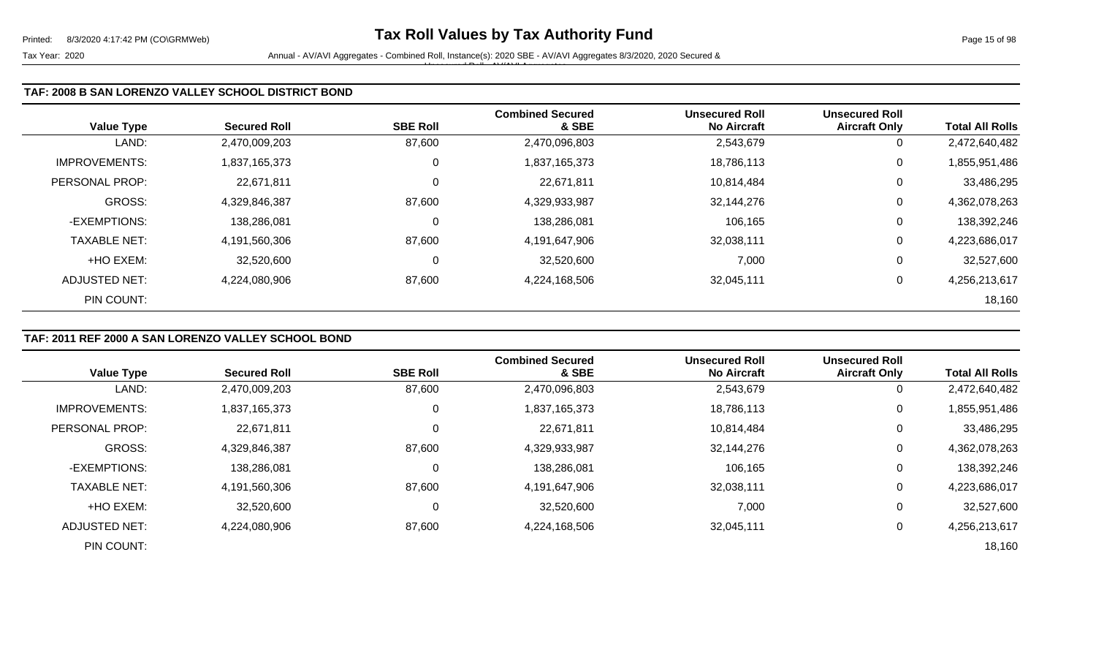| <b>Value Type</b>     | <b>Secured Roll</b> | <b>SBE Roll</b> | <b>Combined Secured</b><br>& SBE | <b>Unsecured Roll</b><br><b>No Aircraft</b> | <b>Unsecured Roll</b><br><b>Aircraft Only</b> | <b>Total All Rolls</b> |
|-----------------------|---------------------|-----------------|----------------------------------|---------------------------------------------|-----------------------------------------------|------------------------|
| LAND:                 | 2,470,009,203       | 87,600          | 2,470,096,803                    | 2,543,679                                   | 0                                             | 2,472,640,482          |
| <b>IMPROVEMENTS:</b>  | 1,837,165,373       | 0               | 1,837,165,373                    | 18,786,113                                  | 0                                             | 1,855,951,486          |
| <b>PERSONAL PROP:</b> | 22,671,811          | $\mathbf 0$     | 22,671,811                       | 10,814,484                                  | 0                                             | 33,486,295             |
| <b>GROSS:</b>         | 4,329,846,387       | 87,600          | 4,329,933,987                    | 32,144,276                                  | 0                                             | 4,362,078,263          |
| -EXEMPTIONS:          | 138,286,081         | 0               | 138,286,081                      | 106,165                                     | 0                                             | 138,392,246            |
| <b>TAXABLE NET:</b>   | 4,191,560,306       | 87,600          | 4,191,647,906                    | 32,038,111                                  | 0                                             | 4,223,686,017          |
| +HO EXEM:             | 32,520,600          | 0               | 32,520,600                       | 7,000                                       | 0                                             | 32,527,600             |
| ADJUSTED NET:         | 4,224,080,906       | 87,600          | 4,224,168,506                    | 32,045,111                                  | 0                                             | 4,256,213,617          |
| PIN COUNT:            |                     |                 |                                  |                                             |                                               | 18,160                 |

## **TAF: 2011 REF 2000 A SAN LORENZO VALLEY SCHOOL BOND**

|                      |                     |                 | <b>Combined Secured</b> | <b>Unsecured Roll</b> | <b>Unsecured Roll</b> |                        |
|----------------------|---------------------|-----------------|-------------------------|-----------------------|-----------------------|------------------------|
| <b>Value Type</b>    | <b>Secured Roll</b> | <b>SBE Roll</b> | & SBE                   | <b>No Aircraft</b>    | <b>Aircraft Only</b>  | <b>Total All Rolls</b> |
| LAND:                | 2,470,009,203       | 87,600          | 2,470,096,803           | 2,543,679             | 0                     | 2,472,640,482          |
| <b>IMPROVEMENTS:</b> | 1,837,165,373       | 0               | 1,837,165,373           | 18,786,113            | 0                     | 1,855,951,486          |
| PERSONAL PROP:       | 22,671,811          |                 | 22,671,811              | 10,814,484            | 0                     | 33,486,295             |
| <b>GROSS:</b>        | 4,329,846,387       | 87,600          | 4,329,933,987           | 32,144,276            | 0                     | 4,362,078,263          |
| -EXEMPTIONS:         | 138,286,081         |                 | 138,286,081             | 106,165               | 0                     | 138,392,246            |
| <b>TAXABLE NET:</b>  | 4,191,560,306       | 87,600          | 4,191,647,906           | 32,038,111            | 0                     | 4,223,686,017          |
| +HO EXEM:            | 32,520,600          |                 | 32,520,600              | 7,000                 | 0                     | 32,527,600             |
| <b>ADJUSTED NET:</b> | 4,224,080,906       | 87,600          | 4,224,168,506           | 32,045,111            | 0                     | 4,256,213,617          |
| PIN COUNT:           |                     |                 |                         |                       |                       | 18,160                 |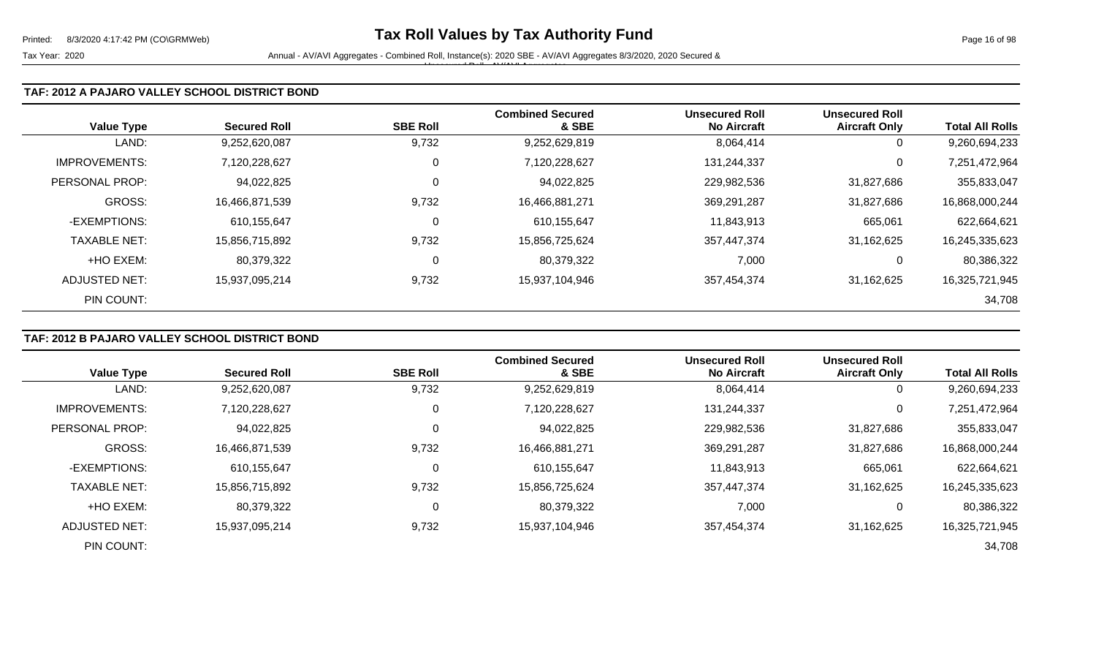Tax Year: 2020 **Annual - AV/AVI Aggregates - Combined Roll**, Instance(s): 2020 SBE - AV/AVI Aggregates 8/3/2020, 2020 Secured & Unsecured Roll - AV/AVI Aggregates

### **TAF: 2012 A PAJARO VALLEY SCHOOL DISTRICT BOND**

| <b>Value Type</b>    | <b>Secured Roll</b> | <b>SBE Roll</b> | <b>Combined Secured</b><br>& SBE | <b>Unsecured Roll</b><br><b>No Aircraft</b> | <b>Unsecured Roll</b><br><b>Aircraft Only</b> | <b>Total All Rolls</b> |
|----------------------|---------------------|-----------------|----------------------------------|---------------------------------------------|-----------------------------------------------|------------------------|
| LAND:                | 9,252,620,087       | 9,732           | 9,252,629,819                    | 8,064,414                                   | 0                                             | 9,260,694,233          |
| <b>IMPROVEMENTS:</b> | 7,120,228,627       | 0               | 7,120,228,627                    | 131,244,337                                 | 0                                             | 7,251,472,964          |
| PERSONAL PROP:       | 94,022,825          | 0               | 94,022,825                       | 229,982,536                                 | 31,827,686                                    | 355,833,047            |
| <b>GROSS:</b>        | 16,466,871,539      | 9,732           | 16,466,881,271                   | 369,291,287                                 | 31,827,686                                    | 16,868,000,244         |
| -EXEMPTIONS:         | 610,155,647         | 0               | 610,155,647                      | 11,843,913                                  | 665,061                                       | 622,664,621            |
| <b>TAXABLE NET:</b>  | 15,856,715,892      | 9,732           | 15,856,725,624                   | 357,447,374                                 | 31,162,625                                    | 16,245,335,623         |
| +HO EXEM:            | 80,379,322          | 0               | 80,379,322                       | 7,000                                       | 0                                             | 80,386,322             |
| ADJUSTED NET:        | 15,937,095,214      | 9,732           | 15,937,104,946                   | 357,454,374                                 | 31,162,625                                    | 16,325,721,945         |
| PIN COUNT:           |                     |                 |                                  |                                             |                                               | 34,708                 |

## **TAF: 2012 B PAJARO VALLEY SCHOOL DISTRICT BOND**

|                      |                     |                 | <b>Combined Secured</b> | <b>Unsecured Roll</b> | <b>Unsecured Roll</b> |                        |
|----------------------|---------------------|-----------------|-------------------------|-----------------------|-----------------------|------------------------|
| <b>Value Type</b>    | <b>Secured Roll</b> | <b>SBE Roll</b> | & SBE                   | <b>No Aircraft</b>    | <b>Aircraft Only</b>  | <b>Total All Rolls</b> |
| LAND:                | 9,252,620,087       | 9,732           | 9,252,629,819           | 8,064,414             | 0                     | 9,260,694,233          |
| <b>IMPROVEMENTS:</b> | 7,120,228,627       | 0               | 7,120,228,627           | 131,244,337           | 0                     | 7,251,472,964          |
| PERSONAL PROP:       | 94,022,825          |                 | 94,022,825              | 229,982,536           | 31,827,686            | 355,833,047            |
| <b>GROSS:</b>        | 16,466,871,539      | 9,732           | 16,466,881,271          | 369,291,287           | 31,827,686            | 16,868,000,244         |
| -EXEMPTIONS:         | 610.155.647         | C               | 610,155,647             | 11,843,913            | 665,061               | 622,664,621            |
| <b>TAXABLE NET:</b>  | 15,856,715,892      | 9,732           | 15,856,725,624          | 357,447,374           | 31,162,625            | 16,245,335,623         |
| +HO EXEM:            | 80,379,322          | C               | 80,379,322              | 7,000                 | 0                     | 80,386,322             |
| ADJUSTED NET:        | 15,937,095,214      | 9,732           | 15,937,104,946          | 357,454,374           | 31,162,625            | 16,325,721,945         |
| PIN COUNT:           |                     |                 |                         |                       |                       | 34,708                 |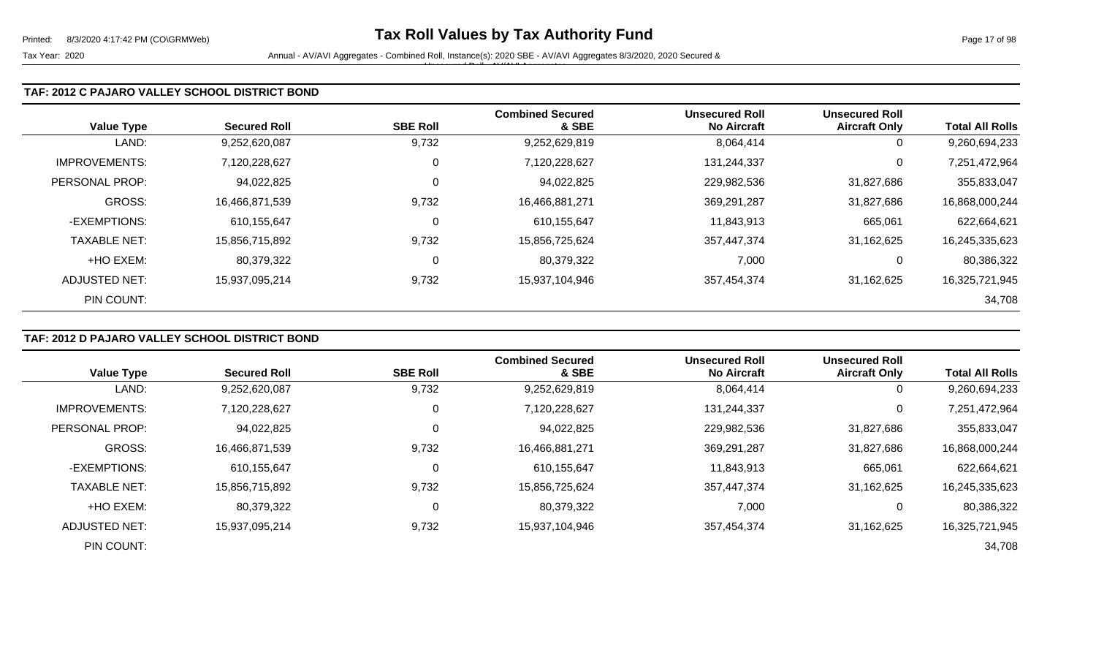Tax Year: 2020 **Annual - AV/AVI Aggregates - Combined Roll**, Instance(s): 2020 SBE - AV/AVI Aggregates 8/3/2020, 2020 Secured & Unsecured Roll - AV/AVI Aggregates

### **TAF: 2012 C PAJARO VALLEY SCHOOL DISTRICT BOND**

| <b>Value Type</b>    | <b>Secured Roll</b> | <b>SBE Roll</b> | <b>Combined Secured</b><br>& SBE | <b>Unsecured Roll</b><br><b>No Aircraft</b> | <b>Unsecured Roll</b><br><b>Aircraft Only</b> | <b>Total All Rolls</b> |
|----------------------|---------------------|-----------------|----------------------------------|---------------------------------------------|-----------------------------------------------|------------------------|
| LAND:                | 9,252,620,087       | 9,732           | 9,252,629,819                    | 8,064,414                                   | 0                                             | 9,260,694,233          |
| <b>IMPROVEMENTS:</b> | 7,120,228,627       | 0               | 7,120,228,627                    | 131,244,337                                 | 0                                             | 7,251,472,964          |
| PERSONAL PROP:       | 94,022,825          | 0               | 94,022,825                       | 229,982,536                                 | 31,827,686                                    | 355,833,047            |
| <b>GROSS:</b>        | 16,466,871,539      | 9,732           | 16,466,881,271                   | 369,291,287                                 | 31,827,686                                    | 16,868,000,244         |
| -EXEMPTIONS:         | 610,155,647         | 0               | 610,155,647                      | 11,843,913                                  | 665,061                                       | 622,664,621            |
| <b>TAXABLE NET:</b>  | 15,856,715,892      | 9,732           | 15,856,725,624                   | 357,447,374                                 | 31,162,625                                    | 16,245,335,623         |
| +HO EXEM:            | 80,379,322          | 0               | 80,379,322                       | 7,000                                       | 0                                             | 80,386,322             |
| ADJUSTED NET:        | 15,937,095,214      | 9,732           | 15,937,104,946                   | 357,454,374                                 | 31,162,625                                    | 16,325,721,945         |
| PIN COUNT:           |                     |                 |                                  |                                             |                                               | 34,708                 |

## **TAF: 2012 D PAJARO VALLEY SCHOOL DISTRICT BOND**

|                      |                     |                 | <b>Combined Secured</b> | <b>Unsecured Roll</b> | <b>Unsecured Roll</b> |                        |
|----------------------|---------------------|-----------------|-------------------------|-----------------------|-----------------------|------------------------|
| <b>Value Type</b>    | <b>Secured Roll</b> | <b>SBE Roll</b> | & SBE                   | <b>No Aircraft</b>    | <b>Aircraft Only</b>  | <b>Total All Rolls</b> |
| LAND:                | 9,252,620,087       | 9,732           | 9,252,629,819           | 8,064,414             | 0                     | 9,260,694,233          |
| <b>IMPROVEMENTS:</b> | 7,120,228,627       | 0               | 7,120,228,627           | 131,244,337           | 0                     | 7,251,472,964          |
| PERSONAL PROP:       | 94,022,825          |                 | 94,022,825              | 229,982,536           | 31,827,686            | 355,833,047            |
| <b>GROSS:</b>        | 16,466,871,539      | 9,732           | 16,466,881,271          | 369,291,287           | 31,827,686            | 16,868,000,244         |
| -EXEMPTIONS:         | 610,155,647         | C               | 610,155,647             | 11,843,913            | 665,061               | 622,664,621            |
| <b>TAXABLE NET:</b>  | 15,856,715,892      | 9,732           | 15,856,725,624          | 357,447,374           | 31,162,625            | 16,245,335,623         |
| +HO EXEM:            | 80,379,322          | C               | 80,379,322              | 7,000                 | 0                     | 80,386,322             |
| <b>ADJUSTED NET:</b> | 15,937,095,214      | 9,732           | 15,937,104,946          | 357,454,374           | 31,162,625            | 16,325,721,945         |
| PIN COUNT:           |                     |                 |                         |                       |                       | 34,708                 |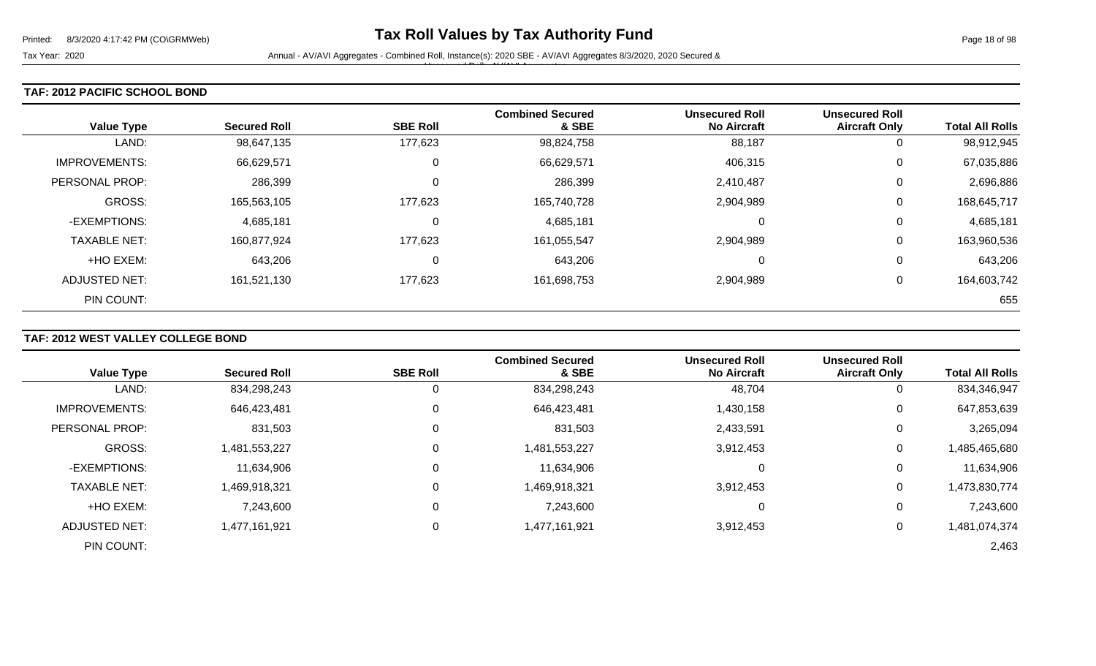### **TAF: 2012 PACIFIC SCHOOL BOND**

| <b>Value Type</b>    | <b>Secured Roll</b> | <b>SBE Roll</b> | <b>Combined Secured</b><br>& SBE | <b>Unsecured Roll</b><br><b>No Aircraft</b> | <b>Unsecured Roll</b><br><b>Aircraft Only</b> | <b>Total All Rolls</b> |
|----------------------|---------------------|-----------------|----------------------------------|---------------------------------------------|-----------------------------------------------|------------------------|
| LAND:                | 98,647,135          | 177,623         | 98,824,758                       | 88,187                                      | 0                                             | 98,912,945             |
| <b>IMPROVEMENTS:</b> | 66,629,571          | 0               | 66,629,571                       | 406,315                                     | 0                                             | 67,035,886             |
| PERSONAL PROP:       | 286,399             | 0               | 286,399                          | 2,410,487                                   | 0                                             | 2,696,886              |
| <b>GROSS:</b>        | 165,563,105         | 177,623         | 165,740,728                      | 2,904,989                                   | 0                                             | 168,645,717            |
| -EXEMPTIONS:         | 4,685,181           | $\mathbf 0$     | 4,685,181                        | 0                                           | 0                                             | 4,685,181              |
| <b>TAXABLE NET:</b>  | 160,877,924         | 177,623         | 161,055,547                      | 2,904,989                                   | 0                                             | 163,960,536            |
| +HO EXEM:            | 643,206             | 0               | 643,206                          | 0                                           | 0                                             | 643,206                |
| ADJUSTED NET:        | 161,521,130         | 177,623         | 161,698,753                      | 2,904,989                                   | 0                                             | 164,603,742            |
| PIN COUNT:           |                     |                 |                                  |                                             |                                               | 655                    |

# **TAF: 2012 WEST VALLEY COLLEGE BOND**

|                       |                     |                 | <b>Combined Secured</b> | <b>Unsecured Roll</b> | <b>Unsecured Roll</b> |                        |
|-----------------------|---------------------|-----------------|-------------------------|-----------------------|-----------------------|------------------------|
| <b>Value Type</b>     | <b>Secured Roll</b> | <b>SBE Roll</b> | & SBE                   | <b>No Aircraft</b>    | <b>Aircraft Only</b>  | <b>Total All Rolls</b> |
| LAND:                 | 834,298,243         | O               | 834,298,243             | 48,704                | 0                     | 834,346,947            |
| <b>IMPROVEMENTS:</b>  | 646,423,481         | 0               | 646,423,481             | 1,430,158             | 0                     | 647,853,639            |
| <b>PERSONAL PROP:</b> | 831,503             | 0               | 831,503                 | 2,433,591             | 0                     | 3,265,094              |
| <b>GROSS:</b>         | 1,481,553,227       | 0               | 1,481,553,227           | 3,912,453             | 0                     | 1,485,465,680          |
| -EXEMPTIONS:          | 11,634,906          | 0               | 11,634,906              | 0                     | 0                     | 11,634,906             |
| <b>TAXABLE NET:</b>   | 1,469,918,321       | 0               | 1,469,918,321           | 3,912,453             | 0                     | 1,473,830,774          |
| +HO EXEM:             | 7,243,600           | 0               | 7,243,600               | 0                     | 0                     | 7,243,600              |
| <b>ADJUSTED NET:</b>  | 1,477,161,921       | 0               | 1,477,161,921           | 3,912,453             | 0                     | 1,481,074,374          |
| PIN COUNT:            |                     |                 |                         |                       |                       | 2,463                  |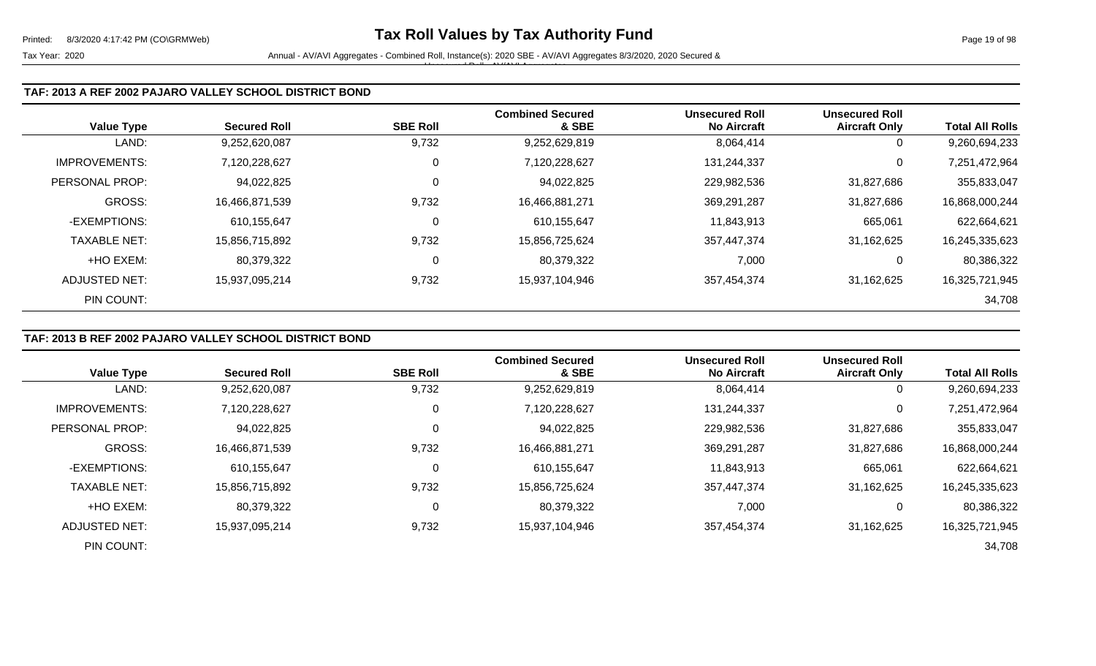### **TAF: 2013 A REF 2002 PAJARO VALLEY SCHOOL DISTRICT BOND**

|                      |                     |                 | <b>Combined Secured</b> | <b>Unsecured Roll</b> | <b>Unsecured Roll</b> |                        |
|----------------------|---------------------|-----------------|-------------------------|-----------------------|-----------------------|------------------------|
| <b>Value Type</b>    | <b>Secured Roll</b> | <b>SBE Roll</b> | & SBE                   | <b>No Aircraft</b>    | <b>Aircraft Only</b>  | <b>Total All Rolls</b> |
| LAND:                | 9,252,620,087       | 9,732           | 9,252,629,819           | 8,064,414             | 0                     | 9,260,694,233          |
| <b>IMPROVEMENTS:</b> | 7,120,228,627       | 0               | 7,120,228,627           | 131,244,337           | 0                     | 7,251,472,964          |
| PERSONAL PROP:       | 94,022,825          | 0               | 94,022,825              | 229,982,536           | 31,827,686            | 355,833,047            |
| <b>GROSS:</b>        | 16,466,871,539      | 9,732           | 16,466,881,271          | 369,291,287           | 31,827,686            | 16,868,000,244         |
| -EXEMPTIONS:         | 610,155,647         | 0               | 610,155,647             | 11,843,913            | 665,061               | 622,664,621            |
| <b>TAXABLE NET:</b>  | 15,856,715,892      | 9,732           | 15,856,725,624          | 357,447,374           | 31,162,625            | 16,245,335,623         |
| +HO EXEM:            | 80,379,322          | 0               | 80,379,322              | 7,000                 | 0                     | 80,386,322             |
| ADJUSTED NET:        | 15,937,095,214      | 9,732           | 15,937,104,946          | 357,454,374           | 31,162,625            | 16,325,721,945         |
| PIN COUNT:           |                     |                 |                         |                       |                       | 34,708                 |

# **TAF: 2013 B REF 2002 PAJARO VALLEY SCHOOL DISTRICT BOND**

|                      |                     |                 | <b>Combined Secured</b> | <b>Unsecured Roll</b> | <b>Unsecured Roll</b> |                        |
|----------------------|---------------------|-----------------|-------------------------|-----------------------|-----------------------|------------------------|
| <b>Value Type</b>    | <b>Secured Roll</b> | <b>SBE Roll</b> | & SBE                   | <b>No Aircraft</b>    | <b>Aircraft Only</b>  | <b>Total All Rolls</b> |
| LAND:                | 9,252,620,087       | 9,732           | 9,252,629,819           | 8,064,414             | $\overline{0}$        | 9,260,694,233          |
| <b>IMPROVEMENTS:</b> | 7,120,228,627       | 0               | 7,120,228,627           | 131,244,337           | 0                     | 7,251,472,964          |
| PERSONAL PROP:       | 94,022,825          | 0               | 94,022,825              | 229,982,536           | 31,827,686            | 355,833,047            |
| <b>GROSS:</b>        | 16,466,871,539      | 9,732           | 16,466,881,271          | 369,291,287           | 31,827,686            | 16,868,000,244         |
| -EXEMPTIONS:         | 610,155,647         | $\Omega$        | 610,155,647             | 11,843,913            | 665,061               | 622,664,621            |
| <b>TAXABLE NET:</b>  | 15,856,715,892      | 9,732           | 15,856,725,624          | 357,447,374           | 31,162,625            | 16,245,335,623         |
| +HO EXEM:            | 80,379,322          | 0               | 80,379,322              | 7,000                 | $\mathbf 0$           | 80,386,322             |
| ADJUSTED NET:        | 15,937,095,214      | 9,732           | 15,937,104,946          | 357,454,374           | 31,162,625            | 16,325,721,945         |
| PIN COUNT:           |                     |                 |                         |                       |                       | 34,708                 |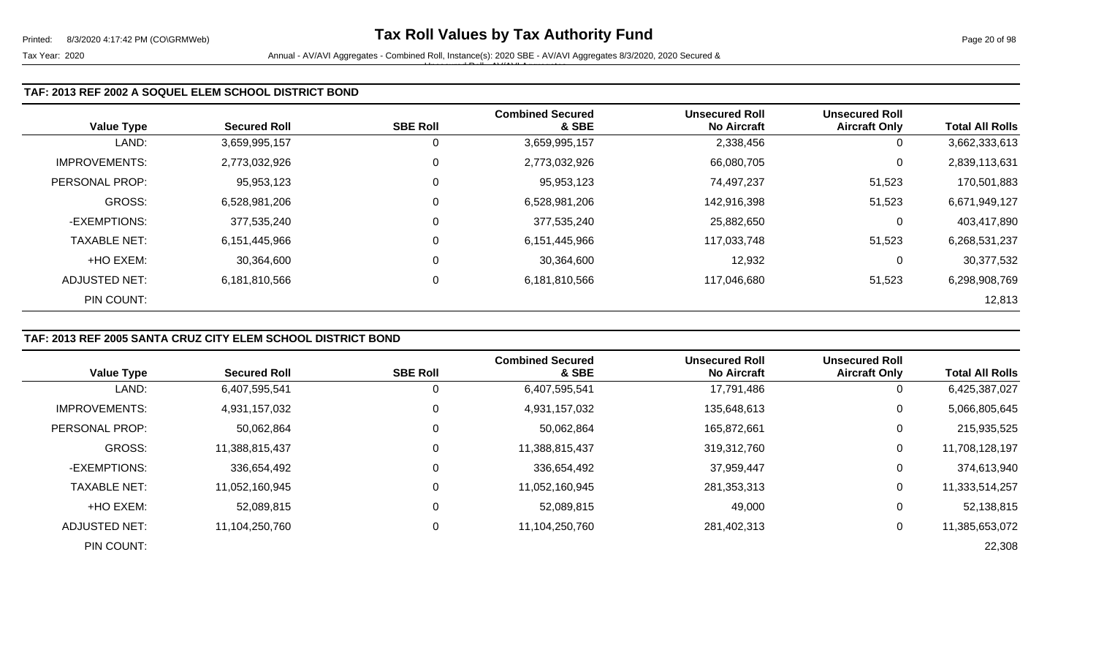| <b>Value Type</b>     | <b>Secured Roll</b> | <b>SBE Roll</b> | <b>Combined Secured</b><br>& SBE | <b>Unsecured Roll</b><br><b>No Aircraft</b> | <b>Unsecured Roll</b><br><b>Aircraft Only</b> | <b>Total All Rolls</b> |
|-----------------------|---------------------|-----------------|----------------------------------|---------------------------------------------|-----------------------------------------------|------------------------|
| LAND:                 | 3,659,995,157       | 0               | 3,659,995,157                    | 2,338,456                                   | 0                                             | 3,662,333,613          |
| <b>IMPROVEMENTS:</b>  | 2,773,032,926       | $\mathbf 0$     | 2,773,032,926                    | 66,080,705                                  | 0                                             | 2,839,113,631          |
| <b>PERSONAL PROP:</b> | 95,953,123          | 0               | 95,953,123                       | 74,497,237                                  | 51,523                                        | 170,501,883            |
| GROSS:                | 6,528,981,206       | 0               | 6,528,981,206                    | 142,916,398                                 | 51,523                                        | 6,671,949,127          |
| -EXEMPTIONS:          | 377,535,240         | $\mathbf 0$     | 377,535,240                      | 25,882,650                                  | 0                                             | 403,417,890            |
| <b>TAXABLE NET:</b>   | 6,151,445,966       | $\mathbf 0$     | 6,151,445,966                    | 117,033,748                                 | 51,523                                        | 6,268,531,237          |
| +HO EXEM:             | 30,364,600          | $\mathbf 0$     | 30,364,600                       | 12,932                                      | 0                                             | 30,377,532             |
| ADJUSTED NET:         | 6,181,810,566       | 0               | 6,181,810,566                    | 117,046,680                                 | 51,523                                        | 6,298,908,769          |
| PIN COUNT:            |                     |                 |                                  |                                             |                                               | 12,813                 |

## **TAF: 2013 REF 2005 SANTA CRUZ CITY ELEM SCHOOL DISTRICT BOND**

|                       |                     |                 | <b>Combined Secured</b> | <b>Unsecured Roll</b> | <b>Unsecured Roll</b> |                        |
|-----------------------|---------------------|-----------------|-------------------------|-----------------------|-----------------------|------------------------|
| <b>Value Type</b>     | <b>Secured Roll</b> | <b>SBE Roll</b> | & SBE                   | <b>No Aircraft</b>    | <b>Aircraft Only</b>  | <b>Total All Rolls</b> |
| LAND:                 | 6,407,595,541       |                 | 6,407,595,541           | 17,791,486            | $\mathbf{0}$          | 6,425,387,027          |
| <b>IMPROVEMENTS:</b>  | 4,931,157,032       |                 | 4,931,157,032           | 135,648,613           | 0                     | 5,066,805,645          |
| <b>PERSONAL PROP:</b> | 50,062,864          |                 | 50,062,864              | 165,872,661           | 0                     | 215,935,525            |
| <b>GROSS:</b>         | 11,388,815,437      |                 | 11,388,815,437          | 319,312,760           | 0                     | 11,708,128,197         |
| -EXEMPTIONS:          | 336,654,492         |                 | 336,654,492             | 37,959,447            | 0                     | 374,613,940            |
| <b>TAXABLE NET:</b>   | 11,052,160,945      |                 | 11,052,160,945          | 281,353,313           | 0                     | 11,333,514,257         |
| +HO EXEM:             | 52,089,815          |                 | 52,089,815              | 49,000                | 0                     | 52,138,815             |
| ADJUSTED NET:         | 11,104,250,760      |                 | 11,104,250,760          | 281,402,313           | 0                     | 11,385,653,072         |
| PIN COUNT:            |                     |                 |                         |                       |                       | 22,308                 |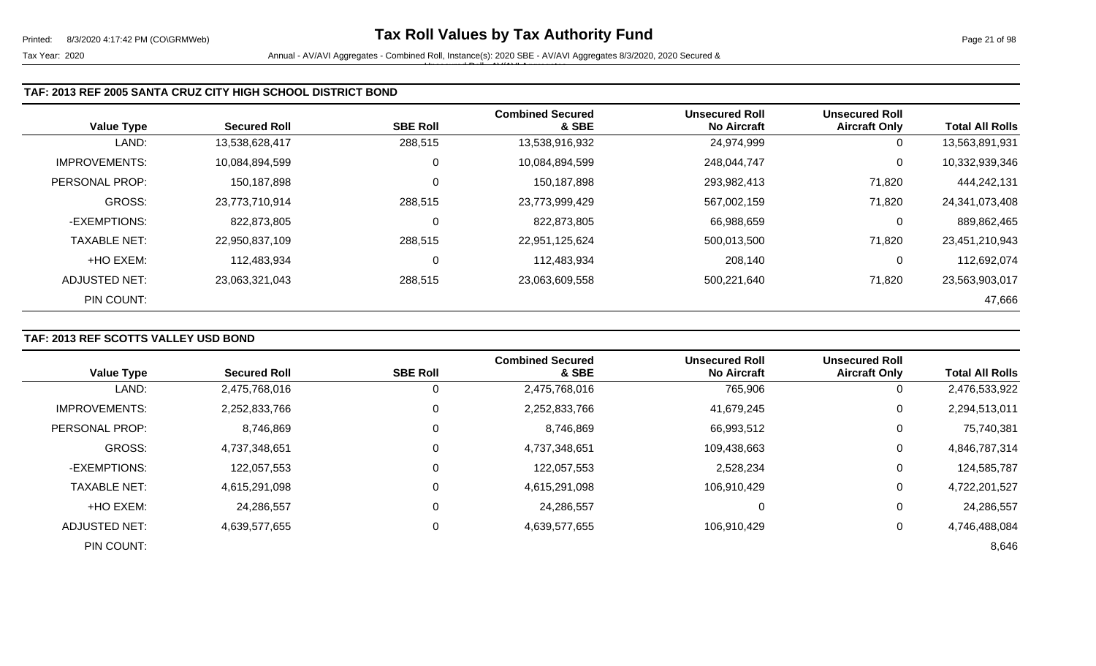### **TAF: 2013 REF 2005 SANTA CRUZ CITY HIGH SCHOOL DISTRICT BOND**

|                      | <b>Secured Roll</b> | <b>SBE Roll</b> | <b>Combined Secured</b><br>& SBE | <b>Unsecured Roll</b> | <b>Unsecured Roll</b> | <b>Total All Rolls</b> |
|----------------------|---------------------|-----------------|----------------------------------|-----------------------|-----------------------|------------------------|
| <b>Value Type</b>    |                     |                 |                                  | <b>No Aircraft</b>    | <b>Aircraft Only</b>  |                        |
| LAND:                | 13,538,628,417      | 288,515         | 13,538,916,932                   | 24,974,999            | U                     | 13,563,891,931         |
| <b>IMPROVEMENTS:</b> | 10,084,894,599      | 0               | 10,084,894,599                   | 248,044,747           | 0                     | 10,332,939,346         |
| PERSONAL PROP:       | 150,187,898         | 0               | 150,187,898                      | 293,982,413           | 71,820                | 444,242,131            |
| GROSS:               | 23,773,710,914      | 288,515         | 23,773,999,429                   | 567,002,159           | 71,820                | 24,341,073,408         |
| -EXEMPTIONS:         | 822,873,805         | $\mathbf 0$     | 822,873,805                      | 66,988,659            | 0                     | 889,862,465            |
| <b>TAXABLE NET:</b>  | 22,950,837,109      | 288,515         | 22,951,125,624                   | 500,013,500           | 71,820                | 23,451,210,943         |
| +HO EXEM:            | 112,483,934         | 0               | 112,483,934                      | 208,140               | 0                     | 112,692,074            |
| ADJUSTED NET:        | 23,063,321,043      | 288,515         | 23,063,609,558                   | 500,221,640           | 71,820                | 23,563,903,017         |
| PIN COUNT:           |                     |                 |                                  |                       |                       | 47,666                 |

# **TAF: 2013 REF SCOTTS VALLEY USD BOND**

| <b>Value Type</b>    | <b>Secured Roll</b> | <b>SBE Roll</b> | <b>Combined Secured</b><br>& SBE | <b>Unsecured Roll</b><br><b>No Aircraft</b> | <b>Unsecured Roll</b><br><b>Aircraft Only</b> | <b>Total All Rolls</b> |
|----------------------|---------------------|-----------------|----------------------------------|---------------------------------------------|-----------------------------------------------|------------------------|
|                      |                     |                 |                                  |                                             |                                               |                        |
| LAND:                | 2,475,768,016       | U               | 2,475,768,016                    | 765,906                                     | 0                                             | 2,476,533,922          |
| <b>IMPROVEMENTS:</b> | 2,252,833,766       | 0               | 2,252,833,766                    | 41,679,245                                  | $\mathbf 0$                                   | 2,294,513,011          |
| PERSONAL PROP:       | 8,746,869           | 0               | 8,746,869                        | 66,993,512                                  | 0                                             | 75,740,381             |
| <b>GROSS:</b>        | 4,737,348,651       | $\Omega$        | 4,737,348,651                    | 109,438,663                                 | 0                                             | 4,846,787,314          |
| -EXEMPTIONS:         | 122,057,553         | 0               | 122,057,553                      | 2,528,234                                   | 0                                             | 124,585,787            |
| <b>TAXABLE NET:</b>  | 4,615,291,098       | $\mathbf 0$     | 4,615,291,098                    | 106,910,429                                 | 0                                             | 4,722,201,527          |
| +HO EXEM:            | 24,286,557          | $\Omega$        | 24,286,557                       | 0                                           | 0                                             | 24,286,557             |
| ADJUSTED NET:        | 4,639,577,655       | 0               | 4,639,577,655                    | 106,910,429                                 | 0                                             | 4,746,488,084          |
| PIN COUNT:           |                     |                 |                                  |                                             |                                               | 8,646                  |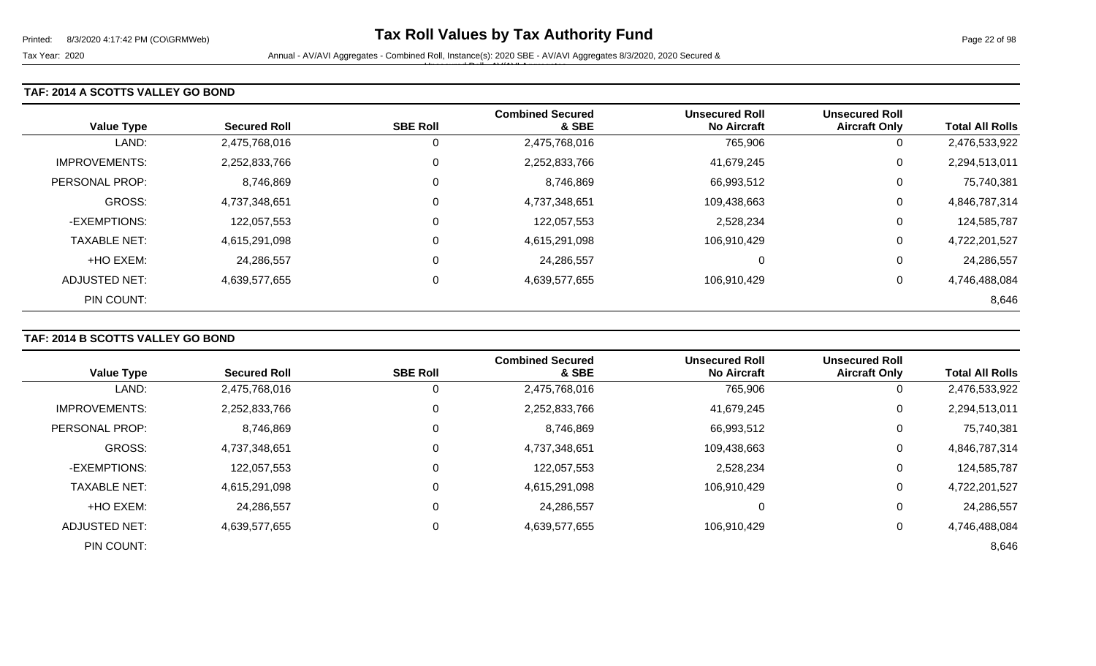### **TAF: 2014 A SCOTTS VALLEY GO BOND**

| <b>Value Type</b>    | <b>Secured Roll</b> | <b>SBE Roll</b> | <b>Combined Secured</b><br>& SBE | <b>Unsecured Roll</b><br><b>No Aircraft</b> | <b>Unsecured Roll</b><br><b>Aircraft Only</b> | <b>Total All Rolls</b> |
|----------------------|---------------------|-----------------|----------------------------------|---------------------------------------------|-----------------------------------------------|------------------------|
| LAND:                | 2,475,768,016       | Ü               | 2,475,768,016                    | 765,906                                     | 0                                             | 2,476,533,922          |
| <b>IMPROVEMENTS:</b> | 2,252,833,766       | 0               | 2,252,833,766                    | 41,679,245                                  | 0                                             | 2,294,513,011          |
| PERSONAL PROP:       | 8,746,869           | 0               | 8,746,869                        | 66,993,512                                  | 0                                             | 75,740,381             |
| <b>GROSS:</b>        | 4,737,348,651       | 0               | 4,737,348,651                    | 109,438,663                                 | 0                                             | 4,846,787,314          |
| -EXEMPTIONS:         | 122,057,553         | 0               | 122,057,553                      | 2,528,234                                   | 0                                             | 124,585,787            |
| <b>TAXABLE NET:</b>  | 4,615,291,098       | 0               | 4,615,291,098                    | 106,910,429                                 | 0                                             | 4,722,201,527          |
| +HO EXEM:            | 24,286,557          | 0               | 24,286,557                       | 0                                           | 0                                             | 24,286,557             |
| ADJUSTED NET:        | 4,639,577,655       | 0               | 4,639,577,655                    | 106.910.429                                 | 0                                             | 4,746,488,084          |
| PIN COUNT:           |                     |                 |                                  |                                             |                                               | 8,646                  |

# **TAF: 2014 B SCOTTS VALLEY GO BOND**

| <b>Value Type</b>     | <b>Secured Roll</b> | <b>SBE Roll</b> | <b>Combined Secured</b><br>& SBE | <b>Unsecured Roll</b><br><b>No Aircraft</b> | <b>Unsecured Roll</b><br><b>Aircraft Only</b> | <b>Total All Rolls</b> |
|-----------------------|---------------------|-----------------|----------------------------------|---------------------------------------------|-----------------------------------------------|------------------------|
| LAND:                 | 2,475,768,016       | 0               | 2,475,768,016                    | 765,906                                     | 0                                             | 2,476,533,922          |
| <b>IMPROVEMENTS:</b>  | 2,252,833,766       | 0               | 2,252,833,766                    | 41,679,245                                  | 0                                             | 2,294,513,011          |
| <b>PERSONAL PROP:</b> | 8,746,869           | 0               | 8,746,869                        | 66,993,512                                  | 0                                             | 75,740,381             |
| <b>GROSS:</b>         | 4,737,348,651       | $\Omega$        | 4,737,348,651                    | 109,438,663                                 | 0                                             | 4,846,787,314          |
| -EXEMPTIONS:          | 122,057,553         | 0               | 122,057,553                      | 2,528,234                                   | 0                                             | 124,585,787            |
| <b>TAXABLE NET:</b>   | 4,615,291,098       | $\Omega$        | 4,615,291,098                    | 106,910,429                                 | 0                                             | 4,722,201,527          |
| +HO EXEM:             | 24,286,557          | $\mathbf 0$     | 24,286,557                       | 0                                           | 0                                             | 24,286,557             |
| <b>ADJUSTED NET:</b>  | 4,639,577,655       | 0               | 4,639,577,655                    | 106,910,429                                 | 0                                             | 4,746,488,084          |
| PIN COUNT:            |                     |                 |                                  |                                             |                                               | 8,646                  |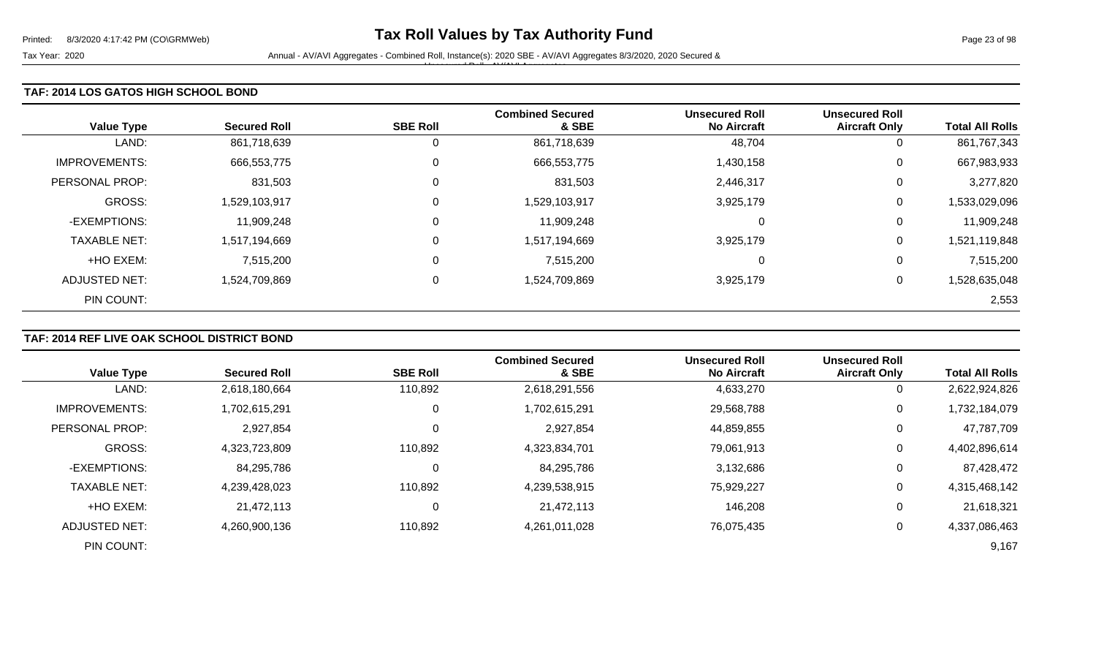### **TAF: 2014 LOS GATOS HIGH SCHOOL BOND**

| <b>Value Type</b>    | <b>Secured Roll</b> | <b>SBE Roll</b> | <b>Combined Secured</b><br>& SBE | <b>Unsecured Roll</b><br><b>No Aircraft</b> | <b>Unsecured Roll</b><br><b>Aircraft Only</b> | <b>Total All Rolls</b> |
|----------------------|---------------------|-----------------|----------------------------------|---------------------------------------------|-----------------------------------------------|------------------------|
| LAND:                | 861,718,639         | 0               | 861,718,639                      | 48,704                                      | U                                             | 861,767,343            |
| <b>IMPROVEMENTS:</b> | 666,553,775         | 0               | 666,553,775                      | 1,430,158                                   | 0                                             | 667,983,933            |
| PERSONAL PROP:       | 831,503             | 0               | 831,503                          | 2,446,317                                   | 0                                             | 3,277,820              |
| <b>GROSS:</b>        | 1,529,103,917       | $\mathbf 0$     | 1,529,103,917                    | 3,925,179                                   | 0                                             | 1,533,029,096          |
| -EXEMPTIONS:         | 11,909,248          | $\mathbf 0$     | 11,909,248                       | $\Omega$                                    | 0                                             | 11,909,248             |
| <b>TAXABLE NET:</b>  | 1,517,194,669       | $\mathbf 0$     | 1,517,194,669                    | 3,925,179                                   | 0                                             | 1,521,119,848          |
| +HO EXEM:            | 7,515,200           | $\mathbf 0$     | 7,515,200                        | 0                                           | 0                                             | 7,515,200              |
| <b>ADJUSTED NET:</b> | 1,524,709,869       | 0               | 1,524,709,869                    | 3,925,179                                   | 0                                             | 1,528,635,048          |
| PIN COUNT:           |                     |                 |                                  |                                             |                                               | 2,553                  |

# **TAF: 2014 REF LIVE OAK SCHOOL DISTRICT BOND**

|                       |                     |                 | <b>Combined Secured</b> | <b>Unsecured Roll</b> | <b>Unsecured Roll</b> |                        |
|-----------------------|---------------------|-----------------|-------------------------|-----------------------|-----------------------|------------------------|
| <b>Value Type</b>     | <b>Secured Roll</b> | <b>SBE Roll</b> | & SBE                   | <b>No Aircraft</b>    | <b>Aircraft Only</b>  | <b>Total All Rolls</b> |
| LAND:                 | 2,618,180,664       | 110,892         | 2,618,291,556           | 4,633,270             | $\mathbf 0$           | 2,622,924,826          |
| <b>IMPROVEMENTS:</b>  | 1,702,615,291       | 0               | 1,702,615,291           | 29,568,788            | 0                     | 1,732,184,079          |
| <b>PERSONAL PROP:</b> | 2,927,854           | $\mathbf 0$     | 2,927,854               | 44,859,855            | 0                     | 47,787,709             |
| <b>GROSS:</b>         | 4,323,723,809       | 110,892         | 4,323,834,701           | 79.061.913            | 0                     | 4,402,896,614          |
| -EXEMPTIONS:          | 84,295,786          | 0               | 84,295,786              | 3,132,686             | 0                     | 87,428,472             |
| <b>TAXABLE NET:</b>   | 4,239,428,023       | 110,892         | 4,239,538,915           | 75,929,227            | 0                     | 4,315,468,142          |
| +HO EXEM:             | 21,472,113          | 0               | 21,472,113              | 146,208               | $\mathbf 0$           | 21,618,321             |
| ADJUSTED NET:         | 4,260,900,136       | 110,892         | 4,261,011,028           | 76,075,435            | 0                     | 4,337,086,463          |
| PIN COUNT:            |                     |                 |                         |                       |                       | 9,167                  |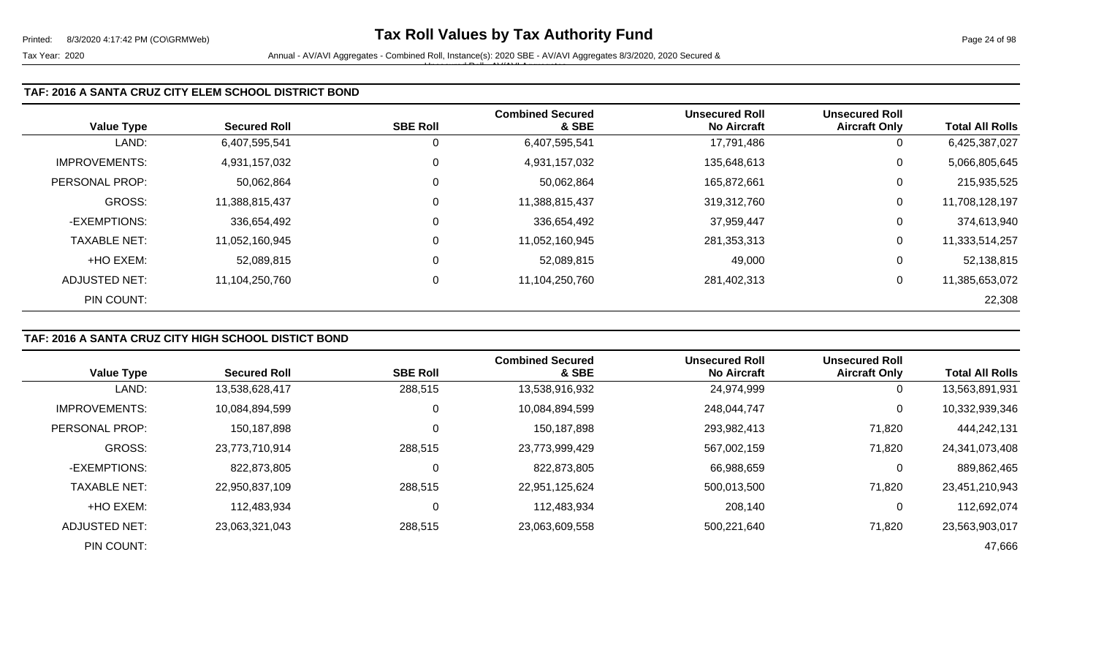### **TAF: 2016 A SANTA CRUZ CITY ELEM SCHOOL DISTRICT BOND**

| <b>Value Type</b>    | <b>Secured Roll</b> | <b>SBE Roll</b> | <b>Combined Secured</b><br>& SBE | <b>Unsecured Roll</b><br><b>No Aircraft</b> | <b>Unsecured Roll</b><br><b>Aircraft Only</b> | <b>Total All Rolls</b> |
|----------------------|---------------------|-----------------|----------------------------------|---------------------------------------------|-----------------------------------------------|------------------------|
| LAND:                | 6,407,595,541       | U               | 6,407,595,541                    | 17,791,486                                  | 0                                             | 6,425,387,027          |
| <b>IMPROVEMENTS:</b> | 4,931,157,032       | 0               | 4,931,157,032                    | 135,648,613                                 | 0                                             | 5,066,805,645          |
| PERSONAL PROP:       | 50,062,864          | 0               | 50,062,864                       | 165,872,661                                 | 0                                             | 215,935,525            |
| GROSS:               | 11,388,815,437      |                 | 11,388,815,437                   | 319,312,760                                 | 0                                             | 11,708,128,197         |
| -EXEMPTIONS:         | 336,654,492         | 0               | 336,654,492                      | 37,959,447                                  | 0                                             | 374,613,940            |
| <b>TAXABLE NET:</b>  | 11,052,160,945      | 0               | 11,052,160,945                   | 281,353,313                                 | 0                                             | 11,333,514,257         |
| +HO EXEM:            | 52,089,815          | 0               | 52,089,815                       | 49,000                                      | 0                                             | 52,138,815             |
| ADJUSTED NET:        | 11,104,250,760      | 0               | 11,104,250,760                   | 281,402,313                                 | 0                                             | 11,385,653,072         |
| PIN COUNT:           |                     |                 |                                  |                                             |                                               | 22,308                 |

# **TAF: 2016 A SANTA CRUZ CITY HIGH SCHOOL DISTICT BOND**

|                      |                     |                 | <b>Combined Secured</b> | <b>Unsecured Roll</b> | <b>Unsecured Roll</b> |                        |
|----------------------|---------------------|-----------------|-------------------------|-----------------------|-----------------------|------------------------|
| <b>Value Type</b>    | <b>Secured Roll</b> | <b>SBE Roll</b> | & SBE                   | <b>No Aircraft</b>    | <b>Aircraft Only</b>  | <b>Total All Rolls</b> |
| LAND:                | 13,538,628,417      | 288,515         | 13,538,916,932          | 24,974,999            | $\mathbf{0}$          | 13,563,891,931         |
| <b>IMPROVEMENTS:</b> | 10,084,894,599      | 0               | 10,084,894,599          | 248,044,747           | 0                     | 10,332,939,346         |
| PERSONAL PROP:       | 150,187,898         |                 | 150,187,898             | 293,982,413           | 71,820                | 444,242,131            |
| <b>GROSS:</b>        | 23,773,710,914      | 288,515         | 23,773,999,429          | 567,002,159           | 71,820                | 24,341,073,408         |
| -EXEMPTIONS:         | 822,873,805         |                 | 822,873,805             | 66,988,659            | 0                     | 889,862,465            |
| <b>TAXABLE NET:</b>  | 22,950,837,109      | 288,515         | 22,951,125,624          | 500,013,500           | 71,820                | 23,451,210,943         |
| +HO EXEM:            | 112,483,934         |                 | 112,483,934             | 208,140               | $\mathbf{0}$          | 112,692,074            |
| ADJUSTED NET:        | 23,063,321,043      | 288,515         | 23,063,609,558          | 500,221,640           | 71,820                | 23,563,903,017         |
| PIN COUNT:           |                     |                 |                         |                       |                       | 47,666                 |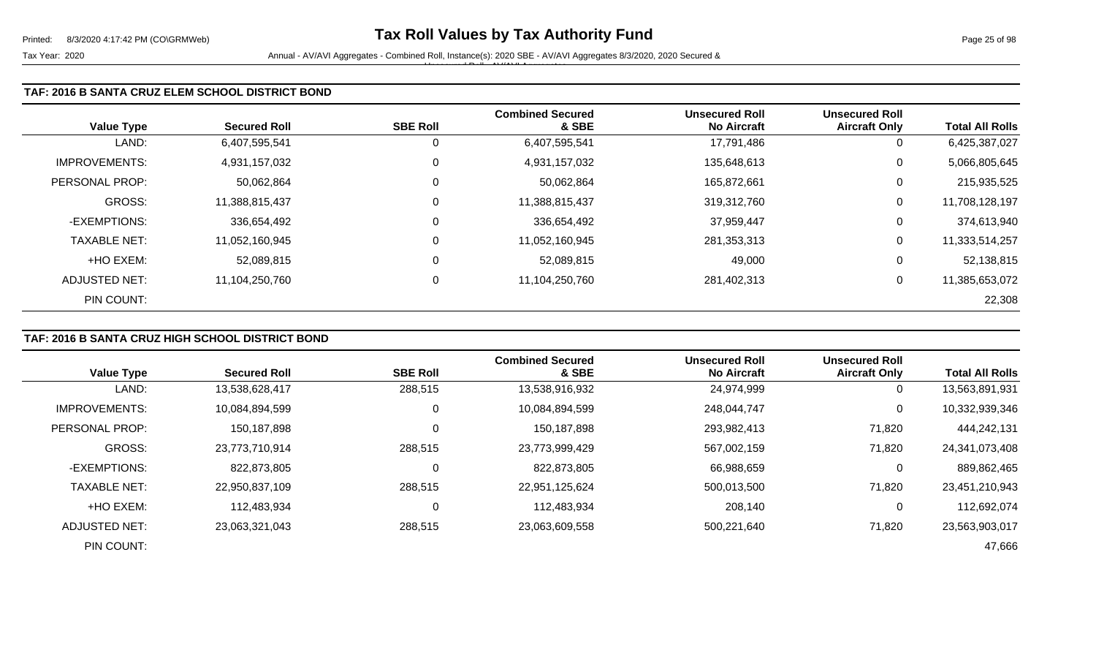### **TAF: 2016 B SANTA CRUZ ELEM SCHOOL DISTRICT BOND**

| <b>Value Type</b>    | <b>Secured Roll</b> | <b>SBE Roll</b> | <b>Combined Secured</b><br>& SBE | <b>Unsecured Roll</b><br><b>No Aircraft</b> | <b>Unsecured Roll</b><br><b>Aircraft Only</b> | <b>Total All Rolls</b> |
|----------------------|---------------------|-----------------|----------------------------------|---------------------------------------------|-----------------------------------------------|------------------------|
| LAND:                | 6,407,595,541       | U               | 6,407,595,541                    | 17,791,486                                  | 0                                             | 6,425,387,027          |
| <b>IMPROVEMENTS:</b> | 4,931,157,032       | 0               | 4,931,157,032                    | 135,648,613                                 | 0                                             | 5,066,805,645          |
| PERSONAL PROP:       | 50,062,864          | 0               | 50,062,864                       | 165,872,661                                 | 0                                             | 215,935,525            |
| GROSS:               | 11,388,815,437      |                 | 11,388,815,437                   | 319,312,760                                 | 0                                             | 11,708,128,197         |
| -EXEMPTIONS:         | 336,654,492         | 0               | 336,654,492                      | 37,959,447                                  | 0                                             | 374,613,940            |
| <b>TAXABLE NET:</b>  | 11,052,160,945      | 0               | 11,052,160,945                   | 281,353,313                                 | 0                                             | 11,333,514,257         |
| +HO EXEM:            | 52,089,815          | 0               | 52,089,815                       | 49,000                                      | 0                                             | 52,138,815             |
| ADJUSTED NET:        | 11,104,250,760      | 0               | 11,104,250,760                   | 281,402,313                                 | 0                                             | 11,385,653,072         |
| PIN COUNT:           |                     |                 |                                  |                                             |                                               | 22,308                 |

## **TAF: 2016 B SANTA CRUZ HIGH SCHOOL DISTRICT BOND**

|                      |                     |                 | <b>Combined Secured</b> | <b>Unsecured Roll</b> | <b>Unsecured Roll</b> |                        |
|----------------------|---------------------|-----------------|-------------------------|-----------------------|-----------------------|------------------------|
| <b>Value Type</b>    | <b>Secured Roll</b> | <b>SBE Roll</b> | & SBE                   | <b>No Aircraft</b>    | <b>Aircraft Only</b>  | <b>Total All Rolls</b> |
| LAND:                | 13,538,628,417      | 288,515         | 13,538,916,932          | 24,974,999            | $\mathbf{0}$          | 13,563,891,931         |
| <b>IMPROVEMENTS:</b> | 10,084,894,599      | 0               | 10,084,894,599          | 248,044,747           | 0                     | 10,332,939,346         |
| PERSONAL PROP:       | 150,187,898         |                 | 150,187,898             | 293,982,413           | 71,820                | 444,242,131            |
| <b>GROSS:</b>        | 23,773,710,914      | 288,515         | 23,773,999,429          | 567,002,159           | 71,820                | 24,341,073,408         |
| -EXEMPTIONS:         | 822,873,805         |                 | 822,873,805             | 66,988,659            | 0                     | 889,862,465            |
| <b>TAXABLE NET:</b>  | 22,950,837,109      | 288,515         | 22,951,125,624          | 500,013,500           | 71,820                | 23,451,210,943         |
| +HO EXEM:            | 112,483,934         |                 | 112,483,934             | 208,140               | $\mathbf{0}$          | 112,692,074            |
| ADJUSTED NET:        | 23,063,321,043      | 288,515         | 23,063,609,558          | 500,221,640           | 71,820                | 23,563,903,017         |
| PIN COUNT:           |                     |                 |                         |                       |                       | 47,666                 |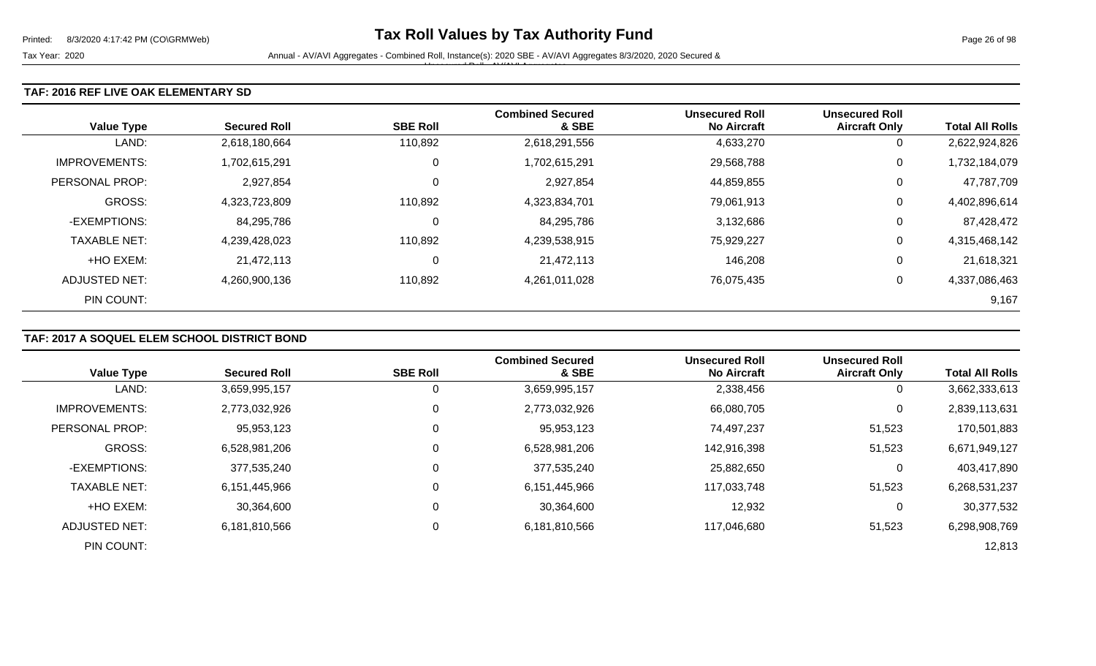### **TAF: 2016 REF LIVE OAK ELEMENTARY SD**

| <b>Value Type</b>    | <b>Secured Roll</b> | <b>SBE Roll</b> | <b>Combined Secured</b><br>& SBE | <b>Unsecured Roll</b><br><b>No Aircraft</b> | <b>Unsecured Roll</b><br><b>Aircraft Only</b> | <b>Total All Rolls</b> |
|----------------------|---------------------|-----------------|----------------------------------|---------------------------------------------|-----------------------------------------------|------------------------|
| LAND:                | 2,618,180,664       | 110,892         | 2,618,291,556                    | 4,633,270                                   | 0                                             | 2,622,924,826          |
| <b>IMPROVEMENTS:</b> | 1,702,615,291       | 0               | 1,702,615,291                    | 29,568,788                                  | 0                                             | 1,732,184,079          |
| PERSONAL PROP:       | 2,927,854           | 0               | 2,927,854                        | 44,859,855                                  | 0                                             | 47,787,709             |
| <b>GROSS:</b>        | 4,323,723,809       | 110,892         | 4,323,834,701                    | 79,061,913                                  | 0                                             | 4,402,896,614          |
| -EXEMPTIONS:         | 84,295,786          | 0               | 84,295,786                       | 3,132,686                                   | 0                                             | 87,428,472             |
| <b>TAXABLE NET:</b>  | 4,239,428,023       | 110,892         | 4,239,538,915                    | 75,929,227                                  | 0                                             | 4,315,468,142          |
| +HO EXEM:            | 21,472,113          | 0               | 21,472,113                       | 146,208                                     | 0                                             | 21,618,321             |
| ADJUSTED NET:        | 4,260,900,136       | 110,892         | 4,261,011,028                    | 76,075,435                                  | 0                                             | 4,337,086,463          |
| PIN COUNT:           |                     |                 |                                  |                                             |                                               | 9,167                  |

## **TAF: 2017 A SOQUEL ELEM SCHOOL DISTRICT BOND**

|                      |                     |                 | <b>Combined Secured</b> | <b>Unsecured Roll</b> | <b>Unsecured Roll</b> |                        |
|----------------------|---------------------|-----------------|-------------------------|-----------------------|-----------------------|------------------------|
| <b>Value Type</b>    | <b>Secured Roll</b> | <b>SBE Roll</b> | & SBE                   | <b>No Aircraft</b>    | <b>Aircraft Only</b>  | <b>Total All Rolls</b> |
| LAND:                | 3,659,995,157       | 0               | 3,659,995,157           | 2,338,456             | $\overline{0}$        | 3,662,333,613          |
| <b>IMPROVEMENTS:</b> | 2,773,032,926       | 0               | 2,773,032,926           | 66,080,705            | 0                     | 2,839,113,631          |
| PERSONAL PROP:       | 95,953,123          | 0               | 95,953,123              | 74,497,237            | 51,523                | 170,501,883            |
| <b>GROSS:</b>        | 6,528,981,206       | $\Omega$        | 6,528,981,206           | 142,916,398           | 51,523                | 6,671,949,127          |
| -EXEMPTIONS:         | 377,535,240         | 0               | 377,535,240             | 25,882,650            | 0                     | 403,417,890            |
| <b>TAXABLE NET:</b>  | 6,151,445,966       | $\Omega$        | 6,151,445,966           | 117,033,748           | 51,523                | 6,268,531,237          |
| +HO EXEM:            | 30,364,600          | 0               | 30,364,600              | 12,932                | 0                     | 30,377,532             |
| <b>ADJUSTED NET:</b> | 6,181,810,566       | 0               | 6,181,810,566           | 117,046,680           | 51,523                | 6,298,908,769          |
| PIN COUNT:           |                     |                 |                         |                       |                       | 12,813                 |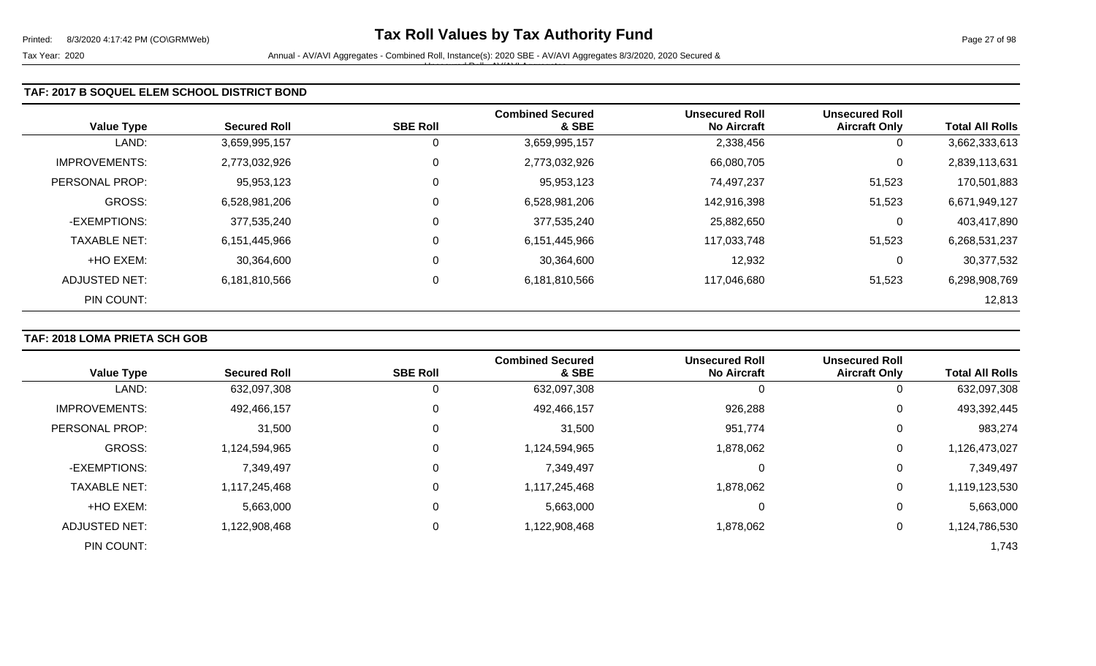Tax Year: 2020 **Annual - AV/AVI Aggregates - Combined Roll**, Instance(s): 2020 SBE - AV/AVI Aggregates 8/3/2020, 2020 Secured & Unsecured Roll - AV/AVI Aggregates

## **TAF: 2017 B SOQUEL ELEM SCHOOL DISTRICT BOND**

| <b>Value Type</b>    | <b>Secured Roll</b> | <b>SBE Roll</b> | <b>Combined Secured</b><br>& SBE | <b>Unsecured Roll</b><br><b>No Aircraft</b> | <b>Unsecured Roll</b><br><b>Aircraft Only</b> | <b>Total All Rolls</b> |
|----------------------|---------------------|-----------------|----------------------------------|---------------------------------------------|-----------------------------------------------|------------------------|
| LAND:                | 3,659,995,157       | C               | 3,659,995,157                    | 2,338,456                                   | 0                                             | 3,662,333,613          |
| <b>IMPROVEMENTS:</b> | 2,773,032,926       | 0               | 2,773,032,926                    | 66,080,705                                  | 0                                             | 2,839,113,631          |
| PERSONAL PROP:       | 95,953,123          | 0               | 95,953,123                       | 74,497,237                                  | 51,523                                        | 170,501,883            |
| <b>GROSS:</b>        | 6,528,981,206       | 0               | 6,528,981,206                    | 142,916,398                                 | 51,523                                        | 6,671,949,127          |
| -EXEMPTIONS:         | 377,535,240         | 0               | 377,535,240                      | 25,882,650                                  | 0                                             | 403,417,890            |
| <b>TAXABLE NET:</b>  | 6,151,445,966       | 0               | 6,151,445,966                    | 117,033,748                                 | 51,523                                        | 6,268,531,237          |
| +HO EXEM:            | 30,364,600          | 0               | 30,364,600                       | 12,932                                      | 0                                             | 30,377,532             |
| ADJUSTED NET:        | 6,181,810,566       | 0               | 6,181,810,566                    | 117,046,680                                 | 51,523                                        | 6,298,908,769          |
| PIN COUNT:           |                     |                 |                                  |                                             |                                               | 12,813                 |

## **TAF: 2018 LOMA PRIETA SCH GOB**

|                      |                     |                 | <b>Combined Secured</b> | <b>Unsecured Roll</b> | <b>Unsecured Roll</b> |                        |
|----------------------|---------------------|-----------------|-------------------------|-----------------------|-----------------------|------------------------|
| <b>Value Type</b>    | <b>Secured Roll</b> | <b>SBE Roll</b> | & SBE                   | <b>No Aircraft</b>    | <b>Aircraft Only</b>  | <b>Total All Rolls</b> |
| LAND:                | 632,097,308         | 0               | 632,097,308             |                       |                       | 632,097,308            |
| <b>IMPROVEMENTS:</b> | 492,466,157         | 0               | 492,466,157             | 926,288               | 0                     | 493,392,445            |
| PERSONAL PROP:       | 31,500              | 0               | 31,500                  | 951,774               | 0                     | 983,274                |
| GROSS:               | 1,124,594,965       | 0               | 1,124,594,965           | 1,878,062             | 0                     | 1,126,473,027          |
| -EXEMPTIONS:         | 7,349,497           | 0               | 7,349,497               |                       | 0                     | 7,349,497              |
| <b>TAXABLE NET:</b>  | 1,117,245,468       | 0               | 1,117,245,468           | 1,878,062             | $\mathbf 0$           | 1,119,123,530          |
| +HO EXEM:            | 5,663,000           | 0               | 5,663,000               |                       | 0                     | 5,663,000              |
| ADJUSTED NET:        | 1,122,908,468       | 0               | 1,122,908,468           | 1,878,062             | 0                     | 1,124,786,530          |
| PIN COUNT:           |                     |                 |                         |                       |                       | 1,743                  |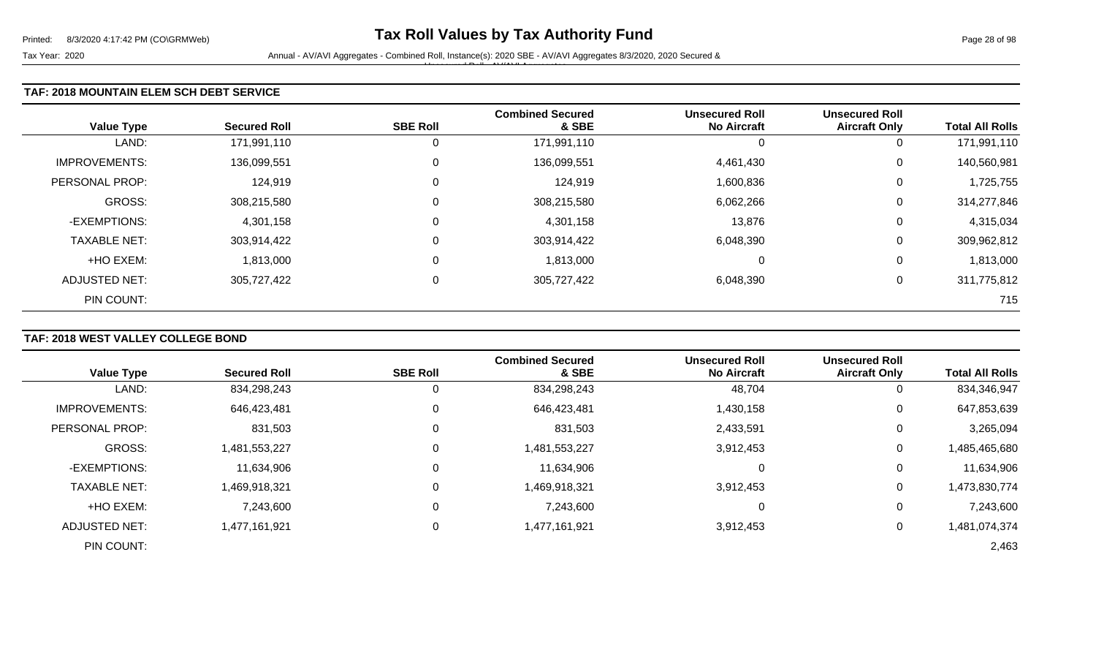### **TAF: 2018 MOUNTAIN ELEM SCH DEBT SERVICE**

| <b>Value Type</b>    | <b>Secured Roll</b> | <b>SBE Roll</b> | <b>Combined Secured</b><br>& SBE | <b>Unsecured Roll</b><br><b>No Aircraft</b> | <b>Unsecured Roll</b><br><b>Aircraft Only</b> | <b>Total All Rolls</b> |
|----------------------|---------------------|-----------------|----------------------------------|---------------------------------------------|-----------------------------------------------|------------------------|
| LAND:                | 171,991,110         | 0               | 171,991,110                      |                                             | 0                                             | 171,991,110            |
| <b>IMPROVEMENTS:</b> | 136,099,551         | $\mathbf 0$     | 136,099,551                      | 4,461,430                                   | 0                                             | 140,560,981            |
| PERSONAL PROP:       | 124,919             | 0               | 124,919                          | 1,600,836                                   | 0                                             | 1,725,755              |
| GROSS:               | 308,215,580         | 0               | 308,215,580                      | 6,062,266                                   | 0                                             | 314,277,846            |
| -EXEMPTIONS:         | 4,301,158           | 0               | 4,301,158                        | 13,876                                      | 0                                             | 4,315,034              |
| <b>TAXABLE NET:</b>  | 303,914,422         | $\mathbf 0$     | 303,914,422                      | 6,048,390                                   | 0                                             | 309,962,812            |
| +HO EXEM:            | 1,813,000           | 0               | 1,813,000                        | $\Omega$                                    | 0                                             | 1,813,000              |
| ADJUSTED NET:        | 305,727,422         | $\mathbf 0$     | 305,727,422                      | 6,048,390                                   | 0                                             | 311,775,812            |
| PIN COUNT:           |                     |                 |                                  |                                             |                                               | 715                    |

# **TAF: 2018 WEST VALLEY COLLEGE BOND**

|                      |                     |                 | <b>Combined Secured</b> | <b>Unsecured Roll</b> | <b>Unsecured Roll</b> |                        |
|----------------------|---------------------|-----------------|-------------------------|-----------------------|-----------------------|------------------------|
| <b>Value Type</b>    | <b>Secured Roll</b> | <b>SBE Roll</b> | & SBE                   | <b>No Aircraft</b>    | <b>Aircraft Only</b>  | <b>Total All Rolls</b> |
| LAND:                | 834,298,243         |                 | 834,298,243             | 48,704                |                       | 834,346,947            |
| <b>IMPROVEMENTS:</b> | 646,423,481         | 0               | 646,423,481             | 1,430,158             | 0                     | 647,853,639            |
| PERSONAL PROP:       | 831,503             | 0               | 831,503                 | 2,433,591             | 0                     | 3,265,094              |
| <b>GROSS:</b>        | 1,481,553,227       | $\Omega$        | 1,481,553,227           | 3,912,453             | 0                     | 1,485,465,680          |
| -EXEMPTIONS:         | 11,634,906          | 0               | 11,634,906              | 0                     | 0                     | 11,634,906             |
| <b>TAXABLE NET:</b>  | 1,469,918,321       | $\Omega$        | 1,469,918,321           | 3,912,453             | 0                     | 1,473,830,774          |
| +HO EXEM:            | 7,243,600           | $\Omega$        | 7,243,600               | 0                     | $\Omega$              | 7,243,600              |
| <b>ADJUSTED NET:</b> | 1,477,161,921       | 0               | 1,477,161,921           | 3,912,453             | 0                     | 1,481,074,374          |
| PIN COUNT:           |                     |                 |                         |                       |                       | 2,463                  |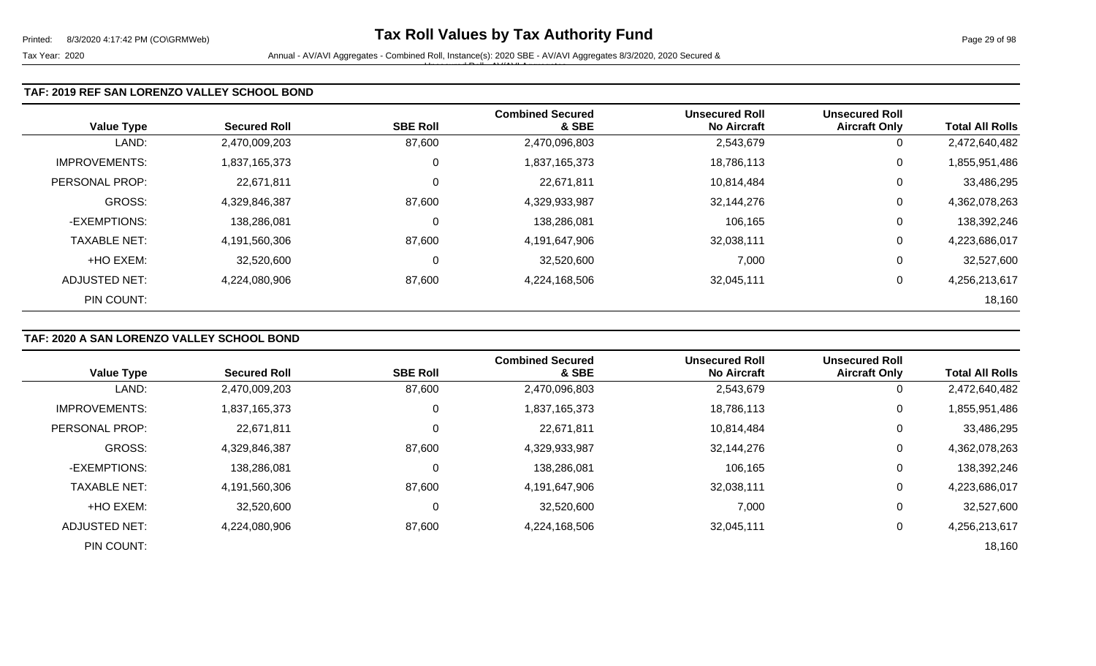### **TAF: 2019 REF SAN LORENZO VALLEY SCHOOL BOND**

| <b>Value Type</b>    | <b>Secured Roll</b> | <b>SBE Roll</b> | <b>Combined Secured</b><br>& SBE | <b>Unsecured Roll</b><br><b>No Aircraft</b> | <b>Unsecured Roll</b><br><b>Aircraft Only</b> | <b>Total All Rolls</b> |
|----------------------|---------------------|-----------------|----------------------------------|---------------------------------------------|-----------------------------------------------|------------------------|
| LAND:                | 2,470,009,203       | 87,600          | 2,470,096,803                    | 2,543,679                                   | 0                                             | 2,472,640,482          |
| <b>IMPROVEMENTS:</b> | 1,837,165,373       | $\mathbf 0$     | 1,837,165,373                    | 18,786,113                                  | 0                                             | 1,855,951,486          |
| PERSONAL PROP:       | 22,671,811          | 0               | 22,671,811                       | 10,814,484                                  | 0                                             | 33,486,295             |
| GROSS:               | 4,329,846,387       | 87,600          | 4,329,933,987                    | 32,144,276                                  | 0                                             | 4,362,078,263          |
| -EXEMPTIONS:         | 138,286,081         | 0               | 138,286,081                      | 106,165                                     | 0                                             | 138,392,246            |
| <b>TAXABLE NET:</b>  | 4,191,560,306       | 87,600          | 4,191,647,906                    | 32,038,111                                  | 0                                             | 4,223,686,017          |
| +HO EXEM:            | 32,520,600          | 0               | 32,520,600                       | 7,000                                       | 0                                             | 32,527,600             |
| ADJUSTED NET:        | 4,224,080,906       | 87,600          | 4,224,168,506                    | 32,045,111                                  | 0                                             | 4,256,213,617          |
| PIN COUNT:           |                     |                 |                                  |                                             |                                               | 18,160                 |

# **TAF: 2020 A SAN LORENZO VALLEY SCHOOL BOND**

| <b>Value Type</b>    | <b>Secured Roll</b> | <b>SBE Roll</b> | <b>Combined Secured</b><br>& SBE | <b>Unsecured Roll</b><br><b>No Aircraft</b> | <b>Unsecured Roll</b><br><b>Aircraft Only</b> | <b>Total All Rolls</b> |
|----------------------|---------------------|-----------------|----------------------------------|---------------------------------------------|-----------------------------------------------|------------------------|
|                      |                     |                 |                                  |                                             |                                               |                        |
| LAND:                | 2,470,009,203       | 87,600          | 2,470,096,803                    | 2,543,679                                   | 0                                             | 2,472,640,482          |
| <b>IMPROVEMENTS:</b> | 1,837,165,373       | 0               | 1,837,165,373                    | 18,786,113                                  | 0                                             | 1,855,951,486          |
| PERSONAL PROP:       | 22,671,811          |                 | 22,671,811                       | 10,814,484                                  | 0                                             | 33,486,295             |
| <b>GROSS:</b>        | 4,329,846,387       | 87,600          | 4,329,933,987                    | 32,144,276                                  | 0                                             | 4,362,078,263          |
| -EXEMPTIONS:         | 138,286,081         | C               | 138,286,081                      | 106,165                                     | 0                                             | 138,392,246            |
| <b>TAXABLE NET:</b>  | 4,191,560,306       | 87,600          | 4,191,647,906                    | 32,038,111                                  | 0                                             | 4,223,686,017          |
| +HO EXEM:            | 32,520,600          | C               | 32,520,600                       | 7,000                                       | 0                                             | 32,527,600             |
| ADJUSTED NET:        | 4,224,080,906       | 87,600          | 4,224,168,506                    | 32,045,111                                  | 0                                             | 4,256,213,617          |
| PIN COUNT:           |                     |                 |                                  |                                             |                                               | 18,160                 |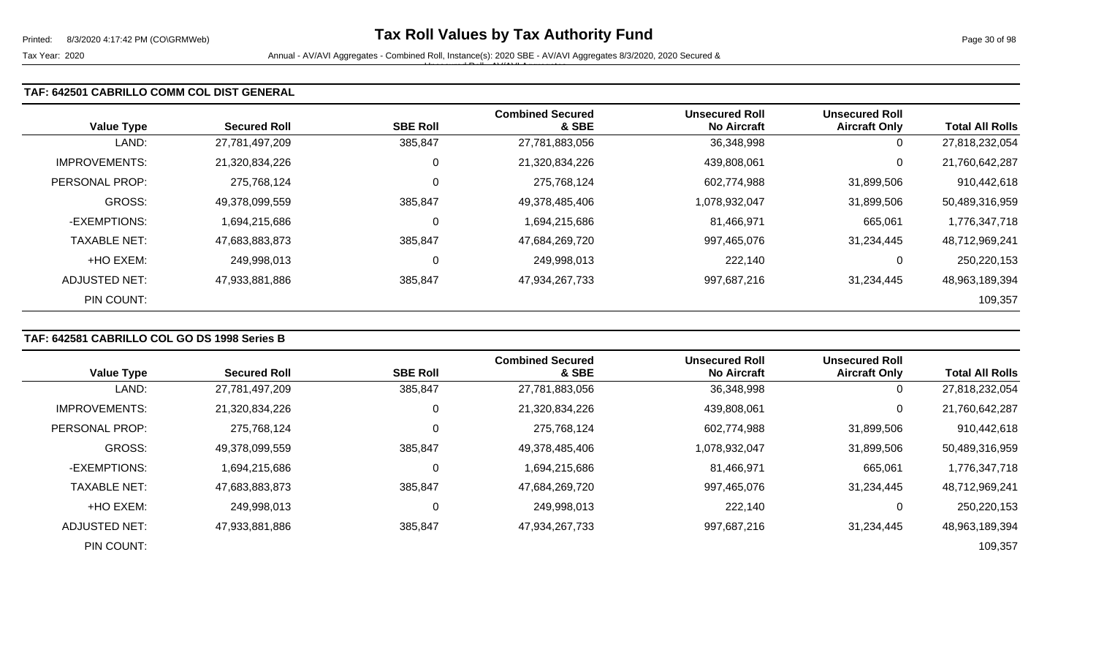Tax Year: 2020 **Annual - AV/AVI Aggregates - Combined Roll**, Instance(s): 2020 SBE - AV/AVI Aggregates 8/3/2020, 2020 Secured & Unsecured Roll - AV/AVI Aggregates

## **TAF: 642501 CABRILLO COMM COL DIST GENERAL**

| <b>Value Type</b>    | <b>Secured Roll</b> | <b>SBE Roll</b> | <b>Combined Secured</b><br>& SBE | <b>Unsecured Roll</b><br><b>No Aircraft</b> | <b>Unsecured Roll</b><br><b>Aircraft Only</b> | <b>Total All Rolls</b> |
|----------------------|---------------------|-----------------|----------------------------------|---------------------------------------------|-----------------------------------------------|------------------------|
| LAND:                | 27,781,497,209      | 385,847         | 27,781,883,056                   | 36,348,998                                  | 0                                             | 27,818,232,054         |
| <b>IMPROVEMENTS:</b> | 21,320,834,226      | 0               | 21,320,834,226                   | 439,808,061                                 | 0                                             | 21,760,642,287         |
| PERSONAL PROP:       | 275,768,124         | 0               | 275,768,124                      | 602,774,988                                 | 31,899,506                                    | 910,442,618            |
| <b>GROSS:</b>        | 49,378,099,559      | 385,847         | 49,378,485,406                   | 1,078,932,047                               | 31,899,506                                    | 50,489,316,959         |
| -EXEMPTIONS:         | 1,694,215,686       | 0               | 1,694,215,686                    | 81,466,971                                  | 665,061                                       | 1,776,347,718          |
| <b>TAXABLE NET:</b>  | 47,683,883,873      | 385,847         | 47,684,269,720                   | 997,465,076                                 | 31,234,445                                    | 48,712,969,241         |
| +HO EXEM:            | 249,998,013         | 0               | 249,998,013                      | 222,140                                     | $\overline{0}$                                | 250,220,153            |
| ADJUSTED NET:        | 47,933,881,886      | 385,847         | 47,934,267,733                   | 997,687,216                                 | 31,234,445                                    | 48,963,189,394         |
| PIN COUNT:           |                     |                 |                                  |                                             |                                               | 109,357                |

## **TAF: 642581 CABRILLO COL GO DS 1998 Series B**

| <b>Value Type</b>    | <b>Secured Roll</b> | <b>SBE Roll</b> | <b>Combined Secured</b><br>& SBE | <b>Unsecured Roll</b><br><b>No Aircraft</b> | <b>Unsecured Roll</b><br><b>Aircraft Only</b> | <b>Total All Rolls</b> |
|----------------------|---------------------|-----------------|----------------------------------|---------------------------------------------|-----------------------------------------------|------------------------|
| LAND:                | 27,781,497,209      | 385,847         | 27,781,883,056                   | 36,348,998                                  | 0                                             | 27,818,232,054         |
| <b>IMPROVEMENTS:</b> | 21,320,834,226      | υ               | 21,320,834,226                   | 439,808,061                                 | 0                                             | 21,760,642,287         |
| PERSONAL PROP:       | 275,768,124         | 0               | 275,768,124                      | 602,774,988                                 | 31,899,506                                    | 910,442,618            |
| <b>GROSS:</b>        | 49,378,099,559      | 385,847         | 49,378,485,406                   | 1,078,932,047                               | 31,899,506                                    | 50,489,316,959         |
| -EXEMPTIONS:         | 1,694,215,686       | υ               | 1,694,215,686                    | 81,466,971                                  | 665,061                                       | 1,776,347,718          |
| <b>TAXABLE NET:</b>  | 47,683,883,873      | 385,847         | 47,684,269,720                   | 997,465,076                                 | 31,234,445                                    | 48,712,969,241         |
| +HO EXEM:            | 249,998,013         | U               | 249,998,013                      | 222,140                                     | 0                                             | 250,220,153            |
| ADJUSTED NET:        | 47,933,881,886      | 385,847         | 47,934,267,733                   | 997,687,216                                 | 31.234.445                                    | 48,963,189,394         |
| PIN COUNT:           |                     |                 |                                  |                                             |                                               | 109,357                |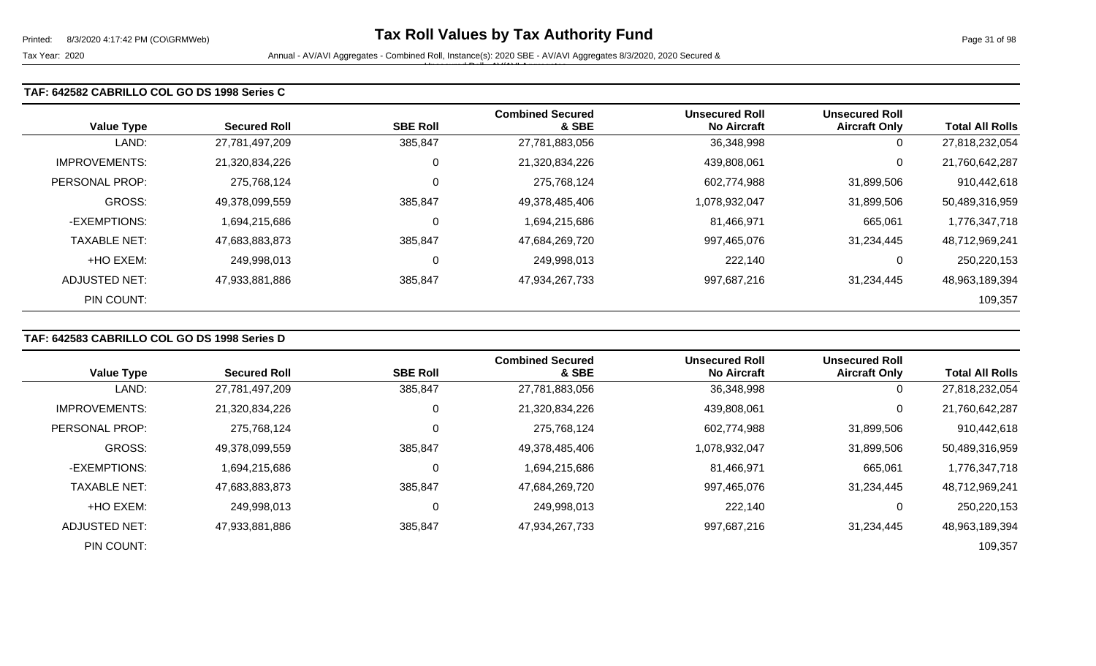### **TAF: 642582 CABRILLO COL GO DS 1998 Series C**

| <b>Value Type</b>    | <b>Secured Roll</b> | <b>SBE Roll</b> | <b>Combined Secured</b><br>& SBE | <b>Unsecured Roll</b><br><b>No Aircraft</b> | <b>Unsecured Roll</b><br><b>Aircraft Only</b> | <b>Total All Rolls</b> |
|----------------------|---------------------|-----------------|----------------------------------|---------------------------------------------|-----------------------------------------------|------------------------|
| LAND:                | 27,781,497,209      | 385,847         | 27,781,883,056                   | 36,348,998                                  | 0                                             | 27,818,232,054         |
| <b>IMPROVEMENTS:</b> | 21,320,834,226      | 0               | 21,320,834,226                   | 439,808,061                                 | 0                                             | 21,760,642,287         |
| PERSONAL PROP:       | 275,768,124         | $\mathbf 0$     | 275,768,124                      | 602,774,988                                 | 31,899,506                                    | 910,442,618            |
| <b>GROSS:</b>        | 49,378,099,559      | 385,847         | 49,378,485,406                   | 1,078,932,047                               | 31,899,506                                    | 50,489,316,959         |
| -EXEMPTIONS:         | 1,694,215,686       | 0               | 1,694,215,686                    | 81,466,971                                  | 665,061                                       | 1,776,347,718          |
| <b>TAXABLE NET:</b>  | 47,683,883,873      | 385,847         | 47,684,269,720                   | 997,465,076                                 | 31,234,445                                    | 48,712,969,241         |
| +HO EXEM:            | 249,998,013         | 0               | 249,998,013                      | 222,140                                     | 0                                             | 250,220,153            |
| ADJUSTED NET:        | 47,933,881,886      | 385,847         | 47,934,267,733                   | 997,687,216                                 | 31,234,445                                    | 48,963,189,394         |
| PIN COUNT:           |                     |                 |                                  |                                             |                                               | 109,357                |

# **TAF: 642583 CABRILLO COL GO DS 1998 Series D**

| <b>Value Type</b>    | <b>Secured Roll</b> | <b>SBE Roll</b> | <b>Combined Secured</b><br>& SBE | <b>Unsecured Roll</b><br><b>No Aircraft</b> | <b>Unsecured Roll</b><br><b>Aircraft Only</b> | <b>Total All Rolls</b> |
|----------------------|---------------------|-----------------|----------------------------------|---------------------------------------------|-----------------------------------------------|------------------------|
|                      |                     |                 |                                  |                                             |                                               |                        |
| LAND:                | 27,781,497,209      | 385,847         | 27,781,883,056                   | 36,348,998                                  | 0                                             | 27,818,232,054         |
| <b>IMPROVEMENTS:</b> | 21,320,834,226      | C               | 21,320,834,226                   | 439,808,061                                 | $\mathbf 0$                                   | 21,760,642,287         |
| PERSONAL PROP:       | 275.768.124         |                 | 275,768,124                      | 602,774,988                                 | 31,899,506                                    | 910,442,618            |
| GROSS:               | 49,378,099,559      | 385,847         | 49,378,485,406                   | 1,078,932,047                               | 31,899,506                                    | 50,489,316,959         |
| -EXEMPTIONS:         | 1,694,215,686       |                 | 1,694,215,686                    | 81,466,971                                  | 665,061                                       | 1,776,347,718          |
| <b>TAXABLE NET:</b>  | 47,683,883,873      | 385,847         | 47,684,269,720                   | 997,465,076                                 | 31,234,445                                    | 48,712,969,241         |
| +HO EXEM:            | 249.998.013         |                 | 249,998,013                      | 222,140                                     | 0                                             | 250,220,153            |
| ADJUSTED NET:        | 47,933,881,886      | 385,847         | 47,934,267,733                   | 997,687,216                                 | 31,234,445                                    | 48,963,189,394         |
| PIN COUNT:           |                     |                 |                                  |                                             |                                               | 109,357                |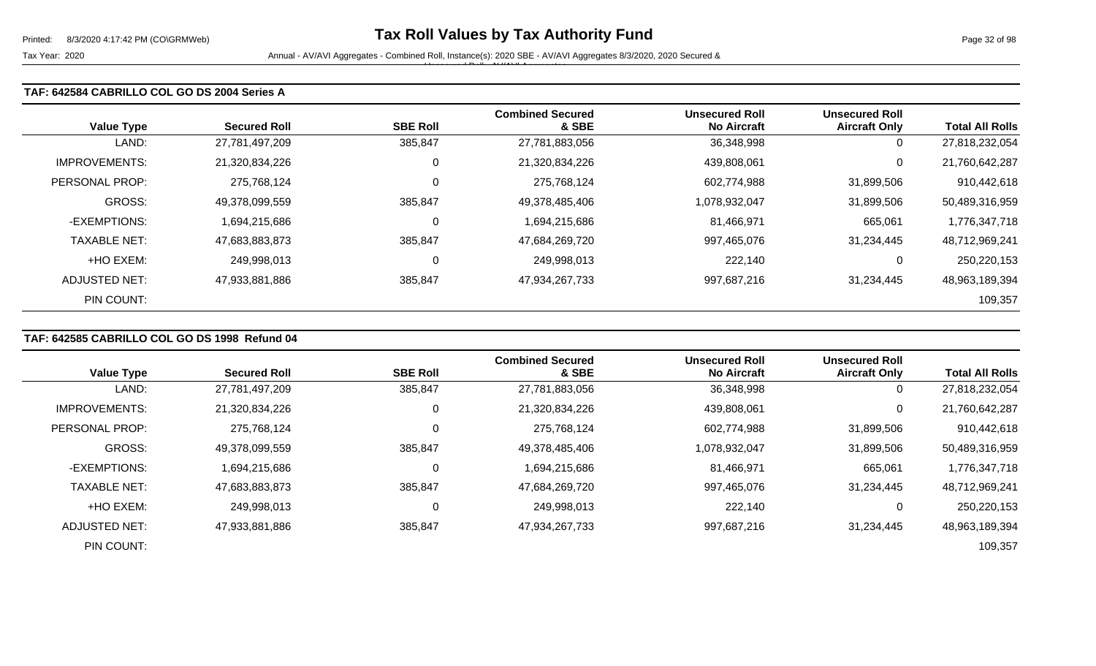### **TAF: 642584 CABRILLO COL GO DS 2004 Series A**

| <b>Value Type</b>    | <b>Secured Roll</b> | <b>SBE Roll</b> | <b>Combined Secured</b><br>& SBE | <b>Unsecured Roll</b><br><b>No Aircraft</b> | <b>Unsecured Roll</b><br><b>Aircraft Only</b> | <b>Total All Rolls</b> |
|----------------------|---------------------|-----------------|----------------------------------|---------------------------------------------|-----------------------------------------------|------------------------|
| LAND:                | 27,781,497,209      | 385,847         | 27,781,883,056                   | 36,348,998                                  | 0                                             | 27,818,232,054         |
| <b>IMPROVEMENTS:</b> | 21,320,834,226      | 0               | 21,320,834,226                   | 439,808,061                                 | 0                                             | 21,760,642,287         |
| PERSONAL PROP:       | 275,768,124         | 0               | 275,768,124                      | 602,774,988                                 | 31,899,506                                    | 910,442,618            |
| <b>GROSS:</b>        | 49,378,099,559      | 385,847         | 49,378,485,406                   | 1,078,932,047                               | 31,899,506                                    | 50,489,316,959         |
| -EXEMPTIONS:         | 1,694,215,686       | $\mathbf 0$     | 1,694,215,686                    | 81,466,971                                  | 665,061                                       | 1,776,347,718          |
| <b>TAXABLE NET:</b>  | 47,683,883,873      | 385,847         | 47,684,269,720                   | 997,465,076                                 | 31,234,445                                    | 48,712,969,241         |
| +HO EXEM:            | 249,998,013         | 0               | 249,998,013                      | 222,140                                     | 0                                             | 250,220,153            |
| <b>ADJUSTED NET:</b> | 47,933,881,886      | 385,847         | 47,934,267,733                   | 997,687,216                                 | 31,234,445                                    | 48,963,189,394         |
| PIN COUNT:           |                     |                 |                                  |                                             |                                               | 109,357                |

# **TAF: 642585 CABRILLO COL GO DS 1998 Refund 04**

|                     |                     |                 | <b>Combined Secured</b> | <b>Unsecured Roll</b> | <b>Unsecured Roll</b> |                        |
|---------------------|---------------------|-----------------|-------------------------|-----------------------|-----------------------|------------------------|
| <b>Value Type</b>   | <b>Secured Roll</b> | <b>SBE Roll</b> | & SBE                   | <b>No Aircraft</b>    | <b>Aircraft Only</b>  | <b>Total All Rolls</b> |
| LAND:               | 27,781,497,209      | 385,847         | 27,781,883,056          | 36,348,998            | 0                     | 27,818,232,054         |
| IMPROVEMENTS:       | 21,320,834,226      | 0               | 21,320,834,226          | 439,808,061           | 0                     | 21,760,642,287         |
| PERSONAL PROP:      | 275.768.124         | 0               | 275,768,124             | 602,774,988           | 31,899,506            | 910,442,618            |
| <b>GROSS:</b>       | 49,378,099,559      | 385,847         | 49,378,485,406          | 1,078,932,047         | 31,899,506            | 50,489,316,959         |
| -EXEMPTIONS:        | 1,694,215,686       | 0               | 1,694,215,686           | 81,466,971            | 665,061               | 1,776,347,718          |
| <b>TAXABLE NET:</b> | 47,683,883,873      | 385,847         | 47,684,269,720          | 997,465,076           | 31,234,445            | 48,712,969,241         |
| +HO EXEM:           | 249,998,013         | 0               | 249,998,013             | 222,140               | 0                     | 250,220,153            |
| ADJUSTED NET:       | 47,933,881,886      | 385,847         | 47,934,267,733          | 997,687,216           | 31,234,445            | 48,963,189,394         |
| PIN COUNT:          |                     |                 |                         |                       |                       | 109,357                |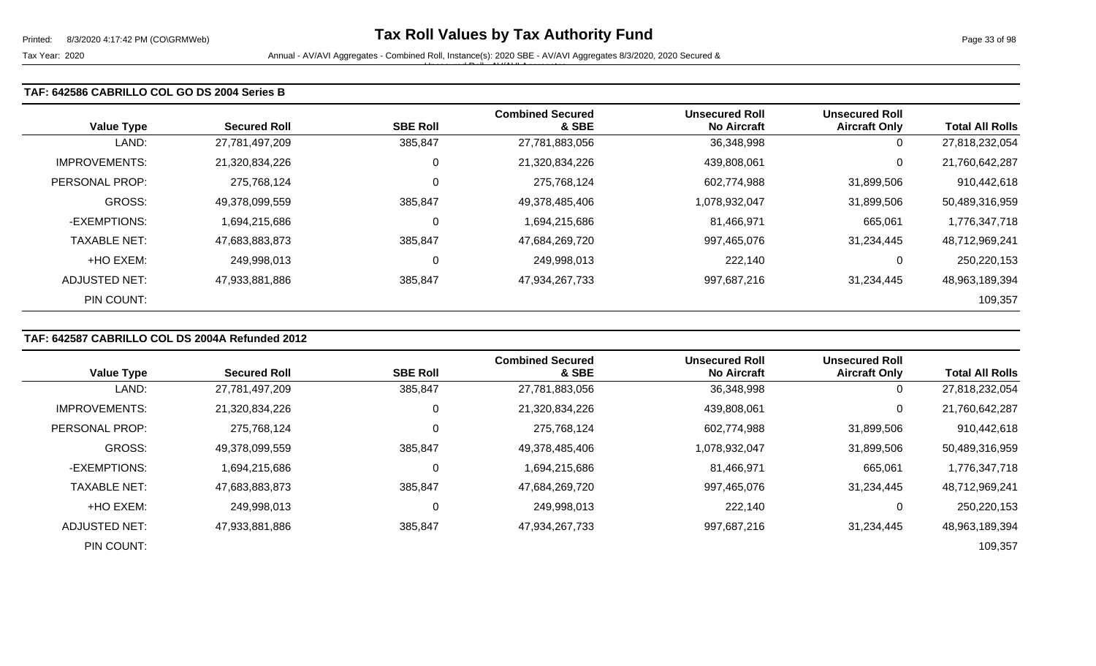### **TAF: 642586 CABRILLO COL GO DS 2004 Series B**

| <b>Value Type</b>    | <b>Secured Roll</b> | <b>SBE Roll</b> | <b>Combined Secured</b><br>& SBE | <b>Unsecured Roll</b><br><b>No Aircraft</b> | <b>Unsecured Roll</b><br><b>Aircraft Only</b> | <b>Total All Rolls</b> |
|----------------------|---------------------|-----------------|----------------------------------|---------------------------------------------|-----------------------------------------------|------------------------|
| LAND:                | 27,781,497,209      | 385,847         | 27,781,883,056                   | 36,348,998                                  | 0                                             | 27,818,232,054         |
| <b>IMPROVEMENTS:</b> | 21,320,834,226      | $\overline{0}$  | 21,320,834,226                   | 439,808,061                                 | 0                                             | 21,760,642,287         |
| PERSONAL PROP:       | 275,768,124         | $\mathbf 0$     | 275,768,124                      | 602,774,988                                 | 31,899,506                                    | 910,442,618            |
| GROSS:               | 49,378,099,559      | 385,847         | 49,378,485,406                   | 1,078,932,047                               | 31,899,506                                    | 50,489,316,959         |
| -EXEMPTIONS:         | 1.694.215.686       | 0               | 1,694,215,686                    | 81,466,971                                  | 665,061                                       | 1,776,347,718          |
| <b>TAXABLE NET:</b>  | 47,683,883,873      | 385,847         | 47,684,269,720                   | 997,465,076                                 | 31,234,445                                    | 48,712,969,241         |
| +HO EXEM:            | 249,998,013         | 0               | 249,998,013                      | 222,140                                     | 0                                             | 250,220,153            |
| <b>ADJUSTED NET:</b> | 47,933,881,886      | 385,847         | 47,934,267,733                   | 997,687,216                                 | 31,234,445                                    | 48,963,189,394         |
| PIN COUNT:           |                     |                 |                                  |                                             |                                               | 109,357                |

## **TAF: 642587 CABRILLO COL DS 2004A Refunded 2012**

|                      |                     |                 | <b>Combined Secured</b> | <b>Unsecured Roll</b> | <b>Unsecured Roll</b> |                        |
|----------------------|---------------------|-----------------|-------------------------|-----------------------|-----------------------|------------------------|
| <b>Value Type</b>    | <b>Secured Roll</b> | <b>SBE Roll</b> | & SBE                   | <b>No Aircraft</b>    | <b>Aircraft Only</b>  | <b>Total All Rolls</b> |
| LAND:                | 27,781,497,209      | 385,847         | 27,781,883,056          | 36,348,998            | 0                     | 27,818,232,054         |
| <b>IMPROVEMENTS:</b> | 21,320,834,226      |                 | 21,320,834,226          | 439,808,061           | $\mathbf 0$           | 21,760,642,287         |
| PERSONAL PROP:       | 275,768,124         |                 | 275,768,124             | 602,774,988           | 31,899,506            | 910,442,618            |
| GROSS:               | 49,378,099,559      | 385,847         | 49,378,485,406          | 1,078,932,047         | 31,899,506            | 50,489,316,959         |
| -EXEMPTIONS:         | 1,694,215,686       |                 | 1,694,215,686           | 81,466,971            | 665,061               | 1,776,347,718          |
| <b>TAXABLE NET:</b>  | 47,683,883,873      | 385,847         | 47,684,269,720          | 997,465,076           | 31,234,445            | 48,712,969,241         |
| +HO EXEM:            | 249,998,013         | C               | 249,998,013             | 222,140               | 0                     | 250,220,153            |
| ADJUSTED NET:        | 47,933,881,886      | 385,847         | 47,934,267,733          | 997,687,216           | 31.234.445            | 48,963,189,394         |
| PIN COUNT:           |                     |                 |                         |                       |                       | 109,357                |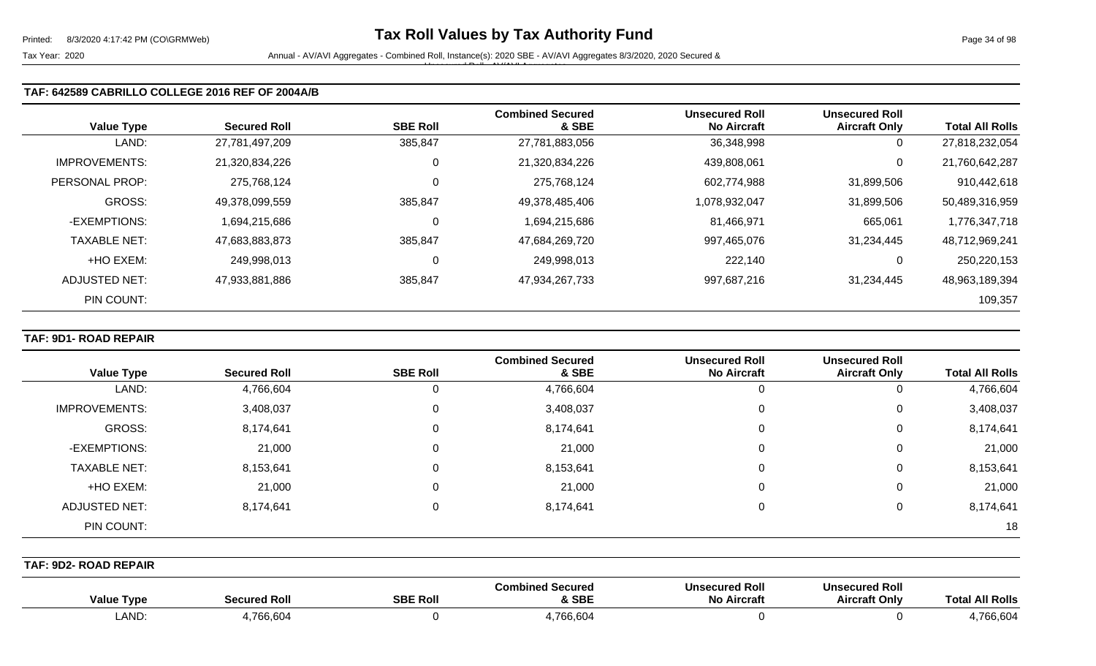### **TAF: 642589 CABRILLO COLLEGE 2016 REF OF 2004A/B**

| <b>Value Type</b>    | <b>Secured Roll</b> | <b>SBE Roll</b> | <b>Combined Secured</b><br>& SBE | Unsecured Roll<br>No Aircraft | <b>Unsecured Roll</b><br><b>Aircraft Only</b> | <b>Total All Rolls</b> |
|----------------------|---------------------|-----------------|----------------------------------|-------------------------------|-----------------------------------------------|------------------------|
| LAND:                | 27,781,497,209      | 385,847         | 27,781,883,056                   | 36,348,998                    | 0                                             | 27,818,232,054         |
| <b>IMPROVEMENTS:</b> | 21,320,834,226      | 0               | 21,320,834,226                   | 439,808,061                   | 0                                             | 21,760,642,287         |
| PERSONAL PROP:       | 275,768,124         | $\mathbf 0$     | 275,768,124                      | 602,774,988                   | 31,899,506                                    | 910,442,618            |
| <b>GROSS:</b>        | 49,378,099,559      | 385,847         | 49,378,485,406                   | 1,078,932,047                 | 31,899,506                                    | 50,489,316,959         |
| -EXEMPTIONS:         | 1,694,215,686       | 0               | 1,694,215,686                    | 81,466,971                    | 665,061                                       | 1,776,347,718          |
| <b>TAXABLE NET:</b>  | 47,683,883,873      | 385,847         | 47,684,269,720                   | 997,465,076                   | 31,234,445                                    | 48,712,969,241         |
| +HO EXEM:            | 249.998.013         | 0               | 249,998,013                      | 222.140                       | 0                                             | 250,220,153            |
| ADJUSTED NET:        | 47,933,881,886      | 385,847         | 47,934,267,733                   | 997,687,216                   | 31,234,445                                    | 48,963,189,394         |
| PIN COUNT:           |                     |                 |                                  |                               |                                               | 109,357                |

## **TAF: 9D1- ROAD REPAIR**

|                      |                     |                 | <b>Combined Secured</b> | <b>Unsecured Roll</b> | <b>Unsecured Roll</b> |                        |
|----------------------|---------------------|-----------------|-------------------------|-----------------------|-----------------------|------------------------|
| <b>Value Type</b>    | <b>Secured Roll</b> | <b>SBE Roll</b> | & SBE                   | <b>No Aircraft</b>    | <b>Aircraft Only</b>  | <b>Total All Rolls</b> |
| LAND:                | 4,766,604           | O               | 4,766,604               | 0                     |                       | 4,766,604              |
| <b>IMPROVEMENTS:</b> | 3,408,037           | 0               | 3,408,037               | 0                     | 0                     | 3,408,037              |
| GROSS:               | 8,174,641           | 0               | 8,174,641               | 0                     | 0                     | 8,174,641              |
| -EXEMPTIONS:         | 21,000              | 0               | 21,000                  | 0                     | 0                     | 21,000                 |
| <b>TAXABLE NET:</b>  | 8,153,641           | 0               | 8,153,641               | 0                     | 0                     | 8,153,641              |
| +HO EXEM:            | 21,000              | 0               | 21,000                  | 0                     | 0                     | 21,000                 |
| ADJUSTED NET:        | 8,174,641           | 0               | 8,174,641               | $\Omega$              | 0                     | 8,174,641              |
| PIN COUNT:           |                     |                 |                         |                       |                       | 18                     |

**TAF: 9D2- ROAD REPAIR** 

| <b>Value Type</b> | <b>Secured Roll</b> | <b>SBE Roll</b> | <b>Combined Secured</b><br>& SBE | <b>Unsecured Roll</b><br><b>No Aircraft</b> | <b>Unsecured Rol.</b><br>Aircraft Only | <b>Total All Rolls</b> |
|-------------------|---------------------|-----------------|----------------------------------|---------------------------------------------|----------------------------------------|------------------------|
| <b>LAND</b>       | ,766,604            |                 | 1,766,604                        |                                             |                                        | 766,604                |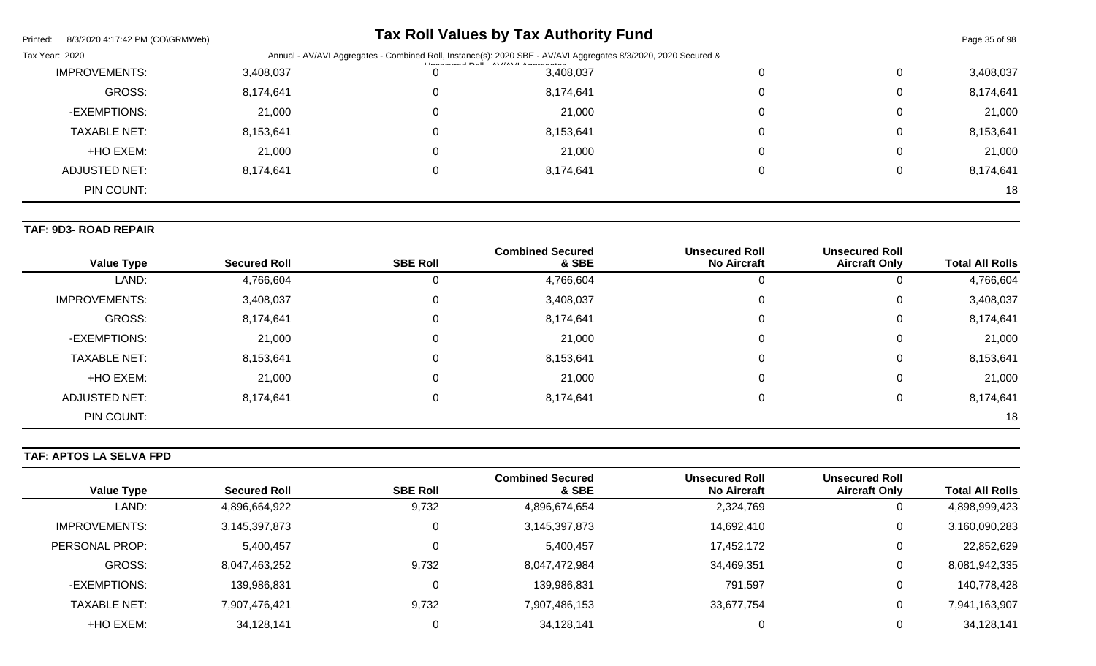| Printed:<br>8/3/2020 4:17:42 PM (CO\GRMWeb) |           |                                                                                                                           | <b>Tax Roll Values by Tax Authority Fund</b> |  |          | Page 35 of 98 |
|---------------------------------------------|-----------|---------------------------------------------------------------------------------------------------------------------------|----------------------------------------------|--|----------|---------------|
| Tax Year: 2020                              |           | Annual - AV/AVI Aggregates - Combined Roll, Instance(s): 2020 SBE - AV/AVI Aggregates 8/3/2020, 2020 Secured &<br>$L = 1$ |                                              |  |          |               |
| <b>IMPROVEMENTS:</b>                        | 3,408,037 | 0                                                                                                                         | 3,408,037                                    |  | 0        | 3,408,037     |
| GROSS:                                      | 8,174,641 | 0                                                                                                                         | 8,174,641                                    |  | 0        | 8,174,641     |
| -EXEMPTIONS:                                | 21,000    | 0                                                                                                                         | 21,000                                       |  | 0        | 21,000        |
| <b>TAXABLE NET:</b>                         | 8,153,641 | 0                                                                                                                         | 8,153,641                                    |  | $\Omega$ | 8,153,641     |
| +HO EXEM:                                   | 21,000    | 0                                                                                                                         | 21,000                                       |  | 0        | 21,000        |
| ADJUSTED NET:                               | 8,174,641 | 0                                                                                                                         | 8,174,641                                    |  | 0        | 8,174,641     |
| PIN COUNT:                                  |           |                                                                                                                           |                                              |  |          | 18            |

## **TAF: 9D3- ROAD REPAIR**

| <b>Value Type</b>    | <b>Secured Roll</b> | <b>SBE Roll</b> | <b>Combined Secured</b><br>& SBE | <b>Unsecured Roll</b><br><b>No Aircraft</b> | <b>Unsecured Roll</b><br><b>Aircraft Only</b> | <b>Total All Rolls</b> |
|----------------------|---------------------|-----------------|----------------------------------|---------------------------------------------|-----------------------------------------------|------------------------|
| LAND:                | 4,766,604           | U               | 4,766,604                        | 0                                           |                                               | 4,766,604              |
| <b>IMPROVEMENTS:</b> | 3,408,037           | 0               | 3,408,037                        | 0                                           | 0                                             | 3,408,037              |
|                      |                     |                 |                                  |                                             |                                               |                        |
| <b>GROSS:</b>        | 8,174,641           | 0               | 8,174,641                        | 0                                           | 0                                             | 8,174,641              |
| -EXEMPTIONS:         | 21,000              | 0               | 21,000                           | 0                                           | 0                                             | 21,000                 |
| <b>TAXABLE NET:</b>  | 8,153,641           | 0               | 8,153,641                        | 0                                           | 0                                             | 8,153,641              |
| +HO EXEM:            | 21,000              | 0               | 21,000                           | 0                                           | 0                                             | 21,000                 |
| <b>ADJUSTED NET:</b> | 8,174,641           | 0               | 8,174,641                        | 0                                           | 0                                             | 8,174,641              |
| PIN COUNT:           |                     |                 |                                  |                                             |                                               | 18                     |

# **TAF: APTOS LA SELVA FPD**

| <b>Value Type</b>   | <b>Secured Roll</b> | <b>SBE Roll</b> | <b>Combined Secured</b><br>& SBE | <b>Unsecured Roll</b><br><b>No Aircraft</b> | <b>Unsecured Roll</b><br><b>Aircraft Only</b> | <b>Total All Rolls</b> |
|---------------------|---------------------|-----------------|----------------------------------|---------------------------------------------|-----------------------------------------------|------------------------|
|                     |                     |                 |                                  |                                             |                                               |                        |
| LAND:               | 4,896,664,922       | 9,732           | 4,896,674,654                    | 2,324,769                                   | U                                             | 4,898,999,423          |
| IMPROVEMENTS:       | 3,145,397,873       |                 | 3,145,397,873                    | 14,692,410                                  | 0                                             | 3,160,090,283          |
| PERSONAL PROP:      | 5,400,457           |                 | 5,400,457                        | 17,452,172                                  | 0                                             | 22,852,629             |
| GROSS:              | 8,047,463,252       | 9,732           | 8,047,472,984                    | 34,469,351                                  | 0                                             | 8,081,942,335          |
| -EXEMPTIONS:        | 139,986,831         |                 | 139,986,831                      | 791,597                                     | 0                                             | 140,778,428            |
| <b>TAXABLE NET:</b> | 7,907,476,421       | 9,732           | 7,907,486,153                    | 33,677,754                                  | 0                                             | 7,941,163,907          |
| +HO EXEM:           | 34,128,141          |                 | 34,128,141                       |                                             | O                                             | 34,128,141             |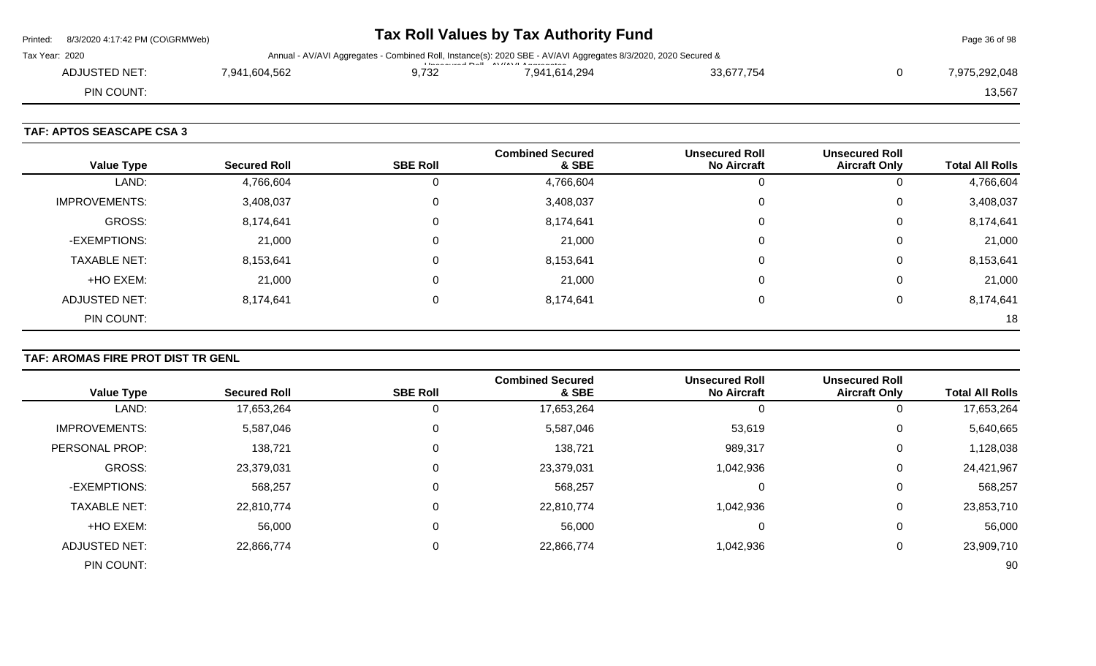|                | Printed: 8/3/2020 4:17:42 PM (CO\GRMWeb) |               |       | Tax Roll Values by Tax Authority Fund                                                                                          |            | Page 36 of 98 |
|----------------|------------------------------------------|---------------|-------|--------------------------------------------------------------------------------------------------------------------------------|------------|---------------|
| Tax Year: 2020 |                                          |               |       | Annual - AV/AVI Aggregates - Combined Roll, Instance(s): 2020 SBE - AV/AVI Aggregates 8/3/2020, 2020 Secured &<br>$\mathbf{L}$ |            |               |
|                | ADJUSTED NET:                            | 7.941.604.562 | 9.732 | 7.941.614.294                                                                                                                  | 33.677.754 | 7.975.292.048 |
|                | PIN COUNT:                               |               |       |                                                                                                                                |            | 13,567        |
|                |                                          |               |       |                                                                                                                                |            |               |

## **TAF: APTOS SEASCAPE CSA 3**

| <b>Value Type</b>    | <b>Secured Roll</b> | <b>SBE Roll</b> | <b>Combined Secured</b><br>& SBE | <b>Unsecured Roll</b><br><b>No Aircraft</b> | <b>Unsecured Roll</b><br><b>Aircraft Only</b> | <b>Total All Rolls</b> |
|----------------------|---------------------|-----------------|----------------------------------|---------------------------------------------|-----------------------------------------------|------------------------|
| LAND:                | 4,766,604           | 0               | 4,766,604                        | υ                                           | 0                                             | 4,766,604              |
| <b>IMPROVEMENTS:</b> | 3,408,037           | $\mathbf 0$     | 3,408,037                        | 0                                           | 0                                             | 3,408,037              |
| GROSS:               | 8,174,641           | 0               | 8,174,641                        | 0                                           | 0                                             | 8,174,641              |
| -EXEMPTIONS:         | 21,000              | 0               | 21,000                           | 0                                           | 0                                             | 21,000                 |
| <b>TAXABLE NET:</b>  | 8,153,641           | 0               | 8,153,641                        | 0                                           | 0                                             | 8,153,641              |
| +HO EXEM:            | 21,000              | 0               | 21,000                           | 0                                           | 0                                             | 21,000                 |
| ADJUSTED NET:        | 8,174,641           | $\Omega$        | 8,174,641                        | 0                                           | 0                                             | 8,174,641              |
| PIN COUNT:           |                     |                 |                                  |                                             |                                               | 18                     |

# **TAF: AROMAS FIRE PROT DIST TR GENL**

|                      |                     |                 | <b>Combined Secured</b> | <b>Unsecured Roll</b> | <b>Unsecured Roll</b> |                        |
|----------------------|---------------------|-----------------|-------------------------|-----------------------|-----------------------|------------------------|
| <b>Value Type</b>    | <b>Secured Roll</b> | <b>SBE Roll</b> | & SBE                   | <b>No Aircraft</b>    | <b>Aircraft Only</b>  | <b>Total All Rolls</b> |
| LAND:                | 17,653,264          |                 | 17,653,264              |                       | υ                     | 17,653,264             |
| <b>IMPROVEMENTS:</b> | 5,587,046           |                 | 5,587,046               | 53,619                | 0                     | 5,640,665              |
| PERSONAL PROP:       | 138,721             | $\Omega$        | 138,721                 | 989,317               | 0                     | 1,128,038              |
| GROSS:               | 23,379,031          |                 | 23,379,031              | 1,042,936             | 0                     | 24,421,967             |
| -EXEMPTIONS:         | 568,257             |                 | 568,257                 | 0                     | 0                     | 568,257                |
| <b>TAXABLE NET:</b>  | 22,810,774          |                 | 22,810,774              | 1,042,936             | 0                     | 23,853,710             |
| +HO EXEM:            | 56,000              | $\Omega$        | 56,000                  | 0                     | 0                     | 56,000                 |
| <b>ADJUSTED NET:</b> | 22,866,774          |                 | 22,866,774              | 1,042,936             | 0                     | 23,909,710             |
| PIN COUNT:           |                     |                 |                         |                       |                       | 90                     |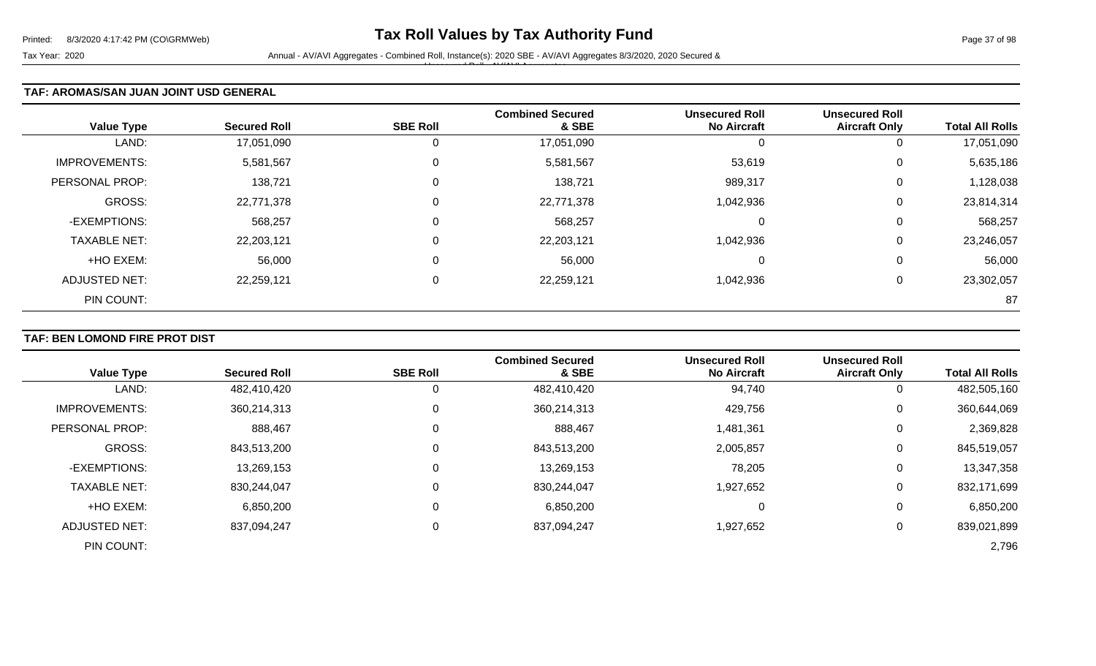#### **TAF: AROMAS/SAN JUAN JOINT USD GENERAL**

| <b>Value Type</b>    | <b>Secured Roll</b> | <b>SBE Roll</b> | <b>Combined Secured</b><br>& SBE | <b>Unsecured Roll</b><br><b>No Aircraft</b> | <b>Unsecured Roll</b><br><b>Aircraft Only</b> | <b>Total All Rolls</b> |
|----------------------|---------------------|-----------------|----------------------------------|---------------------------------------------|-----------------------------------------------|------------------------|
| LAND:                | 17,051,090          | $\mathbf{0}$    | 17,051,090                       | U                                           | 0                                             | 17,051,090             |
| <b>IMPROVEMENTS:</b> | 5,581,567           | 0               | 5,581,567                        | 53,619                                      | 0                                             | 5,635,186              |
| PERSONAL PROP:       | 138,721             | $\mathbf 0$     | 138,721                          | 989,317                                     | 0                                             | 1,128,038              |
| <b>GROSS:</b>        | 22,771,378          | $\mathbf 0$     | 22,771,378                       | 1,042,936                                   | 0                                             | 23,814,314             |
| -EXEMPTIONS:         | 568,257             | 0               | 568,257                          | $\Omega$                                    | 0                                             | 568,257                |
| <b>TAXABLE NET:</b>  | 22,203,121          | $\mathbf 0$     | 22,203,121                       | 1,042,936                                   | 0                                             | 23,246,057             |
| +HO EXEM:            | 56,000              | $\mathbf 0$     | 56,000                           | 0                                           | 0                                             | 56,000                 |
| <b>ADJUSTED NET:</b> | 22,259,121          | 0               | 22,259,121                       | 1,042,936                                   | 0                                             | 23,302,057             |
| PIN COUNT:           |                     |                 |                                  |                                             |                                               | 87                     |

#### **TAF: BEN LOMOND FIRE PROT DIST**

| <b>Value Type</b>    | <b>Secured Roll</b> | <b>SBE Roll</b> | <b>Combined Secured</b><br>& SBE | <b>Unsecured Roll</b><br><b>No Aircraft</b> | <b>Unsecured Roll</b><br><b>Aircraft Only</b> | <b>Total All Rolls</b> |
|----------------------|---------------------|-----------------|----------------------------------|---------------------------------------------|-----------------------------------------------|------------------------|
| LAND:                | 482,410,420         | 0               | 482,410,420                      | 94,740                                      | $\overline{0}$                                | 482,505,160            |
| <b>IMPROVEMENTS:</b> | 360,214,313         |                 | 360,214,313                      | 429,756                                     | 0                                             | 360,644,069            |
| PERSONAL PROP:       | 888,467             |                 | 888,467                          | 1,481,361                                   | 0                                             | 2,369,828              |
| <b>GROSS:</b>        | 843,513,200         |                 | 843,513,200                      | 2,005,857                                   | $\mathbf 0$                                   | 845,519,057            |
| -EXEMPTIONS:         | 13,269,153          |                 | 13,269,153                       | 78,205                                      | 0                                             | 13,347,358             |
| <b>TAXABLE NET:</b>  | 830,244,047         | 0               | 830,244,047                      | 1,927,652                                   | 0                                             | 832,171,699            |
| +HO EXEM:            | 6,850,200           |                 | 6,850,200                        | 0                                           | 0                                             | 6,850,200              |
| <b>ADJUSTED NET:</b> | 837,094,247         |                 | 837,094,247                      | 1,927,652                                   | 0                                             | 839,021,899            |
| PIN COUNT:           |                     |                 |                                  |                                             |                                               | 2,796                  |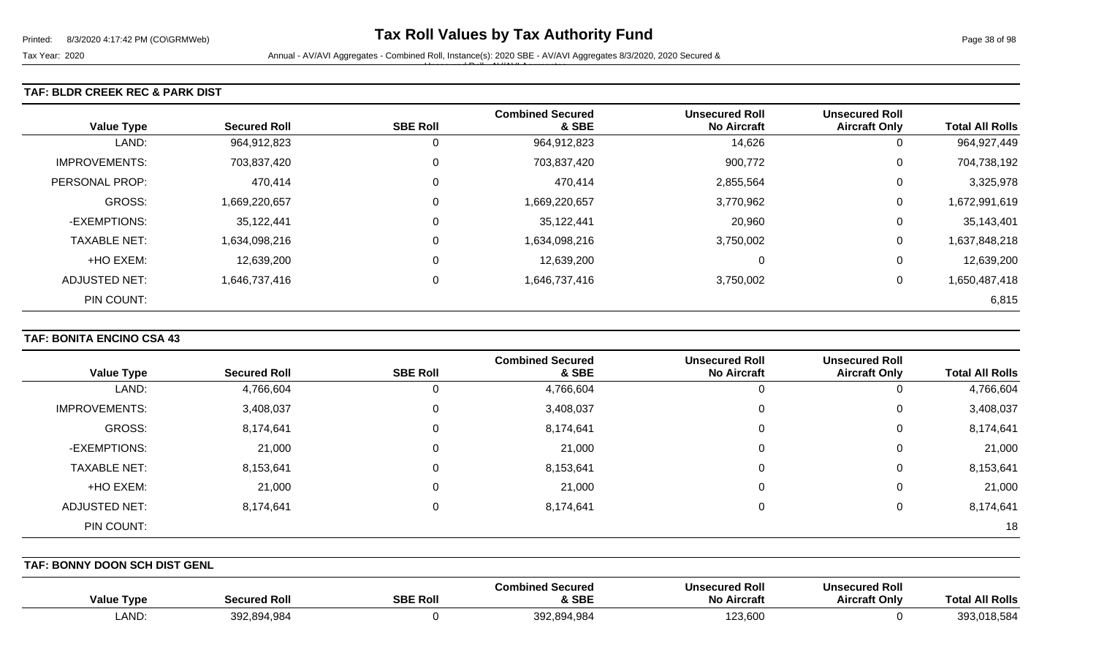#### **TAF: BLDR CREEK REC & PARK DIST**

| <b>Value Type</b>    | <b>Secured Roll</b> | <b>SBE Roll</b> | <b>Combined Secured</b><br>& SBE | <b>Unsecured Roll</b><br><b>No Aircraft</b> | <b>Unsecured Roll</b><br><b>Aircraft Only</b> | <b>Total All Rolls</b> |
|----------------------|---------------------|-----------------|----------------------------------|---------------------------------------------|-----------------------------------------------|------------------------|
| LAND:                | 964,912,823         | 0               | 964,912,823                      | 14,626                                      | 0                                             | 964, 927, 449          |
| <b>IMPROVEMENTS:</b> | 703,837,420         | 0               | 703,837,420                      | 900,772                                     | 0                                             | 704,738,192            |
| PERSONAL PROP:       | 470,414             | 0               | 470,414                          | 2,855,564                                   | 0                                             | 3,325,978              |
| <b>GROSS:</b>        | 1,669,220,657       | 0               | 1,669,220,657                    | 3,770,962                                   | 0                                             | 1,672,991,619          |
| -EXEMPTIONS:         | 35,122,441          | 0               | 35,122,441                       | 20,960                                      | 0                                             | 35,143,401             |
| <b>TAXABLE NET:</b>  | 1,634,098,216       | 0               | 1,634,098,216                    | 3,750,002                                   | 0                                             | 1,637,848,218          |
| +HO EXEM:            | 12,639,200          | 0               | 12,639,200                       | $\Omega$                                    | 0                                             | 12,639,200             |
| ADJUSTED NET:        | 1,646,737,416       | 0               | 1,646,737,416                    | 3,750,002                                   | 0                                             | 1,650,487,418          |
| PIN COUNT:           |                     |                 |                                  |                                             |                                               | 6,815                  |

#### **TAF: BONITA ENCINO CSA 43**

|                      |                     |                 | <b>Combined Secured</b> | <b>Unsecured Roll</b> | <b>Unsecured Roll</b> |                        |
|----------------------|---------------------|-----------------|-------------------------|-----------------------|-----------------------|------------------------|
| <b>Value Type</b>    | <b>Secured Roll</b> | <b>SBE Roll</b> | & SBE                   | <b>No Aircraft</b>    | <b>Aircraft Only</b>  | <b>Total All Rolls</b> |
| LAND:                | 4,766,604           |                 | 4,766,604               | U                     | 0                     | 4,766,604              |
| <b>IMPROVEMENTS:</b> | 3,408,037           | 0               | 3,408,037               | 0                     | 0                     | 3,408,037              |
| GROSS:               | 8,174,641           | 0               | 8,174,641               | $\Omega$              | 0                     | 8,174,641              |
| -EXEMPTIONS:         | 21,000              | 0               | 21,000                  | 0                     | 0                     | 21,000                 |
| <b>TAXABLE NET:</b>  | 8,153,641           | 0               | 8,153,641               | 0                     | 0                     | 8,153,641              |
| +HO EXEM:            | 21,000              | $\Omega$        | 21,000                  | $\Omega$              | 0                     | 21,000                 |
| ADJUSTED NET:        | 8,174,641           | $\Omega$        | 8,174,641               | $\Omega$              | 0                     | 8,174,641              |
| PIN COUNT:           |                     |                 |                         |                       |                       | 18                     |

**TAF: BONNY DOON SCH DIST GENL** 

| <b>Value Type</b> | Secured Roll | <b>SBE Roll</b> | Combined Secured<br>& SBE | <b>Unsecured Roll</b><br><b>No Aircraft</b> | <b>Unsecured Roll</b><br><b>Aircraft Only</b> | <b>\II Rolls</b><br>Гоtа |
|-------------------|--------------|-----------------|---------------------------|---------------------------------------------|-----------------------------------------------|--------------------------|
| LAND:             | 392,894,984  |                 | 392,894,984               | 123,600                                     |                                               | 393.<br>10,00            |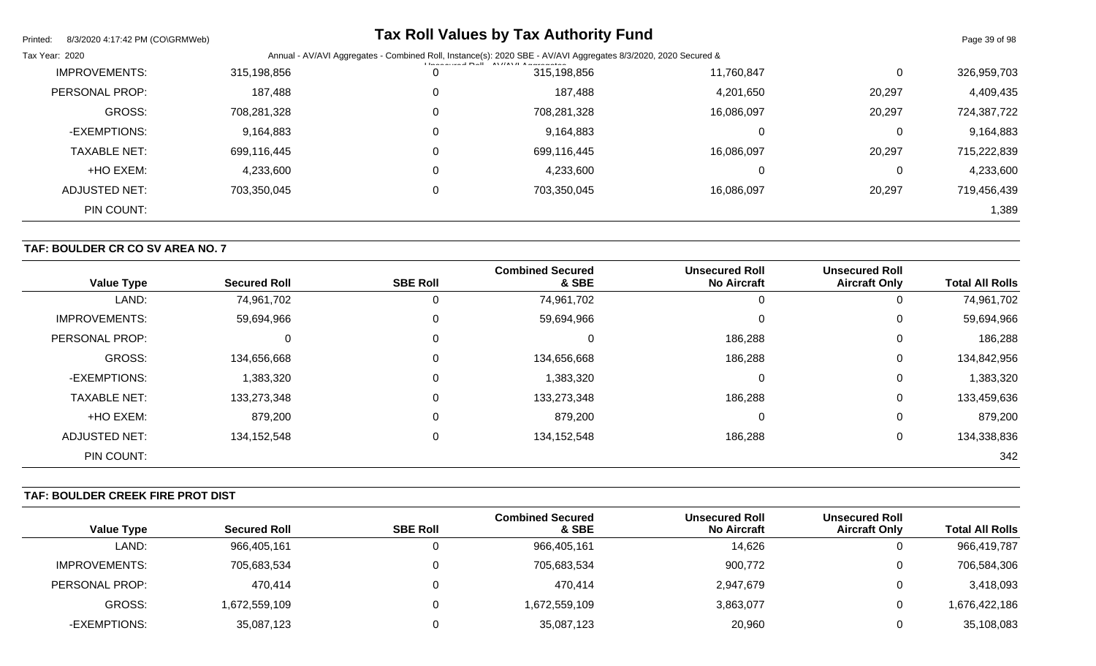| Printed:<br>8/3/2020 4:17:42 PM (CO\GRMWeb) |             | <b>Tax Roll Values by Tax Authority Fund</b>                                                                       |            |             | Page 39 of 98 |
|---------------------------------------------|-------------|--------------------------------------------------------------------------------------------------------------------|------------|-------------|---------------|
| Tax Year: 2020                              | Annual      | - AV/AVI Aggregates - Combined Roll, Instance(s): 2020 SBE - AV/AVI Aggregates 8/3/2020, 2020 Secured &<br>$L = 2$ |            |             |               |
| <b>IMPROVEMENTS:</b>                        | 315,198,856 | 315,198,856                                                                                                        | 11,760,847 | $\mathbf 0$ | 326,959,703   |
| PERSONAL PROP:                              | 187,488     | 187,488                                                                                                            | 4,201,650  | 20,297      | 4,409,435     |
| <b>GROSS:</b>                               | 708,281,328 | 708,281,328                                                                                                        | 16,086,097 | 20,297      | 724,387,722   |
| -EXEMPTIONS:                                | 9,164,883   | 9,164,883                                                                                                          | 0          | 0           | 9,164,883     |
| <b>TAXABLE NET:</b>                         | 699,116,445 | 699,116,445                                                                                                        | 16,086,097 | 20,297      | 715,222,839   |
| +HO EXEM:                                   | 4,233,600   | 4,233,600                                                                                                          | 0          | 0           | 4,233,600     |
| <b>ADJUSTED NET:</b>                        | 703,350,045 | 703,350,045                                                                                                        | 16,086,097 | 20,297      | 719,456,439   |
| PIN COUNT:                                  |             |                                                                                                                    |            |             | 1,389         |

# **TAF: BOULDER CR CO SV AREA NO. 7**

| <b>Value Type</b>    | <b>Secured Roll</b> | <b>SBE Roll</b> | <b>Combined Secured</b><br>& SBE | <b>Unsecured Roll</b><br><b>No Aircraft</b> | <b>Unsecured Roll</b><br><b>Aircraft Only</b> | <b>Total All Rolls</b> |
|----------------------|---------------------|-----------------|----------------------------------|---------------------------------------------|-----------------------------------------------|------------------------|
| LAND:                | 74,961,702          | 0               | 74,961,702                       | U                                           | 0                                             | 74,961,702             |
| <b>IMPROVEMENTS:</b> | 59,694,966          | 0               | 59,694,966                       | $\Omega$                                    | 0                                             | 59,694,966             |
| PERSONAL PROP:       | $\Omega$            | 0               |                                  | 186,288                                     | 0                                             | 186,288                |
| <b>GROSS:</b>        | 134,656,668         | 0               | 134,656,668                      | 186,288                                     | 0                                             | 134,842,956            |
| -EXEMPTIONS:         | 1,383,320           | 0               | 1,383,320                        | $\Omega$                                    | 0                                             | 1,383,320              |
| <b>TAXABLE NET:</b>  | 133,273,348         | 0               | 133,273,348                      | 186,288                                     | 0                                             | 133,459,636            |
| +HO EXEM:            | 879,200             | 0               | 879,200                          | $\Omega$                                    | 0                                             | 879,200                |
| <b>ADJUSTED NET:</b> | 134, 152, 548       | 0               | 134, 152, 548                    | 186,288                                     | 0                                             | 134,338,836            |
| PIN COUNT:           |                     |                 |                                  |                                             |                                               | 342                    |

# **TAF: BOULDER CREEK FIRE PROT DIST**

|                   |                     |                 | <b>Combined Secured</b> | <b>Unsecured Roll</b> | <b>Unsecured Roll</b> |                        |
|-------------------|---------------------|-----------------|-------------------------|-----------------------|-----------------------|------------------------|
| <b>Value Type</b> | <b>Secured Roll</b> | <b>SBE Roll</b> | & SBE                   | <b>No Aircraft</b>    | <b>Aircraft Only</b>  | <b>Total All Rolls</b> |
| LAND:             | 966,405,161         |                 | 966,405,161             | 14,626                | υ                     | 966,419,787            |
| IMPROVEMENTS:     | 705,683,534         |                 | 705,683,534             | 900,772               | 0                     | 706,584,306            |
| PERSONAL PROP:    | 470,414             |                 | 470,414                 | 2,947,679             | 0                     | 3,418,093              |
| GROSS:            | 1,672,559,109       |                 | 1,672,559,109           | 3,863,077             | 0                     | 1,676,422,186          |
| -EXEMPTIONS:      | 35,087,123          |                 | 35,087,123              | 20,960                | 0                     | 35,108,083             |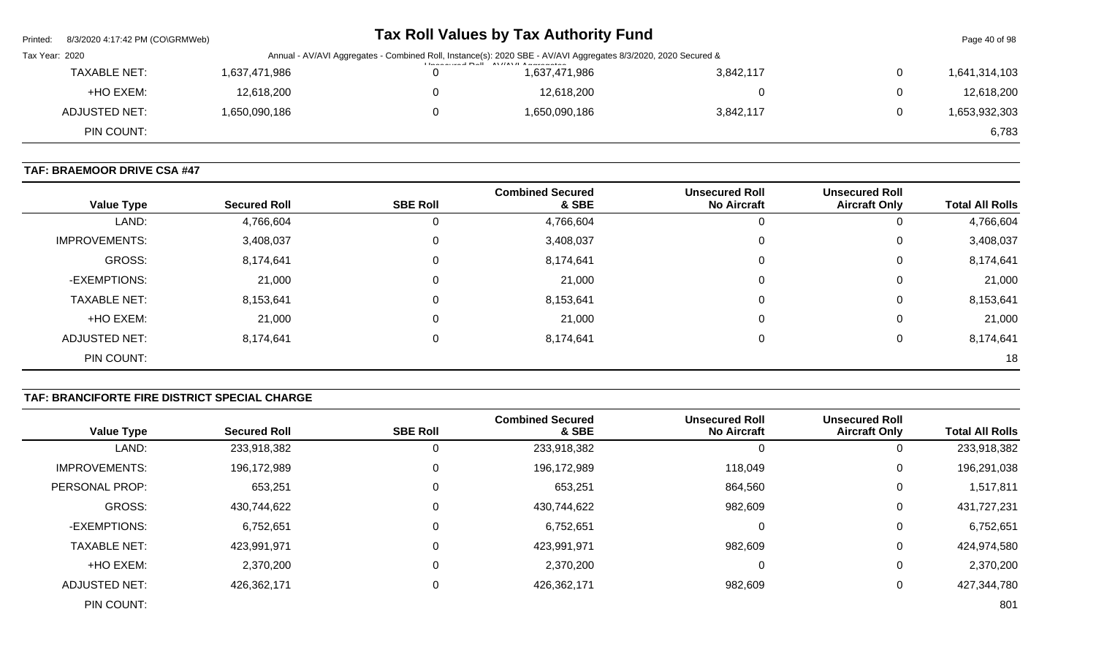| Printed:       | 8/3/2020  4:17:42 PM (CO\GRMWeb) |               | Tax Roll Values by Tax Authority Fund                                                                                                                               |               |           |                | Page 40 of 98 |
|----------------|----------------------------------|---------------|---------------------------------------------------------------------------------------------------------------------------------------------------------------------|---------------|-----------|----------------|---------------|
| Tax Year: 2020 |                                  |               | Annual - AV/AVI Aggregates - Combined Roll, Instance(s): 2020 SBE - AV/AVI Aggregates 8/3/2020, 2020 Secured &<br><b>I lease control Dall AVIIAVII Among patent</b> |               |           |                |               |
|                | <b>TAXABLE NET:</b>              | 1,637,471,986 |                                                                                                                                                                     | 1,637,471,986 | 3,842,117 | $\overline{0}$ | 1,641,314,103 |
|                | +HO EXEM:                        | 12,618,200    |                                                                                                                                                                     | 12,618,200    |           | $\Omega$       | 12,618,200    |
|                | ADJUSTED NET:                    | 1,650,090,186 |                                                                                                                                                                     | 1,650,090,186 | 3,842,117 | $\mathbf{0}$   | 1,653,932,303 |
|                | PIN COUNT:                       |               |                                                                                                                                                                     |               |           |                | 6,783         |

# **TAF: BRAEMOOR DRIVE CSA #47**

| <b>Value Type</b>    | <b>Secured Roll</b> | <b>SBE Roll</b> | <b>Combined Secured</b><br>& SBE | <b>Unsecured Roll</b><br><b>No Aircraft</b> | <b>Unsecured Roll</b><br><b>Aircraft Only</b> | <b>Total All Rolls</b> |
|----------------------|---------------------|-----------------|----------------------------------|---------------------------------------------|-----------------------------------------------|------------------------|
| LAND:                | 4,766,604           | 0               | 4,766,604                        |                                             |                                               | 4,766,604              |
| <b>IMPROVEMENTS:</b> | 3,408,037           | 0               | 3,408,037                        |                                             | 0                                             | 3,408,037              |
| GROSS:               | 8,174,641           | 0               | 8,174,641                        |                                             | 0                                             | 8,174,641              |
| -EXEMPTIONS:         | 21,000              | 0               | 21,000                           |                                             | 0                                             | 21,000                 |
| <b>TAXABLE NET:</b>  | 8,153,641           | $\mathbf 0$     | 8,153,641                        |                                             | 0                                             | 8,153,641              |
| +HO EXEM:            | 21,000              | 0               | 21,000                           |                                             | 0                                             | 21,000                 |
| ADJUSTED NET:        | 8,174,641           | 0               | 8,174,641                        |                                             | 0                                             | 8,174,641              |
| PIN COUNT:           |                     |                 |                                  |                                             |                                               | 18                     |

# **TAF: BRANCIFORTE FIRE DISTRICT SPECIAL CHARGE**

|                      |                     |                 | <b>Combined Secured</b> | <b>Unsecured Roll</b> | <b>Unsecured Roll</b> |                        |
|----------------------|---------------------|-----------------|-------------------------|-----------------------|-----------------------|------------------------|
| <b>Value Type</b>    | <b>Secured Roll</b> | <b>SBE Roll</b> | & SBE                   | <b>No Aircraft</b>    | <b>Aircraft Only</b>  | <b>Total All Rolls</b> |
| LAND:                | 233,918,382         |                 | 233,918,382             |                       | 0                     | 233,918,382            |
| <b>IMPROVEMENTS:</b> | 196,172,989         |                 | 196,172,989             | 118,049               | 0                     | 196,291,038            |
| PERSONAL PROP:       | 653,251             |                 | 653,251                 | 864,560               | 0                     | 1,517,811              |
| <b>GROSS:</b>        | 430,744,622         |                 | 430,744,622             | 982,609               | 0                     | 431,727,231            |
| -EXEMPTIONS:         | 6,752,651           |                 | 6,752,651               | $\Omega$              | 0                     | 6,752,651              |
| <b>TAXABLE NET:</b>  | 423,991,971         |                 | 423,991,971             | 982,609               | 0                     | 424,974,580            |
| +HO EXEM:            | 2,370,200           |                 | 2,370,200               | $\Omega$              | 0                     | 2,370,200              |
| <b>ADJUSTED NET:</b> | 426,362,171         |                 | 426,362,171             | 982,609               | 0                     | 427,344,780            |
| PIN COUNT:           |                     |                 |                         |                       |                       | 801                    |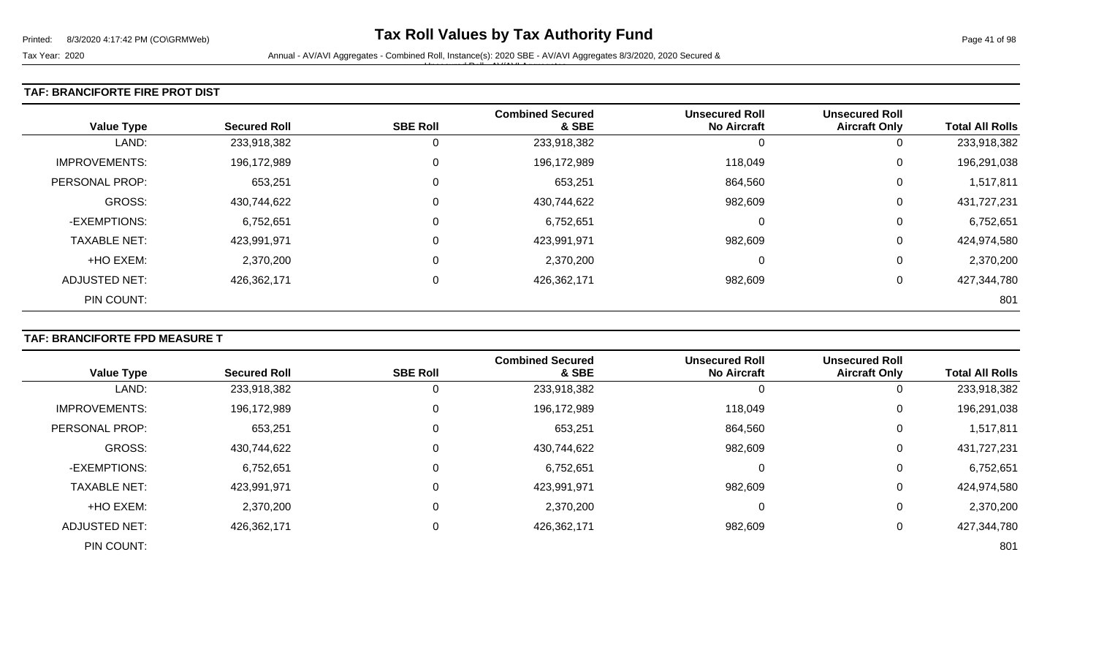#### **TAF: BRANCIFORTE FIRE PROT DIST**

| <b>Value Type</b>    | <b>Secured Roll</b> | <b>SBE Roll</b> | <b>Combined Secured</b><br>& SBE | <b>Unsecured Roll</b><br><b>No Aircraft</b> | <b>Unsecured Roll</b><br><b>Aircraft Only</b> | <b>Total All Rolls</b> |
|----------------------|---------------------|-----------------|----------------------------------|---------------------------------------------|-----------------------------------------------|------------------------|
| LAND:                | 233,918,382         | 0               | 233,918,382                      |                                             | 0                                             | 233,918,382            |
| <b>IMPROVEMENTS:</b> | 196,172,989         | $\mathbf 0$     | 196,172,989                      | 118,049                                     | 0                                             | 196,291,038            |
| PERSONAL PROP:       | 653,251             | 0               | 653,251                          | 864,560                                     | 0                                             | 1,517,811              |
| GROSS:               | 430,744,622         | 0               | 430,744,622                      | 982,609                                     | 0                                             | 431,727,231            |
| -EXEMPTIONS:         | 6,752,651           | 0               | 6,752,651                        | 0                                           | 0                                             | 6,752,651              |
| <b>TAXABLE NET:</b>  | 423,991,971         | $\mathbf 0$     | 423,991,971                      | 982,609                                     | 0                                             | 424,974,580            |
| +HO EXEM:            | 2,370,200           | 0               | 2,370,200                        | 0                                           | 0                                             | 2,370,200              |
| ADJUSTED NET:        | 426,362,171         | $\mathbf 0$     | 426,362,171                      | 982,609                                     | 0                                             | 427,344,780            |
| PIN COUNT:           |                     |                 |                                  |                                             |                                               | 801                    |

## **TAF: BRANCIFORTE FPD MEASURE T**

|                       |                     |                 | <b>Combined Secured</b> | <b>Unsecured Roll</b> | <b>Unsecured Roll</b> |                        |
|-----------------------|---------------------|-----------------|-------------------------|-----------------------|-----------------------|------------------------|
| <b>Value Type</b>     | <b>Secured Roll</b> | <b>SBE Roll</b> | & SBE                   | <b>No Aircraft</b>    | <b>Aircraft Only</b>  | <b>Total All Rolls</b> |
| LAND:                 | 233,918,382         |                 | 233,918,382             | 0                     |                       | 233,918,382            |
| <b>IMPROVEMENTS:</b>  | 196,172,989         |                 | 196,172,989             | 118,049               | 0                     | 196,291,038            |
| <b>PERSONAL PROP:</b> | 653,251             |                 | 653,251                 | 864,560               | 0                     | 1,517,811              |
| <b>GROSS:</b>         | 430,744,622         |                 | 430,744,622             | 982,609               | 0                     | 431,727,231            |
| -EXEMPTIONS:          | 6,752,651           |                 | 6,752,651               | 0                     | 0                     | 6,752,651              |
| <b>TAXABLE NET:</b>   | 423,991,971         |                 | 423,991,971             | 982,609               | $\Omega$              | 424,974,580            |
| +HO EXEM:             | 2,370,200           |                 | 2,370,200               | 0                     | 0                     | 2,370,200              |
| <b>ADJUSTED NET:</b>  | 426,362,171         |                 | 426,362,171             | 982,609               |                       | 427,344,780            |
| PIN COUNT:            |                     |                 |                         |                       |                       | 801                    |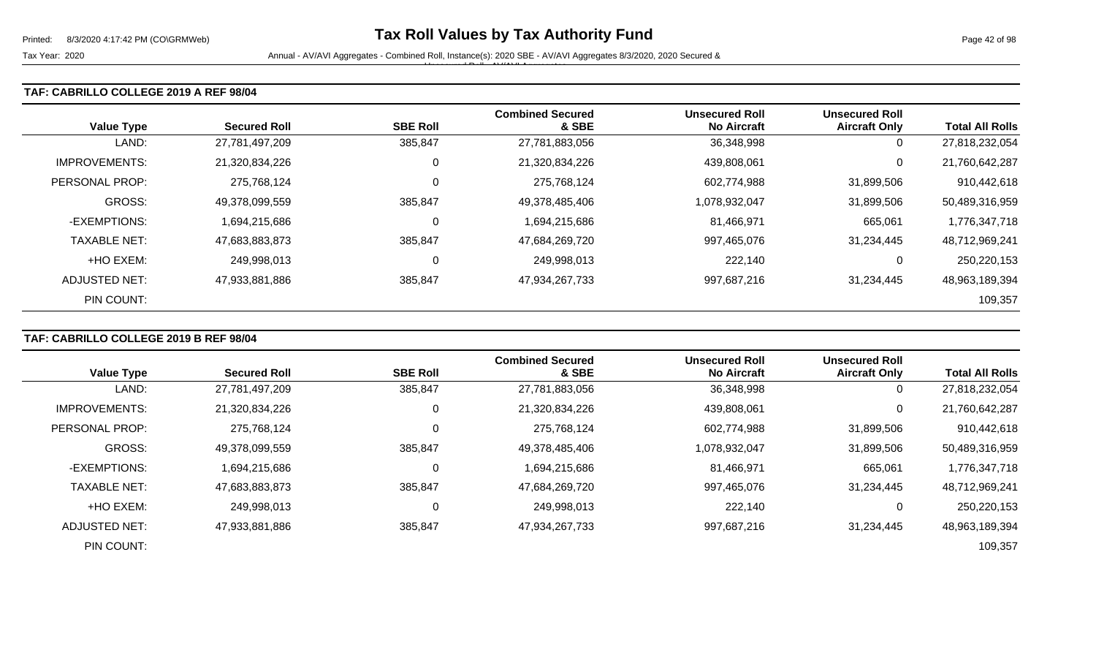#### **TAF: CABRILLO COLLEGE 2019 A REF 98/04**

| <b>Value Type</b>    | <b>Secured Roll</b> | <b>SBE Roll</b> | <b>Combined Secured</b><br>& SBE | <b>Unsecured Roll</b><br><b>No Aircraft</b> | <b>Unsecured Roll</b><br><b>Aircraft Only</b> | <b>Total All Rolls</b> |
|----------------------|---------------------|-----------------|----------------------------------|---------------------------------------------|-----------------------------------------------|------------------------|
| LAND:                | 27,781,497,209      | 385,847         | 27,781,883,056                   | 36,348,998                                  | 0                                             | 27,818,232,054         |
| <b>IMPROVEMENTS:</b> | 21,320,834,226      |                 | 21,320,834,226                   | 439.808.061                                 | 0                                             | 21,760,642,287         |
| PERSONAL PROP:       | 275,768,124         | 0               | 275,768,124                      | 602,774,988                                 | 31,899,506                                    | 910,442,618            |
| <b>GROSS:</b>        | 49,378,099,559      | 385,847         | 49,378,485,406                   | 1,078,932,047                               | 31,899,506                                    | 50,489,316,959         |
| -EXEMPTIONS:         | 1,694,215,686       | C               | 1,694,215,686                    | 81,466,971                                  | 665,061                                       | 1,776,347,718          |
| <b>TAXABLE NET:</b>  | 47,683,883,873      | 385,847         | 47,684,269,720                   | 997,465,076                                 | 31,234,445                                    | 48,712,969,241         |
| +HO EXEM:            | 249,998,013         | C               | 249,998,013                      | 222,140                                     | 0                                             | 250,220,153            |
| ADJUSTED NET:        | 47,933,881,886      | 385,847         | 47,934,267,733                   | 997,687,216                                 | 31,234,445                                    | 48,963,189,394         |
| PIN COUNT:           |                     |                 |                                  |                                             |                                               | 109,357                |

#### **TAF: CABRILLO COLLEGE 2019 B REF 98/04**

|                      |                     |                 | <b>Combined Secured</b> | <b>Unsecured Roll</b> | <b>Unsecured Roll</b> |                        |
|----------------------|---------------------|-----------------|-------------------------|-----------------------|-----------------------|------------------------|
| <b>Value Type</b>    | <b>Secured Roll</b> | <b>SBE Roll</b> | & SBE                   | <b>No Aircraft</b>    | <b>Aircraft Only</b>  | <b>Total All Rolls</b> |
| LAND:                | 27,781,497,209      | 385,847         | 27,781,883,056          | 36,348,998            | 0                     | 27,818,232,054         |
| <b>IMPROVEMENTS:</b> | 21,320,834,226      | 0               | 21,320,834,226          | 439,808,061           | 0                     | 21,760,642,287         |
| PERSONAL PROP:       | 275,768,124         | 0               | 275,768,124             | 602,774,988           | 31,899,506            | 910,442,618            |
| <b>GROSS:</b>        | 49,378,099,559      | 385,847         | 49,378,485,406          | 1,078,932,047         | 31,899,506            | 50,489,316,959         |
| -EXEMPTIONS:         | 1,694,215,686       | 0               | 1,694,215,686           | 81,466,971            | 665,061               | 1,776,347,718          |
| <b>TAXABLE NET:</b>  | 47,683,883,873      | 385,847         | 47,684,269,720          | 997,465,076           | 31,234,445            | 48,712,969,241         |
| +HO EXEM:            | 249,998,013         | 0               | 249,998,013             | 222,140               | 0                     | 250,220,153            |
| ADJUSTED NET:        | 47,933,881,886      | 385,847         | 47,934,267,733          | 997,687,216           | 31,234,445            | 48,963,189,394         |
| PIN COUNT:           |                     |                 |                         |                       |                       | 109,357                |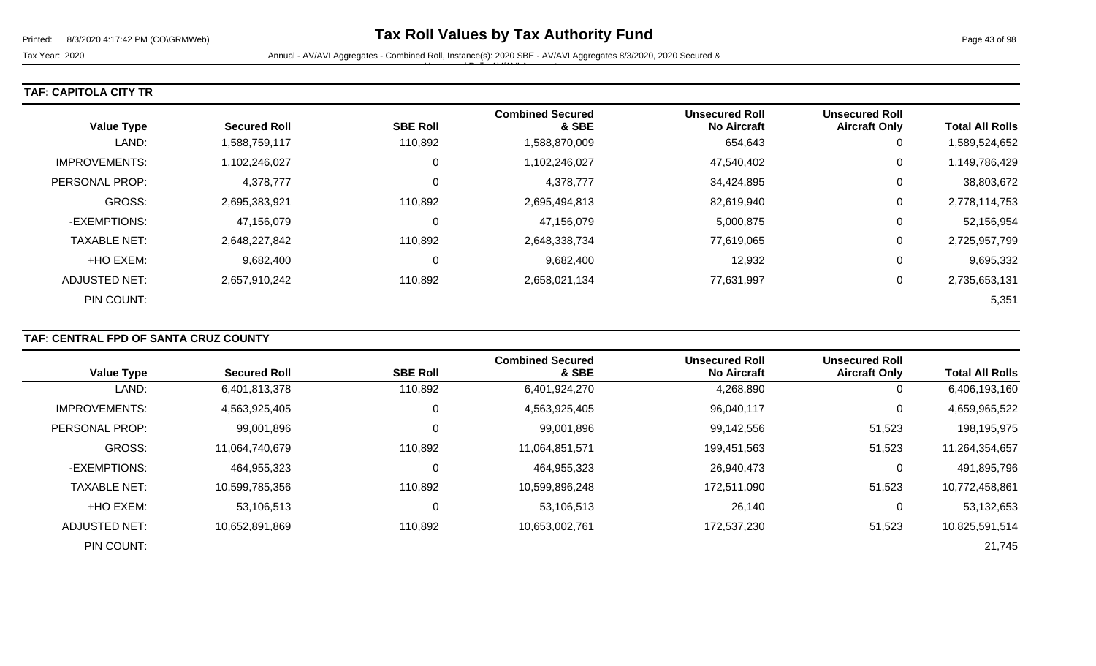Tax Year: 2020 **Annual - AV/AVI Aggregates - Combined Roll**, Instance(s): 2020 SBE - AV/AVI Aggregates 8/3/2020, 2020 Secured & Unsecured Roll - AV/AVI Aggregates

#### **TAF: CAPITOLA CITY TR**

| <b>Value Type</b>    | <b>Secured Roll</b> | <b>SBE Roll</b> | <b>Combined Secured</b><br>& SBE | <b>Unsecured Roll</b><br><b>No Aircraft</b> | <b>Unsecured Roll</b><br><b>Aircraft Only</b> | <b>Total All Rolls</b> |
|----------------------|---------------------|-----------------|----------------------------------|---------------------------------------------|-----------------------------------------------|------------------------|
| LAND:                | 1,588,759,117       | 110,892         | 1,588,870,009                    | 654,643                                     | 0                                             | 1,589,524,652          |
| <b>IMPROVEMENTS:</b> | 1,102,246,027       | 0               | 1,102,246,027                    | 47,540,402                                  | 0                                             | 1,149,786,429          |
| PERSONAL PROP:       | 4,378,777           | 0               | 4,378,777                        | 34,424,895                                  | 0                                             | 38,803,672             |
| <b>GROSS:</b>        | 2,695,383,921       | 110,892         | 2,695,494,813                    | 82,619,940                                  | 0                                             | 2,778,114,753          |
| -EXEMPTIONS:         | 47,156,079          | 0               | 47,156,079                       | 5,000,875                                   | 0                                             | 52,156,954             |
| <b>TAXABLE NET:</b>  | 2,648,227,842       | 110,892         | 2,648,338,734                    | 77,619,065                                  | 0                                             | 2,725,957,799          |
| +HO EXEM:            | 9,682,400           | 0               | 9,682,400                        | 12,932                                      | 0                                             | 9,695,332              |
| ADJUSTED NET:        | 2,657,910,242       | 110,892         | 2,658,021,134                    | 77,631,997                                  | 0                                             | 2,735,653,131          |
| PIN COUNT:           |                     |                 |                                  |                                             |                                               | 5,351                  |

# **TAF: CENTRAL FPD OF SANTA CRUZ COUNTY**

|                      |                     |                 | <b>Combined Secured</b> | <b>Unsecured Roll</b> | <b>Unsecured Roll</b> |                        |
|----------------------|---------------------|-----------------|-------------------------|-----------------------|-----------------------|------------------------|
| <b>Value Type</b>    | <b>Secured Roll</b> | <b>SBE Roll</b> | & SBE                   | <b>No Aircraft</b>    | <b>Aircraft Only</b>  | <b>Total All Rolls</b> |
| LAND:                | 6,401,813,378       | 110,892         | 6,401,924,270           | 4,268,890             | 0                     | 6,406,193,160          |
| <b>IMPROVEMENTS:</b> | 4,563,925,405       |                 | 4,563,925,405           | 96,040,117            | 0                     | 4,659,965,522          |
| PERSONAL PROP:       | 99,001,896          |                 | 99,001,896              | 99,142,556            | 51,523                | 198,195,975            |
| <b>GROSS:</b>        | 11,064,740,679      | 110,892         | 11,064,851,571          | 199,451,563           | 51,523                | 11,264,354,657         |
| -EXEMPTIONS:         | 464,955,323         |                 | 464,955,323             | 26,940,473            | 0                     | 491,895,796            |
| <b>TAXABLE NET:</b>  | 10,599,785,356      | 110,892         | 10,599,896,248          | 172,511,090           | 51,523                | 10,772,458,861         |
| +HO EXEM:            | 53,106,513          |                 | 53,106,513              | 26,140                | 0                     | 53,132,653             |
| ADJUSTED NET:        | 10,652,891,869      | 110,892         | 10,653,002,761          | 172,537,230           | 51,523                | 10,825,591,514         |
| PIN COUNT:           |                     |                 |                         |                       |                       | 21,745                 |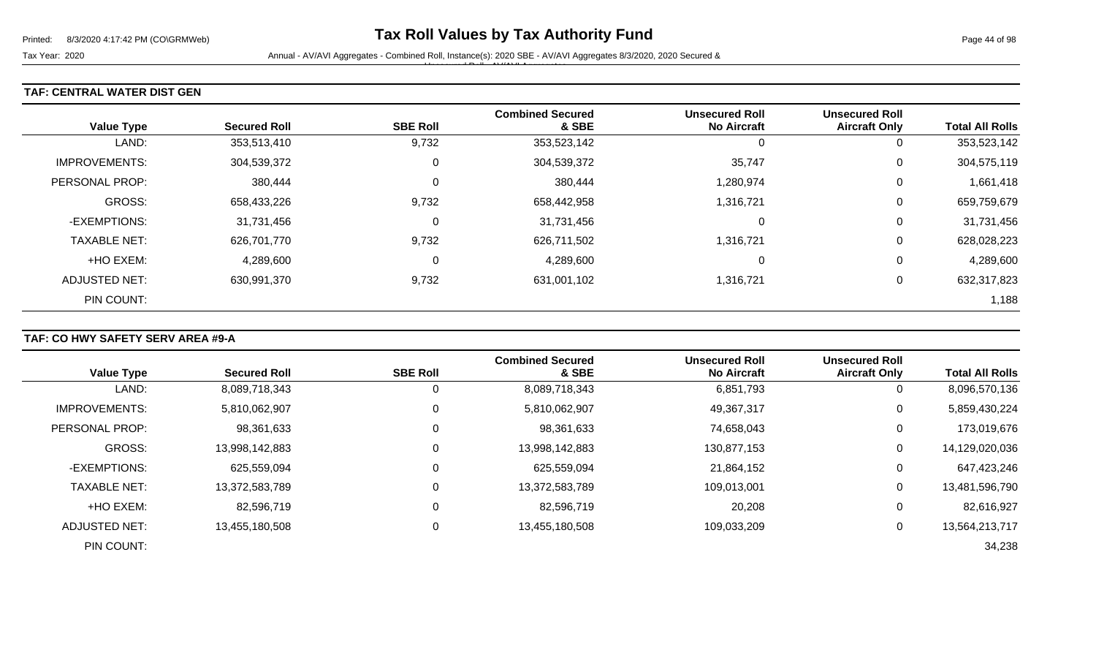#### **TAF: CENTRAL WATER DIST GEN**

| <b>Value Type</b>    | <b>Secured Roll</b> | <b>SBE Roll</b> | <b>Combined Secured</b><br>& SBE | <b>Unsecured Roll</b><br><b>No Aircraft</b> | <b>Unsecured Roll</b><br><b>Aircraft Only</b> | <b>Total All Rolls</b> |
|----------------------|---------------------|-----------------|----------------------------------|---------------------------------------------|-----------------------------------------------|------------------------|
| LAND:                | 353,513,410         | 9,732           | 353,523,142                      | 0                                           | 0                                             | 353,523,142            |
| <b>IMPROVEMENTS:</b> | 304,539,372         | 0               | 304,539,372                      | 35,747                                      | 0                                             | 304,575,119            |
| PERSONAL PROP:       | 380,444             | 0               | 380,444                          | 1,280,974                                   | 0                                             | 1,661,418              |
| GROSS:               | 658,433,226         | 9,732           | 658,442,958                      | 1,316,721                                   | 0                                             | 659,759,679            |
| -EXEMPTIONS:         | 31,731,456          | 0               | 31,731,456                       | 0                                           | 0                                             | 31,731,456             |
| <b>TAXABLE NET:</b>  | 626,701,770         | 9,732           | 626,711,502                      | 1,316,721                                   | 0                                             | 628,028,223            |
| +HO EXEM:            | 4,289,600           | 0               | 4,289,600                        | 0                                           | 0                                             | 4,289,600              |
| ADJUSTED NET:        | 630,991,370         | 9,732           | 631,001,102                      | 1,316,721                                   | 0                                             | 632,317,823            |
| PIN COUNT:           |                     |                 |                                  |                                             |                                               | 1,188                  |

## **TAF: CO HWY SAFETY SERV AREA #9-A**

|                      |                     |                 | <b>Combined Secured</b> | <b>Unsecured Roll</b> | <b>Unsecured Roll</b> |                        |
|----------------------|---------------------|-----------------|-------------------------|-----------------------|-----------------------|------------------------|
| <b>Value Type</b>    | <b>Secured Roll</b> | <b>SBE Roll</b> | & SBE                   | <b>No Aircraft</b>    | <b>Aircraft Only</b>  | <b>Total All Rolls</b> |
| LAND:                | 8,089,718,343       | 0               | 8,089,718,343           | 6,851,793             | 0                     | 8,096,570,136          |
| <b>IMPROVEMENTS:</b> | 5,810,062,907       | 0               | 5,810,062,907           | 49,367,317            | 0                     | 5,859,430,224          |
| PERSONAL PROP:       | 98,361,633          | 0               | 98,361,633              | 74,658,043            | 0                     | 173,019,676            |
| <b>GROSS:</b>        | 13,998,142,883      | 0               | 13,998,142,883          | 130,877,153           | $\overline{0}$        | 14,129,020,036         |
| -EXEMPTIONS:         | 625,559,094         | 0               | 625,559,094             | 21,864,152            | 0                     | 647,423,246            |
| <b>TAXABLE NET:</b>  | 13,372,583,789      | $\Omega$        | 13,372,583,789          | 109,013,001           | 0                     | 13,481,596,790         |
| +HO EXEM:            | 82,596,719          | $\mathbf 0$     | 82,596,719              | 20,208                | 0                     | 82,616,927             |
| ADJUSTED NET:        | 13,455,180,508      | 0               | 13,455,180,508          | 109,033,209           | 0                     | 13,564,213,717         |
| PIN COUNT:           |                     |                 |                         |                       |                       | 34,238                 |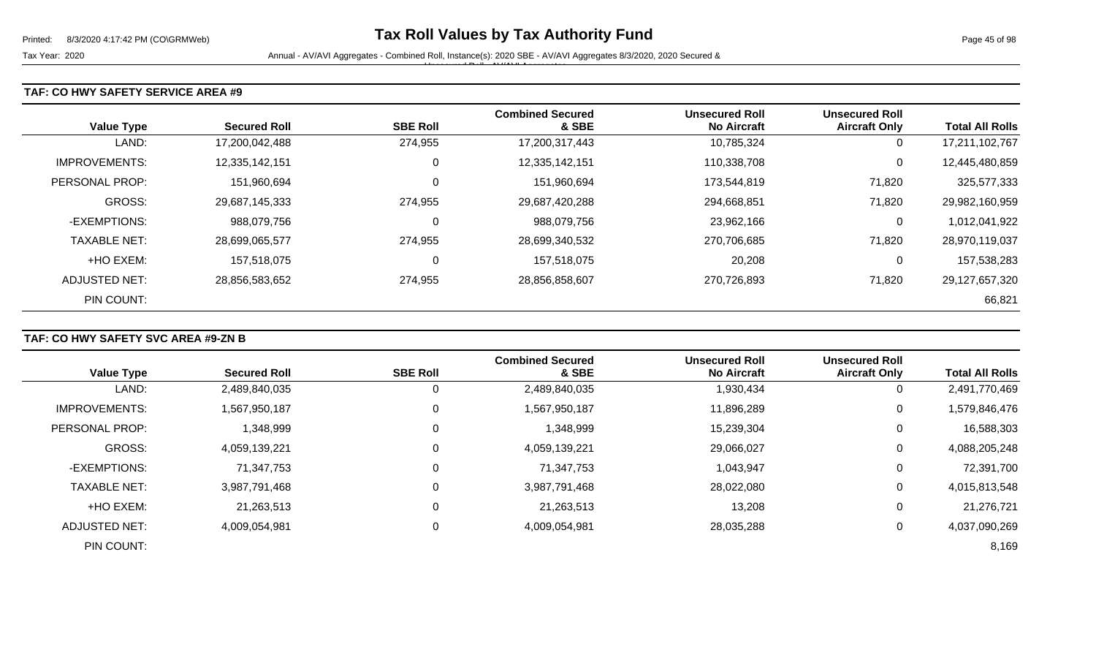#### **TAF: CO HWY SAFETY SERVICE AREA #9**

| <b>Value Type</b>    | <b>Secured Roll</b> | <b>SBE Roll</b> | <b>Combined Secured</b><br>& SBE | <b>Unsecured Roll</b><br><b>No Aircraft</b> | <b>Unsecured Roll</b><br><b>Aircraft Only</b> | <b>Total All Rolls</b> |
|----------------------|---------------------|-----------------|----------------------------------|---------------------------------------------|-----------------------------------------------|------------------------|
| LAND:                | 17,200,042,488      | 274,955         | 17,200,317,443                   | 10,785,324                                  | 0                                             | 17,211,102,767         |
| <b>IMPROVEMENTS:</b> | 12,335,142,151      | 0               | 12,335,142,151                   | 110,338,708                                 | 0                                             | 12,445,480,859         |
| PERSONAL PROP:       | 151,960,694         | $\Omega$        | 151,960,694                      | 173,544,819                                 | 71,820                                        | 325,577,333            |
| <b>GROSS:</b>        | 29,687,145,333      | 274.955         | 29,687,420,288                   | 294,668,851                                 | 71,820                                        | 29,982,160,959         |
| -EXEMPTIONS:         | 988,079,756         | 0               | 988,079,756                      | 23,962,166                                  | 0                                             | 1,012,041,922          |
| <b>TAXABLE NET:</b>  | 28,699,065,577      | 274,955         | 28,699,340,532                   | 270,706,685                                 | 71,820                                        | 28,970,119,037         |
| +HO EXEM:            | 157,518,075         | $\Omega$        | 157,518,075                      | 20,208                                      | 0                                             | 157,538,283            |
| ADJUSTED NET:        | 28,856,583,652      | 274,955         | 28,856,858,607                   | 270,726,893                                 | 71,820                                        | 29,127,657,320         |
| PIN COUNT:           |                     |                 |                                  |                                             |                                               | 66,821                 |

## **TAF: CO HWY SAFETY SVC AREA #9-ZN B**

|                      |                     |                 | <b>Combined Secured</b> | <b>Unsecured Roll</b> | <b>Unsecured Roll</b> |                        |
|----------------------|---------------------|-----------------|-------------------------|-----------------------|-----------------------|------------------------|
| <b>Value Type</b>    | <b>Secured Roll</b> | <b>SBE Roll</b> | & SBE                   | <b>No Aircraft</b>    | <b>Aircraft Only</b>  | <b>Total All Rolls</b> |
| LAND:                | 2,489,840,035       |                 | 2,489,840,035           | 1,930,434             | 0                     | 2,491,770,469          |
| <b>IMPROVEMENTS:</b> | 1,567,950,187       | 0               | 1,567,950,187           | 11,896,289            | 0                     | 1,579,846,476          |
| PERSONAL PROP:       | 1,348,999           |                 | 1,348,999               | 15,239,304            | 0                     | 16,588,303             |
| <b>GROSS:</b>        | 4,059,139,221       |                 | 4,059,139,221           | 29,066,027            | 0                     | 4,088,205,248          |
| -EXEMPTIONS:         | 71,347,753          | 0               | 71,347,753              | 1,043,947             | 0                     | 72,391,700             |
| <b>TAXABLE NET:</b>  | 3,987,791,468       |                 | 3,987,791,468           | 28,022,080            | $\boldsymbol{0}$      | 4,015,813,548          |
| +HO EXEM:            | 21,263,513          | 0               | 21,263,513              | 13,208                | 0                     | 21,276,721             |
| <b>ADJUSTED NET:</b> | 4,009,054,981       | 0               | 4,009,054,981           | 28,035,288            | 0                     | 4,037,090,269          |
| PIN COUNT:           |                     |                 |                         |                       |                       | 8,169                  |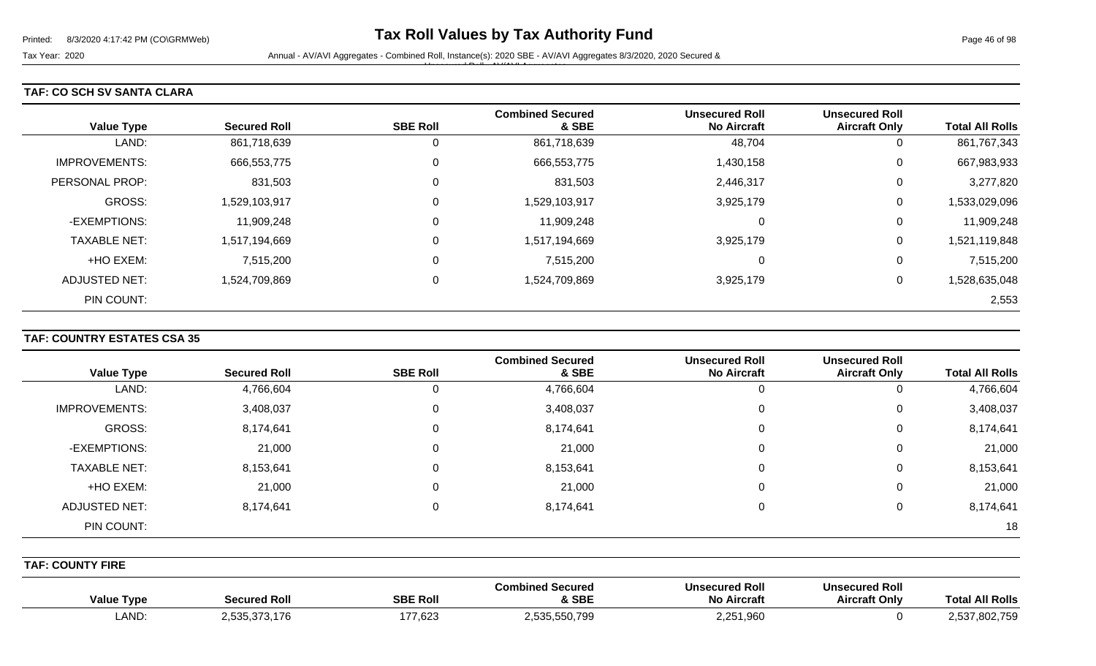#### **TAF: CO SCH SV SANTA CLARA**

| <b>Value Type</b>    | <b>Secured Roll</b> | <b>SBE Roll</b> | <b>Combined Secured</b><br>& SBE | <b>Unsecured Roll</b><br><b>No Aircraft</b> | <b>Unsecured Roll</b><br><b>Aircraft Only</b> | <b>Total All Rolls</b> |
|----------------------|---------------------|-----------------|----------------------------------|---------------------------------------------|-----------------------------------------------|------------------------|
| LAND:                | 861,718,639         | 0               | 861,718,639                      | 48,704                                      | U                                             | 861,767,343            |
| <b>IMPROVEMENTS:</b> | 666,553,775         | 0               | 666,553,775                      | 1,430,158                                   | 0                                             | 667,983,933            |
| PERSONAL PROP:       | 831,503             | 0               | 831,503                          | 2,446,317                                   | 0                                             | 3,277,820              |
| <b>GROSS:</b>        | 1,529,103,917       | $\overline{0}$  | 1,529,103,917                    | 3,925,179                                   | 0                                             | 1,533,029,096          |
| -EXEMPTIONS:         | 11,909,248          | $\overline{0}$  | 11,909,248                       | $\Omega$                                    | 0                                             | 11,909,248             |
| <b>TAXABLE NET:</b>  | 1,517,194,669       | $\overline{0}$  | 1,517,194,669                    | 3,925,179                                   | 0                                             | 1,521,119,848          |
| +HO EXEM:            | 7,515,200           | $\mathbf 0$     | 7,515,200                        | 0                                           | 0                                             | 7,515,200              |
| <b>ADJUSTED NET:</b> | 1,524,709,869       | 0               | 1,524,709,869                    | 3,925,179                                   | 0                                             | 1,528,635,048          |
| PIN COUNT:           |                     |                 |                                  |                                             |                                               | 2,553                  |

#### **TAF: COUNTRY ESTATES CSA 35**

|                      |                     |                 | <b>Combined Secured</b> | <b>Unsecured Roll</b> | <b>Unsecured Roll</b> |                        |
|----------------------|---------------------|-----------------|-------------------------|-----------------------|-----------------------|------------------------|
| <b>Value Type</b>    | <b>Secured Roll</b> | <b>SBE Roll</b> | & SBE                   | <b>No Aircraft</b>    | <b>Aircraft Only</b>  | <b>Total All Rolls</b> |
| LAND:                | 4,766,604           |                 | 4,766,604               | υ                     | O                     | 4,766,604              |
| <b>IMPROVEMENTS:</b> | 3,408,037           |                 | 3,408,037               | 0                     | 0                     | 3,408,037              |
| GROSS:               | 8,174,641           |                 | 8,174,641               | 0                     | 0                     | 8,174,641              |
| -EXEMPTIONS:         | 21,000              |                 | 21,000                  | 0                     | 0                     | 21,000                 |
| <b>TAXABLE NET:</b>  | 8,153,641           |                 | 8,153,641               | 0                     | 0                     | 8,153,641              |
| +HO EXEM:            | 21,000              |                 | 21,000                  | 0                     | 0                     | 21,000                 |
| <b>ADJUSTED NET:</b> | 8,174,641           |                 | 8,174,641               | 0                     | 0                     | 8,174,641              |
| PIN COUNT:           |                     |                 |                         |                       |                       | 18                     |

**TAF: COUNTY FIRE** 

| <b>Value Type</b>   | <b>Secured Roll</b>                                 | <b>SBE Roll</b>                     | <b>Combined Secured</b><br>& SBE | Unsecured Roll<br><b>No Aircraft</b> | <b>Unsecured Roll</b><br><b>Aircraft Only</b> | <b>All Rolls</b><br><b>Tota</b>  |
|---------------------|-----------------------------------------------------|-------------------------------------|----------------------------------|--------------------------------------|-----------------------------------------------|----------------------------------|
| <b>AND</b><br>ᄂᄉᆝᄓᇇ | <b>535.37</b><br>70.470<br>، ، ، ، ،<br>∟טט.<br>. u | 177,623<br>$\overline{\phantom{a}}$ | 2,535,550,799                    | 2,251,960                            |                                               | 000 750<br><b>E27</b><br>302.755 |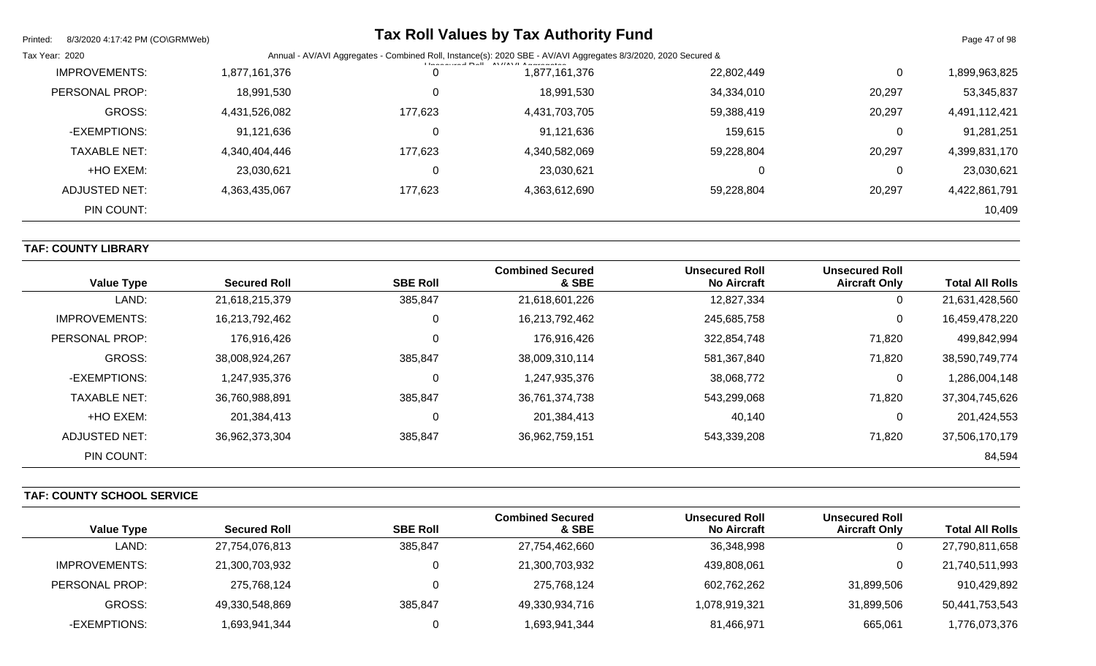| Printed:<br>8/3/2020 4:17:42 PM (CO\GRMWeb) |               |         | <b>Tax Roll Values by Tax Authority Fund</b>                                                                                                                                                                         |            |        | Page 47 of 98 |
|---------------------------------------------|---------------|---------|----------------------------------------------------------------------------------------------------------------------------------------------------------------------------------------------------------------------|------------|--------|---------------|
| Tax Year: 2020                              |               |         | Annual - AV/AVI Aggregates - Combined Roll, Instance(s): 2020 SBE - AV/AVI Aggregates 8/3/2020, 2020 Secured &<br><b>I la a a constal <math>D = 0</math></b> $\left[\frac{1}{2}N\right]$ $\left[\frac{1}{2}N\right]$ |            |        |               |
| <b>IMPROVEMENTS:</b>                        | 1,877,161,376 | 0       | 1,877,161,376                                                                                                                                                                                                        | 22,802,449 | 0      | 1,899,963,825 |
| PERSONAL PROP:                              | 18,991,530    | 0       | 18,991,530                                                                                                                                                                                                           | 34,334,010 | 20,297 | 53,345,837    |
| GROSS:                                      | 4,431,526,082 | 177,623 | 4,431,703,705                                                                                                                                                                                                        | 59,388,419 | 20,297 | 4,491,112,421 |
| -EXEMPTIONS:                                | 91,121,636    | 0       | 91,121,636                                                                                                                                                                                                           | 159,615    | 0      | 91,281,251    |
| <b>TAXABLE NET:</b>                         | 4,340,404,446 | 177,623 | 4,340,582,069                                                                                                                                                                                                        | 59,228,804 | 20,297 | 4,399,831,170 |
| +HO EXEM:                                   | 23,030,621    | 0       | 23,030,621                                                                                                                                                                                                           |            | 0      | 23,030,621    |
| <b>ADJUSTED NET:</b>                        | 4,363,435,067 | 177,623 | 4,363,612,690                                                                                                                                                                                                        | 59,228,804 | 20,297 | 4,422,861,791 |
| PIN COUNT:                                  |               |         |                                                                                                                                                                                                                      |            |        | 10,409        |

**TAF: COUNTY LIBRARY** 

| <b>Value Type</b>    | <b>Secured Roll</b> | <b>SBE Roll</b> | <b>Combined Secured</b><br>& SBE | <b>Unsecured Roll</b><br><b>No Aircraft</b> | <b>Unsecured Roll</b><br><b>Aircraft Only</b> | <b>Total All Rolls</b> |
|----------------------|---------------------|-----------------|----------------------------------|---------------------------------------------|-----------------------------------------------|------------------------|
| LAND:                | 21,618,215,379      | 385,847         | 21,618,601,226                   | 12,827,334                                  | U                                             | 21,631,428,560         |
| <b>IMPROVEMENTS:</b> | 16,213,792,462      | 0               | 16,213,792,462                   | 245,685,758                                 | 0                                             | 16,459,478,220         |
| PERSONAL PROP:       | 176,916,426         | 0               | 176,916,426                      | 322,854,748                                 | 71,820                                        | 499,842,994            |
| <b>GROSS:</b>        | 38,008,924,267      | 385,847         | 38,009,310,114                   | 581,367,840                                 | 71,820                                        | 38,590,749,774         |
| -EXEMPTIONS:         | 1,247,935,376       | 0               | 1,247,935,376                    | 38,068,772                                  | U                                             | 1,286,004,148          |
| <b>TAXABLE NET:</b>  | 36,760,988,891      | 385,847         | 36,761,374,738                   | 543,299,068                                 | 71,820                                        | 37,304,745,626         |
| +HO EXEM:            | 201,384,413         | 0               | 201,384,413                      | 40,140                                      | υ                                             | 201,424,553            |
| <b>ADJUSTED NET:</b> | 36,962,373,304      | 385,847         | 36,962,759,151                   | 543,339,208                                 | 71,820                                        | 37,506,170,179         |
| PIN COUNT:           |                     |                 |                                  |                                             |                                               | 84,594                 |

**TAF: COUNTY SCHOOL SERVICE** 

|                   |                     |                 | <b>Combined Secured</b> | <b>Unsecured Roll</b> | <b>Unsecured Roll</b> |                        |
|-------------------|---------------------|-----------------|-------------------------|-----------------------|-----------------------|------------------------|
| <b>Value Type</b> | <b>Secured Roll</b> | <b>SBE Roll</b> | & SBE                   | <b>No Aircraft</b>    | <b>Aircraft Only</b>  | <b>Total All Rolls</b> |
| LAND:             | 27,754,076,813      | 385,847         | 27,754,462,660          | 36,348,998            | ν                     | 27,790,811,658         |
| IMPROVEMENTS:     | 21,300,703,932      |                 | 21,300,703,932          | 439,808,061           | 0                     | 21,740,511,993         |
| PERSONAL PROP:    | 275.768.124         |                 | 275,768,124             | 602,762,262           | 31,899,506            | 910,429,892            |
| GROSS:            | 49,330,548,869      | 385,847         | 49,330,934,716          | 1,078,919,321         | 31,899,506            | 50,441,753,543         |
| -EXEMPTIONS:      | 1,693,941,344       |                 | 1,693,941,344           | 81,466,971            | 665,061               | ,776,073,376           |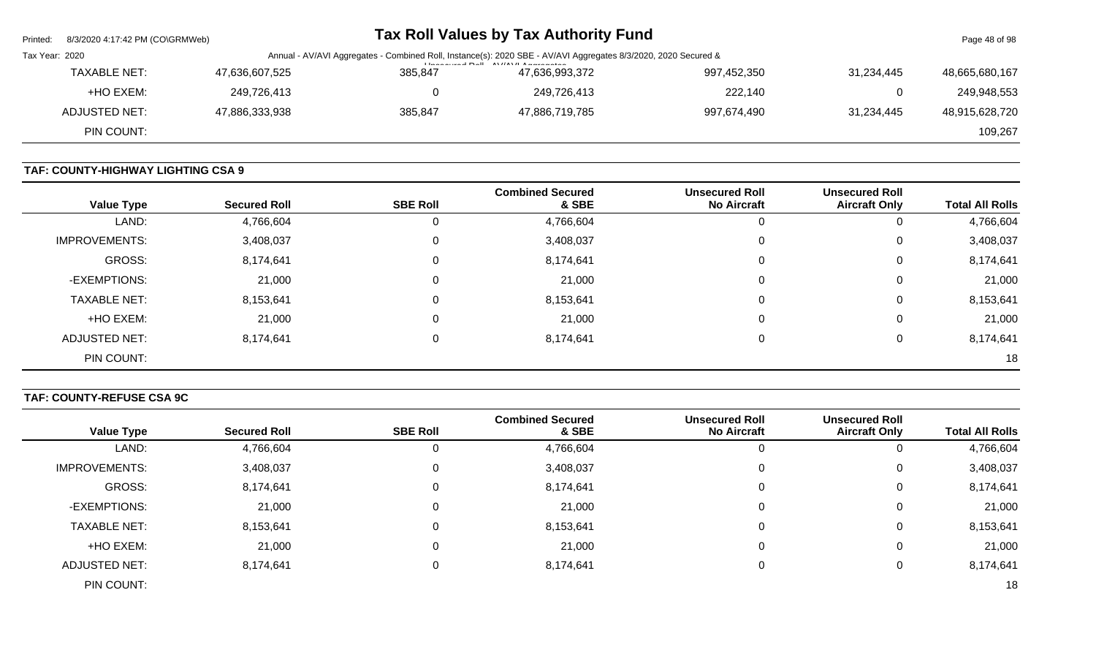| Page 48 of 98  |            |                                                                                                                | Tax Roll Values by Tax Authority Fund |         |                | 8/3/2020 4:17:42 PM (CO\GRMWeb) | Printed: |
|----------------|------------|----------------------------------------------------------------------------------------------------------------|---------------------------------------|---------|----------------|---------------------------------|----------|
|                |            | Annual - AV/AVI Aggregates - Combined Roll, Instance(s): 2020 SBE - AV/AVI Aggregates 8/3/2020, 2020 Secured & | Tax Year: 2020                        |         |                |                                 |          |
| 48,665,680,167 | 31.234.445 | 997,452,350                                                                                                    | $L = 2$<br>47,636,993,372             | 385.847 | 47,636,607,525 | <b>TAXABLE NET:</b>             |          |
| 249,948,553    | 0          | 222,140                                                                                                        | 249,726,413                           |         | 249,726,413    | +HO EXEM:                       |          |
| 48,915,628,720 | 31.234.445 | 997,674,490                                                                                                    | 47,886,719,785                        | 385.847 | 47,886,333,938 | ADJUSTED NET:                   |          |
| 109,267        |            |                                                                                                                |                                       |         |                | PIN COUNT:                      |          |
|                |            |                                                                                                                |                                       |         |                |                                 |          |

# **TAF: COUNTY-HIGHWAY LIGHTING CSA 9**

| <b>Value Type</b>    | <b>Secured Roll</b> | <b>SBE Roll</b> | <b>Combined Secured</b><br>& SBE | <b>Unsecured Roll</b><br><b>No Aircraft</b> | <b>Unsecured Roll</b><br><b>Aircraft Only</b> | <b>Total All Rolls</b> |
|----------------------|---------------------|-----------------|----------------------------------|---------------------------------------------|-----------------------------------------------|------------------------|
| LAND:                | 4,766,604           | 0               | 4,766,604                        |                                             | 0                                             | 4,766,604              |
| <b>IMPROVEMENTS:</b> | 3,408,037           | 0               | 3,408,037                        |                                             | 0                                             | 3,408,037              |
| GROSS:               | 8,174,641           | 0               | 8,174,641                        | $\Omega$                                    | 0                                             | 8,174,641              |
| -EXEMPTIONS:         | 21,000              | 0               | 21,000                           |                                             | 0                                             | 21,000                 |
| <b>TAXABLE NET:</b>  | 8,153,641           | 0               | 8,153,641                        |                                             | 0                                             | 8,153,641              |
| +HO EXEM:            | 21,000              | 0               | 21,000                           |                                             | 0                                             | 21,000                 |
| ADJUSTED NET:        | 8,174,641           | 0               | 8,174,641                        |                                             | 0                                             | 8,174,641              |
| PIN COUNT:           |                     |                 |                                  |                                             |                                               | 18                     |

# **TAF: COUNTY-REFUSE CSA 9C**

|                      |                     |                 | <b>Combined Secured</b> | <b>Unsecured Roll</b> | <b>Unsecured Roll</b> |                        |
|----------------------|---------------------|-----------------|-------------------------|-----------------------|-----------------------|------------------------|
| <b>Value Type</b>    | <b>Secured Roll</b> | <b>SBE Roll</b> | & SBE                   | <b>No Aircraft</b>    | <b>Aircraft Only</b>  | <b>Total All Rolls</b> |
| LAND:                | 4,766,604           |                 | 4,766,604               |                       | v                     | 4,766,604              |
| <b>IMPROVEMENTS:</b> | 3,408,037           |                 | 3,408,037               | 0                     | U                     | 3,408,037              |
| GROSS:               | 8,174,641           |                 | 8,174,641               | 0                     | 0                     | 8,174,641              |
| -EXEMPTIONS:         | 21,000              |                 | 21,000                  | 0                     | 0                     | 21,000                 |
| <b>TAXABLE NET:</b>  | 8,153,641           |                 | 8,153,641               | 0                     | 0                     | 8,153,641              |
| +HO EXEM:            | 21,000              |                 | 21,000                  | 0                     | 0                     | 21,000                 |
| <b>ADJUSTED NET:</b> | 8,174,641           |                 | 8,174,641               | 0                     | 0                     | 8,174,641              |
| PIN COUNT:           |                     |                 |                         |                       |                       | 18                     |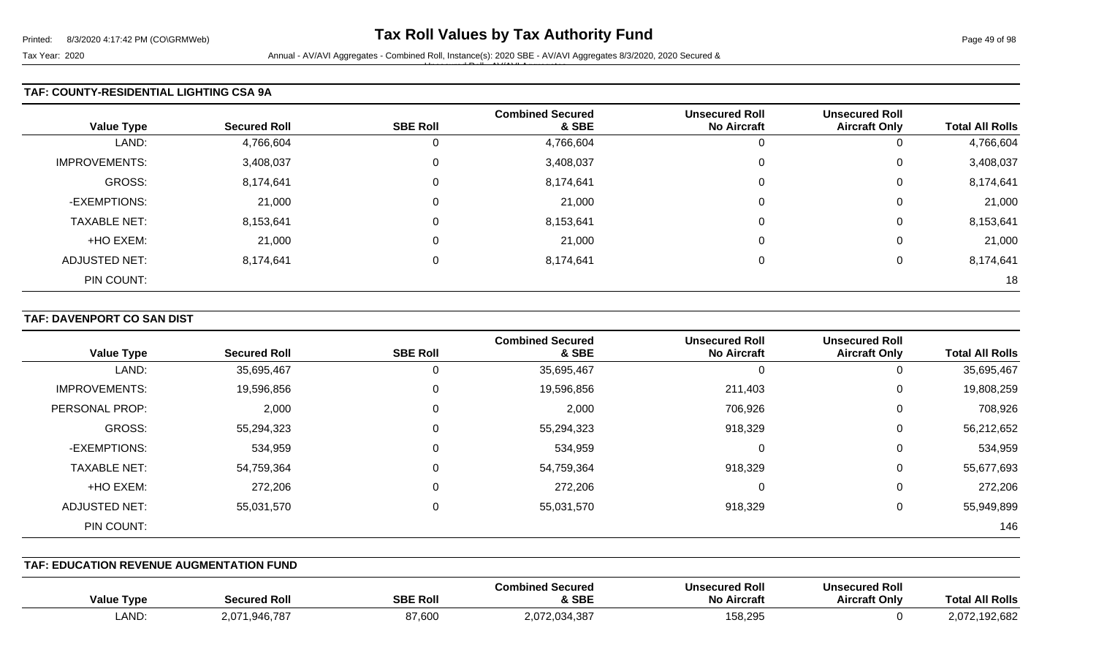Tax Year: 2020 **Annual - AV/AVI Aggregates - Combined Roll**, Instance(s): 2020 SBE - AV/AVI Aggregates 8/3/2020, 2020 Secured & Unsecured Roll - AV/AVI Aggregates

#### **TAF: COUNTY-RESIDENTIAL LIGHTING CSA 9A**

| <b>Value Type</b>    | <b>Secured Roll</b> | <b>SBE Roll</b> | <b>Combined Secured</b><br>& SBE | <b>Unsecured Roll</b><br><b>No Aircraft</b> | <b>Unsecured Roll</b><br><b>Aircraft Only</b> | <b>Total All Rolls</b> |
|----------------------|---------------------|-----------------|----------------------------------|---------------------------------------------|-----------------------------------------------|------------------------|
| LAND:                | 4,766,604           | 0               | 4,766,604                        | U                                           | U                                             | 4,766,604              |
| <b>IMPROVEMENTS:</b> | 3,408,037           | $\mathbf 0$     | 3,408,037                        | 0                                           | U                                             | 3,408,037              |
| GROSS:               | 8,174,641           | 0               | 8,174,641                        | 0                                           | 0                                             | 8,174,641              |
| -EXEMPTIONS:         | 21,000              | 0               | 21,000                           | 0                                           | 0                                             | 21,000                 |
| <b>TAXABLE NET:</b>  | 8,153,641           | 0               | 8,153,641                        | $\Omega$                                    | U                                             | 8,153,641              |
| +HO EXEM:            | 21,000              | $\mathbf 0$     | 21,000                           | 0                                           | 0                                             | 21,000                 |
| <b>ADJUSTED NET:</b> | 8,174,641           | 0               | 8,174,641                        | $\Omega$                                    | 0                                             | 8,174,641              |
| PIN COUNT:           |                     |                 |                                  |                                             |                                               | 18                     |

#### **TAF: DAVENPORT CO SAN DIST**

| <b>Value Type</b>    | <b>Secured Roll</b> | <b>SBE Roll</b> | <b>Combined Secured</b><br>& SBE | <b>Unsecured Roll</b><br><b>No Aircraft</b> | <b>Unsecured Roll</b><br><b>Aircraft Only</b> | <b>Total All Rolls</b> |
|----------------------|---------------------|-----------------|----------------------------------|---------------------------------------------|-----------------------------------------------|------------------------|
| LAND:                | 35,695,467          | 0               | 35,695,467                       | 0                                           | 0                                             | 35,695,467             |
| <b>IMPROVEMENTS:</b> | 19,596,856          | 0               | 19,596,856                       | 211,403                                     | 0                                             | 19,808,259             |
| PERSONAL PROP:       | 2,000               | 0               | 2,000                            | 706,926                                     | 0                                             | 708,926                |
| GROSS:               | 55,294,323          | 0               | 55,294,323                       | 918,329                                     | 0                                             | 56,212,652             |
| -EXEMPTIONS:         | 534,959             | 0               | 534,959                          | $\Omega$                                    | 0                                             | 534,959                |
| <b>TAXABLE NET:</b>  | 54,759,364          | 0               | 54,759,364                       | 918,329                                     | 0                                             | 55,677,693             |
| +HO EXEM:            | 272,206             | 0               | 272,206                          | 0                                           | 0                                             | 272,206                |
| ADJUSTED NET:        | 55,031,570          | 0               | 55,031,570                       | 918,329                                     | 0                                             | 55,949,899             |
| PIN COUNT:           |                     |                 |                                  |                                             |                                               | 146                    |

#### **TAF: EDUCATION REVENUE AUGMENTATION FUND**

| <b>Value Type</b> | Secured Roll                                  | <b>SBE Roll</b> | l Secured<br>Combined<br>& SBE | <b>Unsecured Roll</b><br><b>No Aircraft</b> | <b>Unsecured Roll</b><br><b>Aircraft Only</b> | <b>Total All Rolls</b> |
|-------------------|-----------------------------------------------|-----------------|--------------------------------|---------------------------------------------|-----------------------------------------------|------------------------|
| LAND:             | Q46 787<br>2,07 <sup>4</sup><br>$\cdot \cdot$ | 87,600          | 2,072,034,387                  | 158,295                                     |                                               | 92,682<br>.            |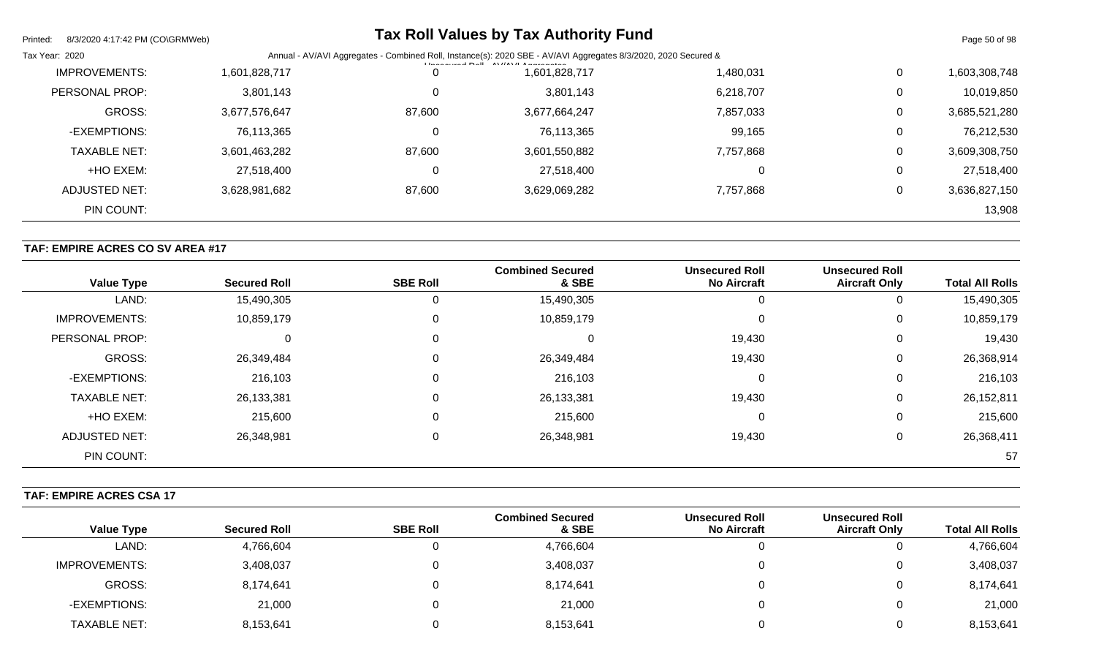| Printed:<br>8/3/2020 4:17:42 PM (CO\GRMWeb) |               |        | <b>Tax Roll Values by Tax Authority Fund</b>                                                                                         |           |                | Page 50 of 98 |
|---------------------------------------------|---------------|--------|--------------------------------------------------------------------------------------------------------------------------------------|-----------|----------------|---------------|
| Tax Year: 2020                              |               |        | Annual - AV/AVI Aggregates - Combined Roll, Instance(s): 2020 SBE - AV/AVI Aggregates 8/3/2020, 2020 Secured &<br>$L_{\text{break}}$ |           |                |               |
| <b>IMPROVEMENTS:</b>                        | 1,601,828,717 |        | 1,601,828,717                                                                                                                        | 1,480,031 | $\mathbf 0$    | 1,603,308,748 |
| PERSONAL PROP:                              | 3,801,143     |        | 3,801,143                                                                                                                            | 6,218,707 | 0              | 10,019,850    |
| <b>GROSS:</b>                               | 3,677,576,647 | 87,600 | 3,677,664,247                                                                                                                        | 7,857,033 | 0              | 3,685,521,280 |
| -EXEMPTIONS:                                | 76,113,365    | 0      | 76,113,365                                                                                                                           | 99,165    | $\overline{0}$ | 76,212,530    |
| <b>TAXABLE NET:</b>                         | 3,601,463,282 | 87,600 | 3,601,550,882                                                                                                                        | 7,757,868 | 0              | 3,609,308,750 |
| +HO EXEM:                                   | 27,518,400    | 0      | 27,518,400                                                                                                                           |           | 0              | 27,518,400    |
| ADJUSTED NET:                               | 3,628,981,682 | 87,600 | 3,629,069,282                                                                                                                        | 7,757,868 | 0              | 3,636,827,150 |
| PIN COUNT:                                  |               |        |                                                                                                                                      |           |                | 13,908        |

# **TAF: EMPIRE ACRES CO SV AREA #17**

| <b>Value Type</b>    | <b>Secured Roll</b> | <b>SBE Roll</b> | <b>Combined Secured</b><br>& SBE | <b>Unsecured Roll</b><br><b>No Aircraft</b> | <b>Unsecured Roll</b><br><b>Aircraft Only</b> | <b>Total All Rolls</b> |
|----------------------|---------------------|-----------------|----------------------------------|---------------------------------------------|-----------------------------------------------|------------------------|
| LAND:                | 15,490,305          | U               | 15,490,305                       |                                             |                                               | 15,490,305             |
| <b>IMPROVEMENTS:</b> | 10,859,179          | 0               | 10,859,179                       |                                             | 0                                             | 10,859,179             |
| PERSONAL PROP:       | 0                   | 0               |                                  | 19,430                                      | 0                                             | 19,430                 |
| <b>GROSS:</b>        | 26,349,484          | 0               | 26,349,484                       | 19,430                                      | 0                                             | 26,368,914             |
| -EXEMPTIONS:         | 216,103             | 0               | 216,103                          |                                             | 0                                             | 216,103                |
| <b>TAXABLE NET:</b>  | 26,133,381          | 0               | 26,133,381                       | 19,430                                      | 0                                             | 26,152,811             |
| +HO EXEM:            | 215,600             | 0               | 215,600                          |                                             | 0                                             | 215,600                |
| ADJUSTED NET:        | 26,348,981          | 0               | 26,348,981                       | 19,430                                      | 0                                             | 26,368,411             |
| PIN COUNT:           |                     |                 |                                  |                                             |                                               | 57                     |

# **TAF: EMPIRE ACRES CSA 17**

| <b>Value Type</b>    | <b>Secured Roll</b> | <b>SBE Roll</b> | <b>Combined Secured</b><br>& SBE | <b>Unsecured Roll</b><br><b>No Aircraft</b> | <b>Unsecured Roll</b><br><b>Aircraft Only</b> | <b>Total All Rolls</b> |
|----------------------|---------------------|-----------------|----------------------------------|---------------------------------------------|-----------------------------------------------|------------------------|
| LAND:                | 4,766,604           |                 | 4,766,604                        |                                             | υ                                             | 4,766,604              |
| <b>IMPROVEMENTS:</b> | 3,408,037           |                 | 3,408,037                        |                                             | 0                                             | 3,408,037              |
| <b>GROSS:</b>        | 8,174,641           |                 | 8,174,641                        |                                             | 0                                             | 8,174,641              |
| -EXEMPTIONS:         | 21,000              |                 | 21,000                           |                                             | 0                                             | 21,000                 |
| <b>TAXABLE NET:</b>  | 8,153,641           |                 | 8,153,641                        |                                             |                                               | 8,153,641              |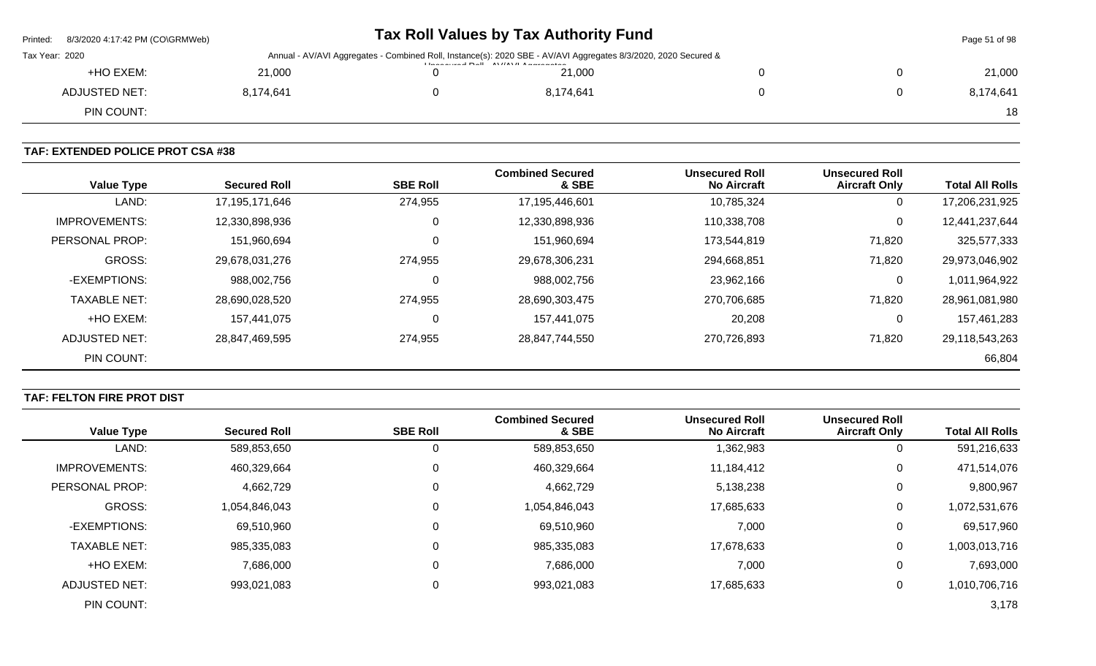| Printed:<br>8/3/2020 4:17:42 PM (CO\GRMWeb) |           | Tax Roll Values by Tax Authority Fund                                                                                                                                   |  | Page 51 of 98 |
|---------------------------------------------|-----------|-------------------------------------------------------------------------------------------------------------------------------------------------------------------------|--|---------------|
| Tax Year: 2020                              |           | Annual - AV/AVI Aggregates - Combined Roll, Instance(s): 2020 SBE - AV/AVI Aggregates 8/3/2020, 2020 Secured &<br><b>Illiana accord Dall AVIIAVII Americana antique</b> |  |               |
| +HO EXEM:                                   | 21,000    | 21,000                                                                                                                                                                  |  | 21,000        |
| ADJUSTED NET:                               | 8,174,641 | 8,174,641                                                                                                                                                               |  | 8,174,641     |
| PIN COUNT:                                  |           |                                                                                                                                                                         |  | 18            |
|                                             |           |                                                                                                                                                                         |  |               |

# **TAF: EXTENDED POLICE PROT CSA #38**

| <b>Value Type</b>    | <b>Secured Roll</b> | <b>SBE Roll</b> | <b>Combined Secured</b><br>& SBE | <b>Unsecured Roll</b><br><b>No Aircraft</b> | <b>Unsecured Roll</b><br><b>Aircraft Only</b> | <b>Total All Rolls</b> |
|----------------------|---------------------|-----------------|----------------------------------|---------------------------------------------|-----------------------------------------------|------------------------|
| LAND:                | 17,195,171,646      | 274,955         | 17,195,446,601                   | 10,785,324                                  | 0                                             | 17,206,231,925         |
| <b>IMPROVEMENTS:</b> | 12,330,898,936      | 0               | 12,330,898,936                   | 110,338,708                                 | 0                                             | 12,441,237,644         |
| PERSONAL PROP:       | 151,960,694         | 0               | 151,960,694                      | 173,544,819                                 | 71,820                                        | 325,577,333            |
| <b>GROSS:</b>        | 29,678,031,276      | 274,955         | 29,678,306,231                   | 294,668,851                                 | 71,820                                        | 29,973,046,902         |
| -EXEMPTIONS:         | 988,002,756         | 0               | 988,002,756                      | 23,962,166                                  | 0                                             | 1,011,964,922          |
| <b>TAXABLE NET:</b>  | 28,690,028,520      | 274,955         | 28,690,303,475                   | 270,706,685                                 | 71,820                                        | 28,961,081,980         |
| +HO EXEM:            | 157,441,075         | 0               | 157,441,075                      | 20,208                                      | 0                                             | 157,461,283            |
| ADJUSTED NET:        | 28,847,469,595      | 274,955         | 28,847,744,550                   | 270,726,893                                 | 71,820                                        | 29,118,543,263         |
| PIN COUNT:           |                     |                 |                                  |                                             |                                               | 66,804                 |

# **TAF: FELTON FIRE PROT DIST**

|                       |                     |                 | <b>Combined Secured</b> | <b>Unsecured Roll</b> | <b>Unsecured Roll</b> |                        |
|-----------------------|---------------------|-----------------|-------------------------|-----------------------|-----------------------|------------------------|
| <b>Value Type</b>     | <b>Secured Roll</b> | <b>SBE Roll</b> | & SBE                   | <b>No Aircraft</b>    | <b>Aircraft Only</b>  | <b>Total All Rolls</b> |
| LAND:                 | 589,853,650         |                 | 589,853,650             | 1,362,983             | 0                     | 591,216,633            |
| <b>IMPROVEMENTS:</b>  | 460,329,664         | 0               | 460,329,664             | 11,184,412            | 0                     | 471,514,076            |
| <b>PERSONAL PROP:</b> | 4,662,729           | 0               | 4,662,729               | 5,138,238             | 0                     | 9,800,967              |
| <b>GROSS:</b>         | 1,054,846,043       | 0               | 1,054,846,043           | 17,685,633            | 0                     | 1,072,531,676          |
| -EXEMPTIONS:          | 69,510,960          | 0               | 69,510,960              | 7,000                 | 0                     | 69,517,960             |
| <b>TAXABLE NET:</b>   | 985,335,083         | 0               | 985,335,083             | 17,678,633            | 0                     | 1,003,013,716          |
| +HO EXEM:             | 7,686,000           | $\Omega$        | 7,686,000               | 7,000                 | 0                     | 7,693,000              |
| ADJUSTED NET:         | 993,021,083         | 0               | 993,021,083             | 17,685,633            | 0                     | 1,010,706,716          |
| PIN COUNT:            |                     |                 |                         |                       |                       | 3,178                  |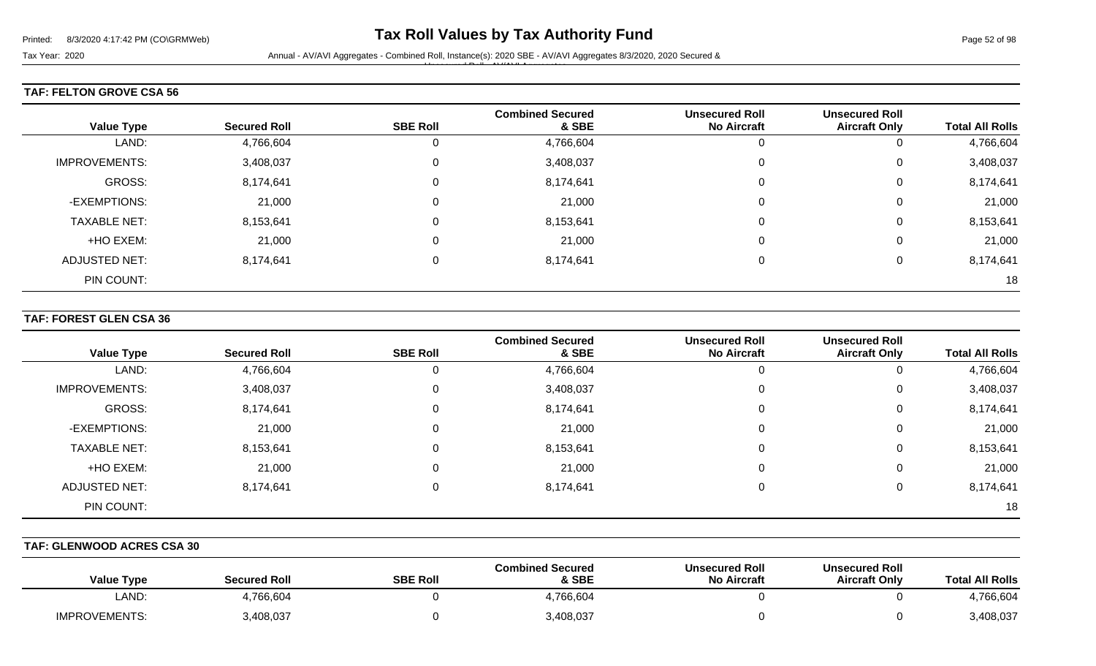Unsecured Roll - AV/AVI Aggregates

#### **TAF: FELTON GROVE CSA 56**

| <b>Value Type</b>    | <b>Secured Roll</b> | <b>SBE Roll</b> | <b>Combined Secured</b><br>& SBE | <b>Unsecured Roll</b><br><b>No Aircraft</b> | <b>Unsecured Roll</b><br><b>Aircraft Only</b> | <b>Total All Rolls</b> |
|----------------------|---------------------|-----------------|----------------------------------|---------------------------------------------|-----------------------------------------------|------------------------|
| LAND:                | 4,766,604           | $\mathbf{0}$    | 4,766,604                        |                                             | O                                             | 4,766,604              |
| <b>IMPROVEMENTS:</b> | 3,408,037           | 0               | 3,408,037                        |                                             | 0                                             | 3,408,037              |
| GROSS:               | 8,174,641           | $\mathbf 0$     | 8,174,641                        |                                             | 0                                             | 8,174,641              |
| -EXEMPTIONS:         | 21,000              | 0               | 21,000                           |                                             | $\mathbf 0$                                   | 21,000                 |
| <b>TAXABLE NET:</b>  | 8,153,641           | 0               | 8,153,641                        |                                             | 0                                             | 8,153,641              |
| +HO EXEM:            | 21,000              | 0               | 21,000                           |                                             | $\mathbf 0$                                   | 21,000                 |
| <b>ADJUSTED NET:</b> | 8,174,641           | 0               | 8,174,641                        |                                             | 0                                             | 8,174,641              |
| PIN COUNT:           |                     |                 |                                  |                                             |                                               | 18                     |

#### **TAF: FOREST GLEN CSA 36**

| <b>Value Type</b>    | <b>Secured Roll</b> | <b>SBE Roll</b> | <b>Combined Secured</b><br>& SBE | <b>Unsecured Roll</b><br><b>No Aircraft</b> | <b>Unsecured Roll</b><br><b>Aircraft Only</b> | <b>Total All Rolls</b> |
|----------------------|---------------------|-----------------|----------------------------------|---------------------------------------------|-----------------------------------------------|------------------------|
| LAND:                | 4,766,604           | 0               | 4,766,604                        | 0                                           |                                               | 4,766,604              |
| <b>IMPROVEMENTS:</b> | 3,408,037           | 0               | 3,408,037                        | 0                                           | 0                                             | 3,408,037              |
| GROSS:               | 8,174,641           | 0               | 8,174,641                        | 0                                           | 0                                             | 8,174,641              |
| -EXEMPTIONS:         | 21,000              | 0               | 21,000                           | 0                                           | 0                                             | 21,000                 |
| <b>TAXABLE NET:</b>  | 8,153,641           | 0               | 8,153,641                        | 0                                           | 0                                             | 8,153,641              |
| +HO EXEM:            | 21,000              | 0               | 21,000                           | 0                                           | 0                                             | 21,000                 |
| <b>ADJUSTED NET:</b> | 8,174,641           | 0               | 8,174,641                        | 0                                           | 0                                             | 8,174,641              |
| PIN COUNT:           |                     |                 |                                  |                                             |                                               | 18                     |

#### **TAF: GLENWOOD ACRES CSA 30**

| <b>Value Type</b>    | <b>Secured Roll</b> | <b>SBE Roll</b> | <b>Combined Secured</b><br>& SBE | <b>Unsecured Roll</b><br><b>No Aircraft</b> | <b>Unsecured Roll</b><br><b>Aircraft Only</b> | <b>Total All Rolls</b> |
|----------------------|---------------------|-----------------|----------------------------------|---------------------------------------------|-----------------------------------------------|------------------------|
| LAND:                | 4,766,604           |                 | 4,766,604                        |                                             |                                               | +,766,604              |
| <b>IMPROVEMENTS:</b> | 3,408,037           |                 | 3,408,037                        |                                             |                                               | 3,408,037              |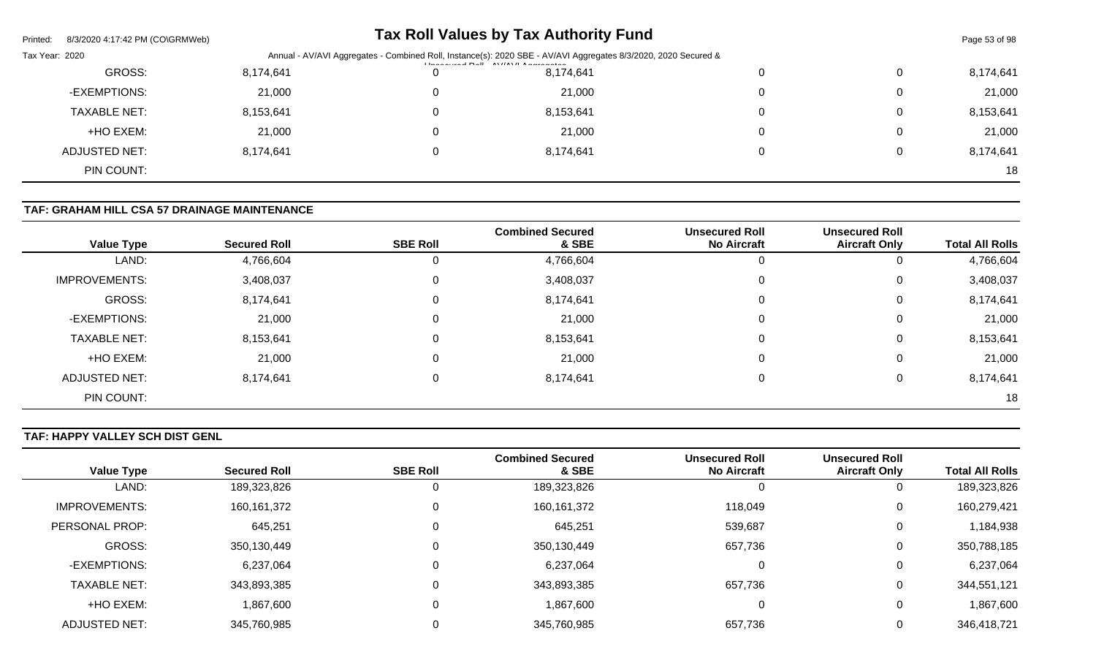| 8/3/2020 4:17:42 PM (CO\GRMWeb)<br>Printed: |           |                                                                                                                                                                                                                                                                                                                                                                                                                                                                                              | <b>Tax Roll Values by Tax Authority Fund</b> |   |   | Page 53 of 98 |  |
|---------------------------------------------|-----------|----------------------------------------------------------------------------------------------------------------------------------------------------------------------------------------------------------------------------------------------------------------------------------------------------------------------------------------------------------------------------------------------------------------------------------------------------------------------------------------------|----------------------------------------------|---|---|---------------|--|
| Tax Year: 2020                              |           | Annual - AV/AVI Aggregates - Combined Roll, Instance(s): 2020 SBE - AV/AVI Aggregates 8/3/2020, 2020 Secured &<br>$\left  \frac{1}{2} \right $ and $\left  \frac{1}{2} \right $ and $\left  \frac{1}{2} \right $ and $\left  \frac{1}{2} \right $ and $\left  \frac{1}{2} \right $ and $\left  \frac{1}{2} \right $ and $\left  \frac{1}{2} \right $ and $\left  \frac{1}{2} \right $ and $\left  \frac{1}{2} \right $ and $\left  \frac{1}{2} \right $ and $\left  \frac{1}{2} \right $ and |                                              |   |   |               |  |
| GROSS:                                      | 8,174,641 | 0                                                                                                                                                                                                                                                                                                                                                                                                                                                                                            | 8,174,641                                    |   | 0 | 8,174,641     |  |
| -EXEMPTIONS:                                | 21,000    | 0                                                                                                                                                                                                                                                                                                                                                                                                                                                                                            | 21,000                                       |   | 0 | 21,000        |  |
| <b>TAXABLE NET:</b>                         | 8,153,641 | 0                                                                                                                                                                                                                                                                                                                                                                                                                                                                                            | 8,153,641                                    | 0 | 0 | 8,153,641     |  |
| +HO EXEM:                                   | 21,000    | 0                                                                                                                                                                                                                                                                                                                                                                                                                                                                                            | 21,000                                       |   | 0 | 21,000        |  |
| ADJUSTED NET:                               | 8,174,641 | 0                                                                                                                                                                                                                                                                                                                                                                                                                                                                                            | 8,174,641                                    |   | 0 | 8,174,641     |  |
| PIN COUNT:                                  |           |                                                                                                                                                                                                                                                                                                                                                                                                                                                                                              |                                              |   |   | 18            |  |

# **TAF: GRAHAM HILL CSA 57 DRAINAGE MAINTENANCE**

| <b>Value Type</b>    | <b>Secured Roll</b> | <b>SBE Roll</b> | <b>Combined Secured</b><br>& SBE | <b>Unsecured Roll</b><br><b>No Aircraft</b> | <b>Unsecured Roll</b><br><b>Aircraft Only</b> | <b>Total All Rolls</b> |
|----------------------|---------------------|-----------------|----------------------------------|---------------------------------------------|-----------------------------------------------|------------------------|
| LAND:                | 4,766,604           | 0               | 4,766,604                        | 0                                           | 0                                             | 4,766,604              |
| <b>IMPROVEMENTS:</b> | 3,408,037           | 0               | 3,408,037                        | 0                                           | 0                                             | 3,408,037              |
| GROSS:               | 8,174,641           | 0               | 8,174,641                        | 0                                           | 0                                             | 8,174,641              |
| -EXEMPTIONS:         | 21,000              | 0               | 21,000                           | 0                                           | 0                                             | 21,000                 |
| <b>TAXABLE NET:</b>  | 8,153,641           | $\mathbf 0$     | 8,153,641                        | 0                                           | 0                                             | 8,153,641              |
| +HO EXEM:            | 21,000              | 0               | 21,000                           | 0                                           | 0                                             | 21,000                 |
| <b>ADJUSTED NET:</b> | 8,174,641           | 0               | 8,174,641                        | 0                                           | 0                                             | 8,174,641              |
| PIN COUNT:           |                     |                 |                                  |                                             |                                               | 18                     |

# **TAF: HAPPY VALLEY SCH DIST GENL**

|                      |                     |                 | <b>Combined Secured</b> | <b>Unsecured Roll</b> | <b>Unsecured Roll</b> |                        |
|----------------------|---------------------|-----------------|-------------------------|-----------------------|-----------------------|------------------------|
| <b>Value Type</b>    | <b>Secured Roll</b> | <b>SBE Roll</b> | & SBE                   | <b>No Aircraft</b>    | <b>Aircraft Only</b>  | <b>Total All Rolls</b> |
| LAND:                | 189,323,826         |                 | 189,323,826             | 0                     |                       | 189,323,826            |
| <b>IMPROVEMENTS:</b> | 160,161,372         |                 | 160, 161, 372           | 118,049               | 0                     | 160,279,421            |
| PERSONAL PROP:       | 645,251             |                 | 645,251                 | 539,687               | 0                     | 1,184,938              |
| GROSS:               | 350,130,449         |                 | 350,130,449             | 657,736               | 0                     | 350,788,185            |
| -EXEMPTIONS:         | 6,237,064           |                 | 6,237,064               | 0                     | 0                     | 6,237,064              |
| <b>TAXABLE NET:</b>  | 343,893,385         |                 | 343,893,385             | 657,736               | 0                     | 344,551,121            |
| +HO EXEM:            | 1,867,600           |                 | 1,867,600               | 0                     | 0                     | 1,867,600              |
| <b>ADJUSTED NET:</b> | 345,760,985         |                 | 345,760,985             | 657,736               | 0                     | 346,418,721            |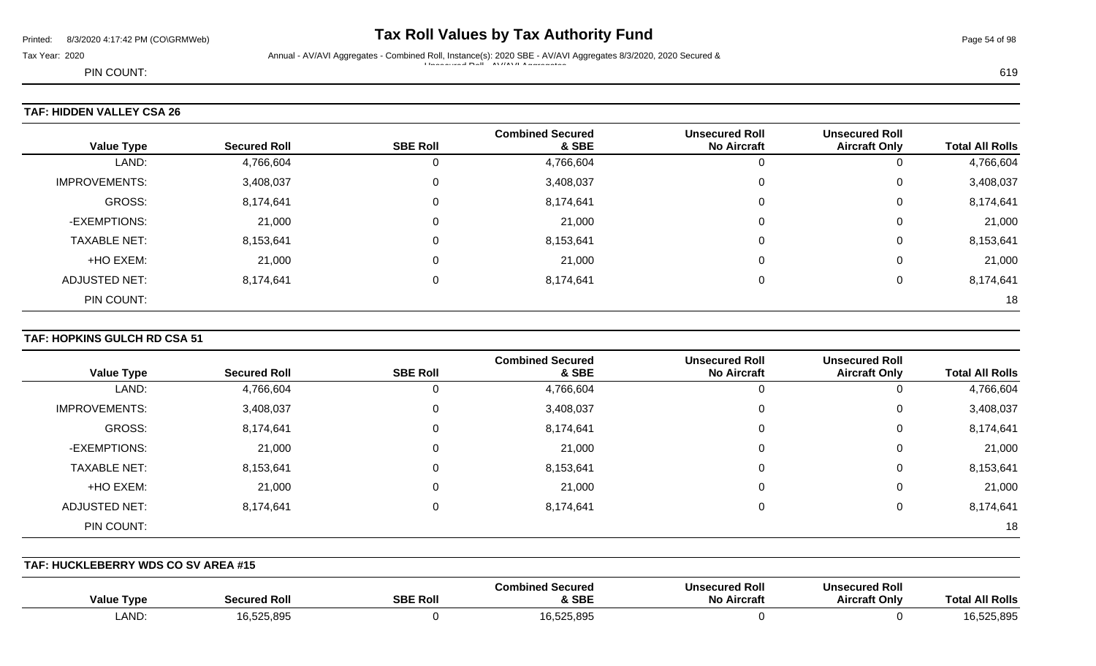# Printed: 8/3/2020 4:17:42 PM (CO\GRMWeb) **Tax Roll Values by Tax Authority Fund** Page 54 of 98

Tax Year: 2020 Annual - AV/AVI Aggregates - Combined Roll, Instance(s): 2020 SBE - AV/AVI Aggregates 8/3/2020, 2020 Secured & Unsecured Roll - AV/AVI Aggregates

PIN COUNT: 619

# **TAF: HIDDEN VALLEY CSA 26**

| <b>Value Type</b>    | <b>Secured Roll</b> | <b>SBE Roll</b> | <b>Combined Secured</b><br>& SBE | <b>Unsecured Roll</b><br><b>No Aircraft</b> | <b>Unsecured Roll</b><br><b>Aircraft Only</b> | <b>Total All Rolls</b> |
|----------------------|---------------------|-----------------|----------------------------------|---------------------------------------------|-----------------------------------------------|------------------------|
| LAND:                | 4,766,604           |                 | 4,766,604                        |                                             | 0                                             | 4,766,604              |
| <b>IMPROVEMENTS:</b> | 3,408,037           | 0               | 3,408,037                        | 0                                           | 0                                             | 3,408,037              |
| GROSS:               | 8,174,641           | 0               | 8,174,641                        | $\Omega$                                    | 0                                             | 8,174,641              |
| -EXEMPTIONS:         | 21,000              | $\Omega$        | 21,000                           | $\Omega$                                    | 0                                             | 21,000                 |
| <b>TAXABLE NET:</b>  | 8,153,641           | $\Omega$        | 8,153,641                        | $\Omega$                                    | 0                                             | 8,153,641              |
| +HO EXEM:            | 21,000              | $\mathbf 0$     | 21,000                           | $\Omega$                                    | 0                                             | 21,000                 |
| ADJUSTED NET:        | 8,174,641           | 0               | 8,174,641                        | $\Omega$                                    | 0                                             | 8,174,641              |
| PIN COUNT:           |                     |                 |                                  |                                             |                                               | 18                     |

#### **TAF: HOPKINS GULCH RD CSA 51**

| <b>Value Type</b>    | <b>Secured Roll</b> | <b>SBE Roll</b> | <b>Combined Secured</b><br>& SBE | <b>Unsecured Roll</b><br><b>No Aircraft</b> | <b>Unsecured Roll</b><br><b>Aircraft Only</b> | <b>Total All Rolls</b> |
|----------------------|---------------------|-----------------|----------------------------------|---------------------------------------------|-----------------------------------------------|------------------------|
| LAND:                | 4,766,604           | 0               | 4,766,604                        |                                             | 0                                             | 4,766,604              |
| <b>IMPROVEMENTS:</b> | 3,408,037           | 0               | 3,408,037                        |                                             | 0                                             | 3,408,037              |
| GROSS:               | 8,174,641           | 0               | 8,174,641                        | 0                                           | 0                                             | 8,174,641              |
| -EXEMPTIONS:         | 21,000              | 0               | 21,000                           | 0                                           | 0                                             | 21,000                 |
| <b>TAXABLE NET:</b>  | 8,153,641           | 0               | 8,153,641                        | $\Omega$                                    | 0                                             | 8,153,641              |
| +HO EXEM:            | 21,000              | $\mathbf 0$     | 21,000                           | 0                                           | 0                                             | 21,000                 |
| <b>ADJUSTED NET:</b> | 8,174,641           | 0               | 8,174,641                        |                                             | 0                                             | 8,174,641              |
| PIN COUNT:           |                     |                 |                                  |                                             |                                               | 18                     |

**TAF: HUCKLEBERRY WDS CO SV AREA #15** 

| Type<br>Value | <b>Secured Ro.</b> | <b>SBE Roll</b> | ' Secured<br>Combined<br>& SBE | <b>Unsecured Roll</b><br><b>No Aircraft</b> | secured Roll<br><b>Uns</b><br><b>Aircraft Only</b> | <b>All Rolls</b><br>l ota |
|---------------|--------------------|-----------------|--------------------------------|---------------------------------------------|----------------------------------------------------|---------------------------|
| <b>LAND</b>   | 16,525,895         |                 | 16.525.895                     |                                             |                                                    | .525,895                  |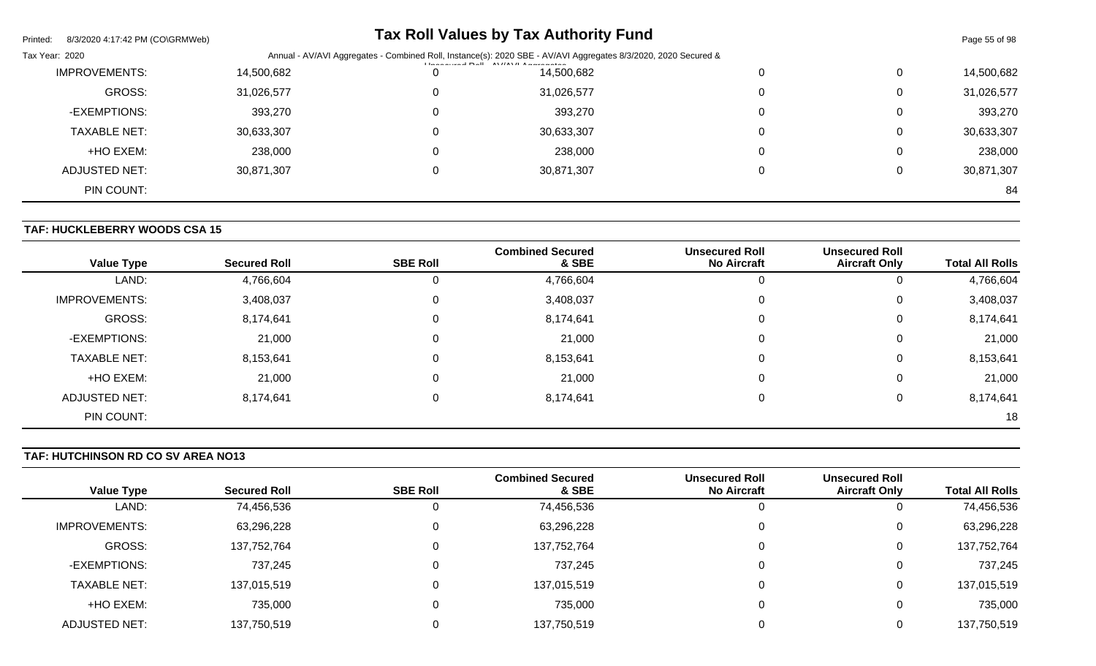| Printed:<br>8/3/2020 4:17:42 PM (CO\GRMWeb) |            |                                                                                                                | <b>Tax Roll Values by Tax Authority Fund</b> |  |          | Page 55 of 98 |  |
|---------------------------------------------|------------|----------------------------------------------------------------------------------------------------------------|----------------------------------------------|--|----------|---------------|--|
| Tax Year: 2020                              |            | Annual - AV/AVI Aggregates - Combined Roll, Instance(s): 2020 SBE - AV/AVI Aggregates 8/3/2020, 2020 Secured & |                                              |  |          |               |  |
| <b>IMPROVEMENTS:</b>                        | 14,500,682 | O                                                                                                              | 14,500,682                                   |  | 0        | 14,500,682    |  |
| GROSS:                                      | 31,026,577 | 0                                                                                                              | 31,026,577                                   |  | 0        | 31,026,577    |  |
| -EXEMPTIONS:                                | 393,270    | 0                                                                                                              | 393,270                                      |  | $\Omega$ | 393,270       |  |
| <b>TAXABLE NET:</b>                         | 30,633,307 | 0                                                                                                              | 30,633,307                                   |  | 0        | 30,633,307    |  |
| +HO EXEM:                                   | 238,000    | 0                                                                                                              | 238,000                                      |  | $\Omega$ | 238,000       |  |
| ADJUSTED NET:                               | 30,871,307 | 0                                                                                                              | 30,871,307                                   |  |          | 30,871,307    |  |
| PIN COUNT:                                  |            |                                                                                                                |                                              |  |          | 84            |  |

# **TAF: HUCKLEBERRY WOODS CSA 15**

| <b>Value Type</b>    | <b>Secured Roll</b> | <b>SBE Roll</b> | <b>Combined Secured</b><br>& SBE | <b>Unsecured Roll</b><br><b>No Aircraft</b> | <b>Unsecured Roll</b><br><b>Aircraft Only</b> | <b>Total All Rolls</b> |
|----------------------|---------------------|-----------------|----------------------------------|---------------------------------------------|-----------------------------------------------|------------------------|
| LAND:                | 4,766,604           | 0               | 4,766,604                        | 0                                           | 0                                             | 4,766,604              |
| <b>IMPROVEMENTS:</b> | 3,408,037           | 0               | 3,408,037                        | 0                                           | 0                                             | 3,408,037              |
| GROSS:               | 8,174,641           | 0               | 8,174,641                        | 0                                           | 0                                             | 8,174,641              |
| -EXEMPTIONS:         | 21,000              | 0               | 21,000                           | 0                                           | 0                                             | 21,000                 |
| <b>TAXABLE NET:</b>  | 8,153,641           | $\Omega$        | 8,153,641                        | 0                                           | 0                                             | 8,153,641              |
| +HO EXEM:            | 21,000              | 0               | 21,000                           | 0                                           | 0                                             | 21,000                 |
| ADJUSTED NET:        | 8,174,641           | 0               | 8,174,641                        | 0                                           | 0                                             | 8,174,641              |
| PIN COUNT:           |                     |                 |                                  |                                             |                                               | 18                     |

#### **TAF: HUTCHINSON RD CO SV AREA NO13**

| <b>Value Type</b>    | <b>Secured Roll</b> | <b>SBE Roll</b> | <b>Combined Secured</b><br>& SBE | <b>Unsecured Roll</b><br><b>No Aircraft</b> | <b>Unsecured Roll</b><br><b>Aircraft Only</b> | <b>Total All Rolls</b> |
|----------------------|---------------------|-----------------|----------------------------------|---------------------------------------------|-----------------------------------------------|------------------------|
| LAND:                | 74,456,536          |                 | 74,456,536                       | 0                                           |                                               | 74,456,536             |
| <b>IMPROVEMENTS:</b> | 63,296,228          |                 | 63,296,228                       | 0                                           |                                               | 63,296,228             |
| GROSS:               | 137,752,764         |                 | 137,752,764                      | 0                                           | 0                                             | 137,752,764            |
| -EXEMPTIONS:         | 737,245             |                 | 737,245                          | 0                                           |                                               | 737,245                |
| <b>TAXABLE NET:</b>  | 137,015,519         |                 | 137,015,519                      | 0                                           | 0                                             | 137,015,519            |
| +HO EXEM:            | 735,000             |                 | 735,000                          | 0                                           |                                               | 735,000                |
| ADJUSTED NET:        | 137,750,519         |                 | 137,750,519                      |                                             |                                               | 137,750,519            |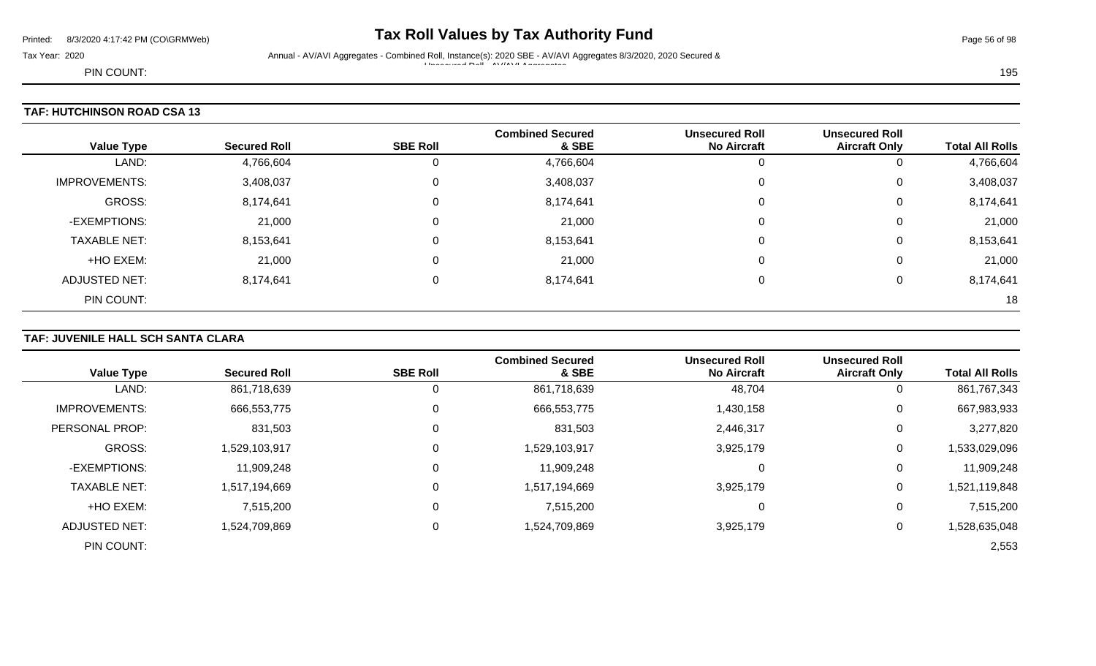# Printed: 8/3/2020 4:17:42 PM (CO\GRMWeb) **Tax Roll Values by Tax Authority Fund** Page 56 of 98

Tax Year: 2020 Annual - AV/AVI Aggregates - Combined Roll, Instance(s): 2020 SBE - AV/AVI Aggregates 8/3/2020, 2020 Secured & Unsecured Roll - AV/AVI Aggregates

PIN COUNT: 195

| <b>Value Type</b>    | <b>Secured Roll</b> | <b>SBE Roll</b> | <b>Combined Secured</b><br>& SBE | <b>Unsecured Roll</b><br><b>No Aircraft</b> | <b>Unsecured Roll</b><br><b>Aircraft Only</b> | <b>Total All Rolls</b> |
|----------------------|---------------------|-----------------|----------------------------------|---------------------------------------------|-----------------------------------------------|------------------------|
| LAND:                | 4,766,604           | O               | 4,766,604                        |                                             | 0                                             | 4,766,604              |
| <b>IMPROVEMENTS:</b> | 3,408,037           | 0               | 3,408,037                        | 0                                           | 0                                             | 3,408,037              |
| GROSS:               | 8,174,641           | $\Omega$        | 8,174,641                        |                                             | 0                                             | 8,174,641              |
| -EXEMPTIONS:         | 21,000              | 0               | 21,000                           |                                             | 0                                             | 21,000                 |
| <b>TAXABLE NET:</b>  | 8,153,641           | 0               | 8,153,641                        | 0                                           | 0                                             | 8,153,641              |
| +HO EXEM:            | 21,000              | $\mathbf 0$     | 21,000                           |                                             | 0                                             | 21,000                 |
| <b>ADJUSTED NET:</b> | 8,174,641           | 0               | 8,174,641                        |                                             | 0                                             | 8,174,641              |
| PIN COUNT:           |                     |                 |                                  |                                             |                                               | 18                     |

# **TAF: JUVENILE HALL SCH SANTA CLARA**

| <b>Value Type</b>     | <b>Secured Roll</b> | <b>SBE Roll</b> | <b>Combined Secured</b><br>& SBE | <b>Unsecured Roll</b><br><b>No Aircraft</b> | <b>Unsecured Roll</b><br><b>Aircraft Only</b> | <b>Total All Rolls</b> |
|-----------------------|---------------------|-----------------|----------------------------------|---------------------------------------------|-----------------------------------------------|------------------------|
| LAND:                 | 861,718,639         | 0               | 861,718,639                      | 48,704                                      | 0                                             | 861,767,343            |
| <b>IMPROVEMENTS:</b>  | 666,553,775         | 0               | 666,553,775                      | 1,430,158                                   | 0                                             | 667,983,933            |
| <b>PERSONAL PROP:</b> | 831,503             | 0               | 831,503                          | 2,446,317                                   | 0                                             | 3,277,820              |
| <b>GROSS:</b>         | 1,529,103,917       | 0               | 1,529,103,917                    | 3,925,179                                   | 0                                             | 1,533,029,096          |
| -EXEMPTIONS:          | 11,909,248          | 0               | 11,909,248                       |                                             | 0                                             | 11,909,248             |
| <b>TAXABLE NET:</b>   | 1,517,194,669       | 0               | 1,517,194,669                    | 3,925,179                                   | 0                                             | 1,521,119,848          |
| +HO EXEM:             | 7,515,200           | 0               | 7,515,200                        |                                             | 0                                             | 7,515,200              |
| <b>ADJUSTED NET:</b>  | 1,524,709,869       | $\Omega$        | 1,524,709,869                    | 3,925,179                                   | 0                                             | 1,528,635,048          |
| PIN COUNT:            |                     |                 |                                  |                                             |                                               | 2,553                  |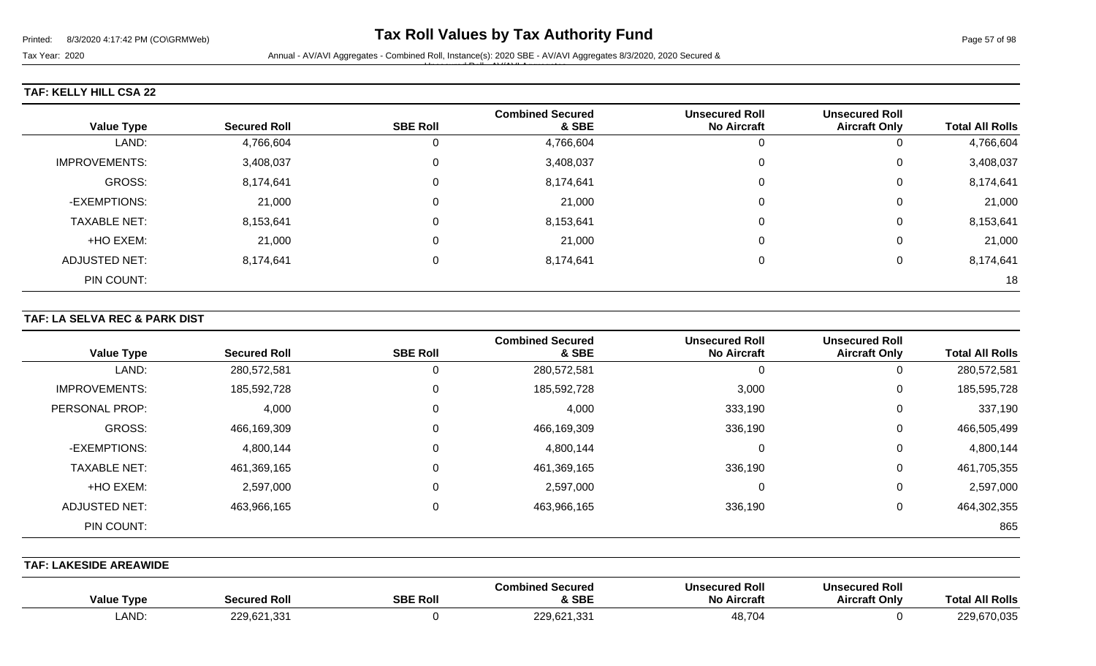# **TAF: KELLY HILL CSA 22**

|                      |                     |                 | <b>Combined Secured</b> | <b>Unsecured Roll</b> | <b>Unsecured Roll</b> |                        |
|----------------------|---------------------|-----------------|-------------------------|-----------------------|-----------------------|------------------------|
| <b>Value Type</b>    | <b>Secured Roll</b> | <b>SBE Roll</b> | & SBE                   | <b>No Aircraft</b>    | <b>Aircraft Only</b>  | <b>Total All Rolls</b> |
| LAND:                | 4,766,604           | 0               | 4,766,604               |                       | 0                     | 4,766,604              |
| <b>IMPROVEMENTS:</b> | 3,408,037           | 0               | 3,408,037               | υ                     | 0                     | 3,408,037              |
| GROSS:               | 8,174,641           | 0               | 8,174,641               |                       | 0                     | 8,174,641              |
| -EXEMPTIONS:         | 21,000              | 0               | 21,000                  |                       | 0                     | 21,000                 |
| <b>TAXABLE NET:</b>  | 8,153,641           | 0               | 8,153,641               |                       | 0                     | 8,153,641              |
| +HO EXEM:            | 21,000              | 0               | 21,000                  |                       | 0                     | 21,000                 |
| <b>ADJUSTED NET:</b> | 8,174,641           | 0               | 8,174,641               |                       | $\Omega$              | 8,174,641              |
| PIN COUNT:           |                     |                 |                         |                       |                       | 18                     |

#### **TAF: LA SELVA REC & PARK DIST**

| <b>Value Type</b>    | <b>Secured Roll</b> | <b>SBE Roll</b> | <b>Combined Secured</b><br>& SBE | <b>Unsecured Roll</b><br><b>No Aircraft</b> | <b>Unsecured Roll</b><br><b>Aircraft Only</b> | <b>Total All Rolls</b> |
|----------------------|---------------------|-----------------|----------------------------------|---------------------------------------------|-----------------------------------------------|------------------------|
| LAND:                | 280,572,581         | 0               | 280,572,581                      | 0                                           | 0                                             | 280,572,581            |
| <b>IMPROVEMENTS:</b> | 185,592,728         | 0               | 185,592,728                      | 3,000                                       | 0                                             | 185,595,728            |
| PERSONAL PROP:       | 4,000               | 0               | 4,000                            | 333,190                                     | 0                                             | 337,190                |
| <b>GROSS:</b>        | 466,169,309         | 0               | 466,169,309                      | 336,190                                     | 0                                             | 466,505,499            |
| -EXEMPTIONS:         | 4,800,144           | 0               | 4,800,144                        | 0                                           | 0                                             | 4,800,144              |
| <b>TAXABLE NET:</b>  | 461,369,165         | 0               | 461,369,165                      | 336,190                                     | 0                                             | 461,705,355            |
| +HO EXEM:            | 2,597,000           | 0               | 2,597,000                        | 0                                           | 0                                             | 2,597,000              |
| ADJUSTED NET:        | 463,966,165         | 0               | 463,966,165                      | 336,190                                     | 0                                             | 464,302,355            |
| PIN COUNT:           |                     |                 |                                  |                                             |                                               | 865                    |

**TAF: LAKESIDE AREAWIDE** 

| <b>Value Type</b> | Secured Roll | <b>SBE Roll</b> | <b>Combined Secured</b><br>& SBE | <b>Unsecured Roll</b><br><b>No Aircraft</b> | <b>Unsecured Roll</b><br><b>Aircraft Only</b> | <b>All Rolls</b><br>otal |
|-------------------|--------------|-----------------|----------------------------------|---------------------------------------------|-----------------------------------------------|--------------------------|
| <b>LAND</b>       | 229,621,331  |                 | 229,621,331                      | 48,704                                      |                                               | 229,670,035              |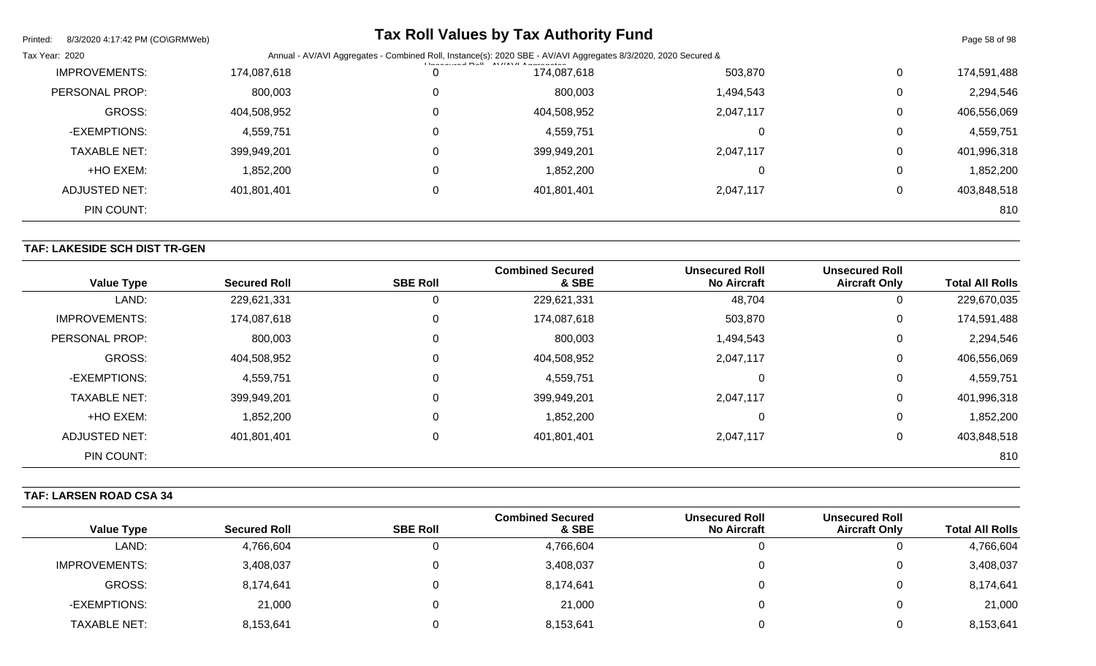| Printed:<br>8/3/2020 4:17:42 PM (CO\GRMWeb) |             |                                                                                                                                                                               | <b>Tax Roll Values by Tax Authority Fund</b> |           |             | Page 58 of 98 |
|---------------------------------------------|-------------|-------------------------------------------------------------------------------------------------------------------------------------------------------------------------------|----------------------------------------------|-----------|-------------|---------------|
| Tax Year: 2020                              |             | Annual - AV/AVI Aggregates - Combined Roll, Instance(s): 2020 SBE - AV/AVI Aggregates 8/3/2020, 2020 Secured &<br><b>I la a a constant D all AN //AN/LA a a a a a a a a a</b> |                                              |           |             |               |
| <b>IMPROVEMENTS:</b>                        | 174,087,618 | 0                                                                                                                                                                             | 174,087,618                                  | 503,870   | $\mathbf 0$ | 174,591,488   |
| PERSONAL PROP:                              | 800,003     | 0                                                                                                                                                                             | 800,003                                      | 1,494,543 | 0           | 2,294,546     |
| GROSS:                                      | 404,508,952 | 0                                                                                                                                                                             | 404,508,952                                  | 2,047,117 | 0           | 406,556,069   |
| -EXEMPTIONS:                                | 4,559,751   | $\Omega$                                                                                                                                                                      | 4,559,751                                    |           | 0           | 4,559,751     |
| <b>TAXABLE NET:</b>                         | 399,949,201 |                                                                                                                                                                               | 399,949,201                                  | 2,047,117 | 0           | 401,996,318   |
| +HO EXEM:                                   | 1,852,200   |                                                                                                                                                                               | 1,852,200                                    |           | 0           | 1,852,200     |
| <b>ADJUSTED NET:</b>                        | 401,801,401 | 0                                                                                                                                                                             | 401,801,401                                  | 2,047,117 | 0           | 403,848,518   |
| PIN COUNT:                                  |             |                                                                                                                                                                               |                                              |           |             | 810           |

# **TAF: LAKESIDE SCH DIST TR-GEN**

| <b>Value Type</b>    | <b>Secured Roll</b> | <b>SBE Roll</b> | <b>Combined Secured</b><br>& SBE | <b>Unsecured Roll</b><br><b>No Aircraft</b> | <b>Unsecured Roll</b><br><b>Aircraft Only</b> | <b>Total All Rolls</b> |
|----------------------|---------------------|-----------------|----------------------------------|---------------------------------------------|-----------------------------------------------|------------------------|
| LAND:                | 229,621,331         | 0               | 229,621,331                      | 48,704                                      | 0                                             | 229,670,035            |
| <b>IMPROVEMENTS:</b> | 174,087,618         | 0               | 174,087,618                      | 503,870                                     | 0                                             | 174,591,488            |
| PERSONAL PROP:       | 800,003             | 0               | 800,003                          | 1,494,543                                   | 0                                             | 2,294,546              |
| <b>GROSS:</b>        | 404,508,952         | $\overline{0}$  | 404,508,952                      | 2,047,117                                   | 0                                             | 406,556,069            |
| -EXEMPTIONS:         | 4,559,751           | 0               | 4,559,751                        |                                             | 0                                             | 4,559,751              |
| <b>TAXABLE NET:</b>  | 399,949,201         | $\overline{0}$  | 399,949,201                      | 2,047,117                                   | 0                                             | 401,996,318            |
| +HO EXEM:            | 1,852,200           | 0               | 1,852,200                        |                                             | 0                                             | 1,852,200              |
| <b>ADJUSTED NET:</b> | 401,801,401         | 0               | 401,801,401                      | 2,047,117                                   | 0                                             | 403,848,518            |
| PIN COUNT:           |                     |                 |                                  |                                             |                                               | 810                    |

# **TAF: LARSEN ROAD CSA 34**

| <b>Value Type</b>    | <b>Secured Roll</b> | <b>SBE Roll</b> | <b>Combined Secured</b><br>& SBE | <b>Unsecured Roll</b><br><b>No Aircraft</b> | <b>Unsecured Roll</b><br><b>Aircraft Only</b> | <b>Total All Rolls</b> |
|----------------------|---------------------|-----------------|----------------------------------|---------------------------------------------|-----------------------------------------------|------------------------|
| LAND:                | 4,766,604           |                 | 4,766,604                        |                                             | ν                                             | 4,766,604              |
| <b>IMPROVEMENTS:</b> | 3,408,037           |                 | 3,408,037                        |                                             | ν                                             | 3,408,037              |
| <b>GROSS:</b>        | 8,174,641           |                 | 8,174,641                        |                                             | υ                                             | 8,174,641              |
| -EXEMPTIONS:         | 21,000              |                 | 21,000                           |                                             | υ                                             | 21,000                 |
| <b>TAXABLE NET:</b>  | 8,153,641           |                 | 8,153,641                        |                                             | ν                                             | 8,153,641              |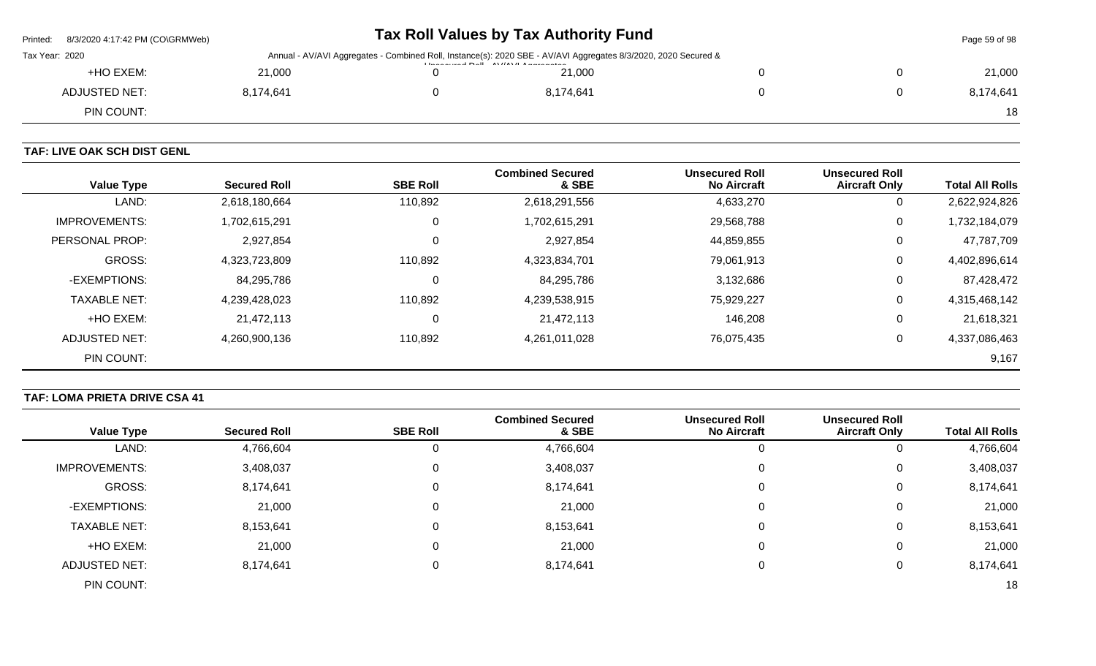| Printed:       |                                                                                                                                  |  | Tax Roll Values by Tax Authority Fund |  |  | Page 59 of 98 |
|----------------|----------------------------------------------------------------------------------------------------------------------------------|--|---------------------------------------|--|--|---------------|
| Tax Year: 2020 | Annual - AV/AVI Aggregates - Combined Roll, Instance(s): 2020 SBE - AV/AVI Aggregates 8/3/2020, 2020 Secured &<br>$\blacksquare$ |  |                                       |  |  |               |
| +HO EXEM:      | 21.000                                                                                                                           |  | 21,000                                |  |  | 21,000        |
| ADJUSTED NET:  | 8,174,641                                                                                                                        |  | 8,174,641                             |  |  | 8,174,641     |
| PIN COUNT:     |                                                                                                                                  |  |                                       |  |  | 18            |

# **TAF: LIVE OAK SCH DIST GENL**

| <b>Value Type</b>    | <b>Secured Roll</b> | <b>SBE Roll</b> | <b>Combined Secured</b><br>& SBE | <b>Unsecured Roll</b><br><b>No Aircraft</b> | <b>Unsecured Roll</b><br><b>Aircraft Only</b> | <b>Total All Rolls</b> |
|----------------------|---------------------|-----------------|----------------------------------|---------------------------------------------|-----------------------------------------------|------------------------|
| LAND:                | 2,618,180,664       | 110,892         | 2,618,291,556                    | 4,633,270                                   | 0                                             | 2,622,924,826          |
| <b>IMPROVEMENTS:</b> | 1,702,615,291       | 0               | 1,702,615,291                    | 29,568,788                                  | 0                                             | 1,732,184,079          |
| PERSONAL PROP:       | 2,927,854           | 0               | 2,927,854                        | 44,859,855                                  | 0                                             | 47,787,709             |
| <b>GROSS:</b>        | 4,323,723,809       | 110,892         | 4,323,834,701                    | 79,061,913                                  | 0                                             | 4,402,896,614          |
| -EXEMPTIONS:         | 84,295,786          | 0               | 84,295,786                       | 3,132,686                                   | 0                                             | 87,428,472             |
| <b>TAXABLE NET:</b>  | 4,239,428,023       | 110,892         | 4,239,538,915                    | 75,929,227                                  | 0                                             | 4,315,468,142          |
| +HO EXEM:            | 21,472,113          | 0               | 21,472,113                       | 146,208                                     | 0                                             | 21,618,321             |
| ADJUSTED NET:        | 4,260,900,136       | 110,892         | 4,261,011,028                    | 76,075,435                                  | 0                                             | 4,337,086,463          |
| PIN COUNT:           |                     |                 |                                  |                                             |                                               | 9,167                  |

# **TAF: LOMA PRIETA DRIVE CSA 41**

|                      |                     |                 | <b>Combined Secured</b> | <b>Unsecured Roll</b> | <b>Unsecured Roll</b> |                        |
|----------------------|---------------------|-----------------|-------------------------|-----------------------|-----------------------|------------------------|
| <b>Value Type</b>    | <b>Secured Roll</b> | <b>SBE Roll</b> | & SBE                   | <b>No Aircraft</b>    | <b>Aircraft Only</b>  | <b>Total All Rolls</b> |
| LAND:                | 4,766,604           |                 | 4,766,604               | 0                     | 0                     | 4,766,604              |
| <b>IMPROVEMENTS:</b> | 3,408,037           |                 | 3,408,037               | 0                     | 0                     | 3,408,037              |
| GROSS:               | 8,174,641           |                 | 8,174,641               | $\Omega$              | 0                     | 8,174,641              |
| -EXEMPTIONS:         | 21,000              |                 | 21,000                  | 0                     | 0                     | 21,000                 |
| <b>TAXABLE NET:</b>  | 8,153,641           |                 | 8,153,641               | 0                     | 0                     | 8,153,641              |
| +HO EXEM:            | 21,000              |                 | 21,000                  | 0                     | 0                     | 21,000                 |
| <b>ADJUSTED NET:</b> | 8,174,641           |                 | 8,174,641               | 0                     | 0                     | 8,174,641              |
| PIN COUNT:           |                     |                 |                         |                       |                       | 18                     |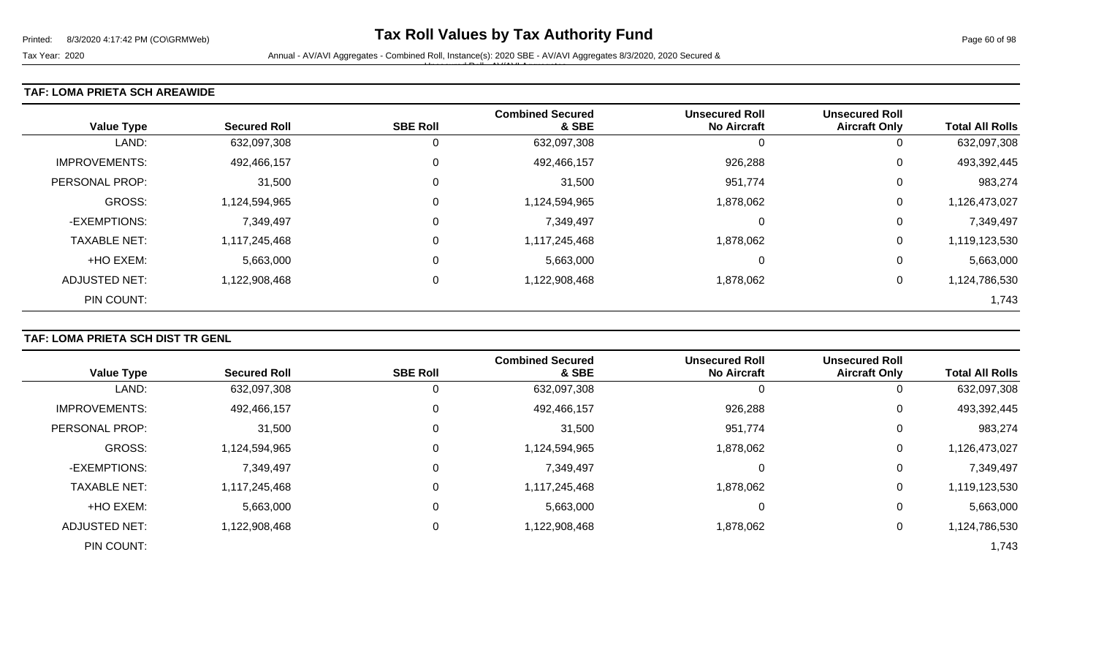#### **TAF: LOMA PRIETA SCH AREAWIDE**

| <b>Value Type</b>    | <b>Secured Roll</b> | <b>SBE Roll</b> | <b>Combined Secured</b><br>& SBE | <b>Unsecured Roll</b><br><b>No Aircraft</b> | <b>Unsecured Roll</b><br><b>Aircraft Only</b> | <b>Total All Rolls</b> |
|----------------------|---------------------|-----------------|----------------------------------|---------------------------------------------|-----------------------------------------------|------------------------|
| LAND:                | 632,097,308         | 0               | 632,097,308                      |                                             | 0                                             | 632,097,308            |
| <b>IMPROVEMENTS:</b> | 492,466,157         | $\mathbf 0$     | 492,466,157                      | 926,288                                     | 0                                             | 493,392,445            |
| PERSONAL PROP:       | 31,500              | $\overline{0}$  | 31,500                           | 951,774                                     | 0                                             | 983,274                |
| <b>GROSS:</b>        | 1,124,594,965       | $\overline{0}$  | 1,124,594,965                    | 1,878,062                                   | 0                                             | 1,126,473,027          |
| -EXEMPTIONS:         | 7,349,497           | $\overline{0}$  | 7,349,497                        | 0                                           | 0                                             | 7,349,497              |
| <b>TAXABLE NET:</b>  | 1,117,245,468       | $\overline{0}$  | 1,117,245,468                    | 1,878,062                                   | 0                                             | 1,119,123,530          |
| +HO EXEM:            | 5,663,000           | $\overline{0}$  | 5,663,000                        | 0                                           | 0                                             | 5,663,000              |
| ADJUSTED NET:        | 1,122,908,468       | 0               | 1,122,908,468                    | 1,878,062                                   | 0                                             | 1,124,786,530          |
| PIN COUNT:           |                     |                 |                                  |                                             |                                               | 1,743                  |

# **TAF: LOMA PRIETA SCH DIST TR GENL**

|                       |                     |                 | <b>Combined Secured</b> | <b>Unsecured Roll</b> | <b>Unsecured Roll</b> |                        |
|-----------------------|---------------------|-----------------|-------------------------|-----------------------|-----------------------|------------------------|
| <b>Value Type</b>     | <b>Secured Roll</b> | <b>SBE Roll</b> | & SBE                   | <b>No Aircraft</b>    | <b>Aircraft Only</b>  | <b>Total All Rolls</b> |
| LAND:                 | 632,097,308         |                 | 632,097,308             | O                     | O                     | 632,097,308            |
| <b>IMPROVEMENTS:</b>  | 492,466,157         |                 | 492,466,157             | 926,288               | 0                     | 493,392,445            |
| <b>PERSONAL PROP:</b> | 31,500              |                 | 31,500                  | 951,774               | 0                     | 983,274                |
| <b>GROSS:</b>         | 1,124,594,965       |                 | 1,124,594,965           | 1,878,062             | 0                     | 1,126,473,027          |
| -EXEMPTIONS:          | 7,349,497           |                 | 7,349,497               | 0                     | 0                     | 7,349,497              |
| <b>TAXABLE NET:</b>   | 1,117,245,468       |                 | 1,117,245,468           | 1,878,062             | 0                     | 1,119,123,530          |
| +HO EXEM:             | 5,663,000           |                 | 5,663,000               | 0                     | 0                     | 5,663,000              |
| ADJUSTED NET:         | 1,122,908,468       |                 | 1,122,908,468           | 1,878,062             | 0                     | 1,124,786,530          |
| PIN COUNT:            |                     |                 |                         |                       |                       | 1,743                  |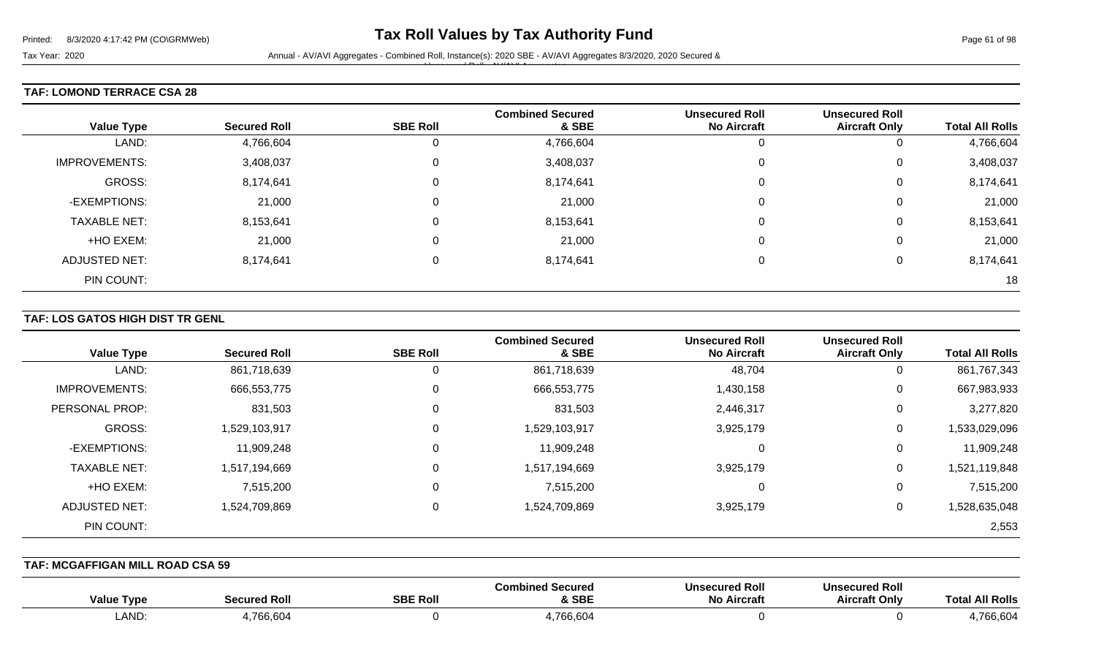#### **TAF: LOMOND TERRACE CSA 28**

| <b>Value Type</b>    | <b>Secured Roll</b> | <b>SBE Roll</b> | <b>Combined Secured</b><br>& SBE | <b>Unsecured Roll</b><br><b>No Aircraft</b> | <b>Unsecured Roll</b><br><b>Aircraft Only</b> | <b>Total All Rolls</b> |
|----------------------|---------------------|-----------------|----------------------------------|---------------------------------------------|-----------------------------------------------|------------------------|
| LAND:                | 4,766,604           | 0               | 4,766,604                        |                                             | 0                                             | 4,766,604              |
| <b>IMPROVEMENTS:</b> | 3,408,037           | 0               | 3,408,037                        |                                             | 0                                             | 3,408,037              |
| GROSS:               | 8,174,641           | $\mathbf 0$     | 8,174,641                        |                                             | 0                                             | 8,174,641              |
| -EXEMPTIONS:         | 21,000              | 0               | 21,000                           |                                             | $\mathbf 0$                                   | 21,000                 |
| <b>TAXABLE NET:</b>  | 8,153,641           | 0               | 8,153,641                        |                                             | 0                                             | 8,153,641              |
| +HO EXEM:            | 21,000              | 0               | 21,000                           |                                             | $\mathbf 0$                                   | 21,000                 |
| <b>ADJUSTED NET:</b> | 8,174,641           | 0               | 8,174,641                        |                                             | 0                                             | 8,174,641              |
| PIN COUNT:           |                     |                 |                                  |                                             |                                               | 18                     |

#### **TAF: LOS GATOS HIGH DIST TR GENL**

| <b>Value Type</b>    | <b>Secured Roll</b> | <b>SBE Roll</b> | <b>Combined Secured</b><br>& SBE | <b>Unsecured Roll</b><br><b>No Aircraft</b> | <b>Unsecured Roll</b><br><b>Aircraft Only</b> | <b>Total All Rolls</b> |
|----------------------|---------------------|-----------------|----------------------------------|---------------------------------------------|-----------------------------------------------|------------------------|
| LAND:                | 861,718,639         | 0               | 861,718,639                      | 48,704                                      | 0                                             | 861,767,343            |
| <b>IMPROVEMENTS:</b> | 666,553,775         | 0               | 666,553,775                      | 1,430,158                                   | 0                                             | 667,983,933            |
| PERSONAL PROP:       | 831,503             | 0               | 831,503                          | 2,446,317                                   | 0                                             | 3,277,820              |
| GROSS:               | 1,529,103,917       | 0               | 1,529,103,917                    | 3,925,179                                   | 0                                             | 1,533,029,096          |
| -EXEMPTIONS:         | 11,909,248          | 0               | 11,909,248                       | 0                                           | 0                                             | 11,909,248             |
| <b>TAXABLE NET:</b>  | 1,517,194,669       | 0               | 1,517,194,669                    | 3,925,179                                   | 0                                             | 1,521,119,848          |
| +HO EXEM:            | 7,515,200           | 0               | 7,515,200                        | 0                                           | 0                                             | 7,515,200              |
| ADJUSTED NET:        | 1,524,709,869       | 0               | 1,524,709,869                    | 3,925,179                                   | 0                                             | 1,528,635,048          |
| PIN COUNT:           |                     |                 |                                  |                                             |                                               | 2,553                  |

**TAF: MCGAFFIGAN MILL ROAD CSA 59** 

| <b>Value Type</b> | Secured Roll | <b>SBE Roll</b> | Combined Secured<br>& SBE | <b>Unsecured Roll</b><br>No Aircraft | <b>Unsecured Roll</b><br><b>Aircraft Only</b> | al All Rolls<br>⊺otr |
|-------------------|--------------|-----------------|---------------------------|--------------------------------------|-----------------------------------------------|----------------------|
| LAND              | ,766,604     |                 | 766,604                   |                                      |                                               | ,766,604             |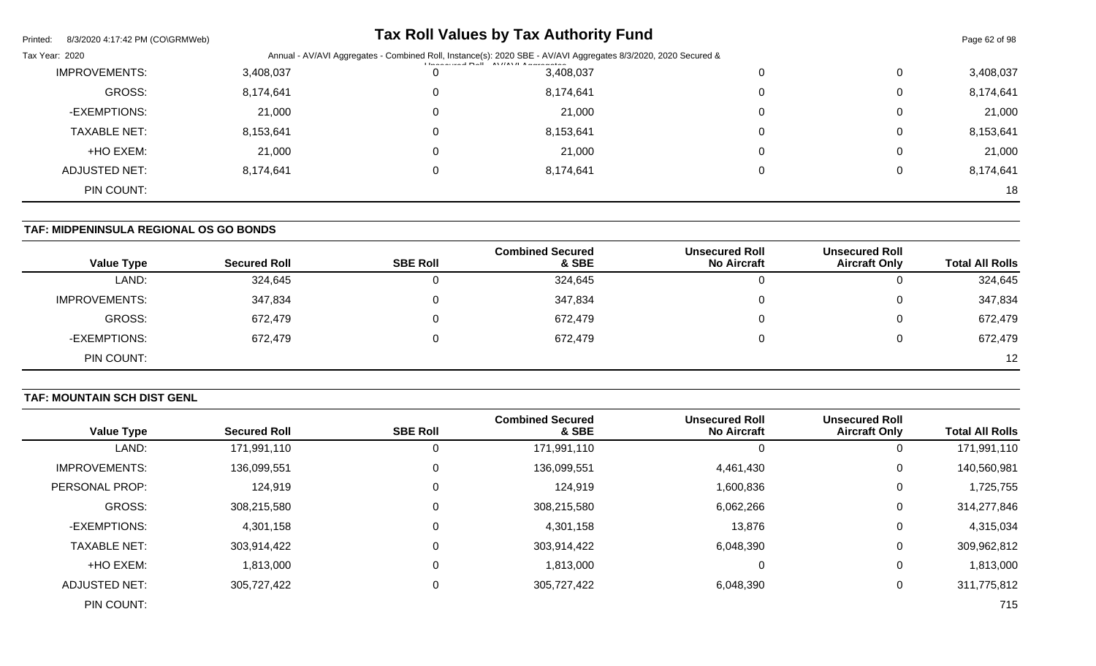| 8/3/2020 4:17:42 PM (CO\GRMWeb)<br>Printed: |           |                                                                                                                                                                                    | <b>Tax Roll Values by Tax Authority Fund</b> |  |   | Page 62 of 98 |
|---------------------------------------------|-----------|------------------------------------------------------------------------------------------------------------------------------------------------------------------------------------|----------------------------------------------|--|---|---------------|
| Tax Year: 2020                              |           | Annual - AV/AVI Aggregates - Combined Roll, Instance(s): 2020 SBE - AV/AVI Aggregates 8/3/2020, 2020 Secured &<br><b>I have accepted <math>D = 0</math></b> AV//AV/LA accepted and |                                              |  |   |               |
| <b>IMPROVEMENTS:</b>                        | 3,408,037 |                                                                                                                                                                                    | 3,408,037                                    |  | 0 | 3,408,037     |
| GROSS:                                      | 8,174,641 |                                                                                                                                                                                    | 8,174,641                                    |  | 0 | 8,174,641     |
| -EXEMPTIONS:                                | 21,000    |                                                                                                                                                                                    | 21,000                                       |  | 0 | 21,000        |
| <b>TAXABLE NET:</b>                         | 8,153,641 |                                                                                                                                                                                    | 8,153,641                                    |  | 0 | 8,153,641     |
| +HO EXEM:                                   | 21,000    |                                                                                                                                                                                    | 21,000                                       |  | 0 | 21,000        |
| ADJUSTED NET:                               | 8,174,641 |                                                                                                                                                                                    | 8,174,641                                    |  | 0 | 8,174,641     |
| PIN COUNT:                                  |           |                                                                                                                                                                                    |                                              |  |   | 18            |

# **TAF: MIDPENINSULA REGIONAL OS GO BONDS**

| <b>Value Type</b>    | <b>Secured Roll</b> | <b>SBE Roll</b> | <b>Combined Secured</b><br>& SBE | <b>Unsecured Roll</b><br><b>No Aircraft</b> | <b>Unsecured Roll</b><br><b>Aircraft Only</b> | <b>Total All Rolls</b> |
|----------------------|---------------------|-----------------|----------------------------------|---------------------------------------------|-----------------------------------------------|------------------------|
| LAND:                | 324,645             |                 | 324,645                          |                                             | U                                             | 324,645                |
| <b>IMPROVEMENTS:</b> | 347,834             |                 | 347,834                          |                                             | 0                                             | 347,834                |
| GROSS:               | 672,479             |                 | 672,479                          |                                             | 0                                             | 672,479                |
| -EXEMPTIONS:         | 672,479             |                 | 672,479                          |                                             | 0                                             | 672,479                |
| PIN COUNT:           |                     |                 |                                  |                                             |                                               | 12                     |

# **TAF: MOUNTAIN SCH DIST GENL**

|                      |                     |                 | <b>Combined Secured</b> | <b>Unsecured Roll</b> | <b>Unsecured Roll</b> |                        |
|----------------------|---------------------|-----------------|-------------------------|-----------------------|-----------------------|------------------------|
| <b>Value Type</b>    | <b>Secured Roll</b> | <b>SBE Roll</b> | & SBE                   | <b>No Aircraft</b>    | <b>Aircraft Only</b>  | <b>Total All Rolls</b> |
| LAND:                | 171,991,110         |                 | 171,991,110             | ŧ.                    | 0                     | 171,991,110            |
| <b>IMPROVEMENTS:</b> | 136,099,551         |                 | 136,099,551             | 4,461,430             | 0                     | 140,560,981            |
| PERSONAL PROP:       | 124,919             |                 | 124,919                 | 1,600,836             | 0                     | 1,725,755              |
| <b>GROSS:</b>        | 308,215,580         |                 | 308,215,580             | 6,062,266             | 0                     | 314,277,846            |
| -EXEMPTIONS:         | 4,301,158           |                 | 4,301,158               | 13,876                | 0                     | 4,315,034              |
| <b>TAXABLE NET:</b>  | 303,914,422         |                 | 303,914,422             | 6,048,390             | 0                     | 309,962,812            |
| +HO EXEM:            | 1,813,000           |                 | 1,813,000               | $\Omega$              | 0                     | 1,813,000              |
| <b>ADJUSTED NET:</b> | 305,727,422         |                 | 305,727,422             | 6,048,390             | 0                     | 311,775,812            |
| PIN COUNT:           |                     |                 |                         |                       |                       | 715                    |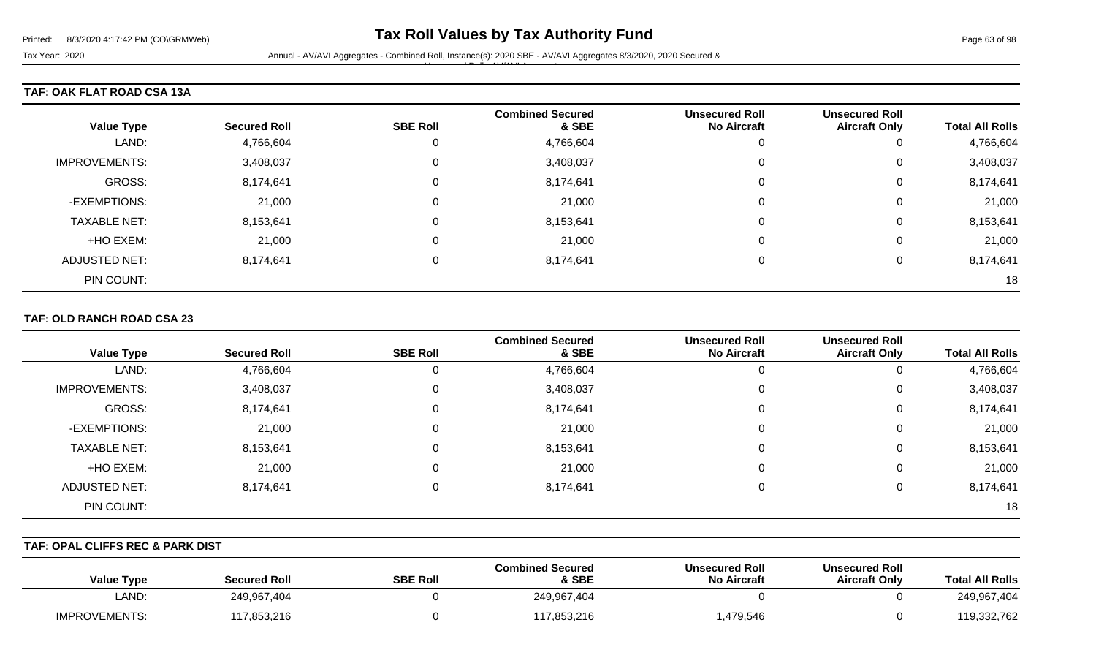Tax Year: 2020 **Annual - AV/AVI Aggregates - Combined Roll**, Instance(s): 2020 SBE - AV/AVI Aggregates 8/3/2020, 2020 Secured & Unsecured Roll - AV/AVI Aggregates

# **TAF: OAK FLAT ROAD CSA 13A**

|                      |                     |                 | <b>Combined Secured</b> | <b>Unsecured Roll</b> | <b>Unsecured Roll</b> |                        |
|----------------------|---------------------|-----------------|-------------------------|-----------------------|-----------------------|------------------------|
| <b>Value Type</b>    | <b>Secured Roll</b> | <b>SBE Roll</b> | & SBE                   | <b>No Aircraft</b>    | <b>Aircraft Only</b>  | <b>Total All Rolls</b> |
| LAND:                | 4,766,604           | 0               | 4,766,604               |                       | U                     | 4,766,604              |
| <b>IMPROVEMENTS:</b> | 3,408,037           | 0               | 3,408,037               |                       | 0                     | 3,408,037              |
| GROSS:               | 8,174,641           | 0               | 8,174,641               |                       | 0                     | 8,174,641              |
| -EXEMPTIONS:         | 21,000              | 0               | 21,000                  |                       | 0                     | 21,000                 |
| <b>TAXABLE NET:</b>  | 8,153,641           | 0               | 8,153,641               |                       | 0                     | 8,153,641              |
| +HO EXEM:            | 21,000              | 0               | 21,000                  |                       | 0                     | 21,000                 |
| <b>ADJUSTED NET:</b> | 8,174,641           | 0               | 8,174,641               |                       | 0                     | 8,174,641              |
| PIN COUNT:           |                     |                 |                         |                       |                       | 18                     |

#### **TAF: OLD RANCH ROAD CSA 23**

| <b>Value Type</b>    | <b>Secured Roll</b> | <b>SBE Roll</b> | <b>Combined Secured</b><br>& SBE | <b>Unsecured Roll</b><br><b>No Aircraft</b> | <b>Unsecured Roll</b><br><b>Aircraft Only</b> | <b>Total All Rolls</b> |
|----------------------|---------------------|-----------------|----------------------------------|---------------------------------------------|-----------------------------------------------|------------------------|
| LAND:                | 4,766,604           | 0               | 4,766,604                        | 0                                           | 0                                             | 4,766,604              |
| <b>IMPROVEMENTS:</b> | 3,408,037           | 0               | 3,408,037                        | 0                                           | 0                                             | 3,408,037              |
| GROSS:               | 8,174,641           | 0               | 8,174,641                        | 0                                           | 0                                             | 8,174,641              |
| -EXEMPTIONS:         | 21,000              | $\mathbf 0$     | 21,000                           | 0                                           | 0                                             | 21,000                 |
| <b>TAXABLE NET:</b>  | 8,153,641           | $\Omega$        | 8,153,641                        | 0                                           | 0                                             | 8,153,641              |
| +HO EXEM:            | 21,000              | 0               | 21,000                           | 0                                           | 0                                             | 21,000                 |
| <b>ADJUSTED NET:</b> | 8,174,641           | $\mathbf 0$     | 8,174,641                        | 0                                           | 0                                             | 8,174,641              |
| PIN COUNT:           |                     |                 |                                  |                                             |                                               | 18                     |

#### **TAF: OPAL CLIFFS REC & PARK DIST**

| <b>Value Type</b>    | <b>Secured Roll</b> | <b>SBE Roll</b> | <b>Combined Secured</b><br>& SBE | <b>Unsecured Roll</b><br>No Aircraft | <b>Unsecured Roll</b><br><b>Aircraft Only</b> | <b>Total All Rolls</b> |
|----------------------|---------------------|-----------------|----------------------------------|--------------------------------------|-----------------------------------------------|------------------------|
| _AND:                | 249,967,404         |                 | 249,967,404                      |                                      |                                               | 249,967,404            |
| <b>IMPROVEMENTS:</b> | 117,853,216         |                 | 117,853,216                      | ,479,546                             |                                               | 119,332,762            |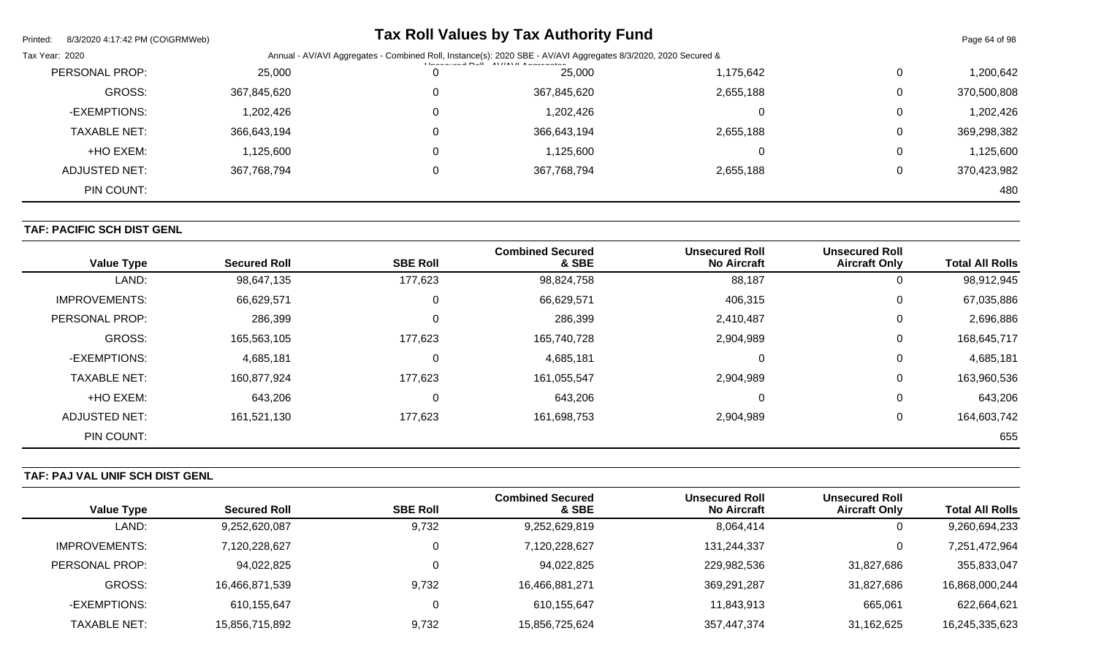| Printed:<br>8/3/2020 4:17:42 PM (CO\GRMWeb) |             | <b>Tax Roll Values by Tax Authority Fund</b>                                                                                            |           |   | Page 64 of 98 |
|---------------------------------------------|-------------|-----------------------------------------------------------------------------------------------------------------------------------------|-----------|---|---------------|
| Tax Year: 2020                              |             | Annual - AV/AVI Aggregates - Combined Roll, Instance(s): 2020 SBE - AV/AVI Aggregates 8/3/2020, 2020 Secured &<br>$\overrightarrow{AB}$ |           |   |               |
| PERSONAL PROP:                              | 25,000      | 25,000                                                                                                                                  | 1,175,642 | 0 | 1,200,642     |
| <b>GROSS:</b>                               | 367,845,620 | 367,845,620                                                                                                                             | 2,655,188 | 0 | 370,500,808   |
| -EXEMPTIONS:                                | 1,202,426   | 1,202,426                                                                                                                               |           | 0 | 1,202,426     |
| <b>TAXABLE NET:</b>                         | 366,643,194 | 366,643,194                                                                                                                             | 2,655,188 | 0 | 369,298,382   |
| +HO EXEM:                                   | 1,125,600   | 1,125,600                                                                                                                               |           | 0 | 1,125,600     |
| ADJUSTED NET:                               | 367,768,794 | 367,768,794                                                                                                                             | 2,655,188 | 0 | 370,423,982   |
| PIN COUNT:                                  |             |                                                                                                                                         |           |   | 480           |

# **TAF: PACIFIC SCH DIST GENL**

| <b>Value Type</b>    | <b>Secured Roll</b> | <b>SBE Roll</b> | <b>Combined Secured</b><br>& SBE | <b>Unsecured Roll</b><br><b>No Aircraft</b> | <b>Unsecured Roll</b><br><b>Aircraft Only</b> | <b>Total All Rolls</b> |
|----------------------|---------------------|-----------------|----------------------------------|---------------------------------------------|-----------------------------------------------|------------------------|
| LAND:                | 98,647,135          | 177,623         | 98,824,758                       | 88,187                                      | 0                                             | 98,912,945             |
| <b>IMPROVEMENTS:</b> | 66,629,571          | 0               | 66,629,571                       | 406,315                                     | 0                                             | 67,035,886             |
| PERSONAL PROP:       | 286,399             | 0               | 286,399                          | 2,410,487                                   | 0                                             | 2,696,886              |
| <b>GROSS:</b>        | 165,563,105         | 177,623         | 165,740,728                      | 2,904,989                                   | $\mathbf 0$                                   | 168,645,717            |
| -EXEMPTIONS:         | 4,685,181           | 0               | 4,685,181                        |                                             | 0                                             | 4,685,181              |
| <b>TAXABLE NET:</b>  | 160,877,924         | 177,623         | 161,055,547                      | 2,904,989                                   | $\mathbf 0$                                   | 163,960,536            |
| +HO EXEM:            | 643,206             | 0               | 643,206                          |                                             | $\mathbf 0$                                   | 643,206                |
| ADJUSTED NET:        | 161,521,130         | 177,623         | 161,698,753                      | 2,904,989                                   | $\mathbf 0$                                   | 164,603,742            |
| PIN COUNT:           |                     |                 |                                  |                                             |                                               | 655                    |

# **TAF: PAJ VAL UNIF SCH DIST GENL**

|                     |                     |                 | <b>Combined Secured</b> | <b>Unsecured Roll</b> | <b>Unsecured Roll</b> |                        |
|---------------------|---------------------|-----------------|-------------------------|-----------------------|-----------------------|------------------------|
| Value Type          | <b>Secured Roll</b> | <b>SBE Roll</b> | & SBE                   | <b>No Aircraft</b>    | <b>Aircraft Only</b>  | <b>Total All Rolls</b> |
| LAND:               | 9,252,620,087       | 9,732           | 9,252,629,819           | 8,064,414             | 0                     | 9,260,694,233          |
| IMPROVEMENTS:       | 7,120,228,627       |                 | 7,120,228,627           | 131,244,337           | 0                     | 7,251,472,964          |
| PERSONAL PROP:      | 94,022,825          |                 | 94,022,825              | 229,982,536           | 31,827,686            | 355,833,047            |
| <b>GROSS:</b>       | 16,466,871,539      | 9,732           | 16,466,881,271          | 369,291,287           | 31,827,686            | 16,868,000,244         |
| -EXEMPTIONS:        | 610,155,647         |                 | 610,155,647             | 11,843,913            | 665,061               | 622,664,621            |
| <b>TAXABLE NET:</b> | 15,856,715,892      | 9,732           | 15,856,725,624          | 357,447,374           | 31,162,625            | 16,245,335,623         |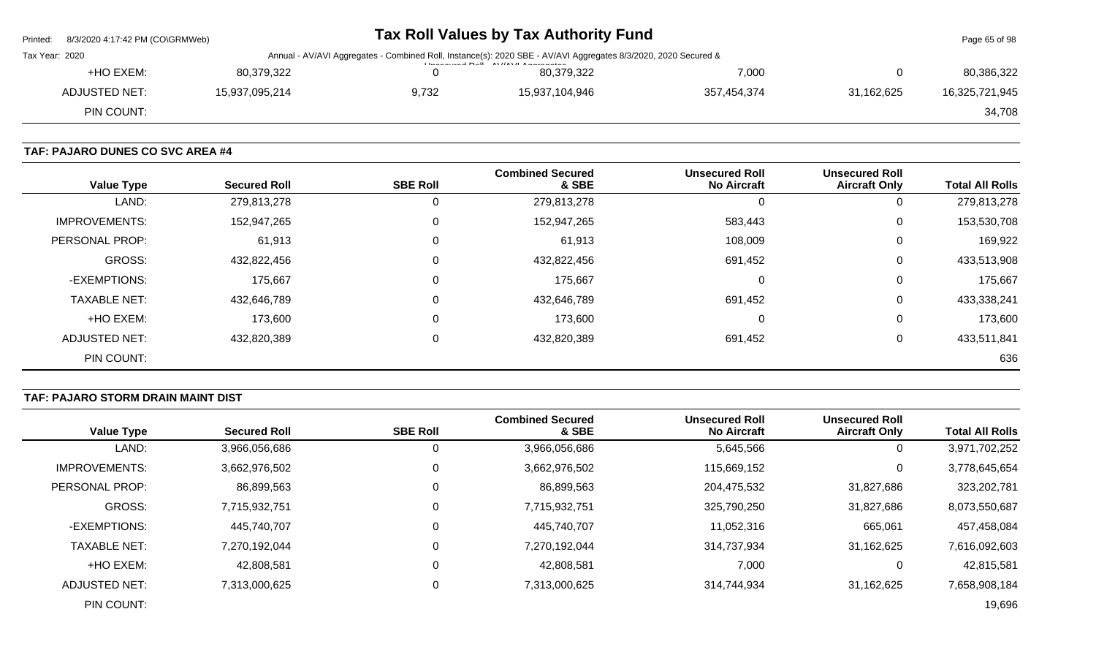| Printed:       | 8/3/2020 4:17:42 PM (CO\GRMWeb) |                |       | Tax Roll Values by Tax Authority Fund                                                                                                                                                                                                                                                                                                                                                                                                                           |             |            | Page 65 of 98  |
|----------------|---------------------------------|----------------|-------|-----------------------------------------------------------------------------------------------------------------------------------------------------------------------------------------------------------------------------------------------------------------------------------------------------------------------------------------------------------------------------------------------------------------------------------------------------------------|-------------|------------|----------------|
| Tax Year: 2020 |                                 |                |       | Annual - AV/AVI Aggregates - Combined Roll, Instance(s): 2020 SBE - AV/AVI Aggregates 8/3/2020, 2020 Secured &<br>$L_{\text{meas}}$ and $R_{\text{e}}$ $L_{\text{e}}$ $R_{\text{e}}$ $R_{\text{e}}$ $R_{\text{e}}$ $R_{\text{e}}$ $R_{\text{e}}$ $R_{\text{e}}$ $R_{\text{e}}$ $R_{\text{e}}$ $R_{\text{e}}$ $R_{\text{e}}$ $R_{\text{e}}$ $R_{\text{e}}$ $R_{\text{e}}$ $R_{\text{e}}$ $R_{\text{e}}$ $R_{\text{e}}$ $R_{\text{e}}$ $R_{\text{e}}$ $R_{\text{$ |             |            |                |
|                | +HO EXEM:                       | 80,379,322     |       | 80.379.322                                                                                                                                                                                                                                                                                                                                                                                                                                                      | 7,000       |            | 80,386,322     |
|                | <b>ADJUSTED NET:</b>            | 15,937,095,214 | 9,732 | 15,937,104,946                                                                                                                                                                                                                                                                                                                                                                                                                                                  | 357,454,374 | 31,162,625 | 16,325,721,945 |
|                | PIN COUNT:                      |                |       |                                                                                                                                                                                                                                                                                                                                                                                                                                                                 |             |            | 34,708         |
|                |                                 |                |       |                                                                                                                                                                                                                                                                                                                                                                                                                                                                 |             |            |                |

#### **TAF: PAJARO DUNES CO SVC AREA #4**

| <b>Value Type</b>    | <b>Secured Roll</b> | <b>SBE Roll</b> | <b>Combined Secured</b><br>& SBE | <b>Unsecured Roll</b><br><b>No Aircraft</b> | <b>Unsecured Roll</b><br><b>Aircraft Only</b> | <b>Total All Rolls</b> |
|----------------------|---------------------|-----------------|----------------------------------|---------------------------------------------|-----------------------------------------------|------------------------|
| LAND:                | 279,813,278         | Ü               | 279,813,278                      | 0                                           | 0                                             | 279,813,278            |
| <b>IMPROVEMENTS:</b> | 152,947,265         | 0               | 152,947,265                      | 583,443                                     | 0                                             | 153,530,708            |
| PERSONAL PROP:       | 61,913              | 0               | 61,913                           | 108,009                                     | 0                                             | 169,922                |
| <b>GROSS:</b>        | 432,822,456         | 0               | 432,822,456                      | 691,452                                     | 0                                             | 433,513,908            |
| -EXEMPTIONS:         | 175,667             | 0               | 175,667                          | 0                                           | 0                                             | 175,667                |
| <b>TAXABLE NET:</b>  | 432,646,789         | 0               | 432,646,789                      | 691,452                                     | 0                                             | 433,338,241            |
| +HO EXEM:            | 173,600             | 0               | 173,600                          | 0                                           | 0                                             | 173,600                |
| <b>ADJUSTED NET:</b> | 432,820,389         | 0               | 432,820,389                      | 691,452                                     | 0                                             | 433,511,841            |
| PIN COUNT:           |                     |                 |                                  |                                             |                                               | 636                    |

#### **TAF: PAJARO STORM DRAIN MAINT DIST**

|                      |                     |                 | <b>Combined Secured</b> | <b>Unsecured Roll</b> | <b>Unsecured Roll</b> |                        |
|----------------------|---------------------|-----------------|-------------------------|-----------------------|-----------------------|------------------------|
| <b>Value Type</b>    | <b>Secured Roll</b> | <b>SBE Roll</b> | & SBE                   | <b>No Aircraft</b>    | <b>Aircraft Only</b>  | <b>Total All Rolls</b> |
| LAND:                | 3,966,056,686       |                 | 3,966,056,686           | 5,645,566             | 0                     | 3,971,702,252          |
| <b>IMPROVEMENTS:</b> | 3,662,976,502       |                 | 3,662,976,502           | 115,669,152           | 0                     | 3,778,645,654          |
| PERSONAL PROP:       | 86,899,563          |                 | 86,899,563              | 204,475,532           | 31,827,686            | 323,202,781            |
| <b>GROSS:</b>        | 7,715,932,751       | $\Omega$        | 7,715,932,751           | 325,790,250           | 31,827,686            | 8,073,550,687          |
| -EXEMPTIONS:         | 445,740,707         |                 | 445,740,707             | 11,052,316            | 665,061               | 457,458,084            |
| <b>TAXABLE NET:</b>  | 7,270,192,044       | $\Omega$        | 7,270,192,044           | 314,737,934           | 31,162,625            | 7,616,092,603          |
| +HO EXEM:            | 42,808,581          |                 | 42,808,581              | 7,000                 | 0                     | 42,815,581             |
| ADJUSTED NET:        | 7,313,000,625       | 0               | 7,313,000,625           | 314,744,934           | 31,162,625            | 7,658,908,184          |
| PIN COUNT:           |                     |                 |                         |                       |                       | 19,696                 |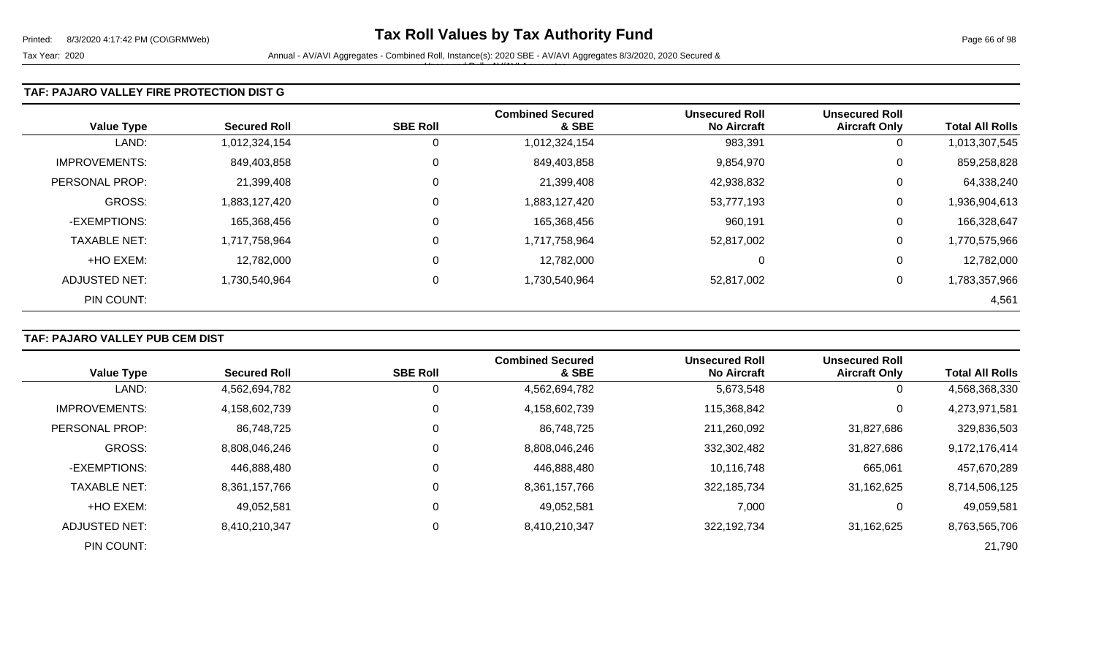Tax Year: 2020 **Annual - AV/AVI Aggregates - Combined Roll**, Instance(s): 2020 SBE - AV/AVI Aggregates 8/3/2020, 2020 Secured & Unsecured Roll - AV/AVI Aggregates

#### **TAF: PAJARO VALLEY FIRE PROTECTION DIST G**

| <b>Value Type</b>    | <b>Secured Roll</b> | <b>SBE Roll</b> | <b>Combined Secured</b><br>& SBE | <b>Unsecured Roll</b><br><b>No Aircraft</b> | <b>Unsecured Roll</b><br><b>Aircraft Only</b> | <b>Total All Rolls</b> |
|----------------------|---------------------|-----------------|----------------------------------|---------------------------------------------|-----------------------------------------------|------------------------|
| LAND:                | 1,012,324,154       | 0               | 1,012,324,154                    | 983,391                                     | 0                                             | 1,013,307,545          |
| <b>IMPROVEMENTS:</b> | 849,403,858         | 0               | 849,403,858                      | 9,854,970                                   | 0                                             | 859,258,828            |
| PERSONAL PROP:       | 21,399,408          | 0               | 21,399,408                       | 42,938,832                                  | 0                                             | 64,338,240             |
| <b>GROSS:</b>        | 1,883,127,420       | 0               | 1,883,127,420                    | 53,777,193                                  | 0                                             | 1,936,904,613          |
| -EXEMPTIONS:         | 165,368,456         |                 | 165,368,456                      | 960,191                                     | 0                                             | 166,328,647            |
| <b>TAXABLE NET:</b>  | 1,717,758,964       | 0               | 1,717,758,964                    | 52,817,002                                  | 0                                             | 1,770,575,966          |
| +HO EXEM:            | 12,782,000          | 0               | 12,782,000                       | 0                                           | 0                                             | 12,782,000             |
| ADJUSTED NET:        | 1,730,540,964       | 0               | 1,730,540,964                    | 52,817,002                                  | 0                                             | 1,783,357,966          |
| PIN COUNT:           |                     |                 |                                  |                                             |                                               | 4,561                  |

# **TAF: PAJARO VALLEY PUB CEM DIST**

| <b>Value Type</b>     | <b>Secured Roll</b> | <b>SBE Roll</b> | <b>Combined Secured</b><br>& SBE | <b>Unsecured Roll</b><br><b>No Aircraft</b> | <b>Unsecured Roll</b><br><b>Aircraft Only</b> | <b>Total All Rolls</b> |
|-----------------------|---------------------|-----------------|----------------------------------|---------------------------------------------|-----------------------------------------------|------------------------|
|                       |                     |                 |                                  |                                             |                                               |                        |
| LAND:                 | 4,562,694,782       |                 | 4,562,694,782                    | 5,673,548                                   | 0                                             | 4,568,368,330          |
| <b>IMPROVEMENTS:</b>  | 4,158,602,739       |                 | 4,158,602,739                    | 115,368,842                                 | 0                                             | 4,273,971,581          |
| <b>PERSONAL PROP:</b> | 86,748,725          |                 | 86,748,725                       | 211,260,092                                 | 31,827,686                                    | 329,836,503            |
| <b>GROSS:</b>         | 8,808,046,246       |                 | 8,808,046,246                    | 332,302,482                                 | 31,827,686                                    | 9,172,176,414          |
| -EXEMPTIONS:          | 446,888,480         |                 | 446,888,480                      | 10,116,748                                  | 665,061                                       | 457,670,289            |
| <b>TAXABLE NET:</b>   | 8,361,157,766       |                 | 8,361,157,766                    | 322,185,734                                 | 31,162,625                                    | 8,714,506,125          |
| +HO EXEM:             | 49,052,581          |                 | 49,052,581                       | 7,000                                       | 0                                             | 49,059,581             |
| ADJUSTED NET:         | 8,410,210,347       |                 | 8,410,210,347                    | 322,192,734                                 | 31,162,625                                    | 8,763,565,706          |
| PIN COUNT:            |                     |                 |                                  |                                             |                                               | 21,790                 |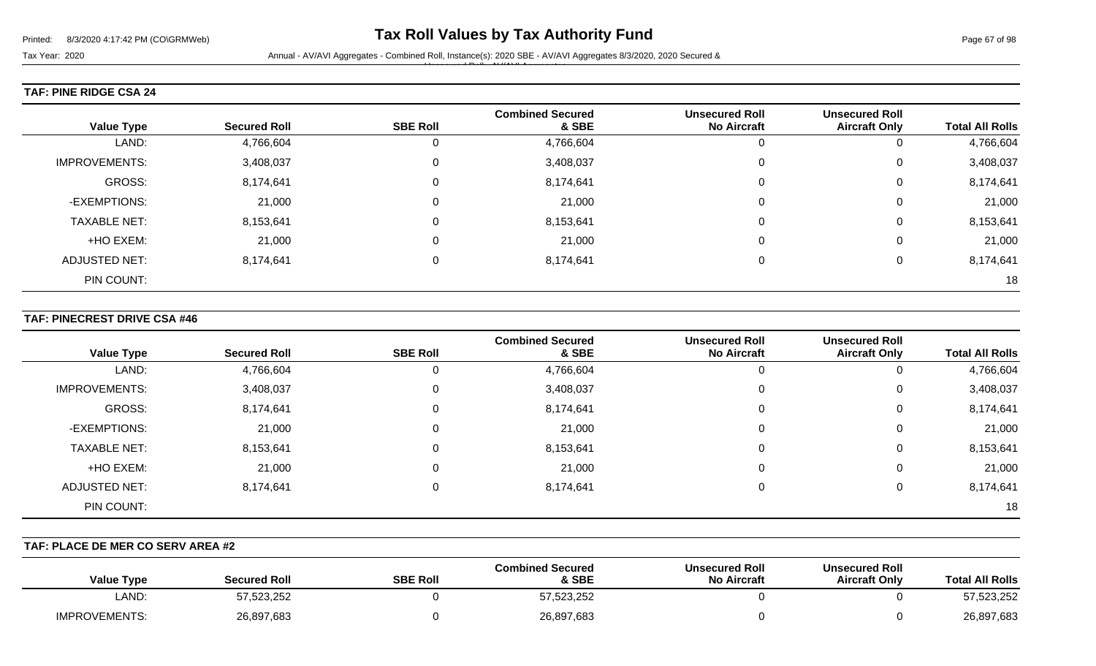#### **TAF: PINE RIDGE CSA 24**

| <b>Value Type</b>    | <b>Secured Roll</b> | <b>SBE Roll</b> | <b>Combined Secured</b><br>& SBE | <b>Unsecured Roll</b><br><b>No Aircraft</b> | <b>Unsecured Roll</b><br><b>Aircraft Only</b> | <b>Total All Rolls</b> |
|----------------------|---------------------|-----------------|----------------------------------|---------------------------------------------|-----------------------------------------------|------------------------|
| LAND:                | 4,766,604           | 0               | 4,766,604                        |                                             | 0                                             | 4,766,604              |
| <b>IMPROVEMENTS:</b> | 3,408,037           | 0               | 3,408,037                        |                                             | 0                                             | 3,408,037              |
| GROSS:               | 8,174,641           | $\mathbf 0$     | 8,174,641                        |                                             | $\mathbf 0$                                   | 8,174,641              |
| -EXEMPTIONS:         | 21,000              | 0               | 21,000                           |                                             | 0                                             | 21,000                 |
| <b>TAXABLE NET:</b>  | 8,153,641           | $\mathbf 0$     | 8,153,641                        |                                             | $\mathbf 0$                                   | 8,153,641              |
| +HO EXEM:            | 21,000              | 0               | 21,000                           |                                             | 0                                             | 21,000                 |
| <b>ADJUSTED NET:</b> | 8,174,641           | $\mathbf 0$     | 8,174,641                        |                                             | $\Omega$                                      | 8,174,641              |
| PIN COUNT:           |                     |                 |                                  |                                             |                                               | 18                     |

#### **TAF: PINECREST DRIVE CSA #46**

| <b>Value Type</b>    | <b>Secured Roll</b> | <b>SBE Roll</b> | <b>Combined Secured</b><br>& SBE | <b>Unsecured Roll</b><br><b>No Aircraft</b> | <b>Unsecured Roll</b><br><b>Aircraft Only</b> | <b>Total All Rolls</b> |
|----------------------|---------------------|-----------------|----------------------------------|---------------------------------------------|-----------------------------------------------|------------------------|
| LAND:                | 4,766,604           | 0               | 4,766,604                        |                                             | 0                                             | 4,766,604              |
| <b>IMPROVEMENTS:</b> | 3,408,037           | 0               | 3,408,037                        | 0                                           | 0                                             | 3,408,037              |
| GROSS:               | 8,174,641           | 0               | 8,174,641                        | $\Omega$                                    | 0                                             | 8,174,641              |
| -EXEMPTIONS:         | 21,000              | 0               | 21,000                           | $\Omega$                                    | 0                                             | 21,000                 |
| <b>TAXABLE NET:</b>  | 8,153,641           | $\Omega$        | 8,153,641                        | 0                                           | 0                                             | 8,153,641              |
| +HO EXEM:            | 21,000              | $\mathbf{0}$    | 21,000                           | $\Omega$                                    | 0                                             | 21,000                 |
| <b>ADJUSTED NET:</b> | 8,174,641           | $\mathbf 0$     | 8,174,641                        | $\Omega$                                    | 0                                             | 8,174,641              |
| PIN COUNT:           |                     |                 |                                  |                                             |                                               | 18                     |

#### **TAF: PLACE DE MER CO SERV AREA #2**

| <b>Total All Rolls</b> | <b>Unsecured Roll</b><br><b>Aircraft Only</b> | <b>Unsecured Roll</b><br><b>No Aircraft</b> | <b>Combined Secured</b><br>& SBE | <b>SBE Roll</b> | <b>Secured Roll</b> | <b>Value Type</b>    |
|------------------------|-----------------------------------------------|---------------------------------------------|----------------------------------|-----------------|---------------------|----------------------|
| 57,523,252             |                                               |                                             | 57,523,252                       |                 | 523,252             | LAND:                |
| 26,897,683             |                                               |                                             | 26,897,683                       |                 | 26,897,683          | <b>IMPROVEMENTS:</b> |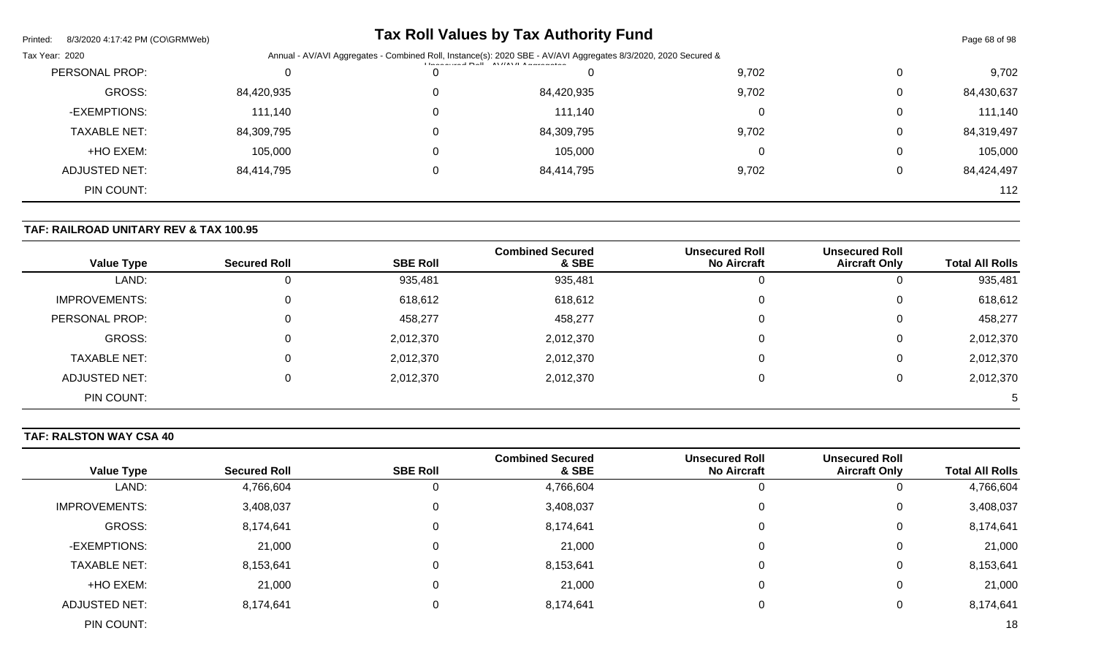| Printed:<br>8/3/2020 4:17:42 PM (CO\GRMWeb) |            |                                                                                                                                                                                                                                                                                                                                                                                                                                                                                              | <b>Tax Roll Values by Tax Authority Fund</b> |       |   | Page 68 of 98 |  |
|---------------------------------------------|------------|----------------------------------------------------------------------------------------------------------------------------------------------------------------------------------------------------------------------------------------------------------------------------------------------------------------------------------------------------------------------------------------------------------------------------------------------------------------------------------------------|----------------------------------------------|-------|---|---------------|--|
| Tax Year: 2020                              |            | Annual - AV/AVI Aggregates - Combined Roll, Instance(s): 2020 SBE - AV/AVI Aggregates 8/3/2020, 2020 Secured &<br>$\left  \frac{1}{2} \right $ and $\left  \frac{1}{2} \right $ and $\left  \frac{1}{2} \right $ and $\left  \frac{1}{2} \right $ and $\left  \frac{1}{2} \right $ and $\left  \frac{1}{2} \right $ and $\left  \frac{1}{2} \right $ and $\left  \frac{1}{2} \right $ and $\left  \frac{1}{2} \right $ and $\left  \frac{1}{2} \right $ and $\left  \frac{1}{2} \right $ and |                                              |       |   |               |  |
| PERSONAL PROP:                              |            |                                                                                                                                                                                                                                                                                                                                                                                                                                                                                              |                                              | 9,702 | 0 | 9,702         |  |
| GROSS:                                      | 84,420,935 |                                                                                                                                                                                                                                                                                                                                                                                                                                                                                              | 84,420,935                                   | 9,702 | 0 | 84,430,637    |  |
| -EXEMPTIONS:                                | 111,140    |                                                                                                                                                                                                                                                                                                                                                                                                                                                                                              | 111,140                                      |       | 0 | 111,140       |  |
| <b>TAXABLE NET:</b>                         | 84,309,795 |                                                                                                                                                                                                                                                                                                                                                                                                                                                                                              | 84,309,795                                   | 9,702 | 0 | 84,319,497    |  |
| +HO EXEM:                                   | 105,000    |                                                                                                                                                                                                                                                                                                                                                                                                                                                                                              | 105,000                                      |       | 0 | 105,000       |  |
| ADJUSTED NET:                               | 84,414,795 |                                                                                                                                                                                                                                                                                                                                                                                                                                                                                              | 84,414,795                                   | 9,702 | 0 | 84,424,497    |  |
| PIN COUNT:                                  |            |                                                                                                                                                                                                                                                                                                                                                                                                                                                                                              |                                              |       |   | 112           |  |

# **TAF: RAILROAD UNITARY REV & TAX 100.95**

|                      |                     |                 | <b>Combined Secured</b> | <b>Unsecured Roll</b> | <b>Unsecured Roll</b> |                        |
|----------------------|---------------------|-----------------|-------------------------|-----------------------|-----------------------|------------------------|
| <b>Value Type</b>    | <b>Secured Roll</b> | <b>SBE Roll</b> | & SBE                   | <b>No Aircraft</b>    | <b>Aircraft Only</b>  | <b>Total All Rolls</b> |
| LAND:                |                     | 935,481         | 935,481                 |                       |                       | 935,481                |
| <b>IMPROVEMENTS:</b> | 0                   | 618,612         | 618,612                 | 0                     | 0                     | 618,612                |
| PERSONAL PROP:       | 0                   | 458,277         | 458,277                 | 0                     |                       | 458,277                |
| GROSS:               | 0                   | 2,012,370       | 2,012,370               | 0                     |                       | 2,012,370              |
| <b>TAXABLE NET:</b>  | 0                   | 2,012,370       | 2,012,370               | $\Omega$              |                       | 2,012,370              |
| ADJUSTED NET:        |                     | 2,012,370       | 2,012,370               |                       |                       | 2,012,370              |
| PIN COUNT:           |                     |                 |                         |                       |                       | 5                      |

# **TAF: RALSTON WAY CSA 40**

|                      |                     |                 | <b>Combined Secured</b> | <b>Unsecured Roll</b> | <b>Unsecured Roll</b> |                        |
|----------------------|---------------------|-----------------|-------------------------|-----------------------|-----------------------|------------------------|
| <b>Value Type</b>    | <b>Secured Roll</b> | <b>SBE Roll</b> | & SBE                   | <b>No Aircraft</b>    | <b>Aircraft Only</b>  | <b>Total All Rolls</b> |
| LAND:                | 4,766,604           | 0               | 4,766,604               |                       |                       | 4,766,604              |
| <b>IMPROVEMENTS:</b> | 3,408,037           | 0               | 3,408,037               |                       |                       | 3,408,037              |
| GROSS:               | 8,174,641           | 0               | 8,174,641               |                       |                       | 8,174,641              |
| -EXEMPTIONS:         | 21,000              | 0               | 21,000                  |                       |                       | 21,000                 |
| <b>TAXABLE NET:</b>  | 8,153,641           | 0               | 8,153,641               |                       | 0                     | 8,153,641              |
| +HO EXEM:            | 21,000              | 0               | 21,000                  |                       | 0                     | 21,000                 |
| <b>ADJUSTED NET:</b> | 8,174,641           | 0               | 8,174,641               |                       |                       | 8,174,641              |
| PIN COUNT:           |                     |                 |                         |                       |                       | 18                     |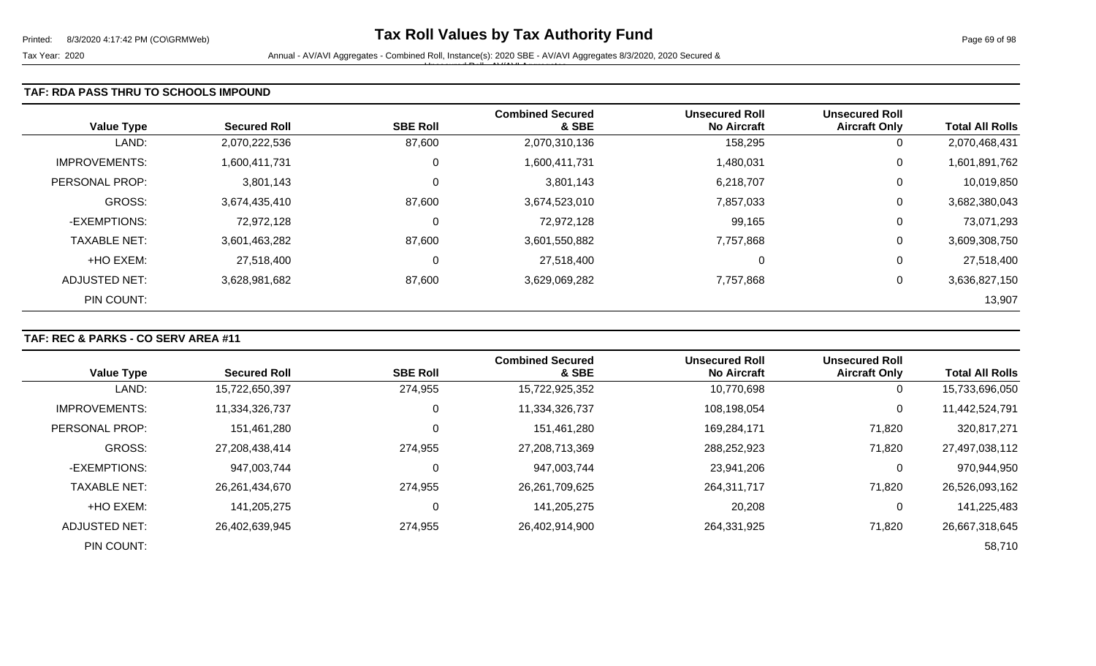#### **TAF: RDA PASS THRU TO SCHOOLS IMPOUND**

| <b>Value Type</b>    | <b>Secured Roll</b> | <b>SBE Roll</b> | <b>Combined Secured</b><br>& SBE | <b>Unsecured Roll</b><br><b>No Aircraft</b> | <b>Unsecured Roll</b><br><b>Aircraft Only</b> | <b>Total All Rolls</b> |
|----------------------|---------------------|-----------------|----------------------------------|---------------------------------------------|-----------------------------------------------|------------------------|
| LAND:                | 2,070,222,536       | 87,600          | 2,070,310,136                    | 158,295                                     | 0                                             | 2,070,468,431          |
| <b>IMPROVEMENTS:</b> | 1,600,411,731       | 0               | 1,600,411,731                    | 1,480,031                                   | 0                                             | 1,601,891,762          |
| PERSONAL PROP:       | 3,801,143           | 0               | 3,801,143                        | 6,218,707                                   | 0                                             | 10,019,850             |
| GROSS:               | 3,674,435,410       | 87,600          | 3,674,523,010                    | 7,857,033                                   | 0                                             | 3,682,380,043          |
| -EXEMPTIONS:         | 72,972,128          | 0               | 72,972,128                       | 99,165                                      | 0                                             | 73,071,293             |
| <b>TAXABLE NET:</b>  | 3,601,463,282       | 87,600          | 3,601,550,882                    | 7,757,868                                   | 0                                             | 3,609,308,750          |
| +HO EXEM:            | 27,518,400          | 0               | 27,518,400                       | 0                                           | 0                                             | 27,518,400             |
| ADJUSTED NET:        | 3,628,981,682       | 87,600          | 3,629,069,282                    | 7,757,868                                   | 0                                             | 3,636,827,150          |
| PIN COUNT:           |                     |                 |                                  |                                             |                                               | 13,907                 |

#### **TAF: REC & PARKS - CO SERV AREA #11**

| <b>Value Type</b>     | <b>Secured Roll</b> | <b>SBE Roll</b> | <b>Combined Secured</b><br>& SBE | <b>Unsecured Roll</b><br><b>No Aircraft</b> | <b>Unsecured Roll</b><br><b>Aircraft Only</b> | <b>Total All Rolls</b> |
|-----------------------|---------------------|-----------------|----------------------------------|---------------------------------------------|-----------------------------------------------|------------------------|
| LAND:                 | 15,722,650,397      | 274,955         | 15,722,925,352                   | 10,770,698                                  | U                                             | 15,733,696,050         |
| <b>IMPROVEMENTS:</b>  | 11,334,326,737      |                 | 11,334,326,737                   | 108,198,054                                 | 0                                             | 11,442,524,791         |
| <b>PERSONAL PROP:</b> | 151,461,280         |                 | 151,461,280                      | 169,284,171                                 | 71,820                                        | 320,817,271            |
| <b>GROSS:</b>         | 27,208,438,414      | 274,955         | 27,208,713,369                   | 288,252,923                                 | 71,820                                        | 27,497,038,112         |
| -EXEMPTIONS:          | 947,003,744         |                 | 947,003,744                      | 23,941,206                                  |                                               | 970,944,950            |
| <b>TAXABLE NET:</b>   | 26,261,434,670      | 274,955         | 26,261,709,625                   | 264,311,717                                 | 71,820                                        | 26,526,093,162         |
| +HO EXEM:             | 141.205.275         |                 | 141,205,275                      | 20,208                                      |                                               | 141,225,483            |
| ADJUSTED NET:         | 26,402,639,945      | 274,955         | 26,402,914,900                   | 264,331,925                                 | 71,820                                        | 26,667,318,645         |
| PIN COUNT:            |                     |                 |                                  |                                             |                                               | 58,710                 |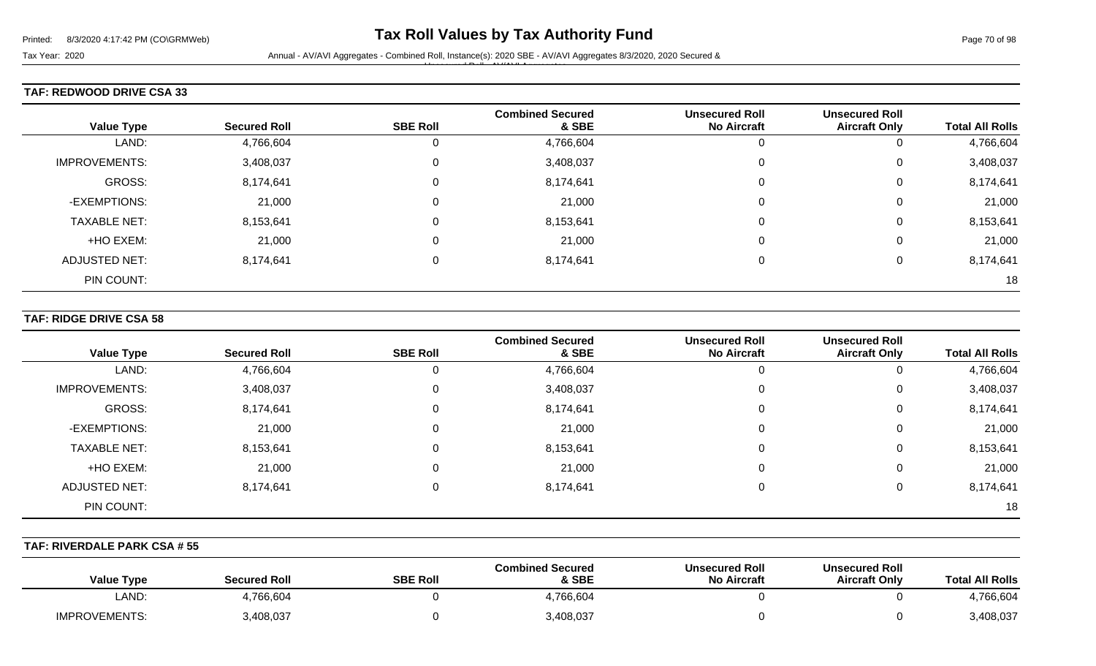Unsecured Roll - AV/AVI Aggregates

#### **TAF: REDWOOD DRIVE CSA 33**

| <b>Value Type</b>    | <b>Secured Roll</b> | <b>SBE Roll</b> | <b>Combined Secured</b><br>& SBE | <b>Unsecured Roll</b><br><b>No Aircraft</b> | <b>Unsecured Roll</b><br><b>Aircraft Only</b> | <b>Total All Rolls</b> |
|----------------------|---------------------|-----------------|----------------------------------|---------------------------------------------|-----------------------------------------------|------------------------|
| LAND:                | 4,766,604           | 0               | 4,766,604                        |                                             | O                                             | 4,766,604              |
| <b>IMPROVEMENTS:</b> | 3,408,037           | 0               | 3,408,037                        |                                             | 0                                             | 3,408,037              |
| GROSS:               | 8,174,641           | 0               | 8,174,641                        |                                             | 0                                             | 8,174,641              |
| -EXEMPTIONS:         | 21,000              | 0               | 21,000                           |                                             | 0                                             | 21,000                 |
| <b>TAXABLE NET:</b>  | 8,153,641           | 0               | 8,153,641                        |                                             | 0                                             | 8,153,641              |
| +HO EXEM:            | 21,000              | 0               | 21,000                           |                                             | 0                                             | 21,000                 |
| <b>ADJUSTED NET:</b> | 8,174,641           | 0               | 8,174,641                        |                                             | 0                                             | 8,174,641              |
| PIN COUNT:           |                     |                 |                                  |                                             |                                               | 18                     |

#### **TAF: RIDGE DRIVE CSA 58**

| <b>Value Type</b>    | <b>Secured Roll</b> | <b>SBE Roll</b> | <b>Combined Secured</b><br>& SBE | <b>Unsecured Roll</b><br><b>No Aircraft</b> | <b>Unsecured Roll</b><br><b>Aircraft Only</b> | <b>Total All Rolls</b> |
|----------------------|---------------------|-----------------|----------------------------------|---------------------------------------------|-----------------------------------------------|------------------------|
| LAND:                | 4,766,604           | 0               | 4,766,604                        | ν                                           | 0                                             | 4,766,604              |
| <b>IMPROVEMENTS:</b> | 3,408,037           | 0               | 3,408,037                        | 0                                           | 0                                             | 3,408,037              |
| GROSS:               | 8,174,641           | $\mathbf 0$     | 8,174,641                        | 0                                           | 0                                             | 8,174,641              |
| -EXEMPTIONS:         | 21,000              | $\Omega$        | 21,000                           | 0                                           | 0                                             | 21,000                 |
| <b>TAXABLE NET:</b>  | 8,153,641           | $\Omega$        | 8,153,641                        | 0                                           | 0                                             | 8,153,641              |
| +HO EXEM:            | 21,000              | $\mathbf 0$     | 21,000                           | 0                                           | 0                                             | 21,000                 |
| <b>ADJUSTED NET:</b> | 8,174,641           | 0               | 8,174,641                        | 0                                           | 0                                             | 8,174,641              |
| PIN COUNT:           |                     |                 |                                  |                                             |                                               | 18                     |

#### **TAF: RIVERDALE PARK CSA # 55**

| <b>Value Type</b>    | <b>Secured Roll</b> | <b>SBE Roll</b> | <b>Combined Secured</b><br>& SBE | <b>Unsecured Roll</b><br><b>No Aircraft</b> | <b>Unsecured Roll</b><br><b>Aircraft Only</b> | <b>Total All Rolls</b> |
|----------------------|---------------------|-----------------|----------------------------------|---------------------------------------------|-----------------------------------------------|------------------------|
| LAND:                | 4,766,604           |                 | 4,766,604                        |                                             |                                               | 4,766,604              |
| <b>IMPROVEMENTS:</b> | 3,408,037           |                 | 3,408,037                        |                                             |                                               | 3,408,037              |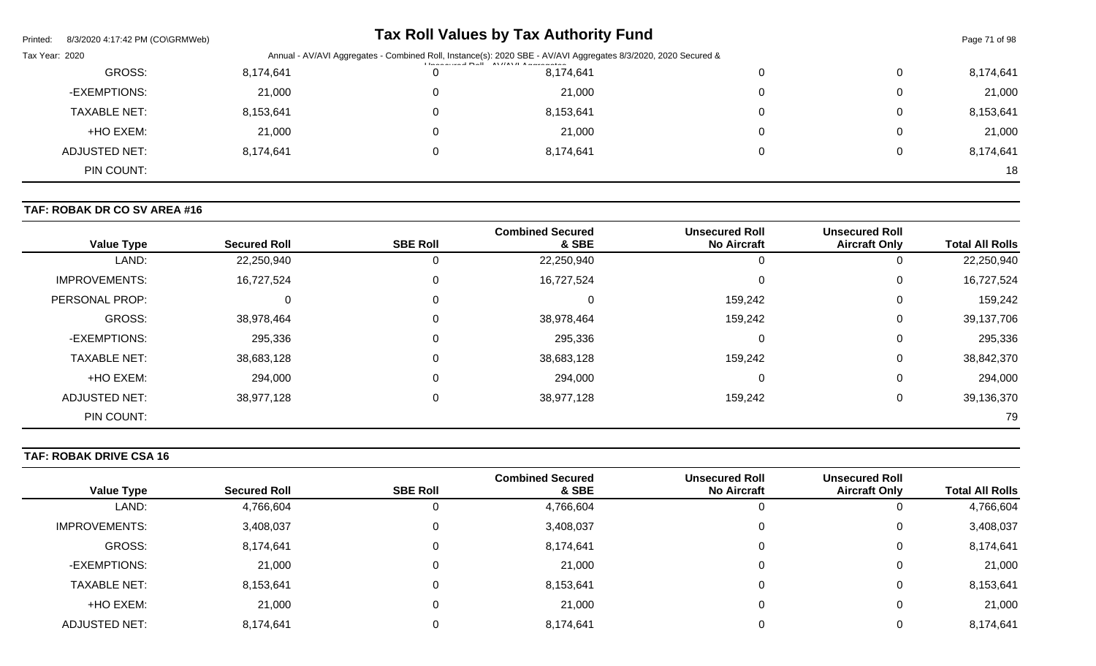| Printed:<br>8/3/2020 4:17:42 PM (CO\GRMWeb) |                                                                                                                |   | Tax Roll Values by Tax Authority Fund |   |   | Page 71 of 98 |
|---------------------------------------------|----------------------------------------------------------------------------------------------------------------|---|---------------------------------------|---|---|---------------|
| Tax Year: 2020                              | Annual - AV/AVI Aggregates - Combined Roll, Instance(s): 2020 SBE - AV/AVI Aggregates 8/3/2020, 2020 Secured & |   |                                       |   |   |               |
| GROSS:                                      | 8,174,641                                                                                                      | 0 | 8,174,641                             | U | 0 | 8,174,641     |
| -EXEMPTIONS:                                | 21,000                                                                                                         | 0 | 21,000                                |   | 0 | 21,000        |
| <b>TAXABLE NET:</b>                         | 8,153,641                                                                                                      | 0 | 8,153,641                             | 0 | 0 | 8,153,641     |
| +HO EXEM:                                   | 21,000                                                                                                         | 0 | 21,000                                |   | 0 | 21,000        |
| ADJUSTED NET:                               | 8,174,641                                                                                                      | 0 | 8,174,641                             |   | 0 | 8,174,641     |
| PIN COUNT:                                  |                                                                                                                |   |                                       |   |   | 18            |

# **TAF: ROBAK DR CO SV AREA #16**

| <b>Value Type</b>    | <b>Secured Roll</b> | <b>SBE Roll</b> | <b>Combined Secured</b><br>& SBE | <b>Unsecured Roll</b><br><b>No Aircraft</b> | <b>Unsecured Roll</b><br><b>Aircraft Only</b> | <b>Total All Rolls</b> |
|----------------------|---------------------|-----------------|----------------------------------|---------------------------------------------|-----------------------------------------------|------------------------|
| LAND:                | 22,250,940          | 0               | 22,250,940                       | 0                                           | O                                             | 22,250,940             |
| <b>IMPROVEMENTS:</b> | 16,727,524          | 0               | 16,727,524                       | 0                                           | 0                                             | 16,727,524             |
| PERSONAL PROP:       |                     | 0               | 0                                | 159,242                                     | 0                                             | 159,242                |
| GROSS:               | 38,978,464          | 0               | 38,978,464                       | 159,242                                     | 0                                             | 39,137,706             |
| -EXEMPTIONS:         | 295,336             | 0               | 295,336                          | 0                                           | 0                                             | 295,336                |
| <b>TAXABLE NET:</b>  | 38,683,128          | $\Omega$        | 38,683,128                       | 159,242                                     | 0                                             | 38,842,370             |
| +HO EXEM:            | 294,000             | $\mathbf 0$     | 294,000                          | 0                                           | 0                                             | 294,000                |
| <b>ADJUSTED NET:</b> | 38,977,128          | 0               | 38,977,128                       | 159,242                                     | 0                                             | 39,136,370             |
| PIN COUNT:           |                     |                 |                                  |                                             |                                               | 79                     |

# **TAF: ROBAK DRIVE CSA 16**

| <b>Value Type</b>    | <b>Secured Roll</b> | <b>SBE Roll</b> | <b>Combined Secured</b><br>& SBE | <b>Unsecured Roll</b><br><b>No Aircraft</b> | <b>Unsecured Roll</b><br><b>Aircraft Only</b> | <b>Total All Rolls</b> |
|----------------------|---------------------|-----------------|----------------------------------|---------------------------------------------|-----------------------------------------------|------------------------|
| LAND:                | 4,766,604           | 0               | 4,766,604                        |                                             |                                               | 4,766,604              |
| <b>IMPROVEMENTS:</b> | 3,408,037           | 0               | 3,408,037                        |                                             | $\Omega$                                      | 3,408,037              |
| <b>GROSS:</b>        | 8,174,641           | 0               | 8,174,641                        |                                             | 0                                             | 8,174,641              |
| -EXEMPTIONS:         | 21,000              | 0               | 21,000                           |                                             | $\Omega$                                      | 21,000                 |
| <b>TAXABLE NET:</b>  | 8,153,641           | 0               | 8,153,641                        |                                             | 0                                             | 8,153,641              |
| +HO EXEM:            | 21,000              | 0               | 21,000                           |                                             | $\mathbf{0}$                                  | 21,000                 |
| ADJUSTED NET:        | 8,174,641           |                 | 8,174,641                        |                                             |                                               | 8,174,641              |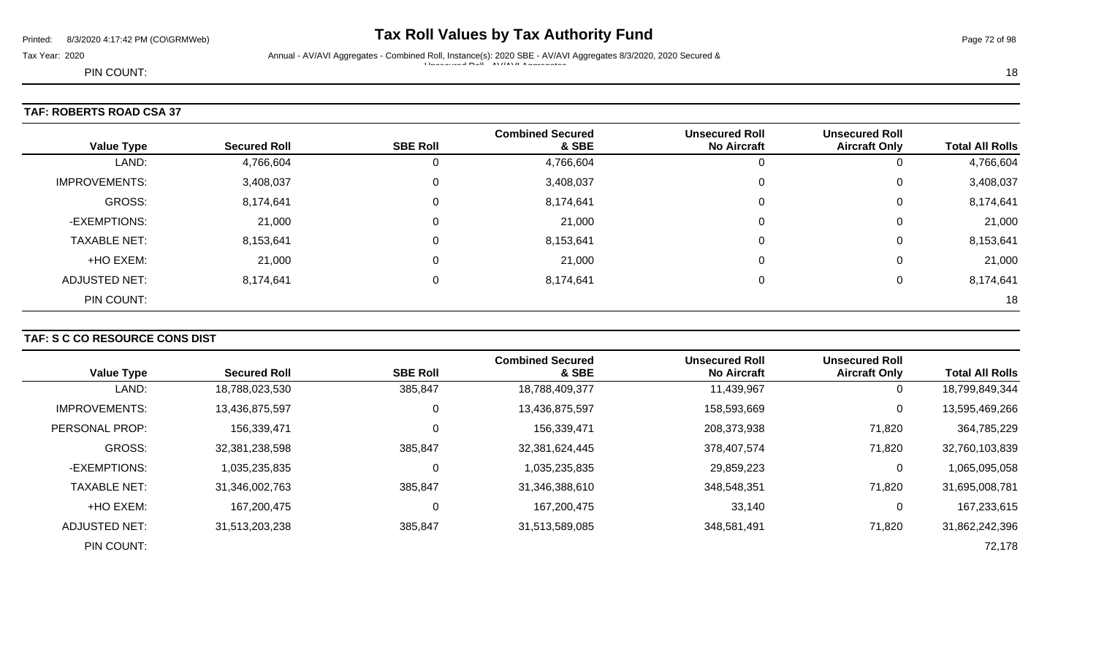# Printed: 8/3/2020 4:17:42 PM (CO\GRMWeb) **Tax Roll Values by Tax Authority Fund** Page 72 of 98

Tax Year: 2020 Annual - AV/AVI Aggregates - Combined Roll, Instance(s): 2020 SBE - AV/AVI Aggregates 8/3/2020, 2020 Secured & Unsecured Roll - AV/AVI Aggregates

PIN COUNT: 18

# **TAF: ROBERTS ROAD CSA 37**

| <b>Value Type</b>    | <b>Secured Roll</b> | <b>SBE Roll</b> | <b>Combined Secured</b><br>& SBE | <b>Unsecured Roll</b><br><b>No Aircraft</b> | <b>Unsecured Roll</b><br><b>Aircraft Only</b> | <b>Total All Rolls</b> |
|----------------------|---------------------|-----------------|----------------------------------|---------------------------------------------|-----------------------------------------------|------------------------|
| LAND:                | 4,766,604           | 0               | 4,766,604                        |                                             | U                                             | 4,766,604              |
| <b>IMPROVEMENTS:</b> | 3,408,037           | 0               | 3,408,037                        |                                             | 0                                             | 3,408,037              |
| GROSS:               | 8,174,641           | $\mathbf 0$     | 8,174,641                        |                                             | 0                                             | 8,174,641              |
| -EXEMPTIONS:         | 21,000              | 0               | 21,000                           |                                             | 0                                             | 21,000                 |
| <b>TAXABLE NET:</b>  | 8,153,641           | $\mathbf 0$     | 8,153,641                        | 0                                           | $\mathbf 0$                                   | 8,153,641              |
| +HO EXEM:            | 21,000              | 0               | 21,000                           |                                             | 0                                             | 21,000                 |
| ADJUSTED NET:        | 8,174,641           | 0               | 8,174,641                        |                                             | 0                                             | 8,174,641              |
| PIN COUNT:           |                     |                 |                                  |                                             |                                               | 18                     |

# **TAF: S C CO RESOURCE CONS DIST**

| <b>Value Type</b>    | <b>Secured Roll</b> | <b>SBE Roll</b> | <b>Combined Secured</b><br>& SBE | <b>Unsecured Roll</b><br><b>No Aircraft</b> | <b>Unsecured Roll</b><br><b>Aircraft Only</b> | <b>Total All Rolls</b> |
|----------------------|---------------------|-----------------|----------------------------------|---------------------------------------------|-----------------------------------------------|------------------------|
| LAND:                | 18,788,023,530      | 385,847         | 18,788,409,377                   | 11,439,967                                  | 0                                             | 18,799,849,344         |
| <b>IMPROVEMENTS:</b> | 13,436,875,597      | 0               | 13,436,875,597                   | 158,593,669                                 | 0                                             | 13,595,469,266         |
| PERSONAL PROP:       | 156,339,471         | 0               | 156,339,471                      | 208,373,938                                 | 71,820                                        | 364,785,229            |
| GROSS:               | 32,381,238,598      | 385,847         | 32,381,624,445                   | 378,407,574                                 | 71,820                                        | 32,760,103,839         |
| -EXEMPTIONS:         | 1,035,235,835       | $\Omega$        | 1,035,235,835                    | 29,859,223                                  | 0                                             | 1,065,095,058          |
| <b>TAXABLE NET:</b>  | 31,346,002,763      | 385,847         | 31,346,388,610                   | 348,548,351                                 | 71,820                                        | 31,695,008,781         |
| +HO EXEM:            | 167,200,475         | 0               | 167,200,475                      | 33,140                                      | 0                                             | 167,233,615            |
| ADJUSTED NET:        | 31,513,203,238      | 385,847         | 31,513,589,085                   | 348,581,491                                 | 71,820                                        | 31,862,242,396         |
| PIN COUNT:           |                     |                 |                                  |                                             |                                               | 72,178                 |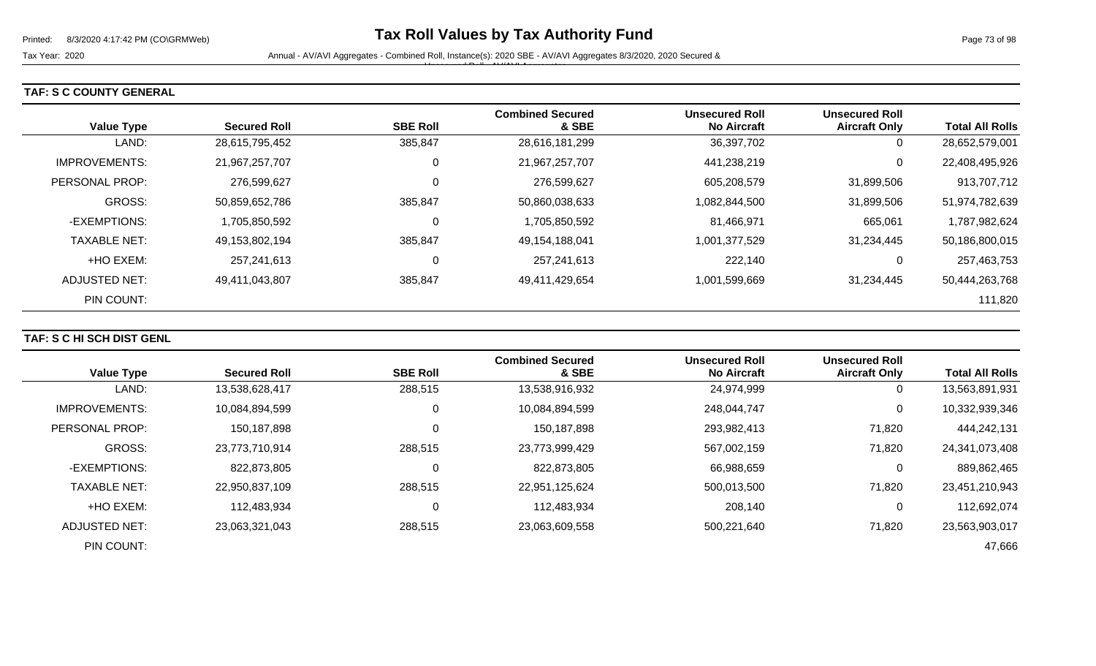Unsecured Roll - AV/AVI Aggregates

## **TAF: S C COUNTY GENERAL**

|                      |                     |                 | <b>Combined Secured</b> | <b>Unsecured Roll</b> | <b>Unsecured Roll</b> |                        |
|----------------------|---------------------|-----------------|-------------------------|-----------------------|-----------------------|------------------------|
| <b>Value Type</b>    | <b>Secured Roll</b> | <b>SBE Roll</b> | & SBE                   | <b>No Aircraft</b>    | <b>Aircraft Only</b>  | <b>Total All Rolls</b> |
| LAND:                | 28,615,795,452      | 385,847         | 28,616,181,299          | 36,397,702            | 0                     | 28,652,579,001         |
| <b>IMPROVEMENTS:</b> | 21,967,257,707      |                 | 21,967,257,707          | 441,238,219           | 0                     | 22,408,495,926         |
| PERSONAL PROP:       | 276,599,627         |                 | 276,599,627             | 605,208,579           | 31,899,506            | 913,707,712            |
| GROSS:               | 50,859,652,786      | 385,847         | 50,860,038,633          | 1,082,844,500         | 31,899,506            | 51,974,782,639         |
| -EXEMPTIONS:         | 1,705,850,592       |                 | 1,705,850,592           | 81,466,971            | 665,061               | 1,787,982,624          |
| <b>TAXABLE NET:</b>  | 49,153,802,194      | 385,847         | 49,154,188,041          | 1,001,377,529         | 31,234,445            | 50,186,800,015         |
| +HO EXEM:            | 257,241,613         |                 | 257,241,613             | 222,140               | 0                     | 257,463,753            |
| ADJUSTED NET:        | 49,411,043,807      | 385,847         | 49,411,429,654          | 1,001,599,669         | 31,234,445            | 50,444,263,768         |
| PIN COUNT:           |                     |                 |                         |                       |                       | 111,820                |

### **TAF: S C HI SCH DIST GENL**

| <b>Value Type</b>    | <b>Secured Roll</b> | <b>SBE Roll</b> | <b>Combined Secured</b><br>& SBE | <b>Unsecured Roll</b><br><b>No Aircraft</b> | <b>Unsecured Roll</b><br><b>Aircraft Only</b> | <b>Total All Rolls</b> |
|----------------------|---------------------|-----------------|----------------------------------|---------------------------------------------|-----------------------------------------------|------------------------|
|                      |                     |                 |                                  |                                             |                                               |                        |
| LAND:                | 13,538,628,417      | 288,515         | 13,538,916,932                   | 24,974,999                                  | 0                                             | 13,563,891,931         |
| <b>IMPROVEMENTS:</b> | 10,084,894,599      | 0               | 10,084,894,599                   | 248,044,747                                 | 0                                             | 10,332,939,346         |
| PERSONAL PROP:       | 150,187,898         |                 | 150,187,898                      | 293,982,413                                 | 71,820                                        | 444,242,131            |
| GROSS:               | 23,773,710,914      | 288,515         | 23,773,999,429                   | 567,002,159                                 | 71,820                                        | 24,341,073,408         |
| -EXEMPTIONS:         | 822,873,805         |                 | 822,873,805                      | 66,988,659                                  | 0                                             | 889,862,465            |
| <b>TAXABLE NET:</b>  | 22,950,837,109      | 288,515         | 22,951,125,624                   | 500,013,500                                 | 71,820                                        | 23,451,210,943         |
| +HO EXEM:            | 112,483,934         | C               | 112,483,934                      | 208,140                                     | 0                                             | 112,692,074            |
| ADJUSTED NET:        | 23,063,321,043      | 288,515         | 23,063,609,558                   | 500,221,640                                 | 71,820                                        | 23,563,903,017         |
| PIN COUNT:           |                     |                 |                                  |                                             |                                               | 47,666                 |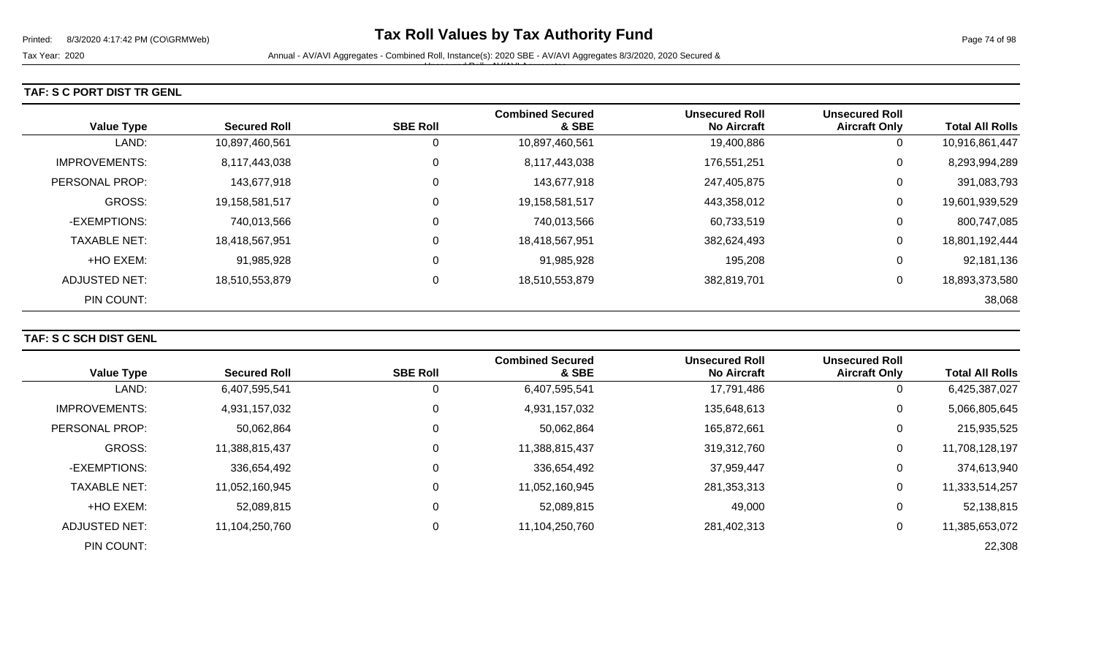#### **TAF: S C PORT DIST TR GENL**

| <b>Value Type</b>     | <b>Secured Roll</b> | <b>SBE Roll</b> | <b>Combined Secured</b><br>& SBE | <b>Unsecured Roll</b><br><b>No Aircraft</b> | <b>Unsecured Roll</b><br><b>Aircraft Only</b> | <b>Total All Rolls</b> |
|-----------------------|---------------------|-----------------|----------------------------------|---------------------------------------------|-----------------------------------------------|------------------------|
| LAND:                 | 10,897,460,561      | 0               | 10,897,460,561                   | 19,400,886                                  | 0                                             | 10,916,861,447         |
| <b>IMPROVEMENTS:</b>  | 8,117,443,038       | 0               | 8,117,443,038                    | 176,551,251                                 | 0                                             | 8,293,994,289          |
| <b>PERSONAL PROP:</b> | 143,677,918         | 0               | 143,677,918                      | 247,405,875                                 | 0                                             | 391,083,793            |
| <b>GROSS:</b>         | 19,158,581,517      | 0               | 19,158,581,517                   | 443,358,012                                 | 0                                             | 19,601,939,529         |
| -EXEMPTIONS:          | 740,013,566         | 0               | 740,013,566                      | 60,733,519                                  | 0                                             | 800,747,085            |
| <b>TAXABLE NET:</b>   | 18,418,567,951      | 0               | 18,418,567,951                   | 382,624,493                                 | 0                                             | 18,801,192,444         |
| +HO EXEM:             | 91,985,928          | 0               | 91,985,928                       | 195,208                                     | 0                                             | 92,181,136             |
| ADJUSTED NET:         | 18,510,553,879      | $\pmb{0}$       | 18,510,553,879                   | 382,819,701                                 | 0                                             | 18,893,373,580         |
| PIN COUNT:            |                     |                 |                                  |                                             |                                               | 38,068                 |

### **TAF: S C SCH DIST GENL**

|                      |                     |                 | <b>Combined Secured</b> | <b>Unsecured Roll</b> | <b>Unsecured Roll</b> |                        |
|----------------------|---------------------|-----------------|-------------------------|-----------------------|-----------------------|------------------------|
| <b>Value Type</b>    | <b>Secured Roll</b> | <b>SBE Roll</b> | & SBE                   | <b>No Aircraft</b>    | <b>Aircraft Only</b>  | <b>Total All Rolls</b> |
| LAND:                | 6,407,595,541       | 0               | 6,407,595,541           | 17,791,486            | 0                     | 6,425,387,027          |
| <b>IMPROVEMENTS:</b> | 4,931,157,032       | 0               | 4,931,157,032           | 135,648,613           | 0                     | 5,066,805,645          |
| PERSONAL PROP:       | 50,062,864          | 0               | 50,062,864              | 165,872,661           | 0                     | 215,935,525            |
| <b>GROSS:</b>        | 11,388,815,437      | 0               | 11,388,815,437          | 319,312,760           | $\mathbf 0$           | 11,708,128,197         |
| -EXEMPTIONS:         | 336,654,492         | 0               | 336,654,492             | 37,959,447            | $\mathbf 0$           | 374,613,940            |
| <b>TAXABLE NET:</b>  | 11,052,160,945      | 0               | 11,052,160,945          | 281,353,313           | $\mathbf 0$           | 11,333,514,257         |
| +HO EXEM:            | 52,089,815          | 0               | 52,089,815              | 49,000                | $\Omega$              | 52,138,815             |
| <b>ADJUSTED NET:</b> | 11,104,250,760      | 0               | 11,104,250,760          | 281,402,313           | $\mathbf 0$           | 11,385,653,072         |
| PIN COUNT:           |                     |                 |                         |                       |                       | 22,308                 |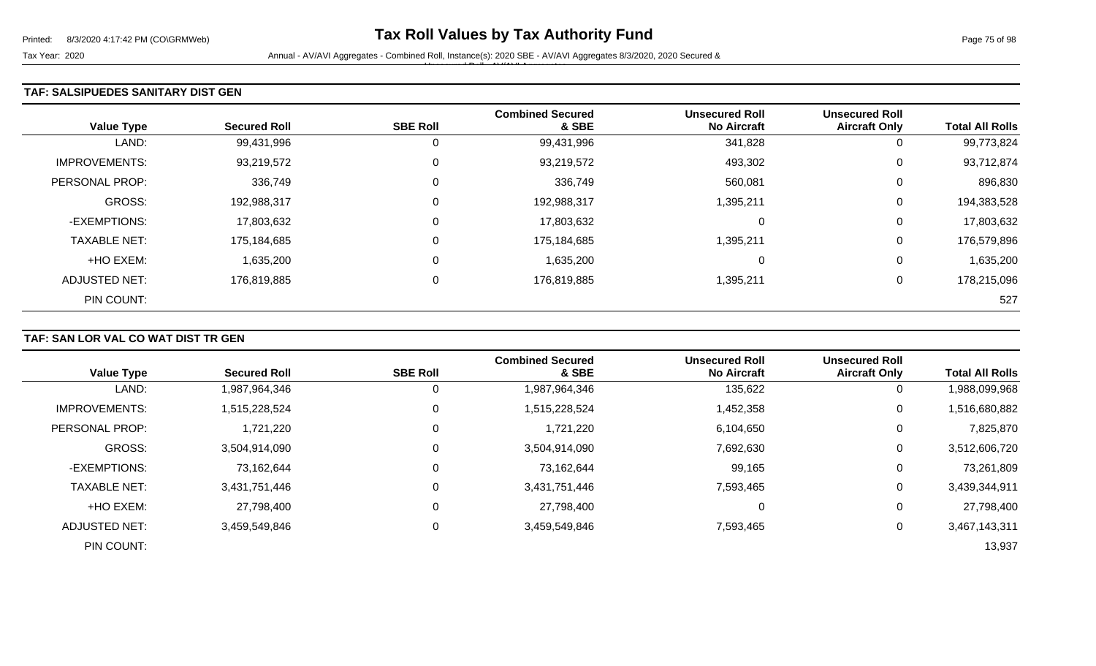#### **TAF: SALSIPUEDES SANITARY DIST GEN**

| <b>Value Type</b>    | <b>Secured Roll</b> | <b>SBE Roll</b> | <b>Combined Secured</b><br>& SBE | <b>Unsecured Roll</b><br><b>No Aircraft</b> | <b>Unsecured Roll</b><br><b>Aircraft Only</b> | <b>Total All Rolls</b> |
|----------------------|---------------------|-----------------|----------------------------------|---------------------------------------------|-----------------------------------------------|------------------------|
| LAND:                | 99,431,996          | 0               | 99,431,996                       | 341,828                                     | 0                                             | 99,773,824             |
| <b>IMPROVEMENTS:</b> | 93,219,572          | $\mathbf 0$     | 93,219,572                       | 493,302                                     | 0                                             | 93,712,874             |
| PERSONAL PROP:       | 336,749             | 0               | 336,749                          | 560,081                                     | 0                                             | 896,830                |
| <b>GROSS:</b>        | 192,988,317         | 0               | 192,988,317                      | 1,395,211                                   | 0                                             | 194,383,528            |
| -EXEMPTIONS:         | 17,803,632          | 0               | 17,803,632                       | 0                                           | 0                                             | 17,803,632             |
| <b>TAXABLE NET:</b>  | 175,184,685         | 0               | 175,184,685                      | 1,395,211                                   | 0                                             | 176,579,896            |
| +HO EXEM:            | 1,635,200           | 0               | 1,635,200                        | 0                                           | 0                                             | 1,635,200              |
| ADJUSTED NET:        | 176,819,885         | 0               | 176,819,885                      | 1,395,211                                   | 0                                             | 178,215,096            |
| PIN COUNT:           |                     |                 |                                  |                                             |                                               | 527                    |

## **TAF: SAN LOR VAL CO WAT DIST TR GEN**

| <b>Value Type</b>    | <b>Secured Roll</b> | <b>SBE Roll</b> | <b>Combined Secured</b><br>& SBE | <b>Unsecured Roll</b><br><b>No Aircraft</b> | <b>Unsecured Roll</b><br><b>Aircraft Only</b> | <b>Total All Rolls</b> |
|----------------------|---------------------|-----------------|----------------------------------|---------------------------------------------|-----------------------------------------------|------------------------|
| LAND:                | 1,987,964,346       | U               | 1,987,964,346                    | 135,622                                     | 0                                             | 1,988,099,968          |
| <b>IMPROVEMENTS:</b> | 1,515,228,524       | 0               | 1,515,228,524                    | 1,452,358                                   | 0                                             | 1,516,680,882          |
| PERSONAL PROP:       | 1,721,220           | 0               | 1,721,220                        | 6,104,650                                   | 0                                             | 7,825,870              |
| <b>GROSS:</b>        | 3,504,914,090       | 0               | 3,504,914,090                    | 7,692,630                                   | 0                                             | 3,512,606,720          |
| -EXEMPTIONS:         | 73,162,644          | 0               | 73,162,644                       | 99,165                                      | 0                                             | 73,261,809             |
| <b>TAXABLE NET:</b>  | 3,431,751,446       | $\Omega$        | 3,431,751,446                    | 7,593,465                                   | $\mathbf 0$                                   | 3,439,344,911          |
| +HO EXEM:            | 27,798,400          | $\mathbf 0$     | 27,798,400                       | 0                                           | 0                                             | 27,798,400             |
| ADJUSTED NET:        | 3,459,549,846       | 0               | 3,459,549,846                    | 7,593,465                                   | 0                                             | 3,467,143,311          |
| PIN COUNT:           |                     |                 |                                  |                                             |                                               | 13,937                 |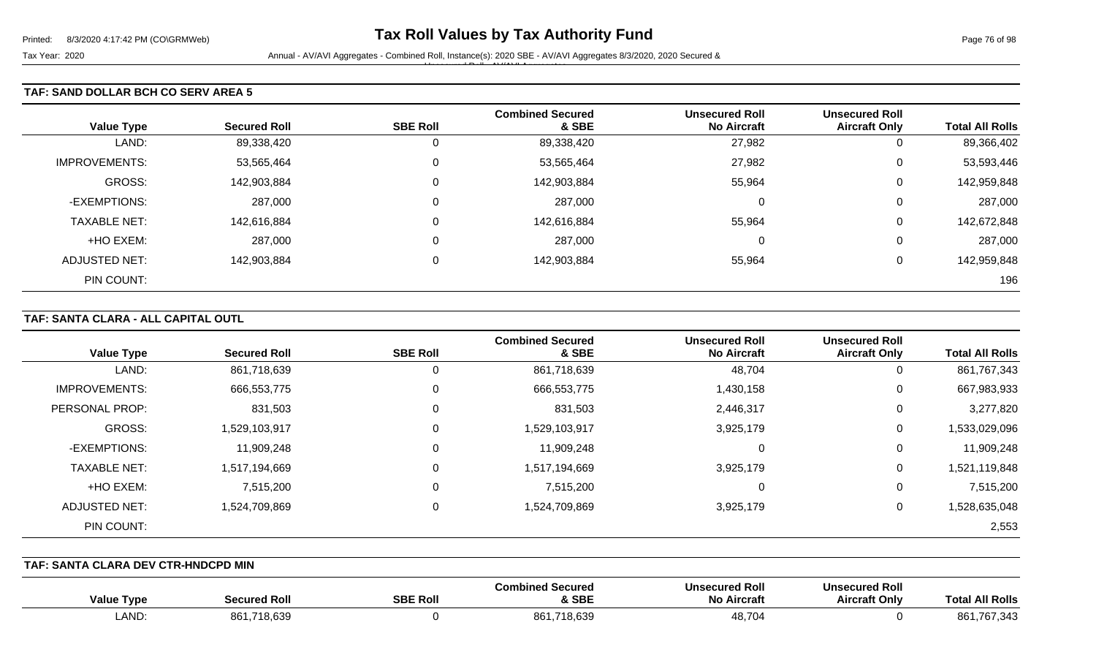#### **TAF: SAND DOLLAR BCH CO SERV AREA 5**

|                      |                     |                 | <b>Combined Secured</b> | <b>Unsecured Roll</b> | <b>Unsecured Roll</b> |                        |
|----------------------|---------------------|-----------------|-------------------------|-----------------------|-----------------------|------------------------|
| <b>Value Type</b>    | <b>Secured Roll</b> | <b>SBE Roll</b> | & SBE                   | <b>No Aircraft</b>    | <b>Aircraft Only</b>  | <b>Total All Rolls</b> |
| LAND:                | 89,338,420          | 0               | 89,338,420              | 27,982                | υ                     | 89,366,402             |
| <b>IMPROVEMENTS:</b> | 53,565,464          | 0               | 53,565,464              | 27,982                | U                     | 53,593,446             |
| GROSS:               | 142,903,884         | 0               | 142,903,884             | 55,964                | ⌒<br>U                | 142,959,848            |
| -EXEMPTIONS:         | 287,000             | 0               | 287,000                 | $\Omega$              | U                     | 287,000                |
| <b>TAXABLE NET:</b>  | 142,616,884         | 0               | 142,616,884             | 55,964                | U                     | 142,672,848            |
| +HO EXEM:            | 287,000             | 0               | 287,000                 | $\Omega$              | ⌒<br>U                | 287,000                |
| <b>ADJUSTED NET:</b> | 142,903,884         | 0               | 142,903,884             | 55,964                | U                     | 142,959,848            |
| PIN COUNT:           |                     |                 |                         |                       |                       | 196                    |

### **TAF: SANTA CLARA - ALL CAPITAL OUTL**

| <b>Value Type</b>    | <b>Secured Roll</b> | <b>SBE Roll</b> | <b>Combined Secured</b><br>& SBE | <b>Unsecured Roll</b><br><b>No Aircraft</b> | <b>Unsecured Roll</b><br><b>Aircraft Only</b> | <b>Total All Rolls</b> |
|----------------------|---------------------|-----------------|----------------------------------|---------------------------------------------|-----------------------------------------------|------------------------|
| LAND:                | 861,718,639         | 0               | 861,718,639                      | 48,704                                      | 0                                             | 861,767,343            |
| <b>IMPROVEMENTS:</b> | 666,553,775         | 0               | 666,553,775                      | 1,430,158                                   | 0                                             | 667,983,933            |
| PERSONAL PROP:       | 831,503             | 0               | 831,503                          | 2,446,317                                   | 0                                             | 3,277,820              |
| <b>GROSS:</b>        | 1,529,103,917       | 0               | 1,529,103,917                    | 3,925,179                                   | 0                                             | 1,533,029,096          |
| -EXEMPTIONS:         | 11,909,248          | 0               | 11,909,248                       | 0                                           | 0                                             | 11,909,248             |
| <b>TAXABLE NET:</b>  | 1,517,194,669       | $\mathbf 0$     | 1,517,194,669                    | 3,925,179                                   | 0                                             | 1,521,119,848          |
| +HO EXEM:            | 7,515,200           | $\Omega$        | 7,515,200                        | 0                                           | 0                                             | 7,515,200              |
| ADJUSTED NET:        | 1,524,709,869       | 0               | 1,524,709,869                    | 3,925,179                                   | 0                                             | 1,528,635,048          |
| PIN COUNT:           |                     |                 |                                  |                                             |                                               | 2,553                  |

**TAF: SANTA CLARA DEV CTR-HNDCPD MIN** 

| <b>Type</b><br>Value | Secured Rol     | <b>SBE Roll</b> | <b>Combined Secured</b><br>& SBE | Unsecured Roll<br><b>No Aircraft</b> | <b>Unsecured Roll</b><br><b>Aircraft Only</b> | <b>All Rolls</b><br>Tota   |
|----------------------|-----------------|-----------------|----------------------------------|--------------------------------------|-----------------------------------------------|----------------------------|
| LAND                 | ,718,639<br>861 |                 | 861,718,639                      | 48,704                               |                                               | 861<br>707 O 10<br>767,343 |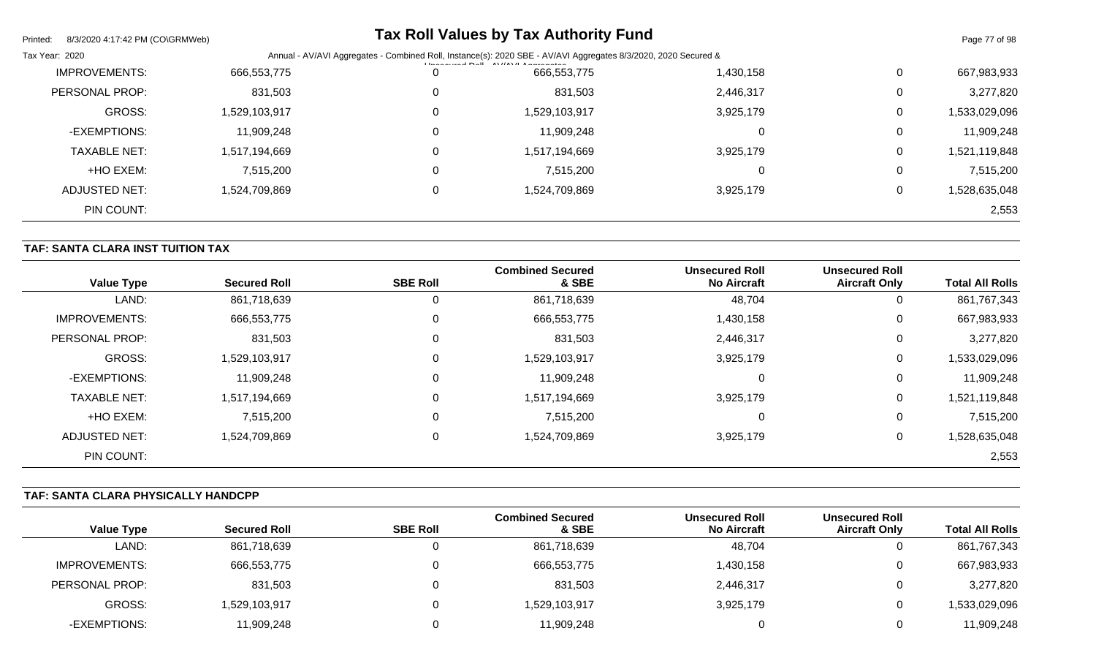| Printed:<br>8/3/2020 4:17:42 PM (CO\GRMWeb) |               |                                                                                                                                                               | <b>Tax Roll Values by Tax Authority Fund</b> |           |             | Page 77 of 98 |
|---------------------------------------------|---------------|---------------------------------------------------------------------------------------------------------------------------------------------------------------|----------------------------------------------|-----------|-------------|---------------|
| Tax Year: 2020                              |               | Annual - AV/AVI Aggregates - Combined Roll, Instance(s): 2020 SBE - AV/AVI Aggregates 8/3/2020, 2020 Secured &<br>$11.22211.224$ Dell AVIIAVII A sense serves |                                              |           |             |               |
| <b>IMPROVEMENTS:</b>                        | 666,553,775   |                                                                                                                                                               | 666,553,775                                  | 1,430,158 | 0           | 667,983,933   |
| PERSONAL PROP:                              | 831,503       |                                                                                                                                                               | 831,503                                      | 2,446,317 | $\Omega$    | 3,277,820     |
| GROSS:                                      | 1,529,103,917 |                                                                                                                                                               | 1,529,103,917                                | 3,925,179 | 0           | 1,533,029,096 |
| -EXEMPTIONS:                                | 11,909,248    |                                                                                                                                                               | 11,909,248                                   |           | $\Omega$    | 11,909,248    |
| <b>TAXABLE NET:</b>                         | 1,517,194,669 |                                                                                                                                                               | 1,517,194,669                                | 3,925,179 | $\mathbf 0$ | 1,521,119,848 |
| +HO EXEM:                                   | 7,515,200     |                                                                                                                                                               | 7,515,200                                    |           | 0           | 7,515,200     |
| ADJUSTED NET:                               | 1,524,709,869 |                                                                                                                                                               | 1,524,709,869                                | 3,925,179 | 0           | 1,528,635,048 |
| PIN COUNT:                                  |               |                                                                                                                                                               |                                              |           |             | 2,553         |

# **TAF: SANTA CLARA INST TUITION TAX**

| <b>Value Type</b>    | <b>Secured Roll</b> | <b>SBE Roll</b> | <b>Combined Secured</b><br>& SBE | <b>Unsecured Roll</b><br><b>No Aircraft</b> | <b>Unsecured Roll</b><br><b>Aircraft Only</b> | <b>Total All Rolls</b> |
|----------------------|---------------------|-----------------|----------------------------------|---------------------------------------------|-----------------------------------------------|------------------------|
| LAND:                | 861,718,639         | 0               | 861,718,639                      | 48,704                                      | 0                                             | 861,767,343            |
| <b>IMPROVEMENTS:</b> | 666,553,775         | 0               | 666,553,775                      | 1,430,158                                   | 0                                             | 667,983,933            |
| PERSONAL PROP:       | 831,503             | $\mathbf 0$     | 831,503                          | 2,446,317                                   | 0                                             | 3,277,820              |
| <b>GROSS:</b>        | 1,529,103,917       | $\overline{0}$  | 1,529,103,917                    | 3,925,179                                   | $\pmb{0}$                                     | 1,533,029,096          |
| -EXEMPTIONS:         | 11,909,248          | 0               | 11,909,248                       |                                             | 0                                             | 11,909,248             |
| <b>TAXABLE NET:</b>  | 1,517,194,669       | $\mathbf 0$     | 1,517,194,669                    | 3,925,179                                   | $\pmb{0}$                                     | 1,521,119,848          |
| +HO EXEM:            | 7,515,200           | 0               | 7,515,200                        |                                             | 0                                             | 7,515,200              |
| <b>ADJUSTED NET:</b> | 1,524,709,869       | $\mathbf 0$     | 1,524,709,869                    | 3,925,179                                   | $\pmb{0}$                                     | 1,528,635,048          |
| PIN COUNT:           |                     |                 |                                  |                                             |                                               | 2,553                  |

### **TAF: SANTA CLARA PHYSICALLY HANDCPP**

|                   |                     |                 | <b>Combined Secured</b> | <b>Unsecured Roll</b> | <b>Unsecured Roll</b> |                        |
|-------------------|---------------------|-----------------|-------------------------|-----------------------|-----------------------|------------------------|
| <b>Value Type</b> | <b>Secured Roll</b> | <b>SBE Roll</b> | & SBE                   | <b>No Aircraft</b>    | <b>Aircraft Only</b>  | <b>Total All Rolls</b> |
| LAND:             | 861,718,639         |                 | 861,718,639             | 48,704                | ັ                     | 861,767,343            |
| IMPROVEMENTS:     | 666,553,775         |                 | 666,553,775             | 1,430,158             | ັ                     | 667,983,933            |
| PERSONAL PROP:    | 831,503             |                 | 831,503                 | 2,446,317             |                       | 3,277,820              |
| <b>GROSS:</b>     | 1,529,103,917       |                 | 1,529,103,917           | 3,925,179             |                       | 1,533,029,096          |
| -EXEMPTIONS:      | 11,909,248          |                 | 11,909,248              |                       |                       | 11,909,248             |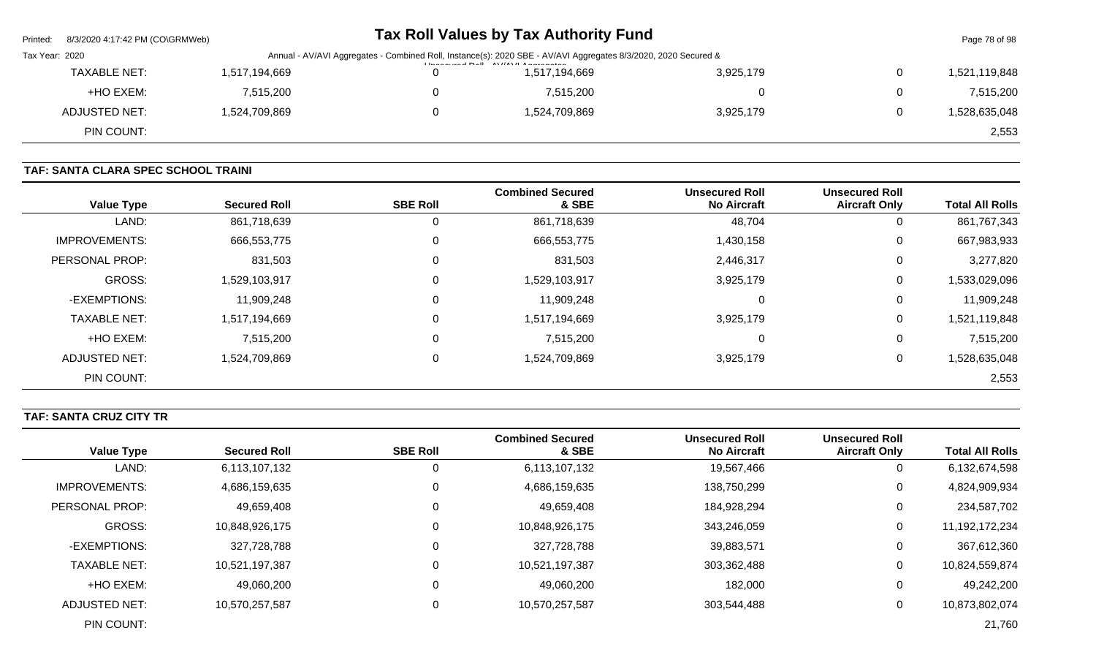| Printed:                                                                                                                                                                              | 8/3/2020   4:17:42 PM (CO\GRMWeb) |               |  | Tax Roll Values by Tax Authority Fund |           |   | Page 78 of 98 |  |
|---------------------------------------------------------------------------------------------------------------------------------------------------------------------------------------|-----------------------------------|---------------|--|---------------------------------------|-----------|---|---------------|--|
| Tax Year: 2020<br>Annual - AV/AVI Aggregates - Combined Roll, Instance(s): 2020 SBE - AV/AVI Aggregates 8/3/2020, 2020 Secured &<br><b>I lease control Dall AVIIAVII Among patent</b> |                                   |               |  |                                       |           |   |               |  |
|                                                                                                                                                                                       | <b>TAXABLE NET:</b>               | 1,517,194,669 |  | 1,517,194,669                         | 3,925,179 | 0 | 1,521,119,848 |  |
|                                                                                                                                                                                       | +HO EXEM:                         | 7,515,200     |  | 7,515,200                             |           | 0 | 7,515,200     |  |
|                                                                                                                                                                                       | ADJUSTED NET:                     | 1,524,709,869 |  | 1,524,709,869                         | 3,925,179 | 0 | 1,528,635,048 |  |
|                                                                                                                                                                                       | PIN COUNT:                        |               |  |                                       |           |   | 2,553         |  |

# **TAF: SANTA CLARA SPEC SCHOOL TRAINI**

| <b>Value Type</b>    | <b>Secured Roll</b> | <b>SBE Roll</b> | <b>Combined Secured</b><br>& SBE | <b>Unsecured Roll</b><br><b>No Aircraft</b> | <b>Unsecured Roll</b><br><b>Aircraft Only</b> | <b>Total All Rolls</b> |
|----------------------|---------------------|-----------------|----------------------------------|---------------------------------------------|-----------------------------------------------|------------------------|
| LAND:                | 861,718,639         | 0               | 861,718,639                      | 48,704                                      | U                                             | 861,767,343            |
| <b>IMPROVEMENTS:</b> | 666,553,775         | $\overline{0}$  | 666,553,775                      | 1,430,158                                   | 0                                             | 667,983,933            |
| PERSONAL PROP:       | 831,503             | 0               | 831,503                          | 2,446,317                                   | 0                                             | 3,277,820              |
| <b>GROSS:</b>        | 1,529,103,917       | $\overline{0}$  | 1,529,103,917                    | 3,925,179                                   | 0                                             | 1,533,029,096          |
| -EXEMPTIONS:         | 11,909,248          | 0               | 11,909,248                       | $\Omega$                                    | 0                                             | 11,909,248             |
| <b>TAXABLE NET:</b>  | 1,517,194,669       | $\mathbf 0$     | 1,517,194,669                    | 3,925,179                                   | 0                                             | 1,521,119,848          |
| +HO EXEM:            | 7,515,200           | 0               | 7,515,200                        | $\Omega$                                    | 0                                             | 7,515,200              |
| ADJUSTED NET:        | 1,524,709,869       | 0               | 1,524,709,869                    | 3,925,179                                   | 0                                             | 1,528,635,048          |
| PIN COUNT:           |                     |                 |                                  |                                             |                                               | 2,553                  |

# **TAF: SANTA CRUZ CITY TR**

|                      |                     |                 | <b>Combined Secured</b> | <b>Unsecured Roll</b> | <b>Unsecured Roll</b> |                        |
|----------------------|---------------------|-----------------|-------------------------|-----------------------|-----------------------|------------------------|
| <b>Value Type</b>    | <b>Secured Roll</b> | <b>SBE Roll</b> | & SBE                   | <b>No Aircraft</b>    | <b>Aircraft Only</b>  | <b>Total All Rolls</b> |
| LAND:                | 6,113,107,132       |                 | 6,113,107,132           | 19,567,466            | 0                     | 6,132,674,598          |
| <b>IMPROVEMENTS:</b> | 4,686,159,635       |                 | 4,686,159,635           | 138,750,299           | 0                     | 4,824,909,934          |
| PERSONAL PROP:       | 49,659,408          |                 | 49,659,408              | 184,928,294           | 0                     | 234,587,702            |
| GROSS:               | 10,848,926,175      |                 | 10,848,926,175          | 343,246,059           | 0                     | 11,192,172,234         |
| -EXEMPTIONS:         | 327,728,788         |                 | 327,728,788             | 39,883,571            | 0                     | 367,612,360            |
| <b>TAXABLE NET:</b>  | 10,521,197,387      |                 | 10,521,197,387          | 303,362,488           | 0                     | 10,824,559,874         |
| +HO EXEM:            | 49,060,200          |                 | 49,060,200              | 182,000               | 0                     | 49,242,200             |
| ADJUSTED NET:        | 10,570,257,587      |                 | 10,570,257,587          | 303,544,488           | 0                     | 10,873,802,074         |
| PIN COUNT:           |                     |                 |                         |                       |                       | 21,760                 |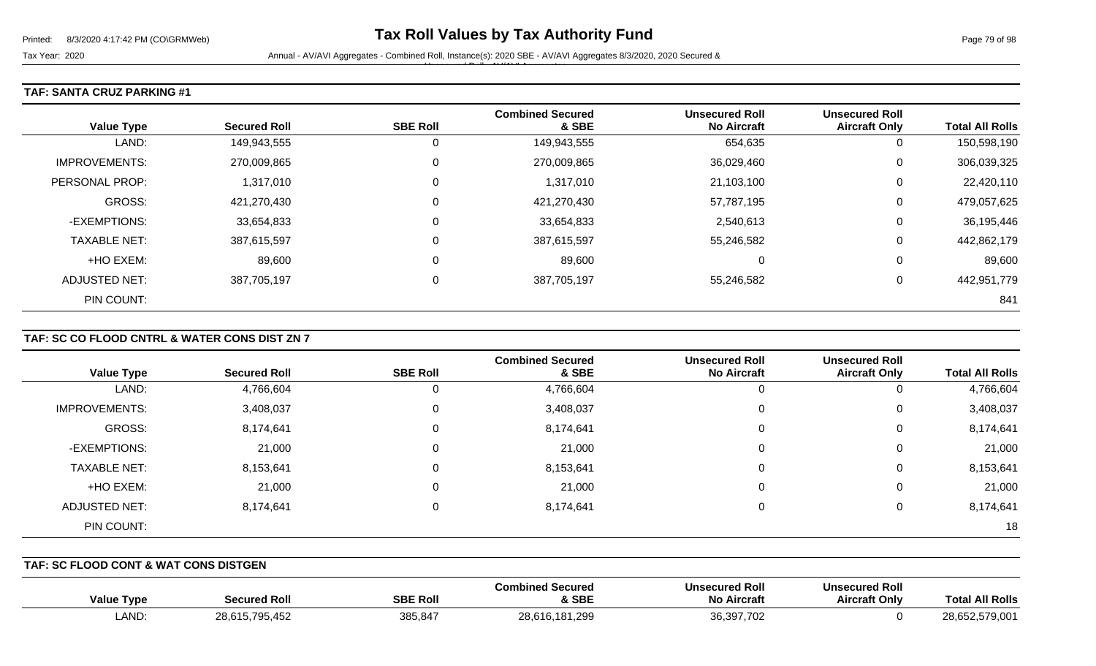Tax Year: 2020 **Annual - AV/AVI Aggregates - Combined Roll**, Instance(s): 2020 SBE - AV/AVI Aggregates 8/3/2020, 2020 Secured &

Unsecured Roll - AV/AVI Aggregates

### **TAF: SANTA CRUZ PARKING #1**

| <b>Value Type</b>    | <b>Secured Roll</b> | <b>SBE Roll</b> | <b>Combined Secured</b><br>& SBE | <b>Unsecured Roll</b><br><b>No Aircraft</b> | <b>Unsecured Roll</b><br><b>Aircraft Only</b> | <b>Total All Rolls</b> |
|----------------------|---------------------|-----------------|----------------------------------|---------------------------------------------|-----------------------------------------------|------------------------|
| LAND:                | 149,943,555         | 0               | 149,943,555                      | 654,635                                     | U                                             | 150,598,190            |
| <b>IMPROVEMENTS:</b> | 270,009,865         | 0               | 270,009,865                      | 36,029,460                                  | U                                             | 306,039,325            |
| PERSONAL PROP:       | 1,317,010           | 0               | 1,317,010                        | 21,103,100                                  | U                                             | 22,420,110             |
| <b>GROSS:</b>        | 421,270,430         | 0               | 421,270,430                      | 57,787,195                                  | 0                                             | 479,057,625            |
| -EXEMPTIONS:         | 33,654,833          | 0               | 33,654,833                       | 2,540,613                                   | U                                             | 36,195,446             |
| <b>TAXABLE NET:</b>  | 387,615,597         | 0               | 387,615,597                      | 55,246,582                                  | 0                                             | 442,862,179            |
| +HO EXEM:            | 89,600              | 0               | 89,600                           | 0                                           | 0                                             | 89,600                 |
| <b>ADJUSTED NET:</b> | 387,705,197         | 0               | 387,705,197                      | 55,246,582                                  | U                                             | 442,951,779            |
| PIN COUNT:           |                     |                 |                                  |                                             |                                               | 841                    |

### **TAF: SC CO FLOOD CNTRL & WATER CONS DIST ZN 7**

|                      |                     |                 | <b>Combined Secured</b> | <b>Unsecured Roll</b> | <b>Unsecured Roll</b> |                        |
|----------------------|---------------------|-----------------|-------------------------|-----------------------|-----------------------|------------------------|
| <b>Value Type</b>    | <b>Secured Roll</b> | <b>SBE Roll</b> | & SBE                   | <b>No Aircraft</b>    | <b>Aircraft Only</b>  | <b>Total All Rolls</b> |
| LAND:                | 4,766,604           | U               | 4,766,604               | υ                     | 0                     | 4,766,604              |
| <b>IMPROVEMENTS:</b> | 3,408,037           | 0               | 3,408,037               | 0                     | 0                     | 3,408,037              |
| GROSS:               | 8,174,641           | 0               | 8,174,641               | 0                     | 0                     | 8,174,641              |
| -EXEMPTIONS:         | 21,000              | 0               | 21,000                  | 0                     | 0                     | 21,000                 |
| <b>TAXABLE NET:</b>  | 8,153,641           | 0               | 8,153,641               | 0                     | 0                     | 8,153,641              |
| +HO EXEM:            | 21,000              | 0               | 21,000                  | 0                     | 0                     | 21,000                 |
| <b>ADJUSTED NET:</b> | 8,174,641           | 0               | 8,174,641               | 0                     | 0                     | 8,174,641              |
| PIN COUNT:           |                     |                 |                         |                       |                       | 18                     |

#### **TAF: SC FLOOD CONT & WAT CONS DISTGEN**

| <b>Value Type</b> | <b>Secured Roll</b>                 | <b>SBE Roll</b> | Combined Secured<br>& SBE | <b>Unsecured Roll</b><br>No Aircraft | <b>Unsecured Roll</b><br><b>Aircraft Only</b> | <b>Total All Rolls</b> |
|-------------------|-------------------------------------|-----------------|---------------------------|--------------------------------------|-----------------------------------------------|------------------------|
| LAND:             | 795,452<br>28,61<br>,,,,<br>1 J . I | 385,847         | 28,616,181,299            | 36,397,702                           |                                               | 28,652,579,001         |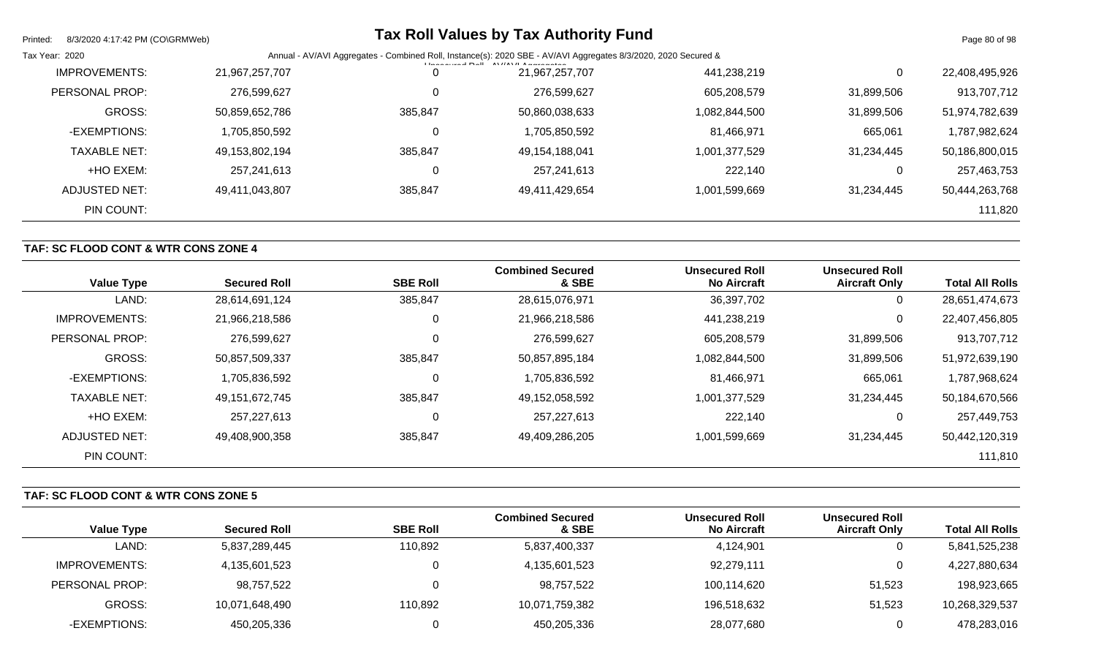| Printed:<br>8/3/2020 4:17:42 PM (CO\GRMWeb) |                |                                                                                                                                                                                  | <b>Tax Roll Values by Tax Authority Fund</b> |               |            | Page 80 of 98  |
|---------------------------------------------|----------------|----------------------------------------------------------------------------------------------------------------------------------------------------------------------------------|----------------------------------------------|---------------|------------|----------------|
| Tax Year: 2020                              |                | Annual - AV/AVI Aggregates - Combined Roll, Instance(s): 2020 SBE - AV/AVI Aggregates 8/3/2020, 2020 Secured &<br>$H = 2$ and $H = 11$ $\Delta V / (4M)$ $\Delta$ and $\Delta t$ |                                              |               |            |                |
| <b>IMPROVEMENTS:</b>                        | 21,967,257,707 | 0                                                                                                                                                                                | 21,967,257,707                               | 441,238,219   | 0          | 22,408,495,926 |
| PERSONAL PROP:                              | 276,599,627    | 0                                                                                                                                                                                | 276,599,627                                  | 605,208,579   | 31,899,506 | 913,707,712    |
| GROSS:                                      | 50,859,652,786 | 385.847                                                                                                                                                                          | 50,860,038,633                               | 1,082,844,500 | 31,899,506 | 51,974,782,639 |
| -EXEMPTIONS:                                | 1,705,850,592  | 0                                                                                                                                                                                | 1,705,850,592                                | 81,466,971    | 665,061    | 1,787,982,624  |
| <b>TAXABLE NET:</b>                         | 49,153,802,194 | 385,847                                                                                                                                                                          | 49,154,188,041                               | 1,001,377,529 | 31,234,445 | 50,186,800,015 |
| +HO EXEM:                                   | 257.241.613    | 0                                                                                                                                                                                | 257,241,613                                  | 222,140       | 0          | 257,463,753    |
| ADJUSTED NET:                               | 49,411,043,807 | 385,847                                                                                                                                                                          | 49,411,429,654                               | 1,001,599,669 | 31,234,445 | 50,444,263,768 |
| PIN COUNT:                                  |                |                                                                                                                                                                                  |                                              |               |            | 111,820        |

### **TAF: SC FLOOD CONT & WTR CONS ZONE 4**

| <b>Value Type</b>     | <b>Secured Roll</b> | <b>SBE Roll</b> | <b>Combined Secured</b><br>& SBE | <b>Unsecured Roll</b><br><b>No Aircraft</b> | <b>Unsecured Roll</b><br><b>Aircraft Only</b> | <b>Total All Rolls</b> |
|-----------------------|---------------------|-----------------|----------------------------------|---------------------------------------------|-----------------------------------------------|------------------------|
| LAND:                 | 28,614,691,124      | 385,847         | 28,615,076,971                   | 36,397,702                                  | U                                             | 28,651,474,673         |
| <b>IMPROVEMENTS:</b>  | 21,966,218,586      | 0               | 21,966,218,586                   | 441,238,219                                 | 0                                             | 22,407,456,805         |
| <b>PERSONAL PROP:</b> | 276,599,627         | 0               | 276,599,627                      | 605,208,579                                 | 31,899,506                                    | 913,707,712            |
| <b>GROSS:</b>         | 50,857,509,337      | 385,847         | 50,857,895,184                   | 1,082,844,500                               | 31,899,506                                    | 51,972,639,190         |
| -EXEMPTIONS:          | 1,705,836,592       | 0               | 1,705,836,592                    | 81,466,971                                  | 665,061                                       | 1,787,968,624          |
| <b>TAXABLE NET:</b>   | 49,151,672,745      | 385,847         | 49,152,058,592                   | 1,001,377,529                               | 31,234,445                                    | 50,184,670,566         |
| +HO EXEM:             | 257,227,613         | 0               | 257,227,613                      | 222,140                                     | 0                                             | 257,449,753            |
| ADJUSTED NET:         | 49,408,900,358      | 385,847         | 49,409,286,205                   | 1,001,599,669                               | 31,234,445                                    | 50,442,120,319         |
| PIN COUNT:            |                     |                 |                                  |                                             |                                               | 111,810                |

### **TAF: SC FLOOD CONT & WTR CONS ZONE 5**

|                      |                     |                 | <b>Combined Secured</b> | <b>Unsecured Roll</b> | <b>Unsecured Roll</b> |                        |
|----------------------|---------------------|-----------------|-------------------------|-----------------------|-----------------------|------------------------|
| <b>Value Type</b>    | <b>Secured Roll</b> | <b>SBE Roll</b> | & SBE                   | <b>No Aircraft</b>    | <b>Aircraft Only</b>  | <b>Total All Rolls</b> |
| LAND:                | 5,837,289,445       | 110,892         | 5,837,400,337           | 4,124,901             |                       | 5,841,525,238          |
| <b>IMPROVEMENTS:</b> | 4,135,601,523       |                 | 4,135,601,523           | 92,279,111            | ັ                     | 4,227,880,634          |
| PERSONAL PROP:       | 98,757,522          |                 | 98,757,522              | 100,114,620           | 51,523                | 198,923,665            |
| <b>GROSS:</b>        | 10,071,648,490      | 110,892         | 10,071,759,382          | 196,518,632           | 51,523                | 10,268,329,537         |
| -EXEMPTIONS:         | 450,205,336         |                 | 450,205,336             | 28,077,680            |                       | 478,283,016            |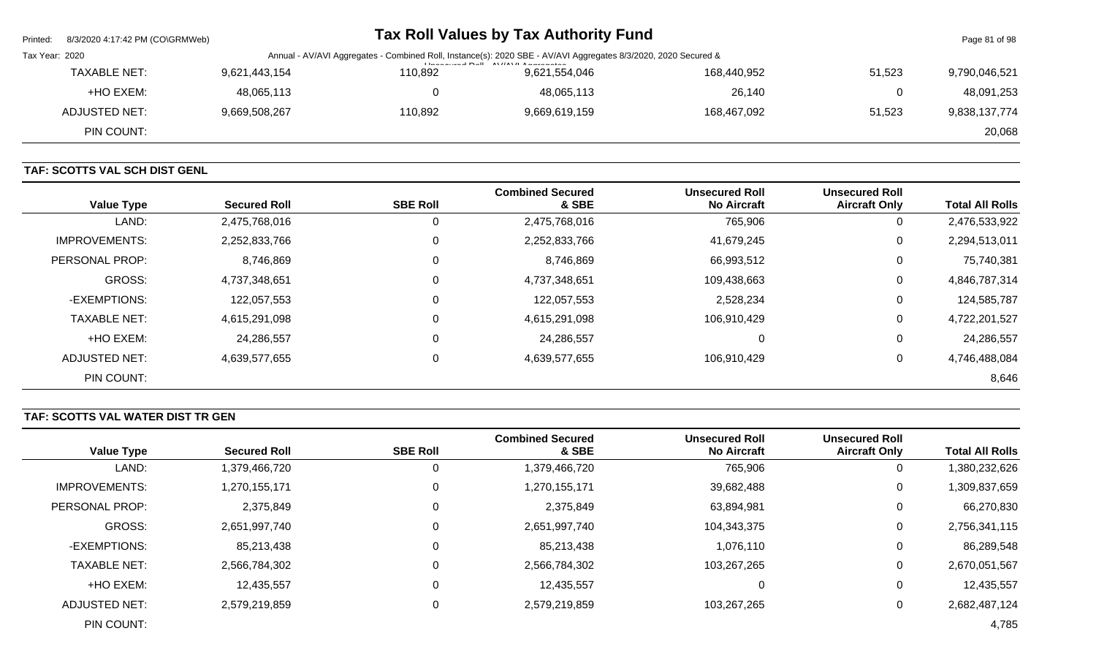| Printed:       | 8/3/2020 4:17:42 PM (CO\GRMWeb) |                                                                                                                |         | Tax Roll Values by Tax Authority Fund                                  |             |        | Page 81 of 98 |
|----------------|---------------------------------|----------------------------------------------------------------------------------------------------------------|---------|------------------------------------------------------------------------|-------------|--------|---------------|
| Tax Year: 2020 |                                 | Annual - AV/AVI Aggregates - Combined Roll, Instance(s): 2020 SBE - AV/AVI Aggregates 8/3/2020, 2020 Secured & |         |                                                                        |             |        |               |
|                | <b>TAXABLE NET:</b>             | 9,621,443,154                                                                                                  | 110,892 | <b>Illiana accord Dall AVIIAVII Americana ambasis</b><br>9,621,554,046 | 168,440,952 | 51,523 | 9,790,046,521 |
|                | +HO EXEM:                       | 48,065,113                                                                                                     |         | 48,065,113                                                             | 26,140      |        | 48,091,253    |
|                | ADJUSTED NET:                   | 9,669,508,267                                                                                                  | 110,892 | 9,669,619,159                                                          | 168,467,092 | 51.523 | 9,838,137,774 |
|                | PIN COUNT:                      |                                                                                                                |         |                                                                        |             |        | 20,068        |
|                |                                 |                                                                                                                |         |                                                                        |             |        |               |

# **TAF: SCOTTS VAL SCH DIST GENL**

| <b>Value Type</b>    | <b>Secured Roll</b> | <b>SBE Roll</b> | <b>Combined Secured</b><br>& SBE | <b>Unsecured Roll</b><br><b>No Aircraft</b> | <b>Unsecured Roll</b><br><b>Aircraft Only</b> | <b>Total All Rolls</b> |
|----------------------|---------------------|-----------------|----------------------------------|---------------------------------------------|-----------------------------------------------|------------------------|
| LAND:                | 2,475,768,016       | 0               | 2,475,768,016                    | 765,906                                     | U                                             | 2,476,533,922          |
| <b>IMPROVEMENTS:</b> | 2,252,833,766       | 0               | 2,252,833,766                    | 41,679,245                                  | 0                                             | 2,294,513,011          |
| PERSONAL PROP:       | 8,746,869           | 0               | 8,746,869                        | 66,993,512                                  | 0                                             | 75,740,381             |
| <b>GROSS:</b>        | 4,737,348,651       | 0               | 4,737,348,651                    | 109,438,663                                 | 0                                             | 4,846,787,314          |
| -EXEMPTIONS:         | 122,057,553         | $\mathbf 0$     | 122,057,553                      | 2,528,234                                   | 0                                             | 124,585,787            |
| <b>TAXABLE NET:</b>  | 4,615,291,098       | $\mathbf 0$     | 4,615,291,098                    | 106,910,429                                 | 0                                             | 4,722,201,527          |
| +HO EXEM:            | 24,286,557          | $\mathbf 0$     | 24,286,557                       | 0                                           | U                                             | 24,286,557             |
| ADJUSTED NET:        | 4,639,577,655       | $\Omega$        | 4,639,577,655                    | 106,910,429                                 | 0                                             | 4,746,488,084          |
| PIN COUNT:           |                     |                 |                                  |                                             |                                               | 8,646                  |

# **TAF: SCOTTS VAL WATER DIST TR GEN**

| <b>Value Type</b>    | <b>Secured Roll</b> | <b>SBE Roll</b> | <b>Combined Secured</b><br>& SBE | <b>Unsecured Roll</b><br><b>No Aircraft</b> | <b>Unsecured Roll</b><br><b>Aircraft Only</b> | <b>Total All Rolls</b> |
|----------------------|---------------------|-----------------|----------------------------------|---------------------------------------------|-----------------------------------------------|------------------------|
| LAND:                | 1,379,466,720       |                 | 1,379,466,720                    | 765,906                                     | 0                                             | 1,380,232,626          |
| <b>IMPROVEMENTS:</b> | 1,270,155,171       |                 | 1,270,155,171                    | 39,682,488                                  | 0                                             | 1,309,837,659          |
| PERSONAL PROP:       | 2,375,849           |                 | 2,375,849                        | 63,894,981                                  | 0                                             | 66,270,830             |
| GROSS:               | 2,651,997,740       |                 | 2,651,997,740                    | 104,343,375                                 | 0                                             | 2,756,341,115          |
| -EXEMPTIONS:         | 85,213,438          |                 | 85,213,438                       | 1,076,110                                   | 0                                             | 86,289,548             |
| <b>TAXABLE NET:</b>  | 2,566,784,302       |                 | 2,566,784,302                    | 103,267,265                                 | 0                                             | 2,670,051,567          |
| +HO EXEM:            | 12,435,557          |                 | 12,435,557                       |                                             | 0                                             | 12,435,557             |
| ADJUSTED NET:        | 2,579,219,859       |                 | 2,579,219,859                    | 103,267,265                                 | 0                                             | 2,682,487,124          |
| PIN COUNT:           |                     |                 |                                  |                                             |                                               | 4,785                  |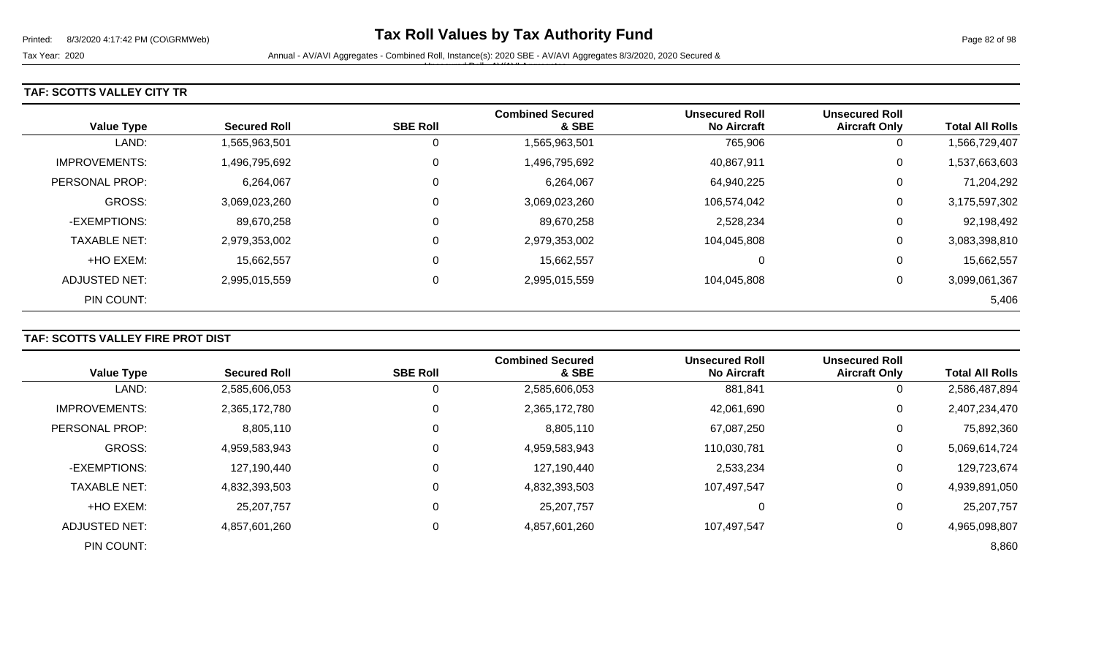Tax Year: 2020 **Annual - AV/AVI Aggregates - Combined Roll**, Instance(s): 2020 SBE - AV/AVI Aggregates 8/3/2020, 2020 Secured & Unsecured Roll - AV/AVI Aggregates

### **TAF: SCOTTS VALLEY CITY TR**

| <b>Value Type</b>     | <b>Secured Roll</b> | <b>SBE Roll</b> | <b>Combined Secured</b><br>& SBE | <b>Unsecured Roll</b><br><b>No Aircraft</b> | <b>Unsecured Roll</b><br><b>Aircraft Only</b> | <b>Total All Rolls</b> |
|-----------------------|---------------------|-----------------|----------------------------------|---------------------------------------------|-----------------------------------------------|------------------------|
|                       |                     |                 |                                  |                                             |                                               |                        |
| LAND:                 | 1,565,963,501       | 0               | 1,565,963,501                    | 765,906                                     | 0                                             | 1,566,729,407          |
| <b>IMPROVEMENTS:</b>  | 1,496,795,692       | 0               | 1,496,795,692                    | 40,867,911                                  | 0                                             | 1,537,663,603          |
| <b>PERSONAL PROP:</b> | 6,264,067           | 0               | 6,264,067                        | 64,940,225                                  | 0                                             | 71,204,292             |
| <b>GROSS:</b>         | 3,069,023,260       | 0               | 3,069,023,260                    | 106,574,042                                 | 0                                             | 3,175,597,302          |
| -EXEMPTIONS:          | 89,670,258          | 0               | 89,670,258                       | 2,528,234                                   | 0                                             | 92,198,492             |
| <b>TAXABLE NET:</b>   | 2,979,353,002       | 0               | 2,979,353,002                    | 104,045,808                                 | 0                                             | 3,083,398,810          |
| +HO EXEM:             | 15,662,557          | 0               | 15,662,557                       | $\Omega$                                    | 0                                             | 15,662,557             |
| ADJUSTED NET:         | 2,995,015,559       | $\pmb{0}$       | 2,995,015,559                    | 104,045,808                                 | 0                                             | 3,099,061,367          |
| PIN COUNT:            |                     |                 |                                  |                                             |                                               | 5,406                  |

## **TAF: SCOTTS VALLEY FIRE PROT DIST**

|                      |                     |                 | <b>Combined Secured</b> | <b>Unsecured Roll</b> | <b>Unsecured Roll</b> |                        |
|----------------------|---------------------|-----------------|-------------------------|-----------------------|-----------------------|------------------------|
| <b>Value Type</b>    | <b>Secured Roll</b> | <b>SBE Roll</b> | & SBE                   | <b>No Aircraft</b>    | <b>Aircraft Only</b>  | <b>Total All Rolls</b> |
| LAND:                | 2,585,606,053       |                 | 2,585,606,053           | 881,841               | 0                     | 2,586,487,894          |
| <b>IMPROVEMENTS:</b> | 2,365,172,780       |                 | 2,365,172,780           | 42,061,690            | 0                     | 2,407,234,470          |
| PERSONAL PROP:       | 8,805,110           |                 | 8,805,110               | 67,087,250            | 0                     | 75,892,360             |
| <b>GROSS:</b>        | 4,959,583,943       |                 | 4,959,583,943           | 110,030,781           | 0                     | 5,069,614,724          |
| -EXEMPTIONS:         | 127,190,440         |                 | 127,190,440             | 2,533,234             | 0                     | 129,723,674            |
| <b>TAXABLE NET:</b>  | 4,832,393,503       |                 | 4,832,393,503           | 107,497,547           | 0                     | 4,939,891,050          |
| +HO EXEM:            | 25,207,757          |                 | 25,207,757              | 0                     | 0                     | 25,207,757             |
| ADJUSTED NET:        | 4,857,601,260       |                 | 4,857,601,260           | 107,497,547           | 0                     | 4,965,098,807          |
| PIN COUNT:           |                     |                 |                         |                       |                       | 8,860                  |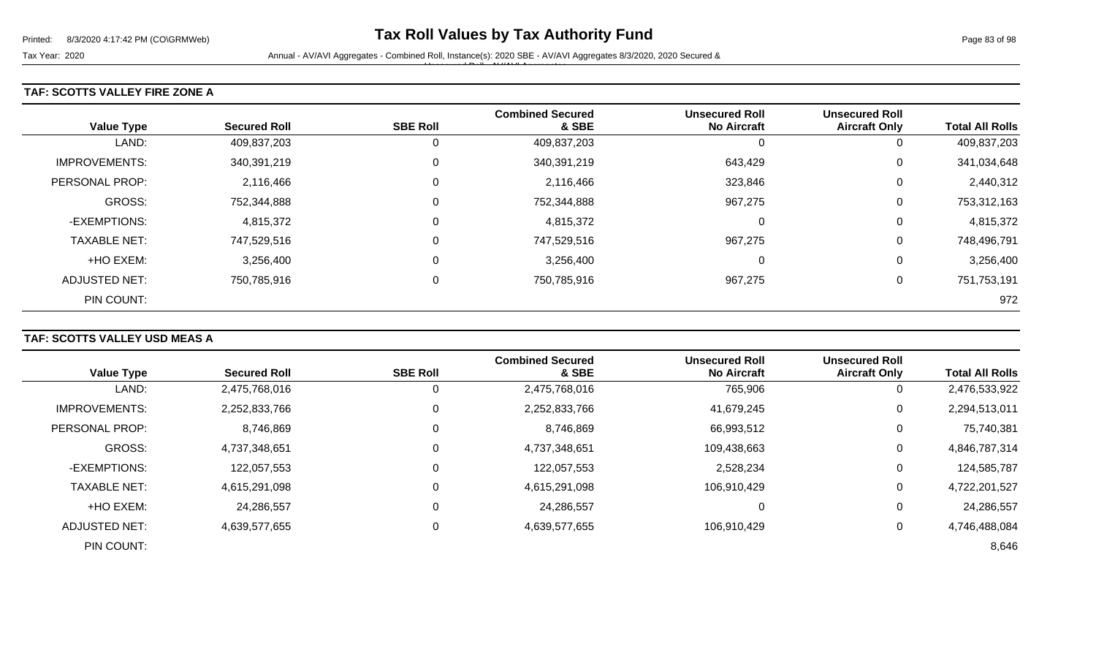#### **TAF: SCOTTS VALLEY FIRE ZONE A**

| <b>Value Type</b>    | <b>Secured Roll</b> | <b>SBE Roll</b> | <b>Combined Secured</b><br>& SBE | <b>Unsecured Roll</b><br><b>No Aircraft</b> | <b>Unsecured Roll</b><br><b>Aircraft Only</b> | <b>Total All Rolls</b> |
|----------------------|---------------------|-----------------|----------------------------------|---------------------------------------------|-----------------------------------------------|------------------------|
| LAND:                | 409,837,203         | 0               | 409,837,203                      |                                             | 0                                             | 409,837,203            |
| <b>IMPROVEMENTS:</b> | 340,391,219         | $\mathbf 0$     | 340,391,219                      | 643,429                                     | 0                                             | 341,034,648            |
| PERSONAL PROP:       | 2,116,466           | 0               | 2,116,466                        | 323,846                                     | 0                                             | 2,440,312              |
| GROSS:               | 752,344,888         | 0               | 752,344,888                      | 967,275                                     | 0                                             | 753,312,163            |
| -EXEMPTIONS:         | 4,815,372           | 0               | 4,815,372                        | 0                                           | 0                                             | 4,815,372              |
| <b>TAXABLE NET:</b>  | 747,529,516         | $\mathbf 0$     | 747,529,516                      | 967,275                                     | 0                                             | 748,496,791            |
| +HO EXEM:            | 3,256,400           | 0               | 3,256,400                        | C                                           | 0                                             | 3,256,400              |
| ADJUSTED NET:        | 750,785,916         | $\mathbf 0$     | 750,785,916                      | 967,275                                     | 0                                             | 751,753,191            |
| PIN COUNT:           |                     |                 |                                  |                                             |                                               | 972                    |

## **TAF: SCOTTS VALLEY USD MEAS A**

| <b>Value Type</b>     | <b>Secured Roll</b> | <b>SBE Roll</b> | <b>Combined Secured</b><br>& SBE | <b>Unsecured Roll</b><br><b>No Aircraft</b> | <b>Unsecured Roll</b><br><b>Aircraft Only</b> | <b>Total All Rolls</b> |
|-----------------------|---------------------|-----------------|----------------------------------|---------------------------------------------|-----------------------------------------------|------------------------|
|                       |                     |                 |                                  |                                             |                                               |                        |
| LAND:                 | 2,475,768,016       |                 | 2,475,768,016                    | 765,906                                     | 0                                             | 2,476,533,922          |
| <b>IMPROVEMENTS:</b>  | 2,252,833,766       |                 | 2,252,833,766                    | 41,679,245                                  | 0                                             | 2,294,513,011          |
| <b>PERSONAL PROP:</b> | 8,746,869           |                 | 8,746,869                        | 66,993,512                                  | 0                                             | 75,740,381             |
| <b>GROSS:</b>         | 4,737,348,651       |                 | 4,737,348,651                    | 109,438,663                                 | $\mathbf 0$                                   | 4,846,787,314          |
| -EXEMPTIONS:          | 122,057,553         |                 | 122,057,553                      | 2,528,234                                   | 0                                             | 124,585,787            |
| <b>TAXABLE NET:</b>   | 4,615,291,098       |                 | 4,615,291,098                    | 106,910,429                                 | 0                                             | 4,722,201,527          |
| +HO EXEM:             | 24,286,557          |                 | 24,286,557                       | 0                                           | 0                                             | 24,286,557             |
| ADJUSTED NET:         | 4,639,577,655       |                 | 4,639,577,655                    | 106.910.429                                 | $\mathbf 0$                                   | 4,746,488,084          |
| PIN COUNT:            |                     |                 |                                  |                                             |                                               | 8,646                  |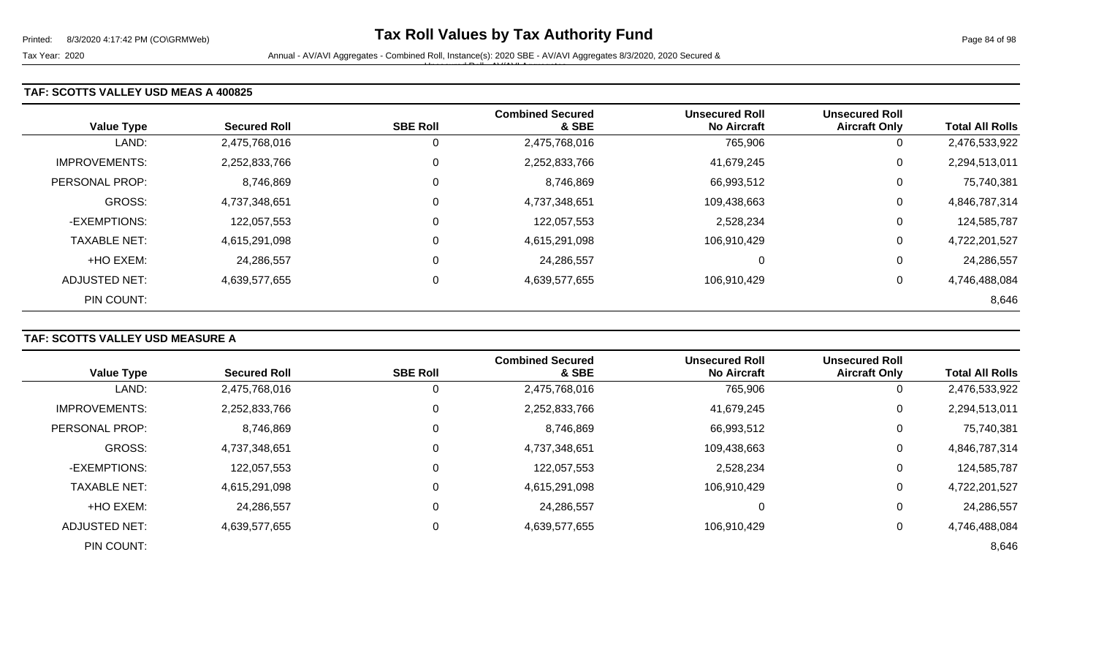Unsecured Roll - AV/AVI Aggregates

#### **TAF: SCOTTS VALLEY USD MEAS A 400825**

| <b>Value Type</b>    | <b>Secured Roll</b> | <b>SBE Roll</b> | <b>Combined Secured</b><br>& SBE | <b>Unsecured Roll</b><br><b>No Aircraft</b> | <b>Unsecured Roll</b><br><b>Aircraft Only</b> | <b>Total All Rolls</b> |
|----------------------|---------------------|-----------------|----------------------------------|---------------------------------------------|-----------------------------------------------|------------------------|
| LAND:                | 2,475,768,016       | 0               | 2,475,768,016                    | 765,906                                     | 0                                             | 2,476,533,922          |
| <b>IMPROVEMENTS:</b> | 2,252,833,766       | 0               | 2,252,833,766                    | 41,679,245                                  | 0                                             | 2,294,513,011          |
| PERSONAL PROP:       | 8,746,869           | 0               | 8,746,869                        | 66,993,512                                  | 0                                             | 75,740,381             |
| <b>GROSS:</b>        | 4,737,348,651       | $\mathbf 0$     | 4,737,348,651                    | 109,438,663                                 | 0                                             | 4,846,787,314          |
| -EXEMPTIONS:         | 122,057,553         | 0               | 122,057,553                      | 2,528,234                                   | 0                                             | 124,585,787            |
| <b>TAXABLE NET:</b>  | 4,615,291,098       | 0               | 4,615,291,098                    | 106,910,429                                 | 0                                             | 4,722,201,527          |
| +HO EXEM:            | 24,286,557          | 0               | 24,286,557                       | 0                                           | 0                                             | 24,286,557             |
| ADJUSTED NET:        | 4,639,577,655       | 0               | 4,639,577,655                    | 106,910,429                                 | 0                                             | 4,746,488,084          |
| PIN COUNT:           |                     |                 |                                  |                                             |                                               | 8,646                  |

## **TAF: SCOTTS VALLEY USD MEASURE A**

| <b>Value Type</b>    | <b>Secured Roll</b> | <b>SBE Roll</b> | <b>Combined Secured</b><br>& SBE | <b>Unsecured Roll</b><br><b>No Aircraft</b> | <b>Unsecured Roll</b><br><b>Aircraft Only</b> | <b>Total All Rolls</b> |
|----------------------|---------------------|-----------------|----------------------------------|---------------------------------------------|-----------------------------------------------|------------------------|
|                      |                     |                 |                                  |                                             |                                               |                        |
| LAND:                | 2,475,768,016       | U               | 2,475,768,016                    | 765,906                                     | 0                                             | 2,476,533,922          |
| <b>IMPROVEMENTS:</b> | 2,252,833,766       | 0               | 2,252,833,766                    | 41,679,245                                  | $\mathbf 0$                                   | 2,294,513,011          |
| PERSONAL PROP:       | 8,746,869           | 0               | 8,746,869                        | 66,993,512                                  | 0                                             | 75,740,381             |
| <b>GROSS:</b>        | 4,737,348,651       | $\Omega$        | 4,737,348,651                    | 109,438,663                                 | 0                                             | 4,846,787,314          |
| -EXEMPTIONS:         | 122,057,553         | 0               | 122,057,553                      | 2,528,234                                   | 0                                             | 124,585,787            |
| <b>TAXABLE NET:</b>  | 4,615,291,098       | $\mathbf 0$     | 4,615,291,098                    | 106,910,429                                 | 0                                             | 4,722,201,527          |
| +HO EXEM:            | 24,286,557          | $\Omega$        | 24,286,557                       | 0                                           | 0                                             | 24,286,557             |
| ADJUSTED NET:        | 4,639,577,655       | 0               | 4,639,577,655                    | 106,910,429                                 | 0                                             | 4,746,488,084          |
| PIN COUNT:           |                     |                 |                                  |                                             |                                               | 8,646                  |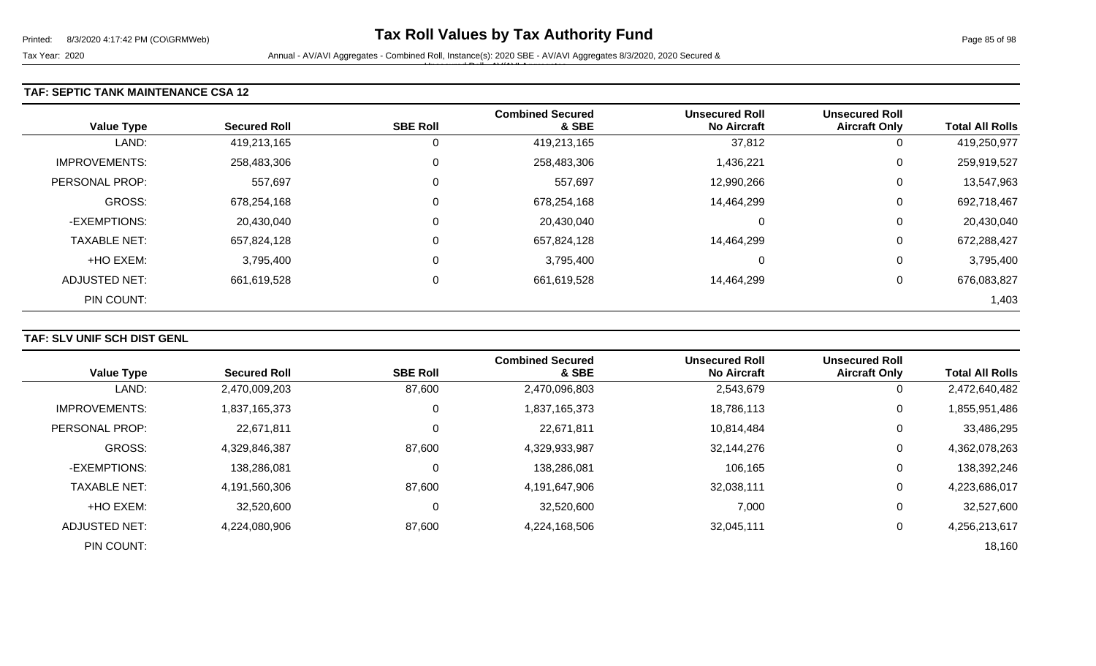Tax Year: 2020 **Annual - AV/AVI Aggregates - Combined Roll**, Instance(s): 2020 SBE - AV/AVI Aggregates 8/3/2020, 2020 Secured & Unsecured Roll - AV/AVI Aggregates

#### **TAF: SEPTIC TANK MAINTENANCE CSA 12**

|                      |                     |                 | <b>Combined Secured</b> | <b>Unsecured Roll</b> | <b>Unsecured Roll</b> |                        |
|----------------------|---------------------|-----------------|-------------------------|-----------------------|-----------------------|------------------------|
| <b>Value Type</b>    | <b>Secured Roll</b> | <b>SBE Roll</b> | & SBE                   | <b>No Aircraft</b>    | <b>Aircraft Only</b>  | <b>Total All Rolls</b> |
| LAND:                | 419,213,165         |                 | 419,213,165             | 37,812                | 0                     | 419,250,977            |
| <b>IMPROVEMENTS:</b> | 258,483,306         | 0               | 258,483,306             | 1,436,221             | 0                     | 259,919,527            |
| PERSONAL PROP:       | 557,697             | C               | 557,697                 | 12,990,266            | 0                     | 13,547,963             |
| GROSS:               | 678,254,168         | 0               | 678,254,168             | 14,464,299            | 0                     | 692,718,467            |
| -EXEMPTIONS:         | 20,430,040          | 0               | 20,430,040              | 0                     | 0                     | 20,430,040             |
| <b>TAXABLE NET:</b>  | 657,824,128         | 0               | 657,824,128             | 14,464,299            | 0                     | 672,288,427            |
| +HO EXEM:            | 3,795,400           | 0               | 3,795,400               | 0                     | 0                     | 3,795,400              |
| <b>ADJUSTED NET:</b> | 661,619,528         | 0               | 661,619,528             | 14,464,299            | 0                     | 676,083,827            |
| PIN COUNT:           |                     |                 |                         |                       |                       | 1,403                  |

### **TAF: SLV UNIF SCH DIST GENL**

| <b>Value Type</b>     | <b>Secured Roll</b> | <b>SBE Roll</b> | <b>Combined Secured</b><br>& SBE | <b>Unsecured Roll</b><br><b>No Aircraft</b> | <b>Unsecured Roll</b><br><b>Aircraft Only</b> | <b>Total All Rolls</b> |
|-----------------------|---------------------|-----------------|----------------------------------|---------------------------------------------|-----------------------------------------------|------------------------|
| LAND:                 | 2,470,009,203       | 87,600          | 2,470,096,803                    | 2,543,679                                   | $\overline{0}$                                | 2,472,640,482          |
| <b>IMPROVEMENTS:</b>  | 1,837,165,373       | 0               | 1,837,165,373                    | 18,786,113                                  | 0                                             | 1,855,951,486          |
| <b>PERSONAL PROP:</b> | 22,671,811          |                 | 22,671,811                       | 10,814,484                                  | 0                                             | 33,486,295             |
| <b>GROSS:</b>         | 4,329,846,387       | 87,600          | 4,329,933,987                    | 32,144,276                                  | 0                                             | 4,362,078,263          |
| -EXEMPTIONS:          | 138,286,081         |                 | 138,286,081                      | 106,165                                     | 0                                             | 138,392,246            |
| <b>TAXABLE NET:</b>   | 4,191,560,306       | 87,600          | 4,191,647,906                    | 32,038,111                                  | 0                                             | 4,223,686,017          |
| +HO EXEM:             | 32,520,600          | 0               | 32,520,600                       | 7,000                                       | 0                                             | 32,527,600             |
| ADJUSTED NET:         | 4,224,080,906       | 87,600          | 4,224,168,506                    | 32,045,111                                  | 0                                             | 4,256,213,617          |
| PIN COUNT:            |                     |                 |                                  |                                             |                                               | 18,160                 |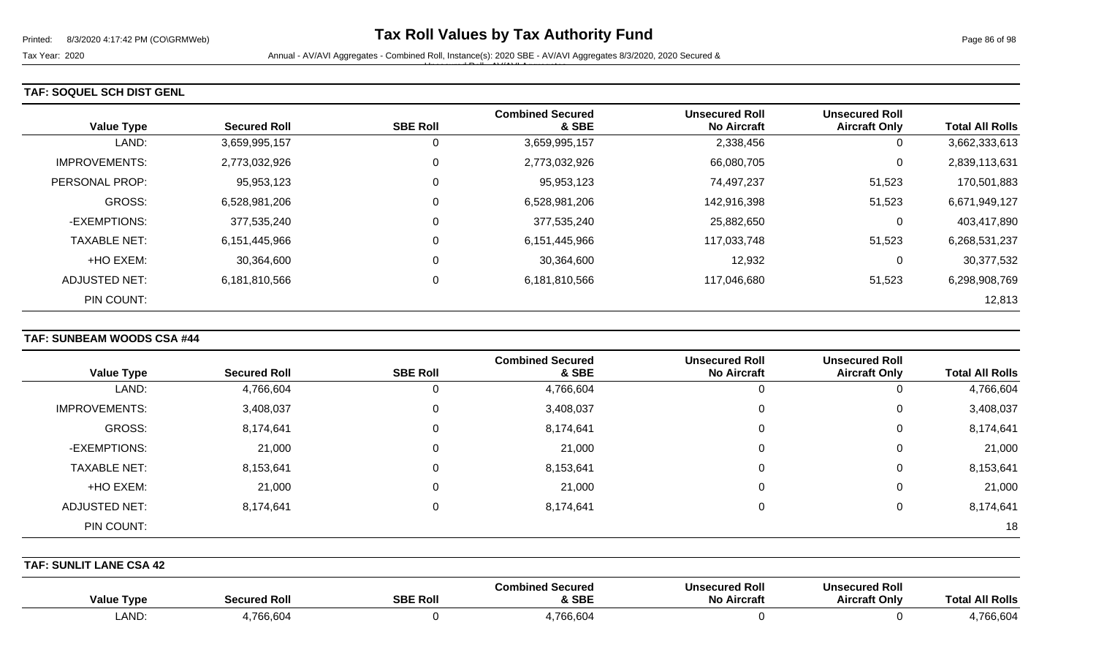Tax Year: 2020 **Annual - AV/AVI Aggregates - Combined Roll**, Instance(s): 2020 SBE - AV/AVI Aggregates 8/3/2020, 2020 Secured & Unsecured Roll - AV/AVI Aggregates

### **TAF: SOQUEL SCH DIST GENL**

| <b>Value Type</b>    | <b>Secured Roll</b> | <b>SBE Roll</b> | <b>Combined Secured</b><br>& SBE | <b>Unsecured Roll</b><br><b>No Aircraft</b> | <b>Unsecured Roll</b><br><b>Aircraft Only</b> | <b>Total All Rolls</b> |
|----------------------|---------------------|-----------------|----------------------------------|---------------------------------------------|-----------------------------------------------|------------------------|
| LAND:                | 3,659,995,157       |                 | 3,659,995,157                    | 2,338,456                                   | 0                                             | 3,662,333,613          |
| <b>IMPROVEMENTS:</b> | 2,773,032,926       |                 | 2,773,032,926                    | 66,080,705                                  | 0                                             | 2,839,113,631          |
| PERSONAL PROP:       | 95,953,123          |                 | 95,953,123                       | 74,497,237                                  | 51,523                                        | 170,501,883            |
| GROSS:               | 6,528,981,206       |                 | 6,528,981,206                    | 142,916,398                                 | 51,523                                        | 6,671,949,127          |
| -EXEMPTIONS:         | 377,535,240         |                 | 377,535,240                      | 25,882,650                                  | 0                                             | 403,417,890            |
| <b>TAXABLE NET:</b>  | 6,151,445,966       |                 | 6,151,445,966                    | 117,033,748                                 | 51,523                                        | 6,268,531,237          |
| +HO EXEM:            | 30,364,600          |                 | 30,364,600                       | 12,932                                      | 0                                             | 30,377,532             |
| ADJUSTED NET:        | 6,181,810,566       |                 | 6,181,810,566                    | 117,046,680                                 | 51,523                                        | 6,298,908,769          |
| PIN COUNT:           |                     |                 |                                  |                                             |                                               | 12,813                 |

### **TAF: SUNBEAM WOODS CSA #44**

|                      |                     |                 | <b>Combined Secured</b> | <b>Unsecured Roll</b> | <b>Unsecured Roll</b> |                        |
|----------------------|---------------------|-----------------|-------------------------|-----------------------|-----------------------|------------------------|
| <b>Value Type</b>    | <b>Secured Roll</b> | <b>SBE Roll</b> | & SBE                   | <b>No Aircraft</b>    | <b>Aircraft Only</b>  | <b>Total All Rolls</b> |
| LAND:                | 4,766,604           | U               | 4,766,604               |                       | 0                     | 4,766,604              |
| <b>IMPROVEMENTS:</b> | 3,408,037           | 0               | 3,408,037               | 0                     | 0                     | 3,408,037              |
| GROSS:               | 8,174,641           | 0               | 8,174,641               | 0                     | 0                     | 8,174,641              |
| -EXEMPTIONS:         | 21,000              | $\mathbf 0$     | 21,000                  |                       | 0                     | 21,000                 |
| <b>TAXABLE NET:</b>  | 8,153,641           | 0               | 8,153,641               | 0                     | 0                     | 8,153,641              |
| +HO EXEM:            | 21,000              | 0               | 21,000                  |                       | 0                     | 21,000                 |
| <b>ADJUSTED NET:</b> | 8,174,641           | $\Omega$        | 8,174,641               |                       | 0                     | 8,174,641              |
| PIN COUNT:           |                     |                 |                         |                       |                       | 18                     |

**TAF: SUNLIT LANE CSA 42** 

| Value<br>Tvpe | Secured Roll | <b>SBE Roll</b> | l Secured<br>Comb<br>шси<br><b>SBE</b> | <b>Unsecured Roll</b><br><b>No Aircraft</b> | <b>Unsecured Roll</b><br><b>Aircraft Only</b> | <b>Total All Rolls</b> |
|---------------|--------------|-----------------|----------------------------------------|---------------------------------------------|-----------------------------------------------|------------------------|
| <b>LAND</b>   | .766,604     |                 | 766.604                                |                                             |                                               | 766,604                |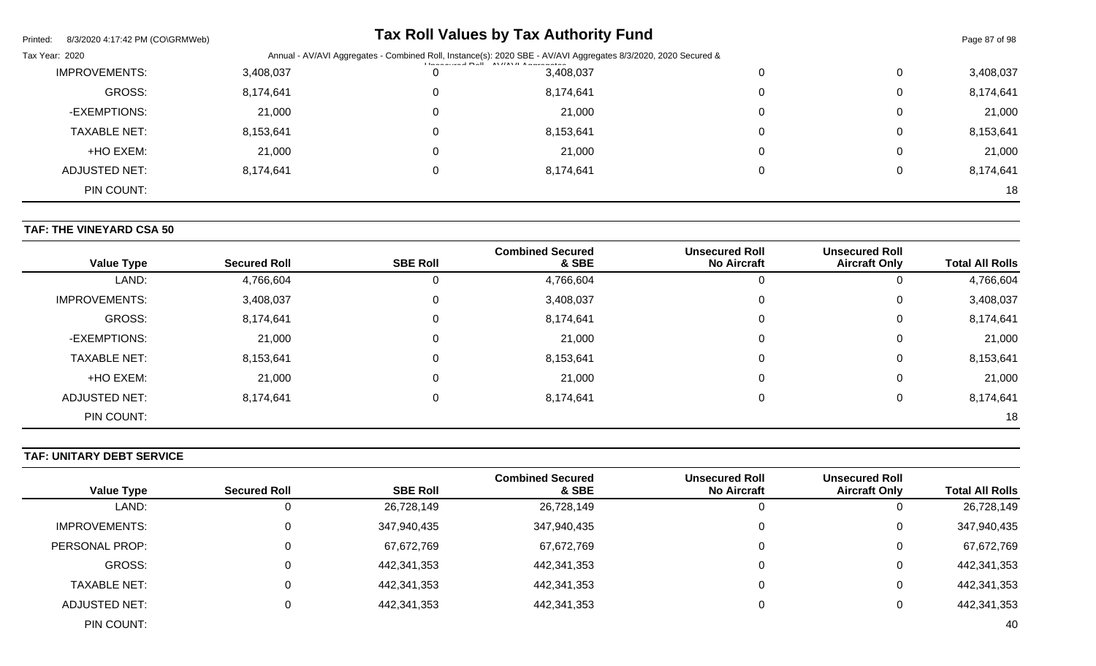| Printed:<br>8/3/2020 4:17:42 PM (CO\GRMWeb) |                                                                                                                |  | <b>Tax Roll Values by Tax Authority Fund</b> |  |          | Page 87 of 98 |
|---------------------------------------------|----------------------------------------------------------------------------------------------------------------|--|----------------------------------------------|--|----------|---------------|
| Tax Year: 2020                              | Annual - AV/AVI Aggregates - Combined Roll, Instance(s): 2020 SBE - AV/AVI Aggregates 8/3/2020, 2020 Secured & |  |                                              |  |          |               |
| <b>IMPROVEMENTS:</b>                        | 3,408,037                                                                                                      |  | 3,408,037                                    |  |          | 3,408,037     |
| GROSS:                                      | 8,174,641                                                                                                      |  | 8,174,641                                    |  | 0        | 8,174,641     |
| -EXEMPTIONS:                                | 21,000                                                                                                         |  | 21,000                                       |  | $\Omega$ | 21,000        |
| <b>TAXABLE NET:</b>                         | 8,153,641                                                                                                      |  | 8,153,641                                    |  | 0        | 8,153,641     |
| +HO EXEM:                                   | 21,000                                                                                                         |  | 21,000                                       |  | $\Omega$ | 21,000        |
| ADJUSTED NET:                               | 8,174,641                                                                                                      |  | 8,174,641                                    |  |          | 8,174,641     |
| PIN COUNT:                                  |                                                                                                                |  |                                              |  |          | 18            |

### **TAF: THE VINEYARD CSA 50**

| <b>Value Type</b>    | <b>Secured Roll</b> | <b>SBE Roll</b> | <b>Combined Secured</b><br>& SBE | <b>Unsecured Roll</b><br><b>No Aircraft</b> | <b>Unsecured Roll</b><br><b>Aircraft Only</b> | <b>Total All Rolls</b> |
|----------------------|---------------------|-----------------|----------------------------------|---------------------------------------------|-----------------------------------------------|------------------------|
| LAND:                | 4,766,604           | 0               | 4,766,604                        |                                             | 0                                             | 4,766,604              |
| <b>IMPROVEMENTS:</b> | 3,408,037           | 0               | 3,408,037                        | 0                                           | 0                                             | 3,408,037              |
| GROSS:               | 8,174,641           | 0               | 8,174,641                        |                                             | 0                                             | 8,174,641              |
| -EXEMPTIONS:         | 21,000              | 0               | 21,000                           | 0                                           | 0                                             | 21,000                 |
| <b>TAXABLE NET:</b>  | 8,153,641           | 0               | 8,153,641                        |                                             | 0                                             | 8,153,641              |
| +HO EXEM:            | 21,000              | $\Omega$        | 21,000                           |                                             | 0                                             | 21,000                 |
| ADJUSTED NET:        | 8,174,641           | 0               | 8,174,641                        |                                             | 0                                             | 8,174,641              |
| PIN COUNT:           |                     |                 |                                  |                                             |                                               | 18                     |

### **TAF: UNITARY DEBT SERVICE**

|                        | <b>Unsecured Roll</b> | <b>Unsecured Roll</b> | <b>Combined Secured</b> |                 |                     |                      |
|------------------------|-----------------------|-----------------------|-------------------------|-----------------|---------------------|----------------------|
| <b>Total All Rolls</b> | <b>Aircraft Only</b>  | <b>No Aircraft</b>    | & SBE                   | <b>SBE Roll</b> | <b>Secured Roll</b> | <b>Value Type</b>    |
| 26,728,149             |                       |                       | 26,728,149              | 26,728,149      | υ                   | LAND:                |
| 347,940,435            | 0                     | 0                     | 347,940,435             | 347,940,435     | 0                   | <b>IMPROVEMENTS:</b> |
| 67,672,769             | 0                     | 0                     | 67,672,769              | 67,672,769      | 0                   | PERSONAL PROP:       |
| 442,341,353            | 0                     | 0                     | 442,341,353             | 442,341,353     | 0                   | GROSS:               |
| 442,341,353            | 0                     | 0                     | 442,341,353             | 442,341,353     | 0                   | <b>TAXABLE NET:</b>  |
| 442,341,353            | 0                     | 0                     | 442,341,353             | 442,341,353     | 0                   | ADJUSTED NET:        |
| 40                     |                       |                       |                         |                 |                     | PIN COUNT:           |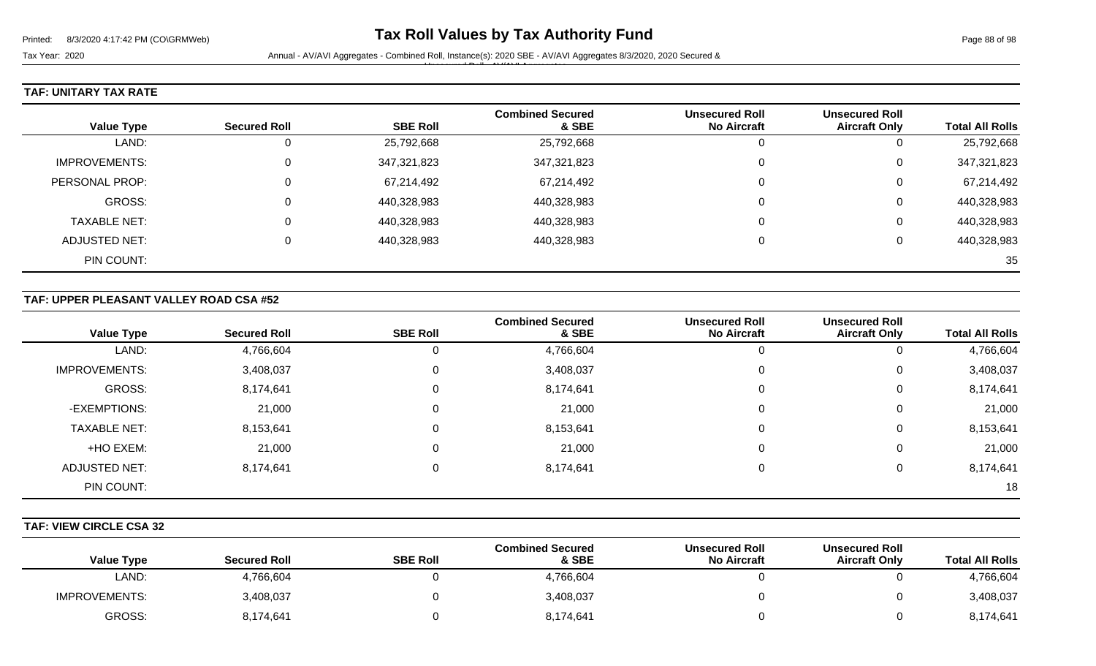Tax Year: 2020 **Annual - AV/AVI Aggregates - Combined Roll**, Instance(s): 2020 SBE - AV/AVI Aggregates 8/3/2020, 2020 Secured & Unsecured Roll - AV/AVI Aggregates

### **TAF: UNITARY TAX RATE**

| <b>Value Type</b>   | <b>Secured Roll</b> | <b>SBE Roll</b> | <b>Combined Secured</b><br>& SBE | <b>Unsecured Roll</b><br><b>No Aircraft</b> | <b>Unsecured Roll</b><br><b>Aircraft Only</b> | <b>Total All Rolls</b> |
|---------------------|---------------------|-----------------|----------------------------------|---------------------------------------------|-----------------------------------------------|------------------------|
|                     |                     |                 |                                  |                                             |                                               |                        |
| LAND:               | U                   | 25,792,668      | 25,792,668                       |                                             |                                               | 25,792,668             |
| IMPROVEMENTS:       | $\Omega$            | 347,321,823     | 347,321,823                      |                                             | 0                                             | 347,321,823            |
| PERSONAL PROP:      | $\Omega$            | 67,214,492      | 67,214,492                       |                                             | 0                                             | 67,214,492             |
| GROSS:              | 0                   | 440,328,983     | 440,328,983                      |                                             | 0                                             | 440,328,983            |
| <b>TAXABLE NET:</b> | 0                   | 440,328,983     | 440,328,983                      |                                             | 0                                             | 440,328,983            |
| ADJUSTED NET:       | 0                   | 440,328,983     | 440,328,983                      |                                             | 0                                             | 440,328,983            |
| PIN COUNT:          |                     |                 |                                  |                                             |                                               | 35                     |

### **TAF: UPPER PLEASANT VALLEY ROAD CSA #52**

|                      |                     |                 | <b>Combined Secured</b> | <b>Unsecured Roll</b> | <b>Unsecured Roll</b> |                        |
|----------------------|---------------------|-----------------|-------------------------|-----------------------|-----------------------|------------------------|
| <b>Value Type</b>    | <b>Secured Roll</b> | <b>SBE Roll</b> | & SBE                   | <b>No Aircraft</b>    | <b>Aircraft Only</b>  | <b>Total All Rolls</b> |
| LAND:                | 4,766,604           |                 | 4,766,604               | U                     | U                     | 4,766,604              |
| <b>IMPROVEMENTS:</b> | 3,408,037           | $\Omega$        | 3,408,037               | 0                     | 0                     | 3,408,037              |
| GROSS:               | 8,174,641           | 0               | 8,174,641               | 0                     | 0                     | 8,174,641              |
| -EXEMPTIONS:         | 21,000              | 0               | 21,000                  | 0                     | 0                     | 21,000                 |
| <b>TAXABLE NET:</b>  | 8,153,641           |                 | 8,153,641               | $\Omega$              | 0                     | 8,153,641              |
| +HO EXEM:            | 21,000              | 0               | 21,000                  | $\Omega$              | 0                     | 21,000                 |
| <b>ADJUSTED NET:</b> | 8,174,641           |                 | 8,174,641               | $\Omega$              | 0                     | 8,174,641              |
| PIN COUNT:           |                     |                 |                         |                       |                       | 18                     |

#### **TAF: VIEW CIRCLE CSA 32**

| <b>Value Type</b>    | <b>Secured Roll</b> | <b>SBE Roll</b> | <b>Combined Secured</b><br>& SBE | <b>Unsecured Roll</b><br><b>No Aircraft</b> | <b>Unsecured Roll</b><br><b>Aircraft Only</b> | <b>Total All Rolls</b> |
|----------------------|---------------------|-----------------|----------------------------------|---------------------------------------------|-----------------------------------------------|------------------------|
| LAND:                | 4,766,604           |                 | 4,766,604                        |                                             |                                               | 4,766,604              |
| <b>IMPROVEMENTS:</b> | 3,408,037           |                 | 3,408,037                        |                                             |                                               | 3,408,037              |
| GROSS:               | 8,174,641           |                 | 8,174,641                        |                                             |                                               | 8,174,641              |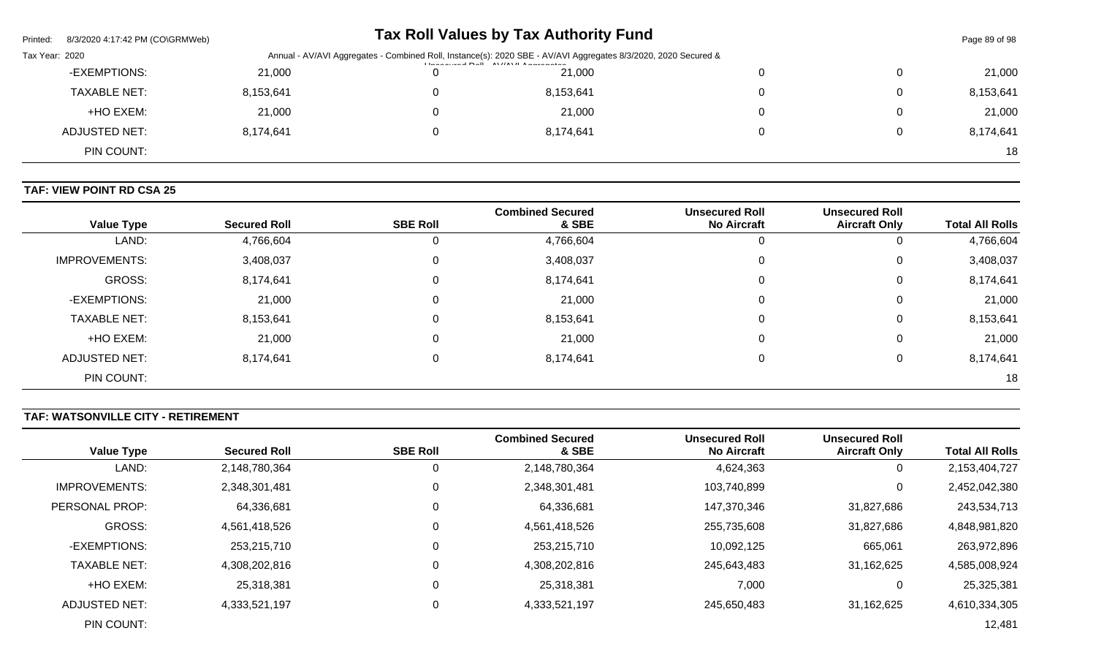| Printed:       | 8/3/2020 4:17:42 PM (CO\GRMWeb) |           |                                               | Tax Roll Values by Tax Authority Fund                                                                          |  | Page 89 of 98 |
|----------------|---------------------------------|-----------|-----------------------------------------------|----------------------------------------------------------------------------------------------------------------|--|---------------|
| Tax Year: 2020 |                                 |           | <b>The extended Dall AM/AM/LA advanced as</b> | Annual - AV/AVI Aggregates - Combined Roll, Instance(s): 2020 SBE - AV/AVI Aggregates 8/3/2020, 2020 Secured & |  |               |
|                | -EXEMPTIONS:                    | 21,000    |                                               | 21,000                                                                                                         |  | 21,000        |
|                | <b>TAXABLE NET:</b>             | 8,153,641 |                                               | 8,153,641                                                                                                      |  | 8,153,641     |
|                | +HO EXEM:                       | 21,000    |                                               | 21.000                                                                                                         |  | 21,000        |
|                | ADJUSTED NET:                   | 8,174,641 |                                               | 8,174,641                                                                                                      |  | 8,174,641     |
|                | PIN COUNT:                      |           |                                               |                                                                                                                |  | 18            |

## **TAF: VIEW POINT RD CSA 25**

| <b>Value Type</b>    | <b>Secured Roll</b> | <b>SBE Roll</b> | <b>Combined Secured</b><br>& SBE | <b>Unsecured Roll</b><br><b>No Aircraft</b> | <b>Unsecured Roll</b><br><b>Aircraft Only</b> | <b>Total All Rolls</b> |
|----------------------|---------------------|-----------------|----------------------------------|---------------------------------------------|-----------------------------------------------|------------------------|
| LAND:                | 4,766,604           | U               | 4,766,604                        | U                                           | υ                                             | 4,766,604              |
| <b>IMPROVEMENTS:</b> | 3,408,037           | 0               | 3,408,037                        | 0                                           | 0                                             | 3,408,037              |
| GROSS:               | 8,174,641           | 0               | 8,174,641                        | 0                                           | 0                                             | 8,174,641              |
| -EXEMPTIONS:         | 21,000              | 0               | 21,000                           | $\mathbf 0$                                 | 0                                             | 21,000                 |
| <b>TAXABLE NET:</b>  | 8,153,641           |                 | 8,153,641                        | $\Omega$                                    | 0                                             | 8,153,641              |
| +HO EXEM:            | 21,000              | 0               | 21,000                           | 0                                           | 0                                             | 21,000                 |
| <b>ADJUSTED NET:</b> | 8,174,641           | 0               | 8,174,641                        | 0                                           | 0                                             | 8,174,641              |
| PIN COUNT:           |                     |                 |                                  |                                             |                                               | 18                     |

# **TAF: WATSONVILLE CITY - RETIREMENT**

| <b>Value Type</b>     | <b>Secured Roll</b> | <b>SBE Roll</b> | <b>Combined Secured</b><br>& SBE | <b>Unsecured Roll</b><br><b>No Aircraft</b> | <b>Unsecured Roll</b><br><b>Aircraft Only</b> | <b>Total All Rolls</b> |
|-----------------------|---------------------|-----------------|----------------------------------|---------------------------------------------|-----------------------------------------------|------------------------|
| LAND:                 | 2,148,780,364       |                 | 2,148,780,364                    | 4,624,363                                   | 0                                             | 2,153,404,727          |
| <b>IMPROVEMENTS:</b>  | 2,348,301,481       | $\Omega$        | 2,348,301,481                    | 103,740,899                                 | 0                                             | 2,452,042,380          |
| <b>PERSONAL PROP:</b> | 64,336,681          |                 | 64,336,681                       | 147,370,346                                 | 31,827,686                                    | 243,534,713            |
| <b>GROSS:</b>         | 4,561,418,526       |                 | 4,561,418,526                    | 255,735,608                                 | 31,827,686                                    | 4,848,981,820          |
| -EXEMPTIONS:          | 253,215,710         |                 | 253,215,710                      | 10,092,125                                  | 665,061                                       | 263,972,896            |
| <b>TAXABLE NET:</b>   | 4,308,202,816       |                 | 4,308,202,816                    | 245,643,483                                 | 31,162,625                                    | 4,585,008,924          |
| +HO EXEM:             | 25,318,381          |                 | 25,318,381                       | 7,000                                       | 0                                             | 25,325,381             |
| ADJUSTED NET:         | 4,333,521,197       |                 | 4,333,521,197                    | 245,650,483                                 | 31,162,625                                    | 4,610,334,305          |
| PIN COUNT:            |                     |                 |                                  |                                             |                                               | 12,481                 |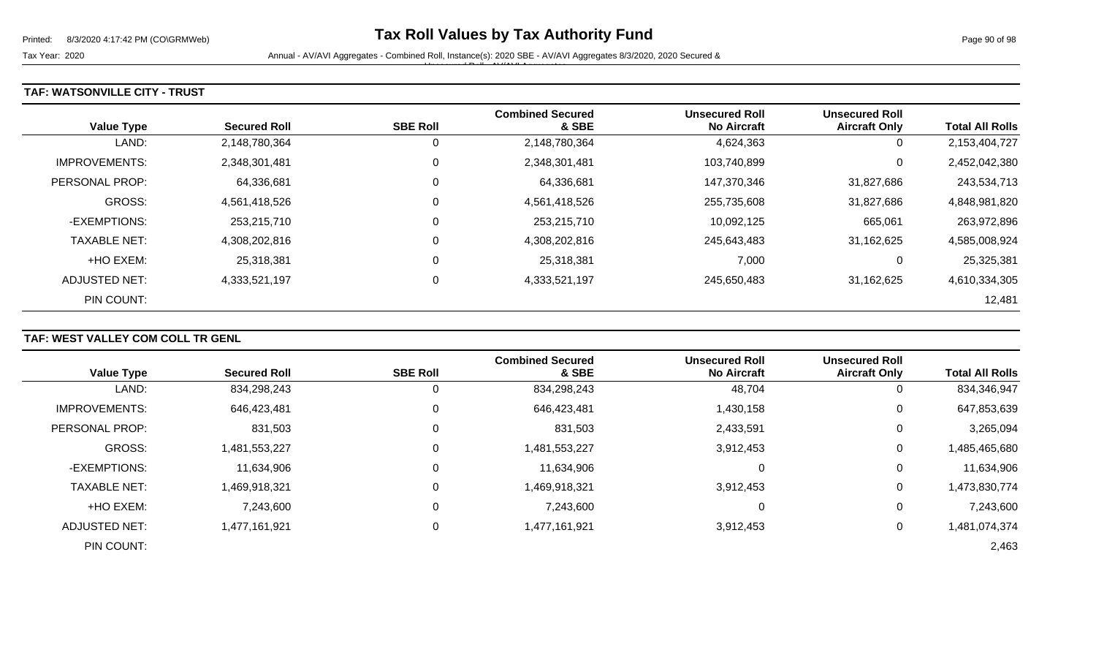Tax Year: 2020 **Annual - AV/AVI Aggregates - Combined Roll**, Instance(s): 2020 SBE - AV/AVI Aggregates 8/3/2020, 2020 Secured &

Unsecured Roll - AV/AVI Aggregates

#### **TAF: WATSONVILLE CITY - TRUST**

| <b>Value Type</b>    | <b>Secured Roll</b> | <b>SBE Roll</b> | <b>Combined Secured</b><br>& SBE | <b>Unsecured Roll</b><br><b>No Aircraft</b> | <b>Unsecured Roll</b><br><b>Aircraft Only</b> | <b>Total All Rolls</b> |
|----------------------|---------------------|-----------------|----------------------------------|---------------------------------------------|-----------------------------------------------|------------------------|
| LAND:                | 2,148,780,364       | 0               | 2,148,780,364                    | 4,624,363                                   | 0                                             | 2,153,404,727          |
| <b>IMPROVEMENTS:</b> | 2,348,301,481       | 0               | 2,348,301,481                    | 103,740,899                                 | 0                                             | 2,452,042,380          |
| PERSONAL PROP:       | 64,336,681          | 0               | 64,336,681                       | 147,370,346                                 | 31,827,686                                    | 243,534,713            |
| <b>GROSS:</b>        | 4,561,418,526       | 0               | 4,561,418,526                    | 255,735,608                                 | 31,827,686                                    | 4,848,981,820          |
| -EXEMPTIONS:         | 253,215,710         | 0               | 253,215,710                      | 10,092,125                                  | 665,061                                       | 263,972,896            |
| <b>TAXABLE NET:</b>  | 4,308,202,816       | 0               | 4,308,202,816                    | 245,643,483                                 | 31,162,625                                    | 4,585,008,924          |
| +HO EXEM:            | 25,318,381          | 0               | 25,318,381                       | 7,000                                       | 0                                             | 25,325,381             |
| ADJUSTED NET:        | 4,333,521,197       | 0               | 4,333,521,197                    | 245.650.483                                 | 31,162,625                                    | 4,610,334,305          |
| PIN COUNT:           |                     |                 |                                  |                                             |                                               | 12,481                 |

### **TAF: WEST VALLEY COM COLL TR GENL**

| <b>Value Type</b>     | <b>Secured Roll</b> | <b>SBE Roll</b> | <b>Combined Secured</b><br>& SBE | <b>Unsecured Roll</b><br><b>No Aircraft</b> | <b>Unsecured Roll</b><br><b>Aircraft Only</b> | <b>Total All Rolls</b> |
|-----------------------|---------------------|-----------------|----------------------------------|---------------------------------------------|-----------------------------------------------|------------------------|
| LAND:                 | 834,298,243         | U               | 834,298,243                      | 48,704                                      | 0                                             | 834,346,947            |
| <b>IMPROVEMENTS:</b>  | 646,423,481         | 0               | 646,423,481                      | 1,430,158                                   | 0                                             | 647,853,639            |
| <b>PERSONAL PROP:</b> | 831,503             | 0               | 831,503                          | 2,433,591                                   | 0                                             | 3,265,094              |
| <b>GROSS:</b>         | 1,481,553,227       |                 | 1,481,553,227                    | 3,912,453                                   | 0                                             | 1,485,465,680          |
| -EXEMPTIONS:          | 11,634,906          | 0               | 11,634,906                       |                                             | 0                                             | 11,634,906             |
| <b>TAXABLE NET:</b>   | 1,469,918,321       | 0               | 1,469,918,321                    | 3,912,453                                   | 0                                             | 1,473,830,774          |
| +HO EXEM:             | 7,243,600           | 0               | 7,243,600                        |                                             | 0                                             | 7,243,600              |
| ADJUSTED NET:         | 1,477,161,921       | 0               | 1,477,161,921                    | 3,912,453                                   | 0                                             | 1,481,074,374          |
| PIN COUNT:            |                     |                 |                                  |                                             |                                               | 2,463                  |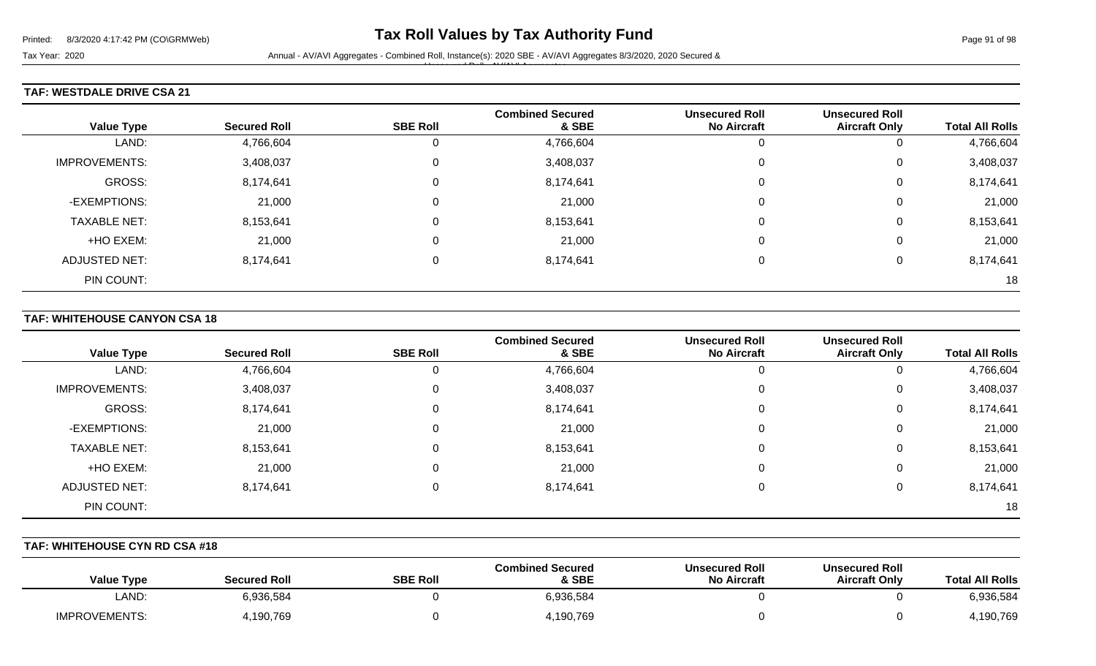Unsecured Roll - AV/AVI Aggregates

#### **TAF: WESTDALE DRIVE CSA 21**

| <b>Value Type</b>    | <b>Secured Roll</b> | <b>SBE Roll</b> | <b>Combined Secured</b><br>& SBE | <b>Unsecured Roll</b><br><b>No Aircraft</b> | <b>Unsecured Roll</b><br><b>Aircraft Only</b> | <b>Total All Rolls</b> |
|----------------------|---------------------|-----------------|----------------------------------|---------------------------------------------|-----------------------------------------------|------------------------|
| LAND:                | 4,766,604           | $\mathbf{0}$    | 4,766,604                        |                                             | 0                                             | 4,766,604              |
| <b>IMPROVEMENTS:</b> | 3,408,037           | 0               | 3,408,037                        |                                             | 0                                             | 3,408,037              |
| GROSS:               | 8,174,641           | 0               | 8,174,641                        |                                             | 0                                             | 8,174,641              |
| -EXEMPTIONS:         | 21,000              | 0               | 21,000                           |                                             | $\mathbf 0$                                   | 21,000                 |
| <b>TAXABLE NET:</b>  | 8,153,641           | 0               | 8,153,641                        |                                             | 0                                             | 8,153,641              |
| +HO EXEM:            | 21,000              | 0               | 21,000                           |                                             | 0                                             | 21,000                 |
| <b>ADJUSTED NET:</b> | 8,174,641           | 0               | 8,174,641                        |                                             | 0                                             | 8,174,641              |
| PIN COUNT:           |                     |                 |                                  |                                             |                                               | 18                     |

#### **TAF: WHITEHOUSE CANYON CSA 18**

| <b>Value Type</b>    | <b>Secured Roll</b> | <b>SBE Roll</b> | <b>Combined Secured</b><br>& SBE | <b>Unsecured Roll</b><br><b>No Aircraft</b> | <b>Unsecured Roll</b><br><b>Aircraft Only</b> | <b>Total All Rolls</b> |
|----------------------|---------------------|-----------------|----------------------------------|---------------------------------------------|-----------------------------------------------|------------------------|
| LAND:                | 4,766,604           |                 | 4,766,604                        |                                             | 0                                             | 4,766,604              |
| <b>IMPROVEMENTS:</b> | 3,408,037           | 0               | 3,408,037                        |                                             | 0                                             | 3,408,037              |
| GROSS:               | 8,174,641           | 0               | 8,174,641                        |                                             | 0                                             | 8,174,641              |
| -EXEMPTIONS:         | 21,000              | 0               | 21,000                           |                                             | 0                                             | 21,000                 |
| <b>TAXABLE NET:</b>  | 8,153,641           | 0               | 8,153,641                        |                                             | 0                                             | 8,153,641              |
| +HO EXEM:            | 21,000              | 0               | 21,000                           | 0                                           | 0                                             | 21,000                 |
| <b>ADJUSTED NET:</b> | 8,174,641           | 0               | 8,174,641                        |                                             | 0                                             | 8,174,641              |
| PIN COUNT:           |                     |                 |                                  |                                             |                                               | 18                     |

### **TAF: WHITEHOUSE CYN RD CSA #18**

| <b>Value Type</b>    | <b>Secured Roll</b> | <b>SBE Roll</b> | <b>Combined Secured</b><br>& SBE | <b>Unsecured Roll</b><br>No Aircraft | <b>Unsecured Roll</b><br><b>Aircraft Only</b> | <b>Total All Rolls</b> |
|----------------------|---------------------|-----------------|----------------------------------|--------------------------------------|-----------------------------------------------|------------------------|
| LAND:                | 6,936,584           |                 | 6,936,584                        |                                      |                                               | 6,936,584              |
| <b>IMPROVEMENTS:</b> | l,190,769           |                 | 4,190,769                        |                                      |                                               | 4,190,769              |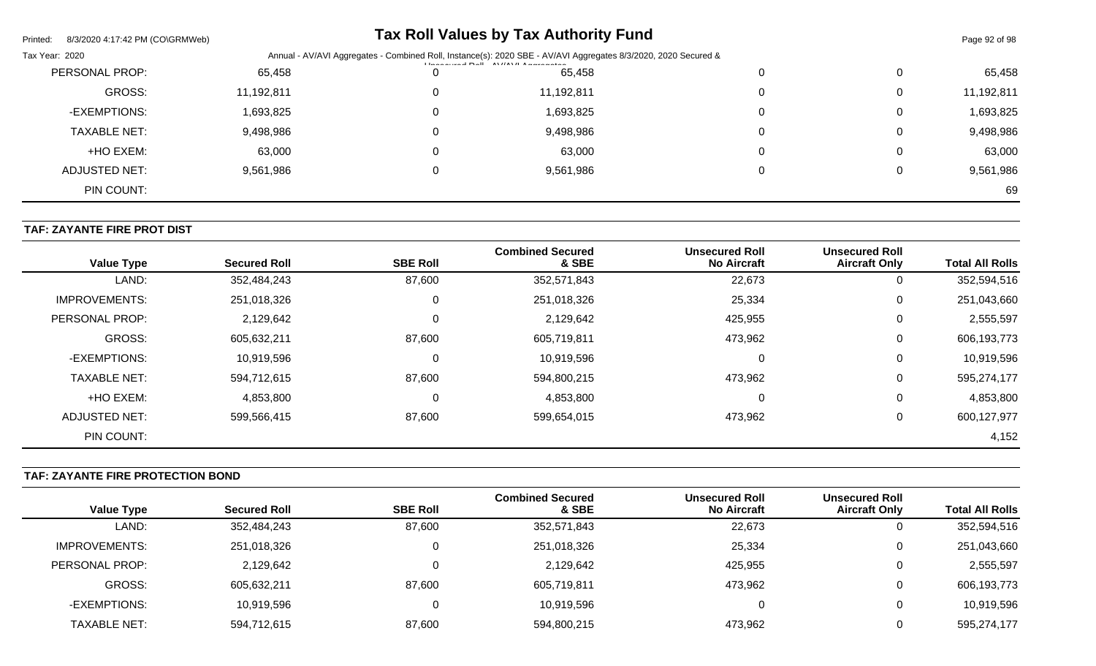| Printed:<br>8/3/2020 4:17:42 PM (CO\GRMWeb) |            |                                                                                                                | <b>Tax Roll Values by Tax Authority Fund</b> |   |   | Page 92 of 98 |  |
|---------------------------------------------|------------|----------------------------------------------------------------------------------------------------------------|----------------------------------------------|---|---|---------------|--|
| Tax Year: 2020                              |            | Annual - AV/AVI Aggregates - Combined Roll, Instance(s): 2020 SBE - AV/AVI Aggregates 8/3/2020, 2020 Secured & |                                              |   |   |               |  |
| PERSONAL PROP:                              | 65,458     |                                                                                                                | 65,458                                       |   | 0 | 65,458        |  |
| GROSS:                                      | 11,192,811 | 0                                                                                                              | 11,192,811                                   | 0 | 0 | 11,192,811    |  |
| -EXEMPTIONS:                                | 1,693,825  | 0                                                                                                              | 1,693,825                                    |   | 0 | 1,693,825     |  |
| <b>TAXABLE NET:</b>                         | 9,498,986  | 0                                                                                                              | 9,498,986                                    | 0 | 0 | 9,498,986     |  |
| +HO EXEM:                                   | 63,000     | 0                                                                                                              | 63,000                                       |   | 0 | 63,000        |  |
| ADJUSTED NET:                               | 9,561,986  | 0                                                                                                              | 9,561,986                                    |   | 0 | 9,561,986     |  |
| PIN COUNT:                                  |            |                                                                                                                |                                              |   |   | 69            |  |

### **TAF: ZAYANTE FIRE PROT DIST**

| <b>Value Type</b>    | <b>Secured Roll</b> | <b>SBE Roll</b> | <b>Combined Secured</b><br>& SBE | <b>Unsecured Roll</b><br><b>No Aircraft</b> | <b>Unsecured Roll</b><br><b>Aircraft Only</b> | <b>Total All Rolls</b> |
|----------------------|---------------------|-----------------|----------------------------------|---------------------------------------------|-----------------------------------------------|------------------------|
| LAND:                | 352,484,243         | 87,600          | 352,571,843                      | 22,673                                      | 0                                             | 352,594,516            |
| <b>IMPROVEMENTS:</b> | 251,018,326         | 0               | 251,018,326                      | 25,334                                      | 0                                             | 251,043,660            |
| PERSONAL PROP:       | 2,129,642           | $\mathbf 0$     | 2,129,642                        | 425,955                                     | 0                                             | 2,555,597              |
| <b>GROSS:</b>        | 605,632,211         | 87,600          | 605,719,811                      | 473,962                                     | 0                                             | 606,193,773            |
| -EXEMPTIONS:         | 10,919,596          | $\Omega$        | 10,919,596                       |                                             | 0                                             | 10,919,596             |
| <b>TAXABLE NET:</b>  | 594,712,615         | 87,600          | 594,800,215                      | 473,962                                     | 0                                             | 595,274,177            |
| +HO EXEM:            | 4,853,800           | $\mathbf 0$     | 4,853,800                        |                                             | 0                                             | 4,853,800              |
| ADJUSTED NET:        | 599,566,415         | 87,600          | 599,654,015                      | 473,962                                     | 0                                             | 600,127,977            |
| PIN COUNT:           |                     |                 |                                  |                                             |                                               | 4,152                  |

# **TAF: ZAYANTE FIRE PROTECTION BOND**

| Value Type           | <b>Secured Roll</b> | <b>SBE Roll</b> | <b>Combined Secured</b><br>& SBE | <b>Unsecured Roll</b><br><b>No Aircraft</b> | <b>Unsecured Roll</b><br><b>Aircraft Only</b> | <b>Total All Rolls</b> |
|----------------------|---------------------|-----------------|----------------------------------|---------------------------------------------|-----------------------------------------------|------------------------|
| LAND:                | 352,484,243         | 87,600          | 352,571,843                      | 22,673                                      | 0                                             | 352,594,516            |
| <b>IMPROVEMENTS:</b> | 251,018,326         |                 | 251,018,326                      | 25,334                                      | 0                                             | 251,043,660            |
| PERSONAL PROP:       | 2,129,642           |                 | 2,129,642                        | 425,955                                     | 0                                             | 2,555,597              |
| GROSS:               | 605,632,211         | 87,600          | 605,719,811                      | 473,962                                     | 0                                             | 606,193,773            |
| -EXEMPTIONS:         | 10,919,596          |                 | 10,919,596                       |                                             | 0                                             | 10,919,596             |
| TAXABLE NET:         | 594,712,615         | 87,600          | 594,800,215                      | 473,962                                     | 0                                             | 595,274,177            |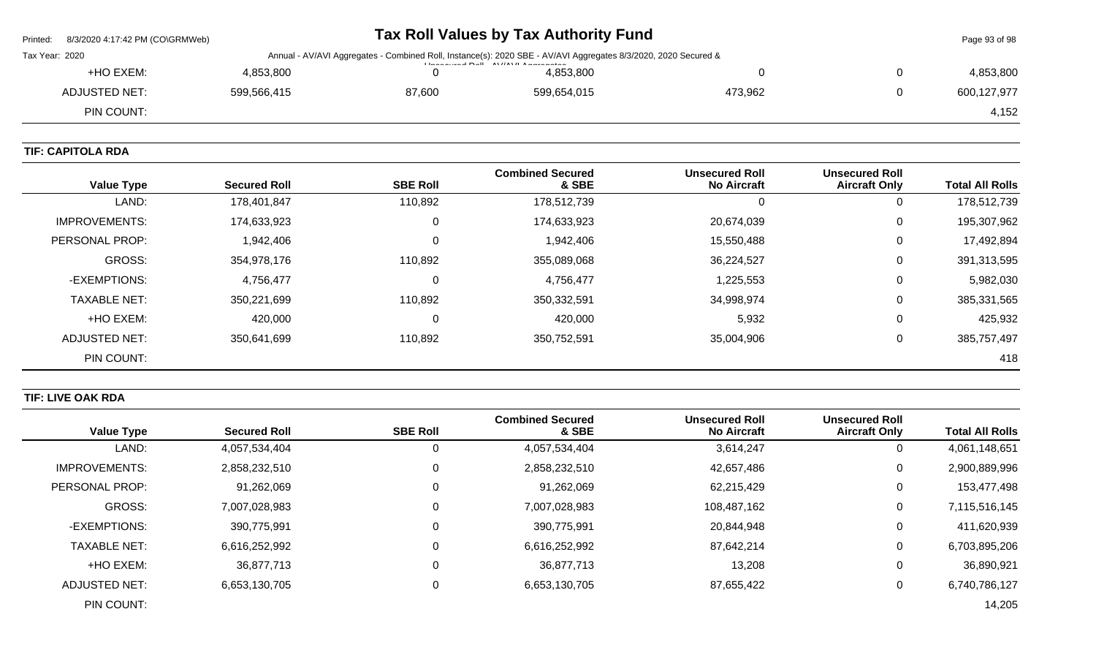| 8/3/2020 4:17:42 PM (CO\GRMWeb)<br>Printed: |                                                                                                                           |        | Tax Roll Values by Tax Authority Fund |         |  | Page 93 of 98 |
|---------------------------------------------|---------------------------------------------------------------------------------------------------------------------------|--------|---------------------------------------|---------|--|---------------|
| Tax Year: 2020                              | Annual - AV/AVI Aggregates - Combined Roll, Instance(s): 2020 SBE - AV/AVI Aggregates 8/3/2020, 2020 Secured &<br>$L = 2$ |        |                                       |         |  |               |
| +HO EXEM:                                   | 4,853,800                                                                                                                 |        | 4,853,800                             |         |  | 4,853,800     |
| <b>ADJUSTED NET:</b>                        | 599,566,415                                                                                                               | 87,600 | 599,654,015                           | 473,962 |  | 600,127,977   |
| PIN COUNT:                                  |                                                                                                                           |        |                                       |         |  | 4,152         |
|                                             |                                                                                                                           |        |                                       |         |  |               |

## **TIF: CAPITOLA RDA**

| <b>Value Type</b>     | <b>Secured Roll</b> | <b>SBE Roll</b> | <b>Combined Secured</b><br>& SBE | <b>Unsecured Roll</b><br><b>No Aircraft</b> | <b>Unsecured Roll</b><br><b>Aircraft Only</b> | <b>Total All Rolls</b> |
|-----------------------|---------------------|-----------------|----------------------------------|---------------------------------------------|-----------------------------------------------|------------------------|
| LAND:                 | 178,401,847         | 110,892         | 178,512,739                      |                                             | 0                                             | 178,512,739            |
| IMPROVEMENTS:         | 174,633,923         | 0               | 174,633,923                      | 20,674,039                                  | $\overline{0}$                                | 195,307,962            |
| <b>PERSONAL PROP:</b> | 1,942,406           | 0               | 1,942,406                        | 15,550,488                                  | 0                                             | 17,492,894             |
| <b>GROSS:</b>         | 354,978,176         | 110,892         | 355,089,068                      | 36,224,527                                  | 0                                             | 391,313,595            |
| -EXEMPTIONS:          | 4,756,477           | 0               | 4,756,477                        | 1,225,553                                   | 0                                             | 5,982,030              |
| <b>TAXABLE NET:</b>   | 350,221,699         | 110,892         | 350,332,591                      | 34,998,974                                  | 0                                             | 385,331,565            |
| +HO EXEM:             | 420,000             | 0               | 420,000                          | 5,932                                       | 0                                             | 425,932                |
| ADJUSTED NET:         | 350,641,699         | 110,892         | 350,752,591                      | 35,004,906                                  | 0                                             | 385,757,497            |
| PIN COUNT:            |                     |                 |                                  |                                             |                                               | 418                    |

# **TIF: LIVE OAK RDA**

|                      |                     |                 | <b>Combined Secured</b> | <b>Unsecured Roll</b> | <b>Unsecured Roll</b> |                        |
|----------------------|---------------------|-----------------|-------------------------|-----------------------|-----------------------|------------------------|
| <b>Value Type</b>    | <b>Secured Roll</b> | <b>SBE Roll</b> | & SBE                   | <b>No Aircraft</b>    | <b>Aircraft Only</b>  | <b>Total All Rolls</b> |
| LAND:                | 4,057,534,404       | 0               | 4,057,534,404           | 3,614,247             | 0                     | 4,061,148,651          |
| <b>IMPROVEMENTS:</b> | 2,858,232,510       | 0               | 2,858,232,510           | 42,657,486            | 0                     | 2,900,889,996          |
| PERSONAL PROP:       | 91,262,069          | $\mathbf 0$     | 91,262,069              | 62,215,429            | 0                     | 153,477,498            |
| <b>GROSS:</b>        | 7,007,028,983       | $\Omega$        | 7,007,028,983           | 108,487,162           | 0                     | 7,115,516,145          |
| -EXEMPTIONS:         | 390,775,991         | 0               | 390,775,991             | 20,844,948            | 0                     | 411,620,939            |
| <b>TAXABLE NET:</b>  | 6,616,252,992       | 0               | 6,616,252,992           | 87,642,214            | 0                     | 6,703,895,206          |
| +HO EXEM:            | 36,877,713          | $\Omega$        | 36,877,713              | 13,208                | 0                     | 36,890,921             |
| ADJUSTED NET:        | 6,653,130,705       | 0               | 6,653,130,705           | 87,655,422            | 0                     | 6,740,786,127          |
| PIN COUNT:           |                     |                 |                         |                       |                       | 14,205                 |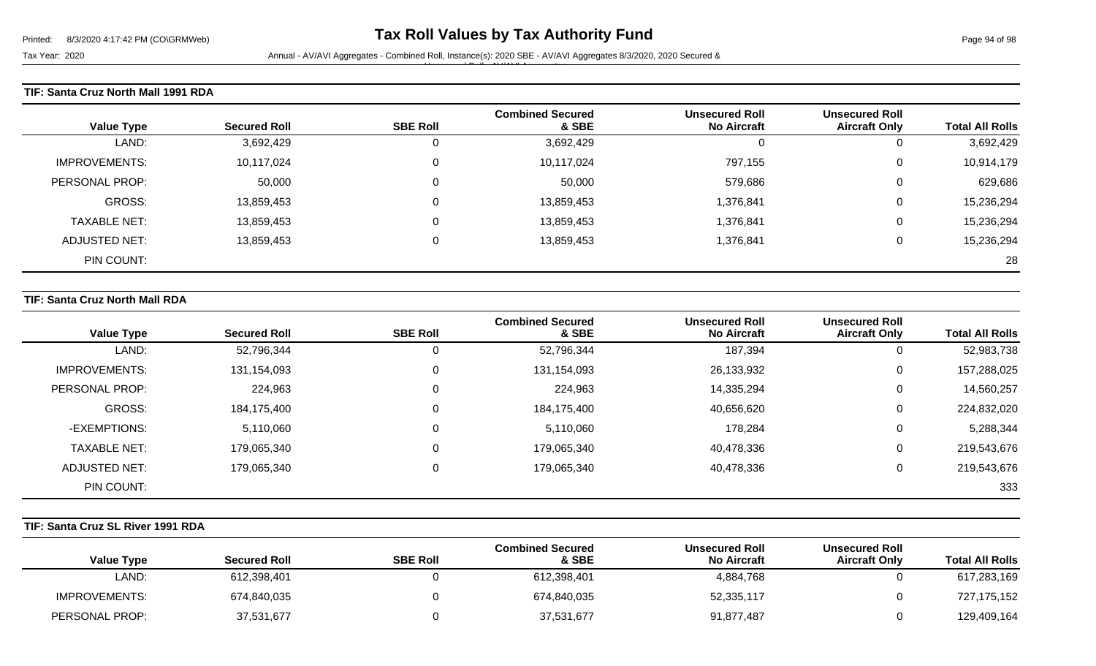Tax Year: 2020 **Annual - AV/AVI Aggregates - Combined Roll**, Instance(s): 2020 SBE - AV/AVI Aggregates 8/3/2020, 2020 Secured &

Unsecured Roll - AV/AVI Aggregates

### **TIF: Santa Cruz North Mall 1991 RDA**

| <b>Value Type</b>    | <b>Secured Roll</b> | <b>SBE Roll</b> | <b>Combined Secured</b><br>& SBE | <b>Unsecured Roll</b><br><b>No Aircraft</b> | <b>Unsecured Roll</b><br><b>Aircraft Only</b> | <b>Total All Rolls</b> |
|----------------------|---------------------|-----------------|----------------------------------|---------------------------------------------|-----------------------------------------------|------------------------|
| LAND:                | 3,692,429           | 0               | 3,692,429                        |                                             | 0                                             | 3,692,429              |
| <b>IMPROVEMENTS:</b> | 10,117,024          | 0               | 10,117,024                       | 797,155                                     | 0                                             | 10,914,179             |
| PERSONAL PROP:       | 50,000              | 0               | 50,000                           | 579,686                                     | 0                                             | 629,686                |
| GROSS:               | 13,859,453          | 0               | 13,859,453                       | 1,376,841                                   | 0                                             | 15,236,294             |
| TAXABLE NET:         | 13,859,453          | 0               | 13,859,453                       | 1,376,841                                   | 0                                             | 15,236,294             |
| ADJUSTED NET:        | 13,859,453          | 0               | 13,859,453                       | 1,376,841                                   | 0                                             | 15,236,294             |
| PIN COUNT:           |                     |                 |                                  |                                             |                                               | 28                     |

#### **TIF: Santa Cruz North Mall RDA**

|                      |                     |                 | <b>Combined Secured</b> | <b>Unsecured Roll</b> | <b>Unsecured Roll</b> |                        |
|----------------------|---------------------|-----------------|-------------------------|-----------------------|-----------------------|------------------------|
| <b>Value Type</b>    | <b>Secured Roll</b> | <b>SBE Roll</b> | & SBE                   | <b>No Aircraft</b>    | <b>Aircraft Only</b>  | <b>Total All Rolls</b> |
| LAND:                | 52,796,344          |                 | 52,796,344              | 187,394               | U                     | 52,983,738             |
| <b>IMPROVEMENTS:</b> | 131,154,093         | 0               | 131,154,093             | 26,133,932            | 0                     | 157,288,025            |
| PERSONAL PROP:       | 224,963             | 0               | 224,963                 | 14,335,294            | 0                     | 14,560,257             |
| GROSS:               | 184,175,400         |                 | 184,175,400             | 40,656,620            | 0                     | 224,832,020            |
| -EXEMPTIONS:         | 5,110,060           |                 | 5,110,060               | 178,284               | 0                     | 5,288,344              |
| <b>TAXABLE NET:</b>  | 179,065,340         | 0               | 179,065,340             | 40,478,336            | 0                     | 219,543,676            |
| ADJUSTED NET:        | 179,065,340         | 0               | 179,065,340             | 40,478,336            | 0                     | 219,543,676            |
| PIN COUNT:           |                     |                 |                         |                       |                       | 333                    |

### **TIF: Santa Cruz SL River 1991 RDA**

| <b>Value Type</b>    | <b>Secured Roll</b> | <b>SBE Roll</b> | <b>Combined Secured</b><br>& SBE | <b>Unsecured Roll</b><br><b>No Aircraft</b> | <b>Unsecured Roll</b><br><b>Aircraft Only</b> | <b>Total All Rolls</b> |
|----------------------|---------------------|-----------------|----------------------------------|---------------------------------------------|-----------------------------------------------|------------------------|
| ∟AND:                | 612,398,401         |                 | 612,398,401                      | 4,884,768                                   |                                               | 617,283,169            |
| <b>IMPROVEMENTS:</b> | 674,840,035         |                 | 674,840,035                      | 52,335,117                                  |                                               | 727,175,152            |
| PERSONAL PROP:       | 37,531,677          |                 | 37,531,677                       | 91,877,487                                  |                                               | 129,409,164            |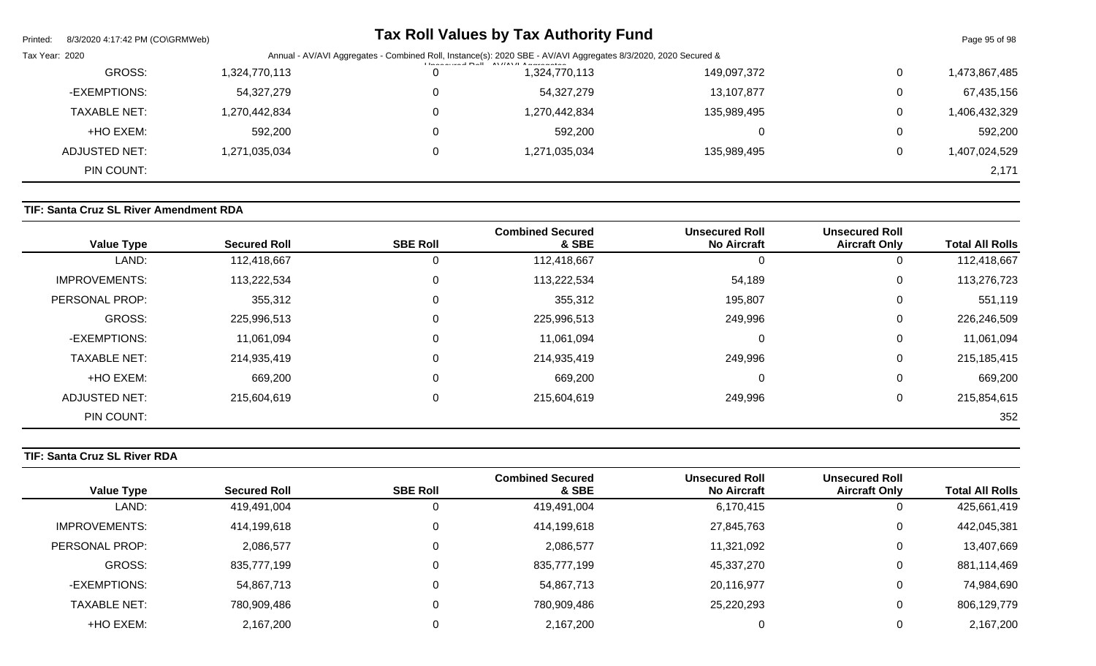| Printed:       | 8/3/2020 4:17:42 PM (CO\GRMWeb) |                                                                                                                |   | Tax Roll Values by Tax Authority Fund                                                                                                                                                                                                                                                                                                                                                       |             |   | Page 95 of 98 |
|----------------|---------------------------------|----------------------------------------------------------------------------------------------------------------|---|---------------------------------------------------------------------------------------------------------------------------------------------------------------------------------------------------------------------------------------------------------------------------------------------------------------------------------------------------------------------------------------------|-------------|---|---------------|
| Tax Year: 2020 |                                 | Annual - AV/AVI Aggregates - Combined Roll, Instance(s): 2020 SBE - AV/AVI Aggregates 8/3/2020, 2020 Secured & |   |                                                                                                                                                                                                                                                                                                                                                                                             |             |   |               |
|                | GROSS:                          | 1,324,770,113                                                                                                  | 0 | $\left  \frac{1}{2} \right $ and $\left  \frac{1}{2} \right $ and $\left  \frac{1}{2} \right $ and $\left  \frac{1}{2} \right $ and $\left  \frac{1}{2} \right $ and $\left  \frac{1}{2} \right $ and $\left  \frac{1}{2} \right $ and $\left  \frac{1}{2} \right $ and $\left  \frac{1}{2} \right $ and $\left  \frac{1}{2} \right $ and $\left  \frac{1}{2} \right $ and<br>1,324,770,113 | 149,097,372 | 0 | 1,473,867,485 |
|                | -EXEMPTIONS:                    | 54,327,279                                                                                                     | 0 | 54,327,279                                                                                                                                                                                                                                                                                                                                                                                  | 13,107,877  | 0 | 67,435,156    |
|                | <b>TAXABLE NET:</b>             | 1,270,442,834                                                                                                  | 0 | 1,270,442,834                                                                                                                                                                                                                                                                                                                                                                               | 135,989,495 | 0 | 1,406,432,329 |
|                | +HO EXEM:                       | 592,200                                                                                                        | 0 | 592,200                                                                                                                                                                                                                                                                                                                                                                                     |             | 0 | 592,200       |
|                | ADJUSTED NET:                   | 1,271,035,034                                                                                                  | 0 | 1,271,035,034                                                                                                                                                                                                                                                                                                                                                                               | 135,989,495 | 0 | 1,407,024,529 |
|                | PIN COUNT:                      |                                                                                                                |   |                                                                                                                                                                                                                                                                                                                                                                                             |             |   | 2,171         |

# **TIF: Santa Cruz SL River Amendment RDA**

| <b>Value Type</b>    | <b>Secured Roll</b> | <b>SBE Roll</b> | <b>Combined Secured</b><br>& SBE | <b>Unsecured Roll</b><br><b>No Aircraft</b> | <b>Unsecured Roll</b><br><b>Aircraft Only</b> | <b>Total All Rolls</b> |
|----------------------|---------------------|-----------------|----------------------------------|---------------------------------------------|-----------------------------------------------|------------------------|
| LAND:                | 112,418,667         | 0               | 112,418,667                      | υ                                           | U                                             | 112,418,667            |
| <b>IMPROVEMENTS:</b> | 113,222,534         | 0               | 113,222,534                      | 54,189                                      | 0                                             | 113,276,723            |
| PERSONAL PROP:       | 355,312             | 0               | 355,312                          | 195,807                                     | 0                                             | 551,119                |
| <b>GROSS:</b>        | 225,996,513         | 0               | 225,996,513                      | 249,996                                     | 0                                             | 226,246,509            |
| -EXEMPTIONS:         | 11,061,094          | 0               | 11,061,094                       | 0                                           | $\mathbf 0$                                   | 11,061,094             |
| <b>TAXABLE NET:</b>  | 214,935,419         | 0               | 214,935,419                      | 249,996                                     | $\mathbf 0$                                   | 215,185,415            |
| +HO EXEM:            | 669,200             | 0               | 669,200                          | 0                                           | $\mathbf 0$                                   | 669,200                |
| <b>ADJUSTED NET:</b> | 215,604,619         | 0               | 215,604,619                      | 249,996                                     | 0                                             | 215,854,615            |
| PIN COUNT:           |                     |                 |                                  |                                             |                                               | 352                    |

# **TIF: Santa Cruz SL River RDA**

|                        | <b>Unsecured Roll</b> | <b>Unsecured Roll</b> | <b>Combined Secured</b> |                 |                     |                      |
|------------------------|-----------------------|-----------------------|-------------------------|-----------------|---------------------|----------------------|
| <b>Total All Rolls</b> | <b>Aircraft Only</b>  | <b>No Aircraft</b>    | & SBE                   | <b>SBE Roll</b> | <b>Secured Roll</b> | <b>Value Type</b>    |
| 425,661,419            |                       | 6,170,415             | 419,491,004             | 0               | 419,491,004         | LAND:                |
| 442,045,381            |                       | 27,845,763            | 414,199,618             | 0               | 414,199,618         | <b>IMPROVEMENTS:</b> |
| 13,407,669             |                       | 11,321,092            | 2,086,577               | 0               | 2,086,577           | PERSONAL PROP:       |
| 881,114,469            |                       | 45,337,270            | 835,777,199             | 0               | 835,777,199         | GROSS:               |
| 74,984,690             |                       | 20,116,977            | 54,867,713              | 0               | 54,867,713          | -EXEMPTIONS:         |
| 806,129,779            |                       | 25,220,293            | 780,909,486             | 0               | 780,909,486         | <b>TAXABLE NET:</b>  |
| 2,167,200              |                       |                       | 2,167,200               |                 | 2,167,200           | +HO EXEM:            |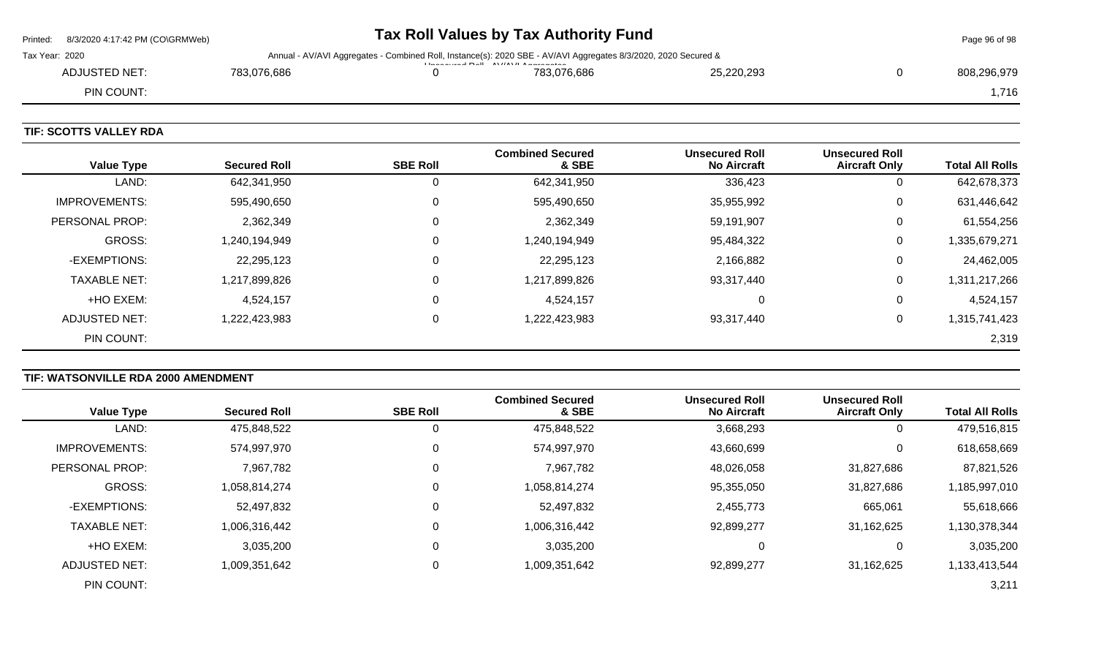|                | Printed: 8/3/2020 4:17:42 PM (CO\GRMWeb) |             |                                                                                                                                                                         | Page 96 of 98 |            |  |             |  |
|----------------|------------------------------------------|-------------|-------------------------------------------------------------------------------------------------------------------------------------------------------------------------|---------------|------------|--|-------------|--|
| Tax Year: 2020 |                                          |             | Annual - AV/AVI Aggregates - Combined Roll, Instance(s): 2020 SBE - AV/AVI Aggregates 8/3/2020, 2020 Secured &<br><b>I la a a consul Dall AV/AV/LA</b> a a segurithment |               |            |  |             |  |
|                | ADJUSTED NET:                            | 783.076.686 |                                                                                                                                                                         | 783.076.686   | 25,220,293 |  | 808,296,979 |  |
|                | PIN COUNT:                               |             |                                                                                                                                                                         |               |            |  | .716        |  |
|                |                                          |             |                                                                                                                                                                         |               |            |  |             |  |

### **TIF: SCOTTS VALLEY RDA**

 $\overline{\phantom{0}}$ 

| <b>Value Type</b>    | <b>Secured Roll</b> | <b>SBE Roll</b> | <b>Combined Secured</b><br>& SBE | <b>Unsecured Roll</b><br><b>No Aircraft</b> | <b>Unsecured Roll</b><br><b>Aircraft Only</b> | <b>Total All Rolls</b> |
|----------------------|---------------------|-----------------|----------------------------------|---------------------------------------------|-----------------------------------------------|------------------------|
| LAND:                | 642,341,950         |                 | 642,341,950                      | 336,423                                     | 0                                             | 642,678,373            |
| <b>IMPROVEMENTS:</b> | 595,490,650         | 0               | 595,490,650                      | 35,955,992                                  | 0                                             | 631,446,642            |
| PERSONAL PROP:       | 2,362,349           |                 | 2,362,349                        | 59,191,907                                  | 0                                             | 61,554,256             |
| <b>GROSS:</b>        | 1,240,194,949       | $\Omega$        | 1,240,194,949                    | 95,484,322                                  | 0                                             | 1,335,679,271          |
| -EXEMPTIONS:         | 22,295,123          |                 | 22,295,123                       | 2,166,882                                   | 0                                             | 24,462,005             |
| <b>TAXABLE NET:</b>  | 1,217,899,826       |                 | 1,217,899,826                    | 93,317,440                                  | 0                                             | 1,311,217,266          |
| +HO EXEM:            | 4,524,157           |                 | 4,524,157                        | $\Omega$                                    | 0                                             | 4,524,157              |
| <b>ADJUSTED NET:</b> | 1,222,423,983       |                 | 1,222,423,983                    | 93,317,440                                  | 0                                             | 1,315,741,423          |
| PIN COUNT:           |                     |                 |                                  |                                             |                                               | 2,319                  |

# **TIF: WATSONVILLE RDA 2000 AMENDMENT**

|                      |                     |                 | <b>Combined Secured</b> | <b>Unsecured Roll</b> | <b>Unsecured Roll</b> |                        |
|----------------------|---------------------|-----------------|-------------------------|-----------------------|-----------------------|------------------------|
| <b>Value Type</b>    | <b>Secured Roll</b> | <b>SBE Roll</b> | & SBE                   | <b>No Aircraft</b>    | <b>Aircraft Only</b>  | <b>Total All Rolls</b> |
| LAND:                | 475,848,522         | 0               | 475,848,522             | 3,668,293             | υ                     | 479,516,815            |
| <b>IMPROVEMENTS:</b> | 574,997,970         | 0               | 574,997,970             | 43,660,699            |                       | 618,658,669            |
| PERSONAL PROP:       | 7,967,782           | 0               | 7,967,782               | 48,026,058            | 31,827,686            | 87,821,526             |
| <b>GROSS:</b>        | 1,058,814,274       | 0               | 1,058,814,274           | 95,355,050            | 31,827,686            | 1,185,997,010          |
| -EXEMPTIONS:         | 52,497,832          | 0               | 52,497,832              | 2,455,773             | 665,061               | 55,618,666             |
| <b>TAXABLE NET:</b>  | 1,006,316,442       | 0               | 1,006,316,442           | 92,899,277            | 31,162,625            | 1,130,378,344          |
| +HO EXEM:            | 3,035,200           | 0               | 3,035,200               |                       |                       | 3,035,200              |
| <b>ADJUSTED NET:</b> | 1,009,351,642       | 0               | 1,009,351,642           | 92,899,277            | 31,162,625            | 1,133,413,544          |
| PIN COUNT:           |                     |                 |                         |                       |                       | 3,211                  |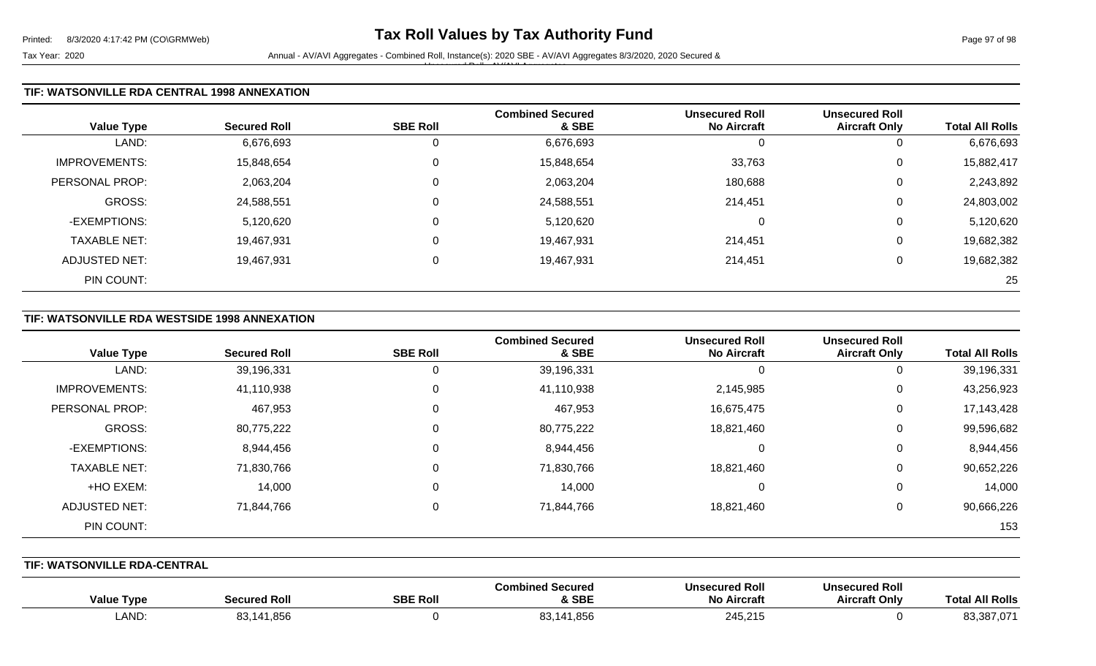Tax Year: 2020 **Annual - AV/AVI Aggregates - Combined Roll**, Instance(s): 2020 SBE - AV/AVI Aggregates 8/3/2020, 2020 Secured & Unsecured Roll - AV/AVI Aggregates

### **TIF: WATSONVILLE RDA CENTRAL 1998 ANNEXATION**

| <b>Value Type</b>    | <b>Secured Roll</b> | <b>SBE Roll</b> | <b>Combined Secured</b><br>& SBE | <b>Unsecured Roll</b><br><b>No Aircraft</b> | <b>Unsecured Roll</b><br><b>Aircraft Only</b> | <b>Total All Rolls</b> |
|----------------------|---------------------|-----------------|----------------------------------|---------------------------------------------|-----------------------------------------------|------------------------|
| LAND:                | 6,676,693           | υ               | 6,676,693                        | 0                                           | 0                                             | 6,676,693              |
| <b>IMPROVEMENTS:</b> | 15,848,654          | U               | 15,848,654                       | 33,763                                      | 0                                             | 15,882,417             |
| PERSONAL PROP:       | 2,063,204           | 0               | 2,063,204                        | 180,688                                     | 0                                             | 2,243,892              |
| <b>GROSS:</b>        | 24,588,551          | U               | 24,588,551                       | 214,451                                     | 0                                             | 24,803,002             |
| -EXEMPTIONS:         | 5,120,620           | υ               | 5,120,620                        | 0                                           | 0                                             | 5,120,620              |
| <b>TAXABLE NET:</b>  | 19,467,931          | 0               | 19,467,931                       | 214,451                                     | 0                                             | 19,682,382             |
| <b>ADJUSTED NET:</b> | 19,467,931          | υ               | 19,467,931                       | 214,451                                     | 0                                             | 19,682,382             |
| PIN COUNT:           |                     |                 |                                  |                                             |                                               | 25                     |

#### **TIF: WATSONVILLE RDA WESTSIDE 1998 ANNEXATION**

| <b>Value Type</b>     | <b>Secured Roll</b> | <b>SBE Roll</b> | <b>Combined Secured</b><br>& SBE | <b>Unsecured Roll</b><br><b>No Aircraft</b> | <b>Unsecured Roll</b><br><b>Aircraft Only</b> | <b>Total All Rolls</b> |
|-----------------------|---------------------|-----------------|----------------------------------|---------------------------------------------|-----------------------------------------------|------------------------|
| LAND:                 | 39,196,331          | 0               | 39,196,331                       |                                             | 0                                             | 39,196,331             |
| <b>IMPROVEMENTS:</b>  | 41,110,938          | 0               | 41,110,938                       | 2,145,985                                   | 0                                             | 43,256,923             |
| <b>PERSONAL PROP:</b> | 467,953             | 0               | 467,953                          | 16,675,475                                  | 0                                             | 17,143,428             |
| <b>GROSS:</b>         | 80,775,222          | 0               | 80,775,222                       | 18,821,460                                  | 0                                             | 99,596,682             |
| -EXEMPTIONS:          | 8,944,456           | 0               | 8,944,456                        |                                             | 0                                             | 8,944,456              |
| <b>TAXABLE NET:</b>   | 71,830,766          | 0               | 71,830,766                       | 18,821,460                                  | 0                                             | 90,652,226             |
| +HO EXEM:             | 14,000              | 0               | 14,000                           |                                             | 0                                             | 14,000                 |
| <b>ADJUSTED NET:</b>  | 71,844,766          | 0               | 71,844,766                       | 18,821,460                                  | 0                                             | 90,666,226             |
| PIN COUNT:            |                     |                 |                                  |                                             |                                               | 153                    |

**TIF: WATSONVILLE RDA-CENTRAL** 

| <b>Value Type</b> | . Roll      | <b>SBE Roll</b> | l Secured<br>Comb<br><b>SBE</b> | <b>Unsecured Roll</b><br>No Aircraft | <b>Unsecured Roll</b><br>Aircraft Onlv | <b>All Rolls</b><br>. otal |
|-------------------|-------------|-----------------|---------------------------------|--------------------------------------|----------------------------------------|----------------------------|
| <b>AND</b>        | . .856<br>. |                 | $\Omega$<br>,,851               | 245,215                              |                                        | 02.207.07<br>83.387.U7     |